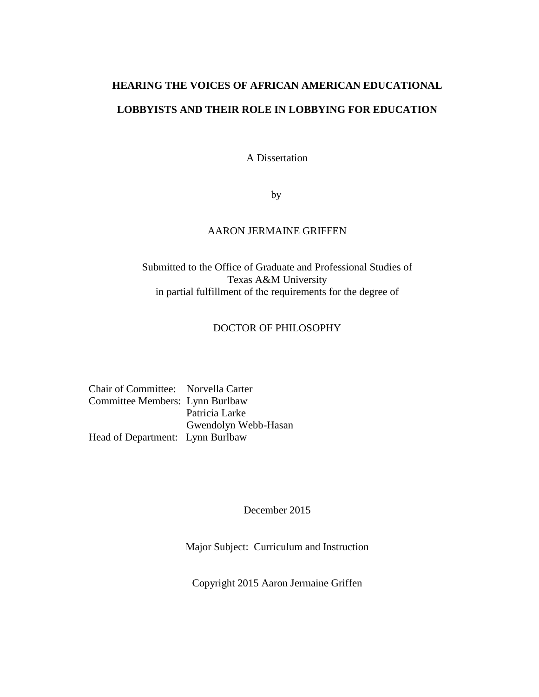# **HEARING THE VOICES OF AFRICAN AMERICAN EDUCATIONAL LOBBYISTS AND THEIR ROLE IN LOBBYING FOR EDUCATION**

A Dissertation

by

### AARON JERMAINE GRIFFEN

### Submitted to the Office of Graduate and Professional Studies of Texas A&M University in partial fulfillment of the requirements for the degree of

### DOCTOR OF PHILOSOPHY

| Chair of Committee: Norvella Carter |                      |
|-------------------------------------|----------------------|
| Committee Members: Lynn Burlbaw     |                      |
|                                     | Patricia Larke       |
|                                     | Gwendolyn Webb-Hasan |
| Head of Department: Lynn Burlbaw    |                      |

December 2015

Major Subject: Curriculum and Instruction

Copyright 2015 Aaron Jermaine Griffen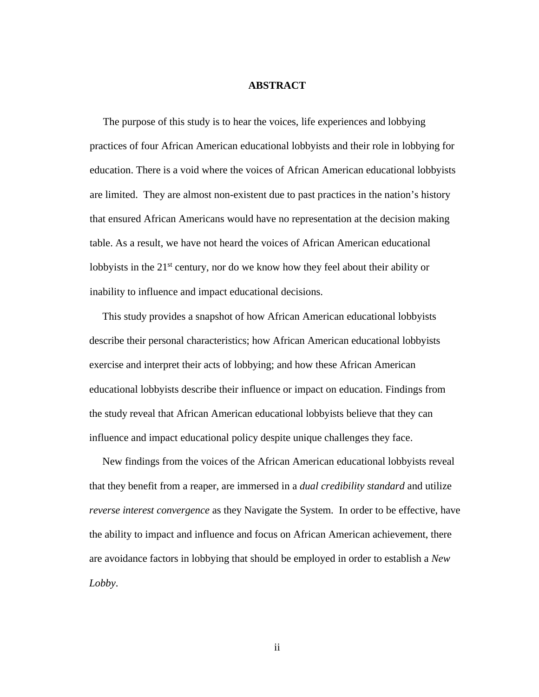### **ABSTRACT**

 The purpose of this study is to hear the voices, life experiences and lobbying practices of four African American educational lobbyists and their role in lobbying for education. There is a void where the voices of African American educational lobbyists are limited. They are almost non-existent due to past practices in the nation's history that ensured African Americans would have no representation at the decision making table. As a result, we have not heard the voices of African American educational lobbyists in the  $21<sup>st</sup>$  century, nor do we know how they feel about their ability or inability to influence and impact educational decisions.

 This study provides a snapshot of how African American educational lobbyists describe their personal characteristics; how African American educational lobbyists exercise and interpret their acts of lobbying; and how these African American educational lobbyists describe their influence or impact on education. Findings from the study reveal that African American educational lobbyists believe that they can influence and impact educational policy despite unique challenges they face.

 New findings from the voices of the African American educational lobbyists reveal that they benefit from a reaper, are immersed in a *dual credibility standard* and utilize *reverse interest convergence* as they Navigate the System. In order to be effective, have the ability to impact and influence and focus on African American achievement, there are avoidance factors in lobbying that should be employed in order to establish a *New Lobby*.

ii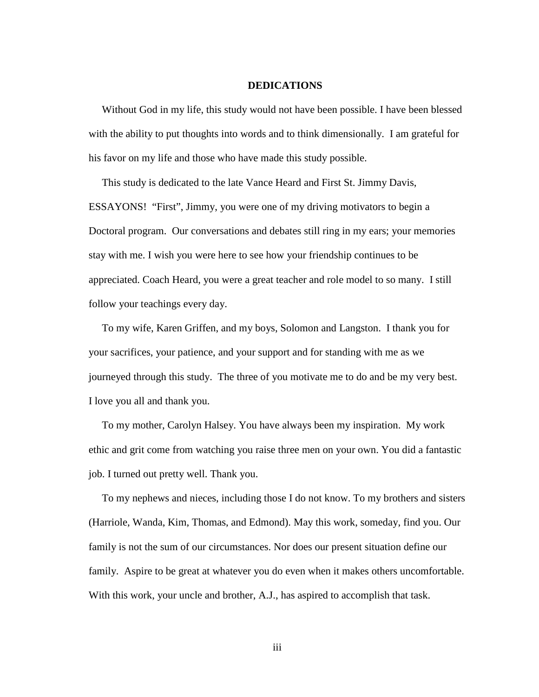#### **DEDICATIONS**

 Without God in my life, this study would not have been possible. I have been blessed with the ability to put thoughts into words and to think dimensionally. I am grateful for his favor on my life and those who have made this study possible.

 This study is dedicated to the late Vance Heard and First St. Jimmy Davis, ESSAYONS! "First", Jimmy, you were one of my driving motivators to begin a Doctoral program. Our conversations and debates still ring in my ears; your memories stay with me. I wish you were here to see how your friendship continues to be appreciated. Coach Heard, you were a great teacher and role model to so many. I still follow your teachings every day.

 To my wife, Karen Griffen, and my boys, Solomon and Langston. I thank you for your sacrifices, your patience, and your support and for standing with me as we journeyed through this study. The three of you motivate me to do and be my very best. I love you all and thank you.

 To my mother, Carolyn Halsey. You have always been my inspiration. My work ethic and grit come from watching you raise three men on your own. You did a fantastic job. I turned out pretty well. Thank you.

 To my nephews and nieces, including those I do not know. To my brothers and sisters (Harriole, Wanda, Kim, Thomas, and Edmond). May this work, someday, find you. Our family is not the sum of our circumstances. Nor does our present situation define our family. Aspire to be great at whatever you do even when it makes others uncomfortable. With this work, your uncle and brother, A.J., has aspired to accomplish that task.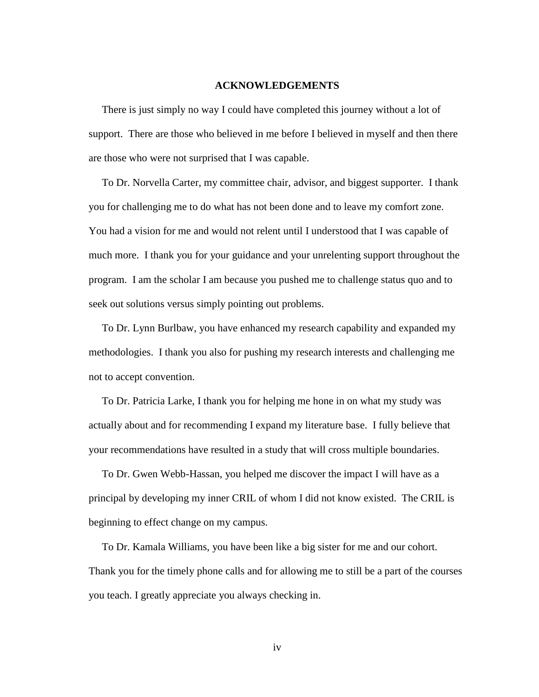#### **ACKNOWLEDGEMENTS**

 There is just simply no way I could have completed this journey without a lot of support. There are those who believed in me before I believed in myself and then there are those who were not surprised that I was capable.

 To Dr. Norvella Carter, my committee chair, advisor, and biggest supporter. I thank you for challenging me to do what has not been done and to leave my comfort zone. You had a vision for me and would not relent until I understood that I was capable of much more. I thank you for your guidance and your unrelenting support throughout the program. I am the scholar I am because you pushed me to challenge status quo and to seek out solutions versus simply pointing out problems.

 To Dr. Lynn Burlbaw, you have enhanced my research capability and expanded my methodologies. I thank you also for pushing my research interests and challenging me not to accept convention.

 To Dr. Patricia Larke, I thank you for helping me hone in on what my study was actually about and for recommending I expand my literature base. I fully believe that your recommendations have resulted in a study that will cross multiple boundaries.

 To Dr. Gwen Webb-Hassan, you helped me discover the impact I will have as a principal by developing my inner CRIL of whom I did not know existed. The CRIL is beginning to effect change on my campus.

 To Dr. Kamala Williams, you have been like a big sister for me and our cohort. Thank you for the timely phone calls and for allowing me to still be a part of the courses you teach. I greatly appreciate you always checking in.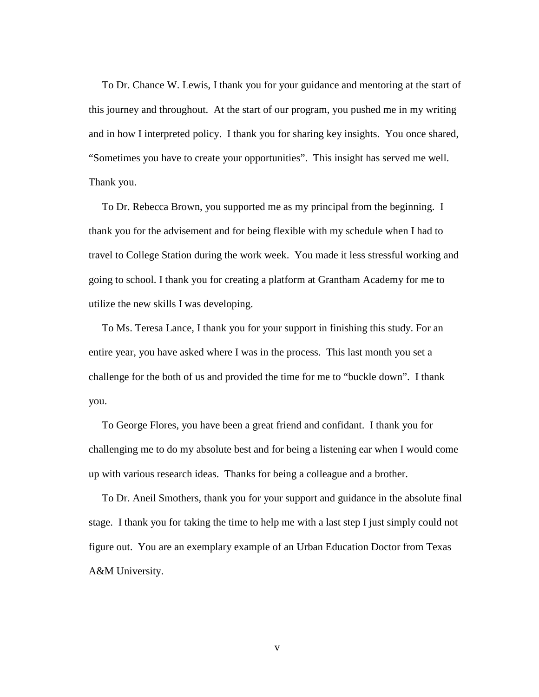To Dr. Chance W. Lewis, I thank you for your guidance and mentoring at the start of this journey and throughout. At the start of our program, you pushed me in my writing and in how I interpreted policy. I thank you for sharing key insights. You once shared, "Sometimes you have to create your opportunities". This insight has served me well. Thank you.

 To Dr. Rebecca Brown, you supported me as my principal from the beginning. I thank you for the advisement and for being flexible with my schedule when I had to travel to College Station during the work week. You made it less stressful working and going to school. I thank you for creating a platform at Grantham Academy for me to utilize the new skills I was developing.

 To Ms. Teresa Lance, I thank you for your support in finishing this study. For an entire year, you have asked where I was in the process. This last month you set a challenge for the both of us and provided the time for me to "buckle down". I thank you.

 To George Flores, you have been a great friend and confidant. I thank you for challenging me to do my absolute best and for being a listening ear when I would come up with various research ideas. Thanks for being a colleague and a brother.

 To Dr. Aneil Smothers, thank you for your support and guidance in the absolute final stage. I thank you for taking the time to help me with a last step I just simply could not figure out. You are an exemplary example of an Urban Education Doctor from Texas A&M University.

v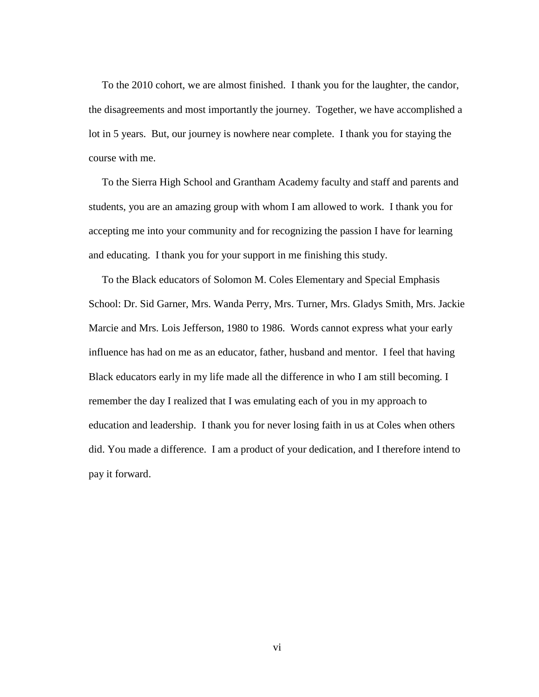To the 2010 cohort, we are almost finished. I thank you for the laughter, the candor, the disagreements and most importantly the journey. Together, we have accomplished a lot in 5 years. But, our journey is nowhere near complete. I thank you for staying the course with me.

 To the Sierra High School and Grantham Academy faculty and staff and parents and students, you are an amazing group with whom I am allowed to work. I thank you for accepting me into your community and for recognizing the passion I have for learning and educating. I thank you for your support in me finishing this study.

 To the Black educators of Solomon M. Coles Elementary and Special Emphasis School: Dr. Sid Garner, Mrs. Wanda Perry, Mrs. Turner, Mrs. Gladys Smith, Mrs. Jackie Marcie and Mrs. Lois Jefferson, 1980 to 1986. Words cannot express what your early influence has had on me as an educator, father, husband and mentor. I feel that having Black educators early in my life made all the difference in who I am still becoming. I remember the day I realized that I was emulating each of you in my approach to education and leadership. I thank you for never losing faith in us at Coles when others did. You made a difference. I am a product of your dedication, and I therefore intend to pay it forward.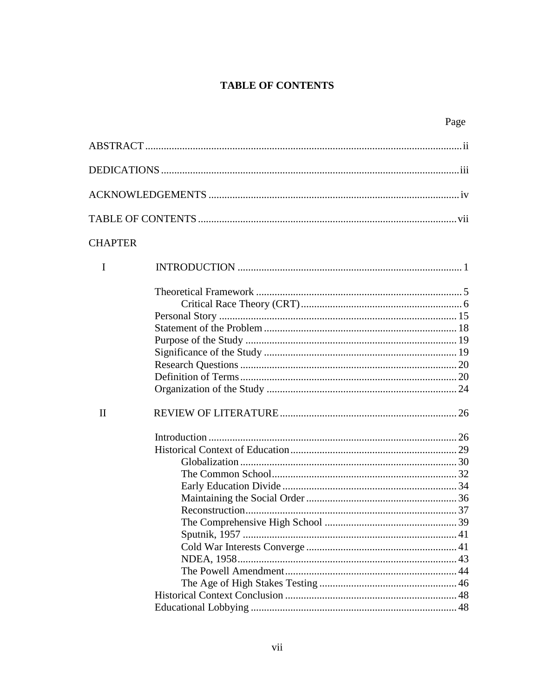## **TABLE OF CONTENTS**

| ۰, |
|----|
|----|

| <b>CHAPTER</b> |  |
|----------------|--|
| I              |  |
|                |  |
|                |  |
|                |  |
|                |  |
|                |  |
|                |  |
|                |  |
|                |  |
|                |  |
| $\mathbf{I}$   |  |
|                |  |
|                |  |
|                |  |
|                |  |
|                |  |
|                |  |
|                |  |
|                |  |
|                |  |
|                |  |
|                |  |
|                |  |
|                |  |
|                |  |
|                |  |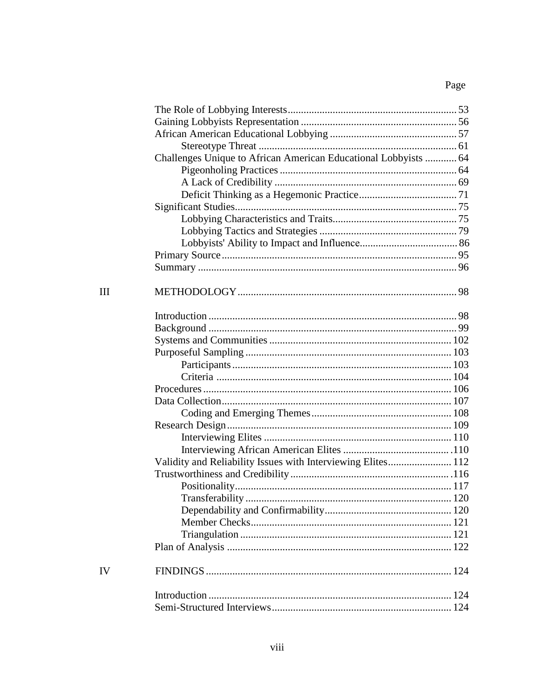# Page

| Challenges Unique to African American Educational Lobbyists  64 |  |
|-----------------------------------------------------------------|--|
|                                                                 |  |
|                                                                 |  |
|                                                                 |  |
|                                                                 |  |
|                                                                 |  |
|                                                                 |  |
|                                                                 |  |
|                                                                 |  |
|                                                                 |  |
|                                                                 |  |
|                                                                 |  |
|                                                                 |  |
|                                                                 |  |
|                                                                 |  |
|                                                                 |  |
|                                                                 |  |
|                                                                 |  |
|                                                                 |  |
|                                                                 |  |
|                                                                 |  |
|                                                                 |  |
|                                                                 |  |
|                                                                 |  |
|                                                                 |  |
| Validity and Reliability Issues with Interviewing Elites 112    |  |
|                                                                 |  |
|                                                                 |  |
|                                                                 |  |
|                                                                 |  |
|                                                                 |  |
|                                                                 |  |
|                                                                 |  |
|                                                                 |  |
|                                                                 |  |
|                                                                 |  |
|                                                                 |  |

# $\mathop{\rm III}\nolimits$

 $\bar{I}$ V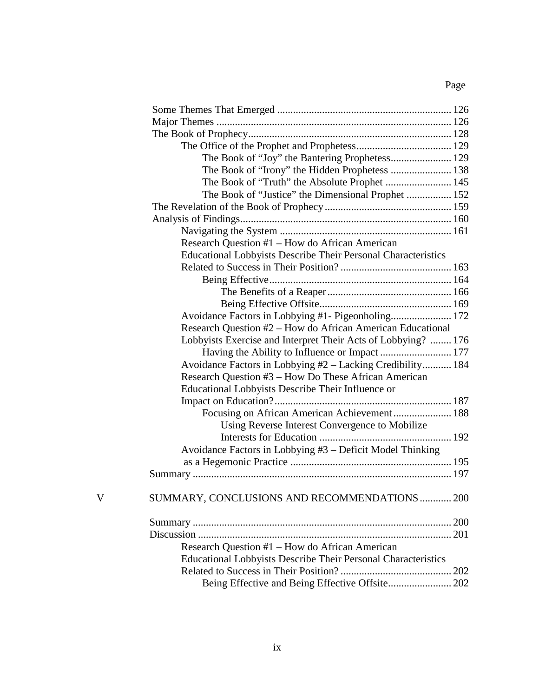# Page

|   | The Book of "Joy" the Bantering Prophetess 129                |  |
|---|---------------------------------------------------------------|--|
|   |                                                               |  |
|   |                                                               |  |
|   | The Book of "Justice" the Dimensional Prophet  152            |  |
|   |                                                               |  |
|   |                                                               |  |
|   |                                                               |  |
|   | Research Question #1 – How do African American                |  |
|   | Educational Lobbyists Describe Their Personal Characteristics |  |
|   |                                                               |  |
|   |                                                               |  |
|   |                                                               |  |
|   |                                                               |  |
|   | Avoidance Factors in Lobbying #1- Pigeonholing 172            |  |
|   | Research Question #2 - How do African American Educational    |  |
|   | Lobbyists Exercise and Interpret Their Acts of Lobbying?  176 |  |
|   |                                                               |  |
|   | Avoidance Factors in Lobbying #2 - Lacking Credibility 184    |  |
|   | Research Question #3 – How Do These African American          |  |
|   | Educational Lobbyists Describe Their Influence or             |  |
|   |                                                               |  |
|   |                                                               |  |
|   | Using Reverse Interest Convergence to Mobilize                |  |
|   |                                                               |  |
|   | Avoidance Factors in Lobbying #3 - Deficit Model Thinking     |  |
|   |                                                               |  |
|   |                                                               |  |
|   |                                                               |  |
| V | SUMMARY, CONCLUSIONS AND RECOMMENDATIONS  200                 |  |
|   |                                                               |  |
|   |                                                               |  |
|   | Research Question #1 – How do African American                |  |
|   | Educational Lobbyists Describe Their Personal Characteristics |  |
|   |                                                               |  |
|   | Being Effective and Being Effective Offsite 202               |  |
|   |                                                               |  |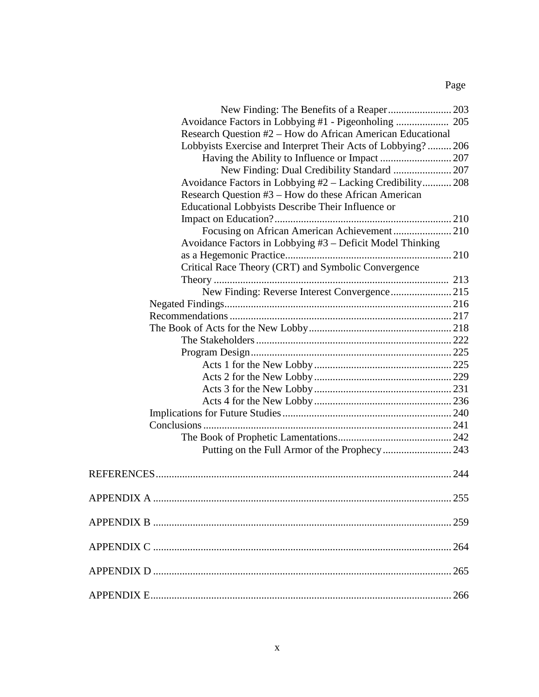# Page

| Research Question #2 – How do African American Educational  |     |
|-------------------------------------------------------------|-----|
| Lobbyists Exercise and Interpret Their Acts of Lobbying?206 |     |
|                                                             |     |
|                                                             |     |
| Avoidance Factors in Lobbying #2 – Lacking Credibility 208  |     |
| Research Question #3 – How do these African American        |     |
| Educational Lobbyists Describe Their Influence or           |     |
|                                                             |     |
| Focusing on African American Achievement 210                |     |
| Avoidance Factors in Lobbying #3 - Deficit Model Thinking   |     |
|                                                             |     |
| Critical Race Theory (CRT) and Symbolic Convergence         |     |
|                                                             |     |
|                                                             |     |
|                                                             |     |
|                                                             |     |
|                                                             |     |
|                                                             |     |
|                                                             |     |
|                                                             |     |
|                                                             |     |
|                                                             |     |
|                                                             |     |
|                                                             |     |
|                                                             |     |
|                                                             |     |
|                                                             |     |
|                                                             |     |
|                                                             |     |
|                                                             |     |
| <b>APPENDIX A</b>                                           | 255 |
|                                                             |     |
|                                                             |     |
|                                                             |     |
|                                                             |     |
|                                                             |     |
|                                                             |     |
|                                                             |     |
|                                                             | 266 |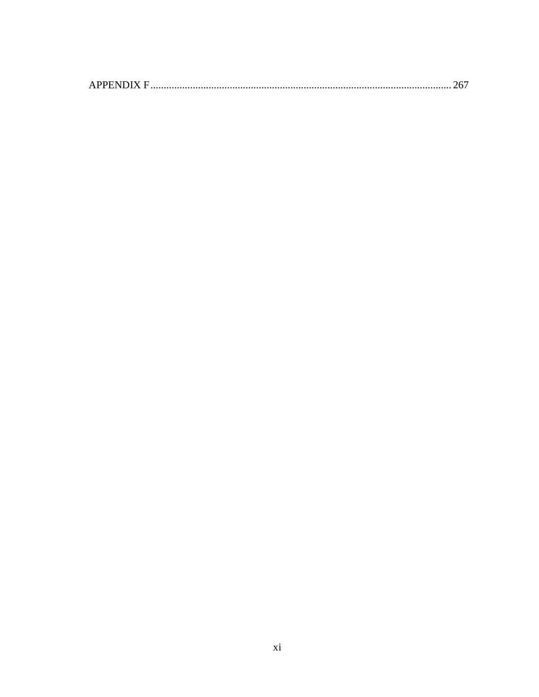|--|--|--|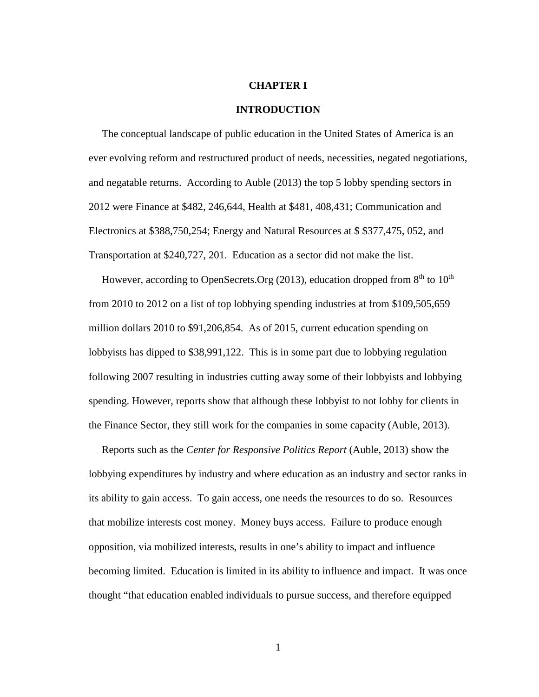#### **CHAPTER I**

#### **INTRODUCTION**

 The conceptual landscape of public education in the United States of America is an ever evolving reform and restructured product of needs, necessities, negated negotiations, and negatable returns. According to Auble (2013) the top 5 lobby spending sectors in 2012 were Finance at \$482, 246,644, Health at \$481, 408,431; Communication and Electronics at \$388,750,254; Energy and Natural Resources at \$ \$377,475, 052, and Transportation at \$240,727, 201. Education as a sector did not make the list.

However, according to OpenSecrets.Org (2013), education dropped from  $8<sup>th</sup>$  to  $10<sup>th</sup>$ from 2010 to 2012 on a list of top lobbying spending industries at from \$109,505,659 million dollars 2010 to \$91,206,854. As of 2015, current education spending on lobbyists has dipped to \$38,991,122. This is in some part due to lobbying regulation following 2007 resulting in industries cutting away some of their lobbyists and lobbying spending. However, reports show that although these lobbyist to not lobby for clients in the Finance Sector, they still work for the companies in some capacity (Auble, 2013).

 Reports such as the *Center for Responsive Politics Report* (Auble, 2013) show the lobbying expenditures by industry and where education as an industry and sector ranks in its ability to gain access. To gain access, one needs the resources to do so. Resources that mobilize interests cost money. Money buys access. Failure to produce enough opposition, via mobilized interests, results in one's ability to impact and influence becoming limited. Education is limited in its ability to influence and impact. It was once thought "that education enabled individuals to pursue success, and therefore equipped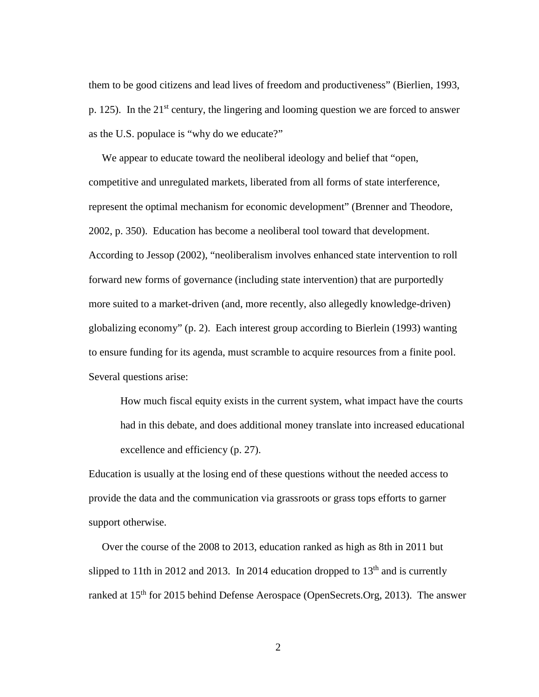them to be good citizens and lead lives of freedom and productiveness" (Bierlien, 1993, p. 125). In the  $21^{st}$  century, the lingering and looming question we are forced to answer as the U.S. populace is "why do we educate?"

We appear to educate toward the neoliberal ideology and belief that "open, competitive and unregulated markets, liberated from all forms of state interference, represent the optimal mechanism for economic development" (Brenner and Theodore, 2002, p. 350). Education has become a neoliberal tool toward that development. According to Jessop (2002), "neoliberalism involves enhanced state intervention to roll forward new forms of governance (including state intervention) that are purportedly more suited to a market-driven (and, more recently, also allegedly knowledge-driven) globalizing economy" (p. 2). Each interest group according to Bierlein (1993) wanting to ensure funding for its agenda, must scramble to acquire resources from a finite pool. Several questions arise:

How much fiscal equity exists in the current system, what impact have the courts had in this debate, and does additional money translate into increased educational excellence and efficiency (p. 27).

Education is usually at the losing end of these questions without the needed access to provide the data and the communication via grassroots or grass tops efforts to garner support otherwise.

 Over the course of the 2008 to 2013, education ranked as high as 8th in 2011 but slipped to 11th in 2012 and 2013. In 2014 education dropped to  $13<sup>th</sup>$  and is currently ranked at 15th for 2015 behind Defense Aerospace (OpenSecrets.Org, 2013). The answer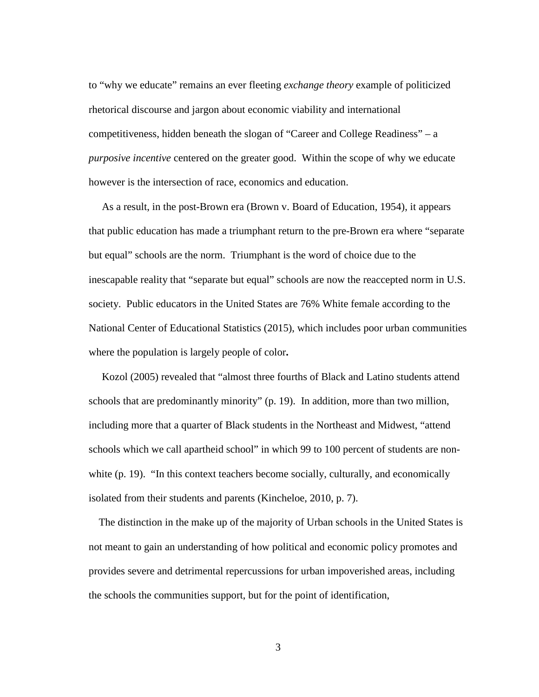to "why we educate" remains an ever fleeting *exchange theory* example of politicized rhetorical discourse and jargon about economic viability and international competitiveness, hidden beneath the slogan of "Career and College Readiness" – a *purposive incentive* centered on the greater good. Within the scope of why we educate however is the intersection of race, economics and education.

 As a result, in the post-Brown era (Brown v. Board of Education, 1954), it appears that public education has made a triumphant return to the pre-Brown era where "separate but equal" schools are the norm. Triumphant is the word of choice due to the inescapable reality that "separate but equal" schools are now the reaccepted norm in U.S. society. Public educators in the United States are 76% White female according to the National Center of Educational Statistics (2015), which includes poor urban communities where the population is largely people of color**.** 

Kozol (2005) revealed that "almost three fourths of Black and Latino students attend schools that are predominantly minority" (p. 19). In addition, more than two million, including more that a quarter of Black students in the Northeast and Midwest, "attend schools which we call apartheid school" in which 99 to 100 percent of students are nonwhite (p. 19). "In this context teachers become socially, culturally, and economically isolated from their students and parents (Kincheloe, 2010, p. 7).

 The distinction in the make up of the majority of Urban schools in the United States is not meant to gain an understanding of how political and economic policy promotes and provides severe and detrimental repercussions for urban impoverished areas, including the schools the communities support, but for the point of identification,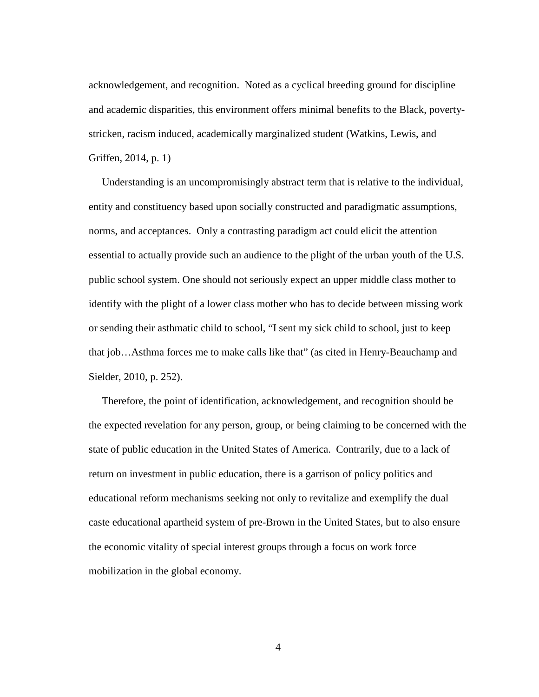acknowledgement, and recognition. Noted as a cyclical breeding ground for discipline and academic disparities, this environment offers minimal benefits to the Black, povertystricken, racism induced, academically marginalized student (Watkins, Lewis, and Griffen, 2014, p. 1)

 Understanding is an uncompromisingly abstract term that is relative to the individual, entity and constituency based upon socially constructed and paradigmatic assumptions, norms, and acceptances. Only a contrasting paradigm act could elicit the attention essential to actually provide such an audience to the plight of the urban youth of the U.S. public school system. One should not seriously expect an upper middle class mother to identify with the plight of a lower class mother who has to decide between missing work or sending their asthmatic child to school, "I sent my sick child to school, just to keep that job…Asthma forces me to make calls like that" (as cited in Henry-Beauchamp and Sielder, 2010, p. 252).

 Therefore, the point of identification, acknowledgement, and recognition should be the expected revelation for any person, group, or being claiming to be concerned with the state of public education in the United States of America. Contrarily, due to a lack of return on investment in public education, there is a garrison of policy politics and educational reform mechanisms seeking not only to revitalize and exemplify the dual caste educational apartheid system of pre-Brown in the United States, but to also ensure the economic vitality of special interest groups through a focus on work force mobilization in the global economy.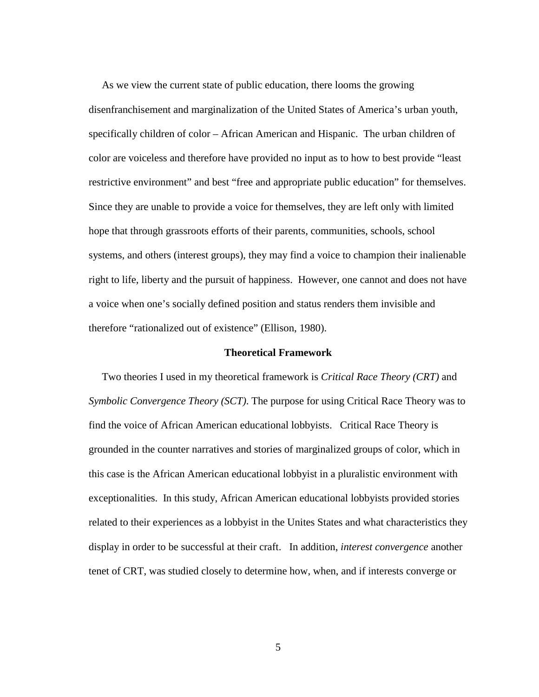As we view the current state of public education, there looms the growing disenfranchisement and marginalization of the United States of America's urban youth, specifically children of color – African American and Hispanic. The urban children of color are voiceless and therefore have provided no input as to how to best provide "least restrictive environment" and best "free and appropriate public education" for themselves. Since they are unable to provide a voice for themselves, they are left only with limited hope that through grassroots efforts of their parents, communities, schools, school systems, and others (interest groups), they may find a voice to champion their inalienable right to life, liberty and the pursuit of happiness. However, one cannot and does not have a voice when one's socially defined position and status renders them invisible and therefore "rationalized out of existence" (Ellison, 1980).

### **Theoretical Framework**

 Two theories I used in my theoretical framework is *Critical Race Theory (CRT)* and *Symbolic Convergence Theory (SCT)*. The purpose for using Critical Race Theory was to find the voice of African American educational lobbyists. Critical Race Theory is grounded in the counter narratives and stories of marginalized groups of color, which in this case is the African American educational lobbyist in a pluralistic environment with exceptionalities. In this study, African American educational lobbyists provided stories related to their experiences as a lobbyist in the Unites States and what characteristics they display in order to be successful at their craft. In addition, *interest convergence* another tenet of CRT, was studied closely to determine how, when, and if interests converge or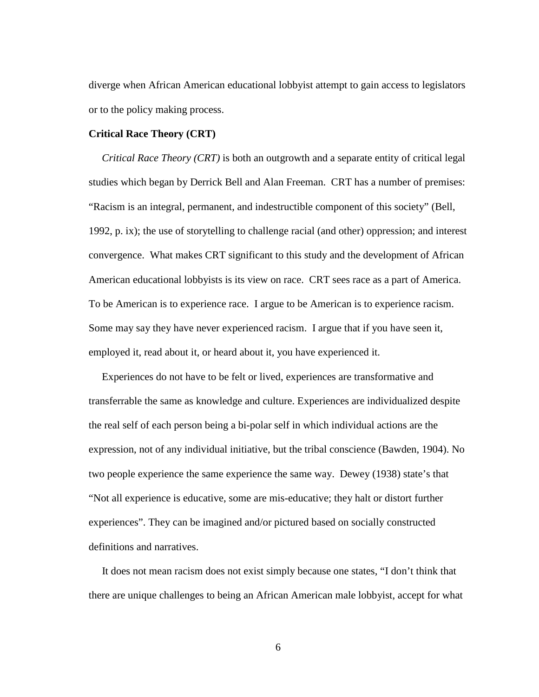diverge when African American educational lobbyist attempt to gain access to legislators or to the policy making process.

#### **Critical Race Theory (CRT)**

 *Critical Race Theory (CRT)* is both an outgrowth and a separate entity of critical legal studies which began by Derrick Bell and Alan Freeman. CRT has a number of premises: "Racism is an integral, permanent, and indestructible component of this society" (Bell, 1992, p. ix); the use of storytelling to challenge racial (and other) oppression; and interest convergence. What makes CRT significant to this study and the development of African American educational lobbyists is its view on race. CRT sees race as a part of America. To be American is to experience race. I argue to be American is to experience racism. Some may say they have never experienced racism. I argue that if you have seen it, employed it, read about it, or heard about it, you have experienced it.

 Experiences do not have to be felt or lived, experiences are transformative and transferrable the same as knowledge and culture. Experiences are individualized despite the real self of each person being a bi-polar self in which individual actions are the expression, not of any individual initiative, but the tribal conscience (Bawden, 1904). No two people experience the same experience the same way. Dewey (1938) state's that "Not all experience is educative, some are mis-educative; they halt or distort further experiences". They can be imagined and/or pictured based on socially constructed definitions and narratives.

 It does not mean racism does not exist simply because one states, "I don't think that there are unique challenges to being an African American male lobbyist, accept for what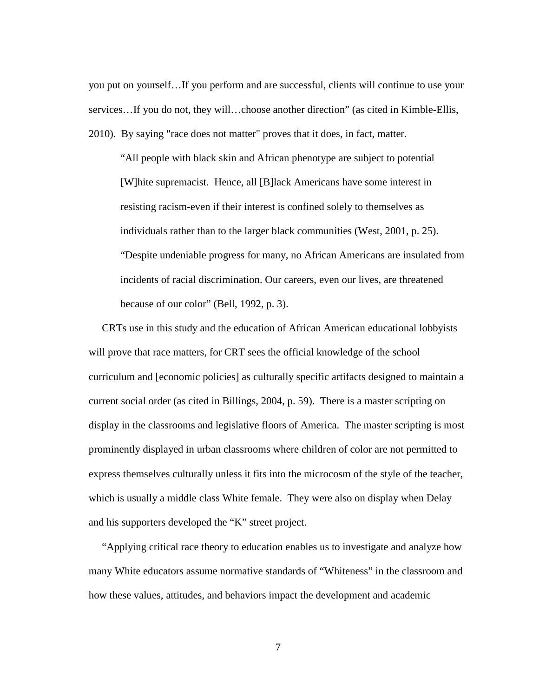you put on yourself…If you perform and are successful, clients will continue to use your services…If you do not, they will…choose another direction" (as cited in Kimble-Ellis, 2010). By saying "race does not matter" proves that it does, in fact, matter.

"All people with black skin and African phenotype are subject to potential [W]hite supremacist. Hence, all [B]lack Americans have some interest in resisting racism-even if their interest is confined solely to themselves as individuals rather than to the larger black communities (West, 2001, p. 25). "Despite undeniable progress for many, no African Americans are insulated from incidents of racial discrimination. Our careers, even our lives, are threatened because of our color" (Bell, 1992, p. 3).

 CRTs use in this study and the education of African American educational lobbyists will prove that race matters, for CRT sees the official knowledge of the school curriculum and [economic policies] as culturally specific artifacts designed to maintain a current social order (as cited in Billings, 2004, p. 59). There is a master scripting on display in the classrooms and legislative floors of America. The master scripting is most prominently displayed in urban classrooms where children of color are not permitted to express themselves culturally unless it fits into the microcosm of the style of the teacher, which is usually a middle class White female. They were also on display when Delay and his supporters developed the "K" street project.

 "Applying critical race theory to education enables us to investigate and analyze how many White educators assume normative standards of "Whiteness" in the classroom and how these values, attitudes, and behaviors impact the development and academic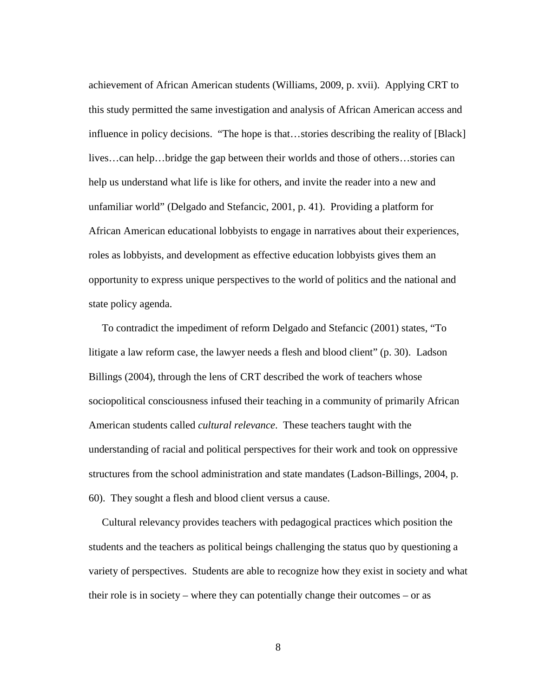achievement of African American students (Williams, 2009, p. xvii). Applying CRT to this study permitted the same investigation and analysis of African American access and influence in policy decisions. "The hope is that…stories describing the reality of [Black] lives…can help…bridge the gap between their worlds and those of others…stories can help us understand what life is like for others, and invite the reader into a new and unfamiliar world" (Delgado and Stefancic, 2001, p. 41). Providing a platform for African American educational lobbyists to engage in narratives about their experiences, roles as lobbyists, and development as effective education lobbyists gives them an opportunity to express unique perspectives to the world of politics and the national and state policy agenda.

 To contradict the impediment of reform Delgado and Stefancic (2001) states, "To litigate a law reform case, the lawyer needs a flesh and blood client" (p. 30). Ladson Billings (2004), through the lens of CRT described the work of teachers whose sociopolitical consciousness infused their teaching in a community of primarily African American students called *cultural relevance*. These teachers taught with the understanding of racial and political perspectives for their work and took on oppressive structures from the school administration and state mandates (Ladson-Billings, 2004, p. 60). They sought a flesh and blood client versus a cause.

 Cultural relevancy provides teachers with pedagogical practices which position the students and the teachers as political beings challenging the status quo by questioning a variety of perspectives. Students are able to recognize how they exist in society and what their role is in society – where they can potentially change their outcomes – or as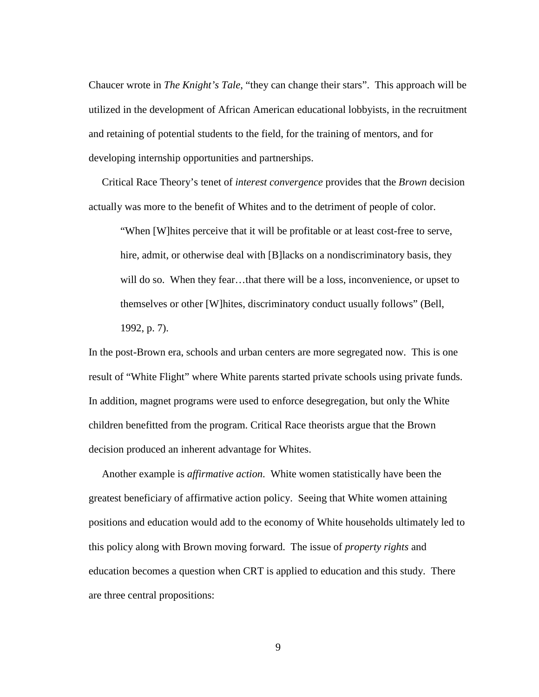Chaucer wrote in *The Knight's Tale*, "they can change their stars". This approach will be utilized in the development of African American educational lobbyists, in the recruitment and retaining of potential students to the field, for the training of mentors, and for developing internship opportunities and partnerships.

Critical Race Theory's tenet of *interest convergence* provides that the *Brown* decision actually was more to the benefit of Whites and to the detriment of people of color.

"When [W]hites perceive that it will be profitable or at least cost-free to serve, hire, admit, or otherwise deal with [B] lacks on a nondiscriminatory basis, they will do so. When they fear...that there will be a loss, inconvenience, or upset to themselves or other [W]hites, discriminatory conduct usually follows" (Bell, 1992, p. 7).

In the post-Brown era, schools and urban centers are more segregated now. This is one result of "White Flight" where White parents started private schools using private funds. In addition, magnet programs were used to enforce desegregation, but only the White children benefitted from the program. Critical Race theorists argue that the Brown decision produced an inherent advantage for Whites.

 Another example is *affirmative action*. White women statistically have been the greatest beneficiary of affirmative action policy. Seeing that White women attaining positions and education would add to the economy of White households ultimately led to this policy along with Brown moving forward. The issue of *property rights* and education becomes a question when CRT is applied to education and this study. There are three central propositions: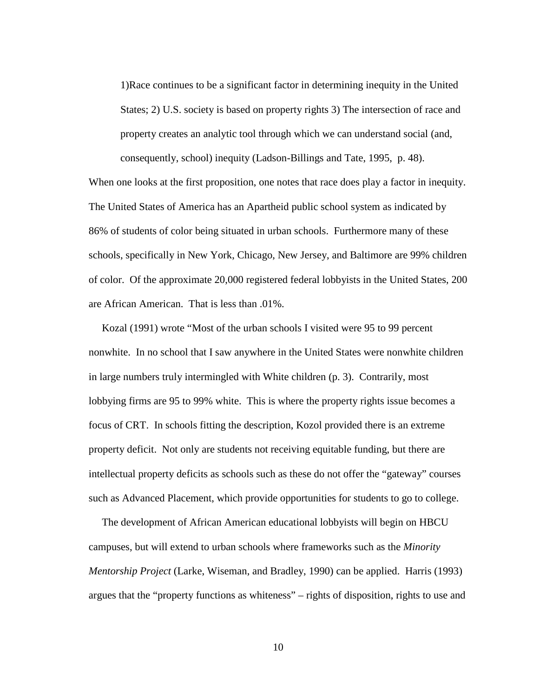1)Race continues to be a significant factor in determining inequity in the United States; 2) U.S. society is based on property rights 3) The intersection of race and property creates an analytic tool through which we can understand social (and, consequently, school) inequity (Ladson-Billings and Tate, 1995, p. 48).

When one looks at the first proposition, one notes that race does play a factor in inequity. The United States of America has an Apartheid public school system as indicated by 86% of students of color being situated in urban schools. Furthermore many of these schools, specifically in New York, Chicago, New Jersey, and Baltimore are 99% children of color. Of the approximate 20,000 registered federal lobbyists in the United States, 200 are African American. That is less than .01%.

 Kozal (1991) wrote "Most of the urban schools I visited were 95 to 99 percent nonwhite. In no school that I saw anywhere in the United States were nonwhite children in large numbers truly intermingled with White children (p. 3). Contrarily, most lobbying firms are 95 to 99% white. This is where the property rights issue becomes a focus of CRT. In schools fitting the description, Kozol provided there is an extreme property deficit. Not only are students not receiving equitable funding, but there are intellectual property deficits as schools such as these do not offer the "gateway" courses such as Advanced Placement, which provide opportunities for students to go to college.

 The development of African American educational lobbyists will begin on HBCU campuses, but will extend to urban schools where frameworks such as the *Minority Mentorship Project* (Larke, Wiseman, and Bradley, 1990) can be applied. Harris (1993) argues that the "property functions as whiteness" – rights of disposition, rights to use and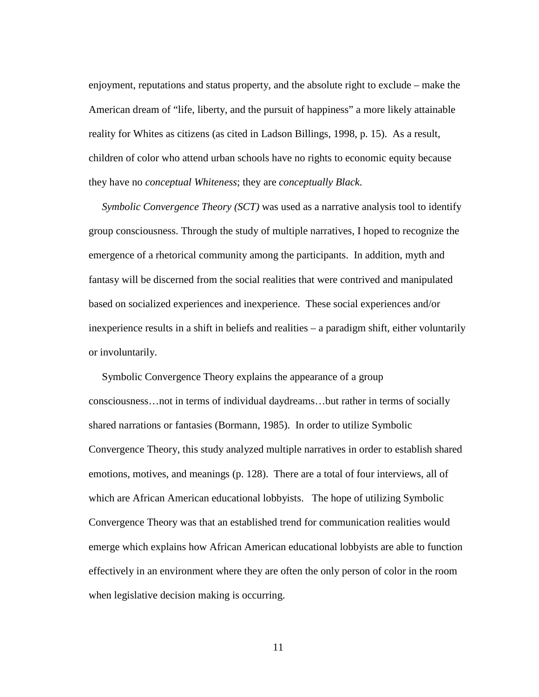enjoyment, reputations and status property, and the absolute right to exclude – make the American dream of "life, liberty, and the pursuit of happiness" a more likely attainable reality for Whites as citizens (as cited in Ladson Billings, 1998, p. 15). As a result, children of color who attend urban schools have no rights to economic equity because they have no *conceptual Whiteness*; they are *conceptually Black*.

 *Symbolic Convergence Theory (SCT)* was used as a narrative analysis tool to identify group consciousness. Through the study of multiple narratives, I hoped to recognize the emergence of a rhetorical community among the participants. In addition, myth and fantasy will be discerned from the social realities that were contrived and manipulated based on socialized experiences and inexperience. These social experiences and/or inexperience results in a shift in beliefs and realities – a paradigm shift, either voluntarily or involuntarily.

 Symbolic Convergence Theory explains the appearance of a group consciousness…not in terms of individual daydreams…but rather in terms of socially shared narrations or fantasies (Bormann, 1985). In order to utilize Symbolic Convergence Theory, this study analyzed multiple narratives in order to establish shared emotions, motives, and meanings (p. 128). There are a total of four interviews, all of which are African American educational lobbyists. The hope of utilizing Symbolic Convergence Theory was that an established trend for communication realities would emerge which explains how African American educational lobbyists are able to function effectively in an environment where they are often the only person of color in the room when legislative decision making is occurring.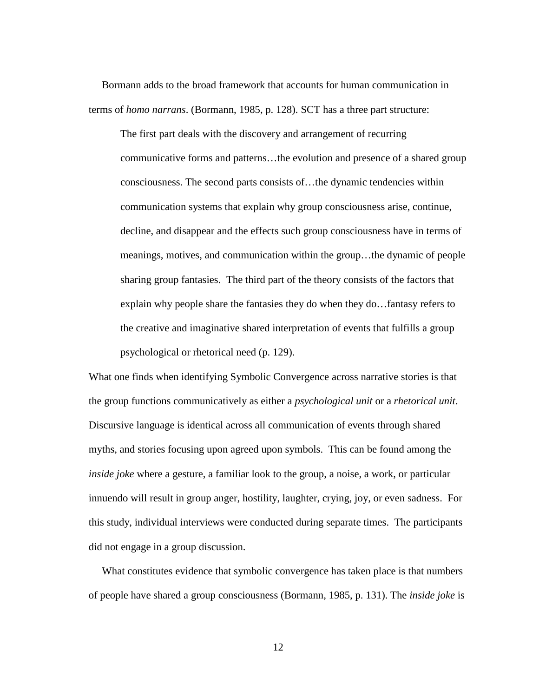Bormann adds to the broad framework that accounts for human communication in terms of *homo narrans*. (Bormann, 1985, p. 128). SCT has a three part structure:

The first part deals with the discovery and arrangement of recurring communicative forms and patterns…the evolution and presence of a shared group consciousness. The second parts consists of…the dynamic tendencies within communication systems that explain why group consciousness arise, continue, decline, and disappear and the effects such group consciousness have in terms of meanings, motives, and communication within the group…the dynamic of people sharing group fantasies. The third part of the theory consists of the factors that explain why people share the fantasies they do when they do…fantasy refers to the creative and imaginative shared interpretation of events that fulfills a group psychological or rhetorical need (p. 129).

What one finds when identifying Symbolic Convergence across narrative stories is that the group functions communicatively as either a *psychological unit* or a *rhetorical unit*. Discursive language is identical across all communication of events through shared myths, and stories focusing upon agreed upon symbols. This can be found among the *inside joke* where a gesture, a familiar look to the group, a noise, a work, or particular innuendo will result in group anger, hostility, laughter, crying, joy, or even sadness. For this study, individual interviews were conducted during separate times. The participants did not engage in a group discussion.

 What constitutes evidence that symbolic convergence has taken place is that numbers of people have shared a group consciousness (Bormann, 1985, p. 131). The *inside joke* is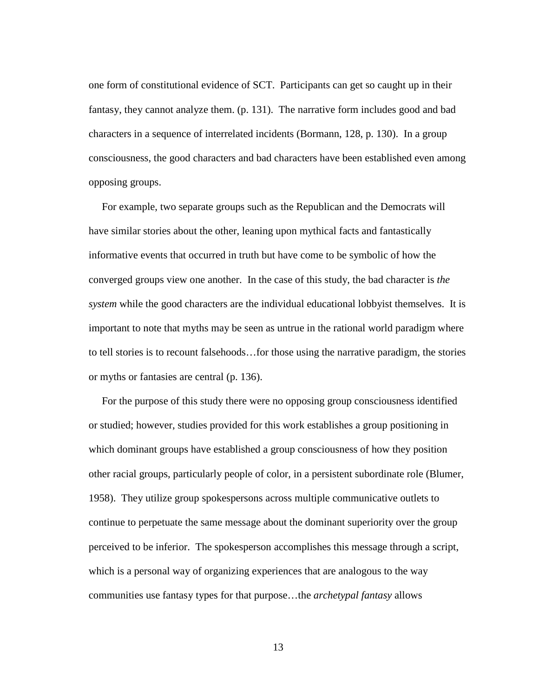one form of constitutional evidence of SCT. Participants can get so caught up in their fantasy, they cannot analyze them. (p. 131). The narrative form includes good and bad characters in a sequence of interrelated incidents (Bormann, 128, p. 130). In a group consciousness, the good characters and bad characters have been established even among opposing groups.

 For example, two separate groups such as the Republican and the Democrats will have similar stories about the other, leaning upon mythical facts and fantastically informative events that occurred in truth but have come to be symbolic of how the converged groups view one another. In the case of this study, the bad character is *the system* while the good characters are the individual educational lobbyist themselves. It is important to note that myths may be seen as untrue in the rational world paradigm where to tell stories is to recount falsehoods…for those using the narrative paradigm, the stories or myths or fantasies are central (p. 136).

 For the purpose of this study there were no opposing group consciousness identified or studied; however, studies provided for this work establishes a group positioning in which dominant groups have established a group consciousness of how they position other racial groups, particularly people of color, in a persistent subordinate role (Blumer, 1958). They utilize group spokespersons across multiple communicative outlets to continue to perpetuate the same message about the dominant superiority over the group perceived to be inferior. The spokesperson accomplishes this message through a script, which is a personal way of organizing experiences that are analogous to the way communities use fantasy types for that purpose…the *archetypal fantasy* allows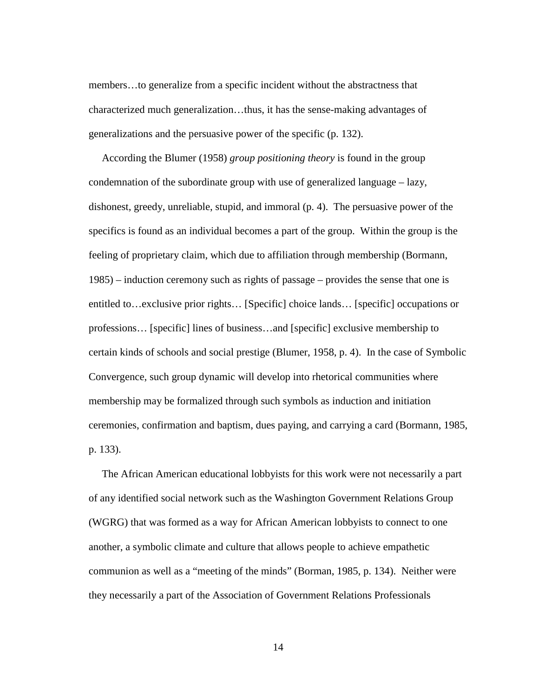members…to generalize from a specific incident without the abstractness that characterized much generalization…thus, it has the sense-making advantages of generalizations and the persuasive power of the specific (p. 132).

 According the Blumer (1958) *group positioning theory* is found in the group condemnation of the subordinate group with use of generalized language – lazy, dishonest, greedy, unreliable, stupid, and immoral (p. 4). The persuasive power of the specifics is found as an individual becomes a part of the group. Within the group is the feeling of proprietary claim, which due to affiliation through membership (Bormann, 1985) – induction ceremony such as rights of passage – provides the sense that one is entitled to…exclusive prior rights… [Specific] choice lands… [specific] occupations or professions… [specific] lines of business…and [specific] exclusive membership to certain kinds of schools and social prestige (Blumer, 1958, p. 4). In the case of Symbolic Convergence, such group dynamic will develop into rhetorical communities where membership may be formalized through such symbols as induction and initiation ceremonies, confirmation and baptism, dues paying, and carrying a card (Bormann, 1985, p. 133).

 The African American educational lobbyists for this work were not necessarily a part of any identified social network such as the Washington Government Relations Group (WGRG) that was formed as a way for African American lobbyists to connect to one another, a symbolic climate and culture that allows people to achieve empathetic communion as well as a "meeting of the minds" (Borman, 1985, p. 134). Neither were they necessarily a part of the Association of Government Relations Professionals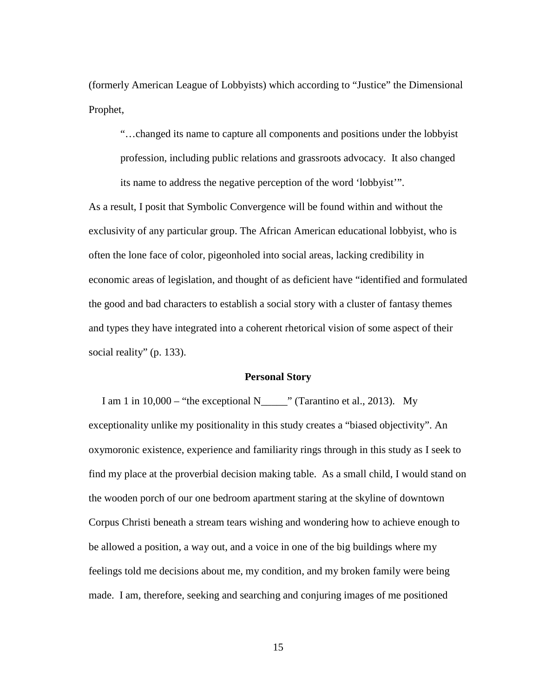(formerly American League of Lobbyists) which according to "Justice" the Dimensional Prophet,

"…changed its name to capture all components and positions under the lobbyist profession, including public relations and grassroots advocacy. It also changed its name to address the negative perception of the word 'lobbyist'".

As a result, I posit that Symbolic Convergence will be found within and without the exclusivity of any particular group. The African American educational lobbyist, who is often the lone face of color, pigeonholed into social areas, lacking credibility in economic areas of legislation, and thought of as deficient have "identified and formulated the good and bad characters to establish a social story with a cluster of fantasy themes and types they have integrated into a coherent rhetorical vision of some aspect of their social reality" (p. 133).

### **Personal Story**

I am 1 in  $10,000$  – "the exceptional N\_\_\_\_\_" (Tarantino et al., 2013). My exceptionality unlike my positionality in this study creates a "biased objectivity". An oxymoronic existence, experience and familiarity rings through in this study as I seek to find my place at the proverbial decision making table. As a small child, I would stand on the wooden porch of our one bedroom apartment staring at the skyline of downtown Corpus Christi beneath a stream tears wishing and wondering how to achieve enough to be allowed a position, a way out, and a voice in one of the big buildings where my feelings told me decisions about me, my condition, and my broken family were being made. I am, therefore, seeking and searching and conjuring images of me positioned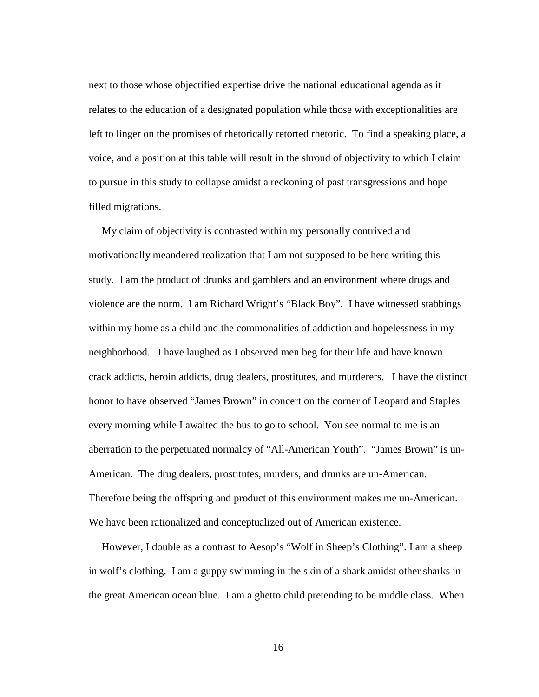next to those whose objectified expertise drive the national educational agenda as it relates to the education of a designated population while those with exceptionalities are left to linger on the promises of rhetorically retorted rhetoric. To find a speaking place, a voice, and a position at this table will result in the shroud of objectivity to which I claim to pursue in this study to collapse amidst a reckoning of past transgressions and hope filled migrations.

My claim of objectivity is contrasted within my personally contrived and motivationally meandered realization that I am not supposed to be here writing this study. I am the product of drunks and gamblers and an environment where drugs and violence are the norm. I am Richard Wright's "Black Boy". I have witnessed stabbings within my home as a child and the commonalities of addiction and hopelessness in my neighborhood. I have laughed as I observed men beg for their life and have known crack addicts, heroin addicts, drug dealers, prostitutes, and murderers. I have the distinct honor to have observed "James Brown" in concert on the corner of Leopard and Staples every morning while I awaited the bus to go to school. You see normal to me is an aberration to the perpetuated normalcy of "All-American Youth". "James Brown" is un-American. The drug dealers, prostitutes, murders, and drunks are un-American. Therefore being the offspring and product of this environment makes me un-American. We have been rationalized and conceptualized out of American existence.

 However, I double as a contrast to Aesop's "Wolf in Sheep's Clothing". I am a sheep in wolf's clothing. I am a guppy swimming in the skin of a shark amidst other sharks in the great American ocean blue. I am a ghetto child pretending to be middle class. When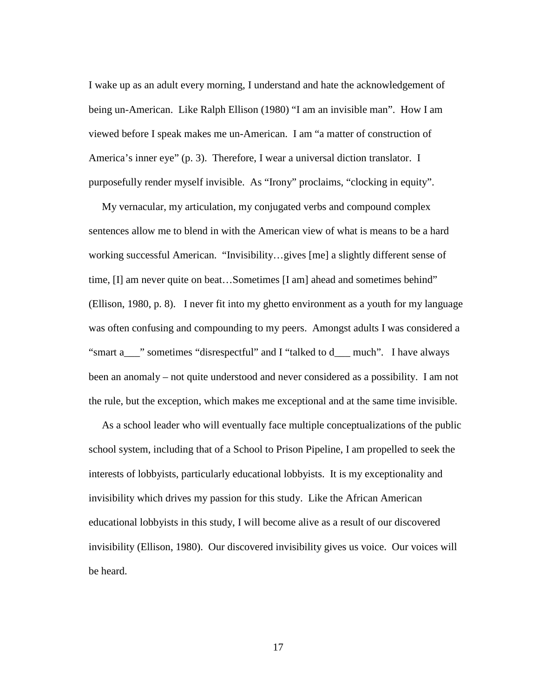I wake up as an adult every morning, I understand and hate the acknowledgement of being un-American. Like Ralph Ellison (1980) "I am an invisible man". How I am viewed before I speak makes me un-American. I am "a matter of construction of America's inner eye" (p. 3). Therefore, I wear a universal diction translator. I purposefully render myself invisible. As "Irony" proclaims, "clocking in equity".

 My vernacular, my articulation, my conjugated verbs and compound complex sentences allow me to blend in with the American view of what is means to be a hard working successful American. "Invisibility…gives [me] a slightly different sense of time, [I] am never quite on beat...Sometimes [I am] ahead and sometimes behind" (Ellison, 1980, p. 8). I never fit into my ghetto environment as a youth for my language was often confusing and compounding to my peers. Amongst adults I was considered a "smart a\_\_\_" sometimes "disrespectful" and I "talked to d\_\_\_ much". I have always been an anomaly – not quite understood and never considered as a possibility. I am not the rule, but the exception, which makes me exceptional and at the same time invisible.

 As a school leader who will eventually face multiple conceptualizations of the public school system, including that of a School to Prison Pipeline, I am propelled to seek the interests of lobbyists, particularly educational lobbyists. It is my exceptionality and invisibility which drives my passion for this study. Like the African American educational lobbyists in this study, I will become alive as a result of our discovered invisibility (Ellison, 1980). Our discovered invisibility gives us voice. Our voices will be heard.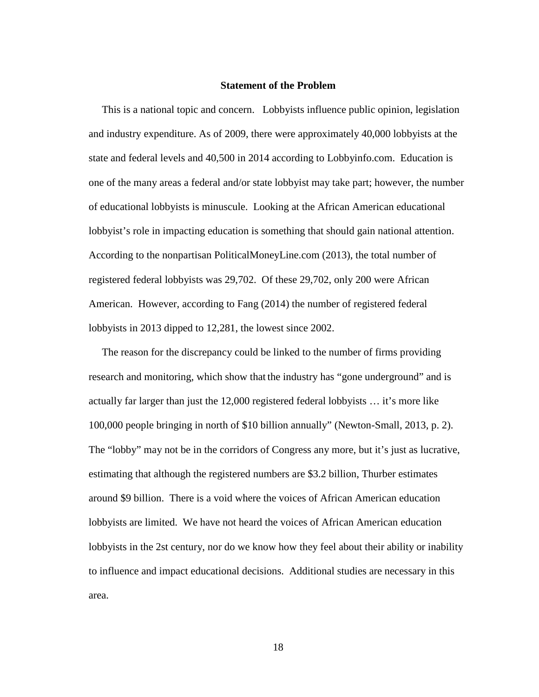#### **Statement of the Problem**

 This is a national topic and concern. Lobbyists influence public opinion, legislation and industry expenditure. As of 2009, there were approximately 40,000 lobbyists at the state and federal levels and 40,500 in 2014 according to Lobbyinfo.com. Education is one of the many areas a federal and/or state lobbyist may take part; however, the number of educational lobbyists is minuscule. Looking at the African American educational lobbyist's role in impacting education is something that should gain national attention. According to the nonpartisan PoliticalMoneyLine.com (2013), the total number of registered federal lobbyists was 29,702. Of these 29,702, only 200 were African American. However, according to Fang (2014) the number of registered federal lobbyists in 2013 dipped to 12,281, the lowest since 2002.

 The reason for the discrepancy could be linked to the number of firms providing research and monitoring, which show that the industry has "gone underground" and is actually far larger than just the 12,000 registered federal lobbyists … it's more like 100,000 people bringing in north of \$10 billion annually" (Newton-Small, 2013, p. 2). The "lobby" may not be in the corridors of Congress any more, but it's just as lucrative, estimating that although the registered numbers are \$3.2 billion, Thurber estimates around \$9 billion. There is a void where the voices of African American education lobbyists are limited. We have not heard the voices of African American education lobbyists in the 2st century, nor do we know how they feel about their ability or inability to influence and impact educational decisions. Additional studies are necessary in this area.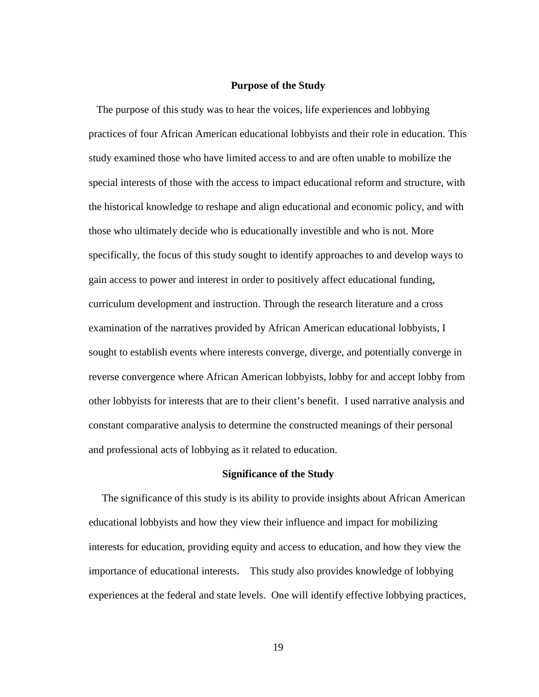#### **Purpose of the Study**

 The purpose of this study was to hear the voices, life experiences and lobbying practices of four African American educational lobbyists and their role in education. This study examined those who have limited access to and are often unable to mobilize the special interests of those with the access to impact educational reform and structure, with the historical knowledge to reshape and align educational and economic policy, and with those who ultimately decide who is educationally investible and who is not. More specifically, the focus of this study sought to identify approaches to and develop ways to gain access to power and interest in order to positively affect educational funding, curriculum development and instruction. Through the research literature and a cross examination of the narratives provided by African American educational lobbyists, I sought to establish events where interests converge, diverge, and potentially converge in reverse convergence where African American lobbyists, lobby for and accept lobby from other lobbyists for interests that are to their client's benefit. I used narrative analysis and constant comparative analysis to determine the constructed meanings of their personal and professional acts of lobbying as it related to education.

### **Significance of the Study**

 The significance of this study is its ability to provide insights about African American educational lobbyists and how they view their influence and impact for mobilizing interests for education, providing equity and access to education, and how they view the importance of educational interests. This study also provides knowledge of lobbying experiences at the federal and state levels. One will identify effective lobbying practices,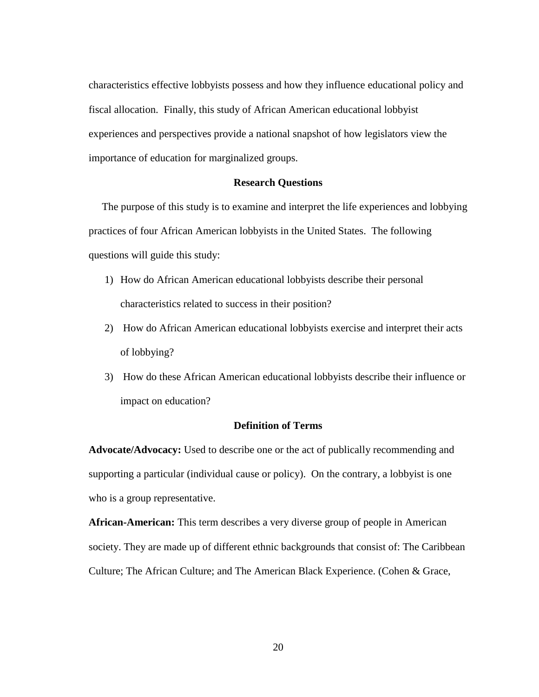characteristics effective lobbyists possess and how they influence educational policy and fiscal allocation. Finally, this study of African American educational lobbyist experiences and perspectives provide a national snapshot of how legislators view the importance of education for marginalized groups.

#### **Research Questions**

 The purpose of this study is to examine and interpret the life experiences and lobbying practices of four African American lobbyists in the United States. The following questions will guide this study:

- 1) How do African American educational lobbyists describe their personal characteristics related to success in their position?
- 2) How do African American educational lobbyists exercise and interpret their acts of lobbying?
- 3) How do these African American educational lobbyists describe their influence or impact on education?

### **Definition of Terms**

**Advocate/Advocacy:** Used to describe one or the act of publically recommending and supporting a particular (individual cause or policy). On the contrary, a lobbyist is one who is a group representative.

**African-American:** This term describes a very diverse group of people in American society. They are made up of different ethnic backgrounds that consist of: The Caribbean Culture; The African Culture; and The American Black Experience. (Cohen & Grace,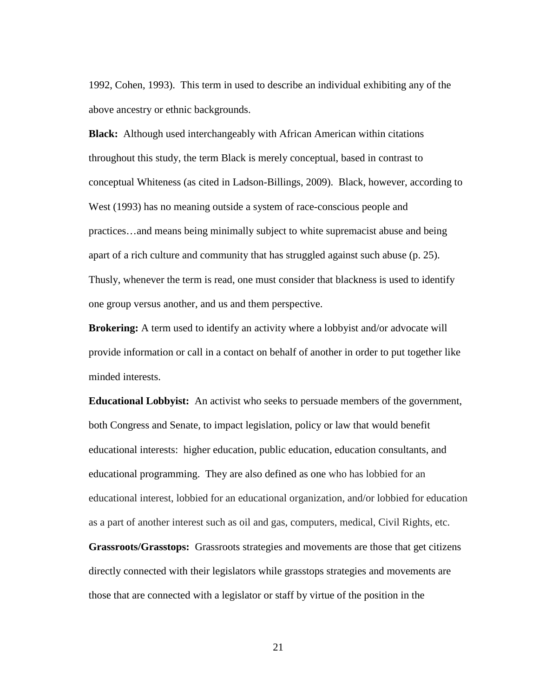1992, Cohen, 1993). This term in used to describe an individual exhibiting any of the above ancestry or ethnic backgrounds.

**Black:** Although used interchangeably with African American within citations throughout this study, the term Black is merely conceptual, based in contrast to conceptual Whiteness (as cited in Ladson-Billings, 2009). Black, however, according to West (1993) has no meaning outside a system of race-conscious people and practices…and means being minimally subject to white supremacist abuse and being apart of a rich culture and community that has struggled against such abuse (p. 25). Thusly, whenever the term is read, one must consider that blackness is used to identify one group versus another, and us and them perspective.

**Brokering:** A term used to identify an activity where a lobbyist and/or advocate will provide information or call in a contact on behalf of another in order to put together like minded interests.

**Educational Lobbyist:** An activist who seeks to persuade members of the government, both Congress and Senate, to impact legislation, policy or law that would benefit educational interests: higher education, public education, education consultants, and educational programming. They are also defined as one who has lobbied for an educational interest, lobbied for an educational organization, and/or lobbied for education as a part of another interest such as oil and gas, computers, medical, Civil Rights, etc.

**Grassroots/Grasstops:** Grassroots strategies and movements are those that get citizens directly connected with their legislators while grasstops strategies and movements are those that are connected with a legislator or staff by virtue of the position in the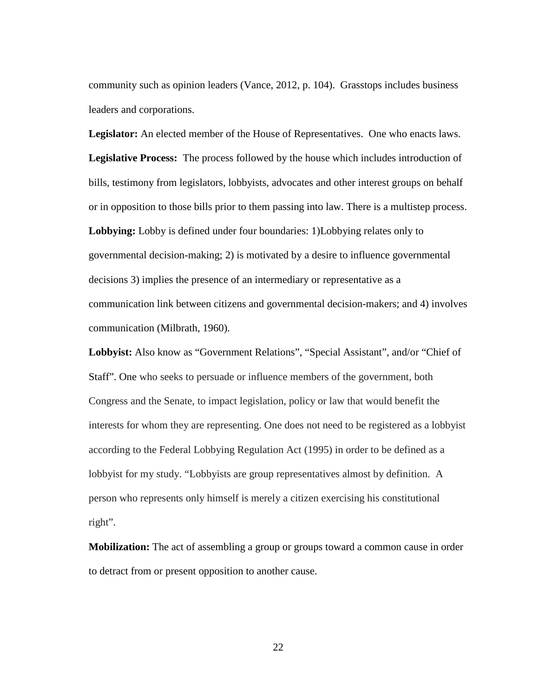community such as opinion leaders (Vance, 2012, p. 104). Grasstops includes business leaders and corporations.

**Legislator:** An elected member of the House of Representatives. One who enacts laws. **Legislative Process:** The process followed by the house which includes introduction of bills, testimony from legislators, lobbyists, advocates and other interest groups on behalf or in opposition to those bills prior to them passing into law. There is a multistep process. **Lobbying:** Lobby is defined under four boundaries: 1)Lobbying relates only to governmental decision-making; 2) is motivated by a desire to influence governmental decisions 3) implies the presence of an intermediary or representative as a communication link between citizens and governmental decision-makers; and 4) involves communication (Milbrath, 1960).

**Lobbyist:** Also know as "Government Relations", "Special Assistant", and/or "Chief of Staff". One who seeks to persuade or influence members of the government, both Congress and the Senate, to impact legislation, policy or law that would benefit the interests for whom they are representing. One does not need to be registered as a lobbyist according to the Federal Lobbying Regulation Act (1995) in order to be defined as a lobbyist for my study. "Lobbyists are group representatives almost by definition. A person who represents only himself is merely a citizen exercising his constitutional right".

**Mobilization:** The act of assembling a group or groups toward a common cause in order to detract from or present opposition to another cause.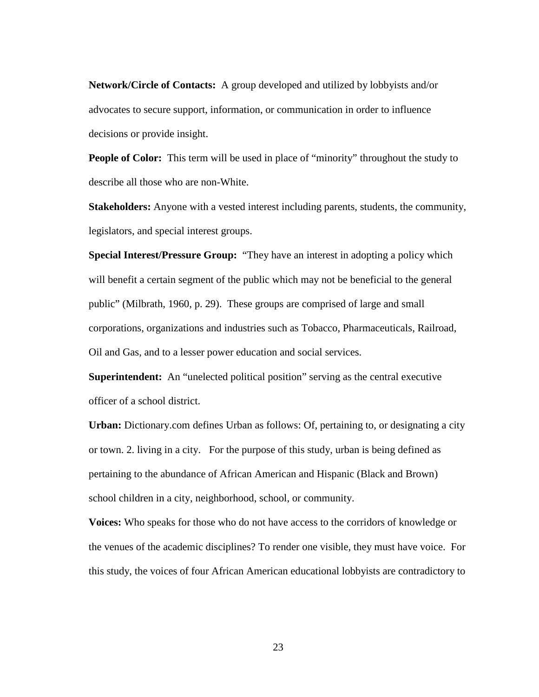**Network/Circle of Contacts:** A group developed and utilized by lobbyists and/or advocates to secure support, information, or communication in order to influence decisions or provide insight.

**People of Color:** This term will be used in place of "minority" throughout the study to describe all those who are non-White.

**Stakeholders:** Anyone with a vested interest including parents, students, the community, legislators, and special interest groups.

**Special Interest/Pressure Group:** "They have an interest in adopting a policy which will benefit a certain segment of the public which may not be beneficial to the general public" (Milbrath, 1960, p. 29). These groups are comprised of large and small corporations, organizations and industries such as Tobacco, Pharmaceuticals, Railroad, Oil and Gas, and to a lesser power education and social services.

**Superintendent:** An "unelected political position" serving as the central executive officer of a school district.

**Urban:** Dictionary.com defines Urban as follows: Of, pertaining to, or designating a city or town. 2. living in a city. For the purpose of this study, urban is being defined as pertaining to the abundance of African American and Hispanic (Black and Brown) school children in a city, neighborhood, school, or community.

**Voices:** Who speaks for those who do not have access to the corridors of knowledge or the venues of the academic disciplines? To render one visible, they must have voice. For this study, the voices of four African American educational lobbyists are contradictory to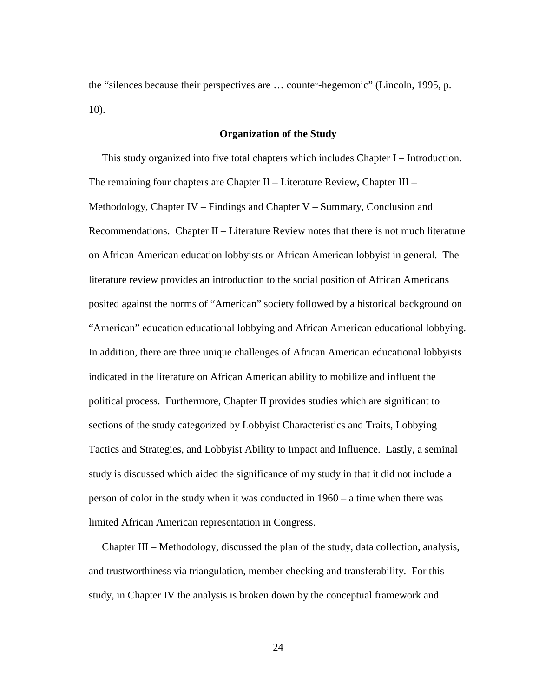the "silences because their perspectives are … counter-hegemonic" (Lincoln, 1995, p. 10).

#### **Organization of the Study**

This study organized into five total chapters which includes Chapter I – Introduction. The remaining four chapters are Chapter II – Literature Review, Chapter III – Methodology, Chapter IV – Findings and Chapter V – Summary, Conclusion and Recommendations. Chapter II – Literature Review notes that there is not much literature on African American education lobbyists or African American lobbyist in general. The literature review provides an introduction to the social position of African Americans posited against the norms of "American" society followed by a historical background on "American" education educational lobbying and African American educational lobbying. In addition, there are three unique challenges of African American educational lobbyists indicated in the literature on African American ability to mobilize and influent the political process. Furthermore, Chapter II provides studies which are significant to sections of the study categorized by Lobbyist Characteristics and Traits, Lobbying Tactics and Strategies, and Lobbyist Ability to Impact and Influence. Lastly, a seminal study is discussed which aided the significance of my study in that it did not include a person of color in the study when it was conducted in 1960 – a time when there was limited African American representation in Congress.

 Chapter III – Methodology, discussed the plan of the study, data collection, analysis, and trustworthiness via triangulation, member checking and transferability. For this study, in Chapter IV the analysis is broken down by the conceptual framework and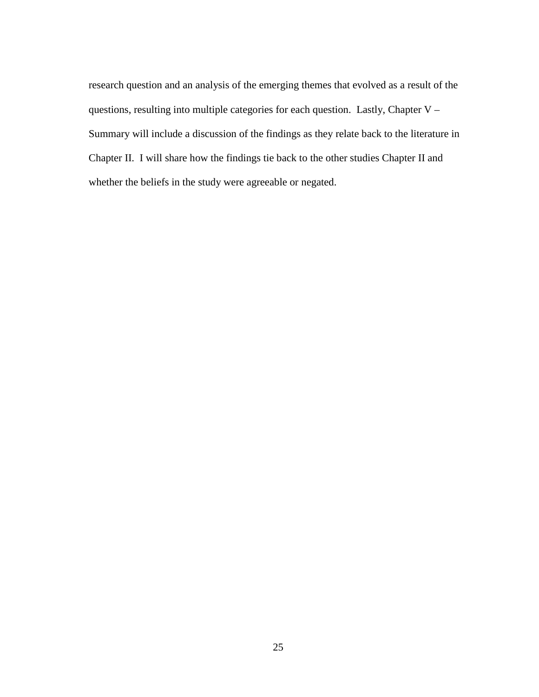research question and an analysis of the emerging themes that evolved as a result of the questions, resulting into multiple categories for each question. Lastly, Chapter V – Summary will include a discussion of the findings as they relate back to the literature in Chapter II. I will share how the findings tie back to the other studies Chapter II and whether the beliefs in the study were agreeable or negated.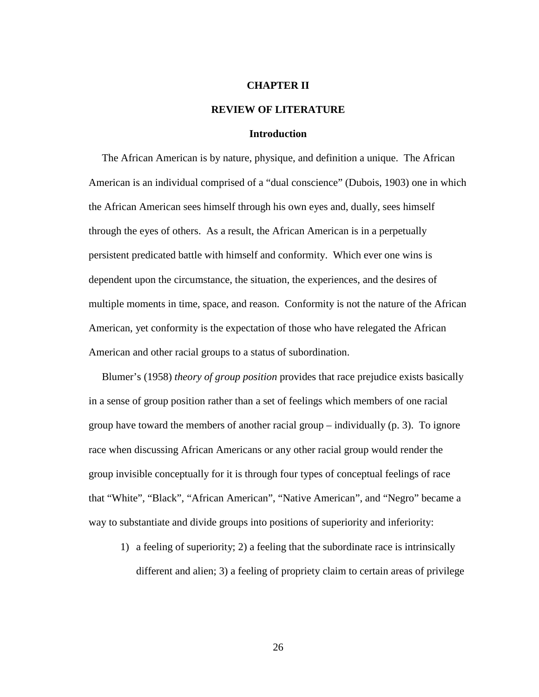#### **CHAPTER II**

### **REVIEW OF LITERATURE**

## **Introduction**

The African American is by nature, physique, and definition a unique. The African American is an individual comprised of a "dual conscience" (Dubois, 1903) one in which the African American sees himself through his own eyes and, dually, sees himself through the eyes of others. As a result, the African American is in a perpetually persistent predicated battle with himself and conformity. Which ever one wins is dependent upon the circumstance, the situation, the experiences, and the desires of multiple moments in time, space, and reason. Conformity is not the nature of the African American, yet conformity is the expectation of those who have relegated the African American and other racial groups to a status of subordination.

 Blumer's (1958) *theory of group position* provides that race prejudice exists basically in a sense of group position rather than a set of feelings which members of one racial group have toward the members of another racial group – individually (p. 3). To ignore race when discussing African Americans or any other racial group would render the group invisible conceptually for it is through four types of conceptual feelings of race that "White", "Black", "African American", "Native American", and "Negro" became a way to substantiate and divide groups into positions of superiority and inferiority:

1) a feeling of superiority; 2) a feeling that the subordinate race is intrinsically different and alien; 3) a feeling of propriety claim to certain areas of privilege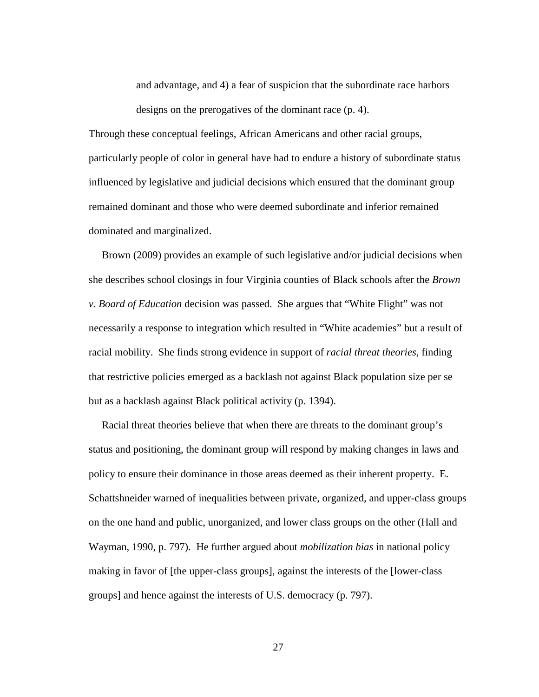and advantage, and 4) a fear of suspicion that the subordinate race harbors designs on the prerogatives of the dominant race (p. 4).

Through these conceptual feelings, African Americans and other racial groups, particularly people of color in general have had to endure a history of subordinate status influenced by legislative and judicial decisions which ensured that the dominant group remained dominant and those who were deemed subordinate and inferior remained dominated and marginalized.

 Brown (2009) provides an example of such legislative and/or judicial decisions when she describes school closings in four Virginia counties of Black schools after the *Brown v. Board of Education* decision was passed. She argues that "White Flight" was not necessarily a response to integration which resulted in "White academies" but a result of racial mobility. She finds strong evidence in support of *racial threat theories*, finding that restrictive policies emerged as a backlash not against Black population size per se but as a backlash against Black political activity (p. 1394).

 Racial threat theories believe that when there are threats to the dominant group's status and positioning, the dominant group will respond by making changes in laws and policy to ensure their dominance in those areas deemed as their inherent property. E. Schattshneider warned of inequalities between private, organized, and upper-class groups on the one hand and public, unorganized, and lower class groups on the other (Hall and Wayman, 1990, p. 797). He further argued about *mobilization bias* in national policy making in favor of [the upper-class groups], against the interests of the [lower-class groups] and hence against the interests of U.S. democracy (p. 797).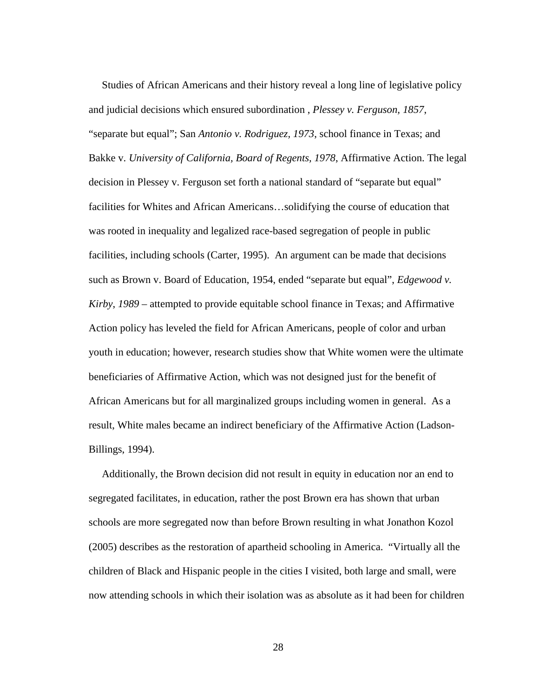Studies of African Americans and their history reveal a long line of legislative policy and judicial decisions which ensured subordination , *Plessey v. Ferguson, 1857*, "separate but equal"; San *Antonio v. Rodriguez, 1973*, school finance in Texas; and Bakke v. *University of California, Board of Regents, 1978*, Affirmative Action. The legal decision in Plessey v. Ferguson set forth a national standard of "separate but equal" facilities for Whites and African Americans…solidifying the course of education that was rooted in inequality and legalized race-based segregation of people in public facilities, including schools (Carter, 1995). An argument can be made that decisions such as Brown v. Board of Education, 1954, ended "separate but equal", *Edgewood v. Kirby*, *1989* – attempted to provide equitable school finance in Texas; and Affirmative Action policy has leveled the field for African Americans, people of color and urban youth in education; however, research studies show that White women were the ultimate beneficiaries of Affirmative Action, which was not designed just for the benefit of African Americans but for all marginalized groups including women in general. As a result, White males became an indirect beneficiary of the Affirmative Action (Ladson-Billings, 1994).

 Additionally, the Brown decision did not result in equity in education nor an end to segregated facilitates, in education, rather the post Brown era has shown that urban schools are more segregated now than before Brown resulting in what Jonathon Kozol (2005) describes as the restoration of apartheid schooling in America. "Virtually all the children of Black and Hispanic people in the cities I visited, both large and small, were now attending schools in which their isolation was as absolute as it had been for children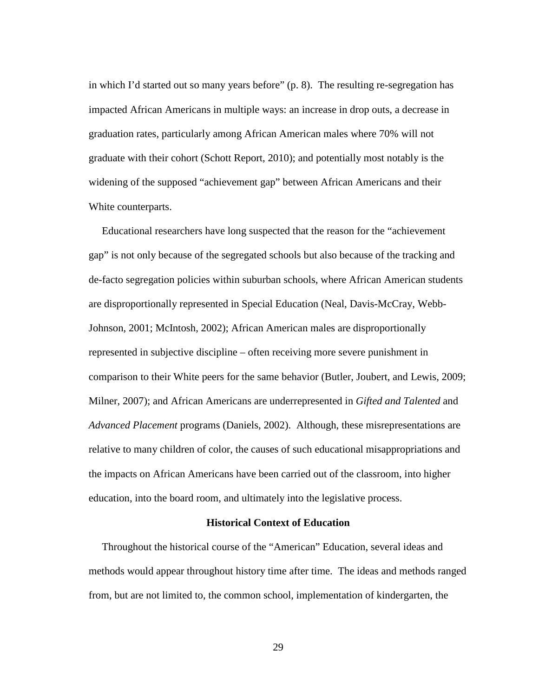in which I'd started out so many years before" (p. 8). The resulting re-segregation has impacted African Americans in multiple ways: an increase in drop outs, a decrease in graduation rates, particularly among African American males where 70% will not graduate with their cohort (Schott Report, 2010); and potentially most notably is the widening of the supposed "achievement gap" between African Americans and their White counterparts.

 Educational researchers have long suspected that the reason for the "achievement gap" is not only because of the segregated schools but also because of the tracking and de-facto segregation policies within suburban schools, where African American students are disproportionally represented in Special Education (Neal, Davis-McCray, Webb-Johnson, 2001; McIntosh, 2002); African American males are disproportionally represented in subjective discipline – often receiving more severe punishment in comparison to their White peers for the same behavior (Butler, Joubert, and Lewis, 2009; Milner, 2007); and African Americans are underrepresented in *Gifted and Talented* and *Advanced Placement* programs (Daniels, 2002). Although, these misrepresentations are relative to many children of color, the causes of such educational misappropriations and the impacts on African Americans have been carried out of the classroom, into higher education, into the board room, and ultimately into the legislative process.

# **Historical Context of Education**

 Throughout the historical course of the "American" Education, several ideas and methods would appear throughout history time after time. The ideas and methods ranged from, but are not limited to, the common school, implementation of kindergarten, the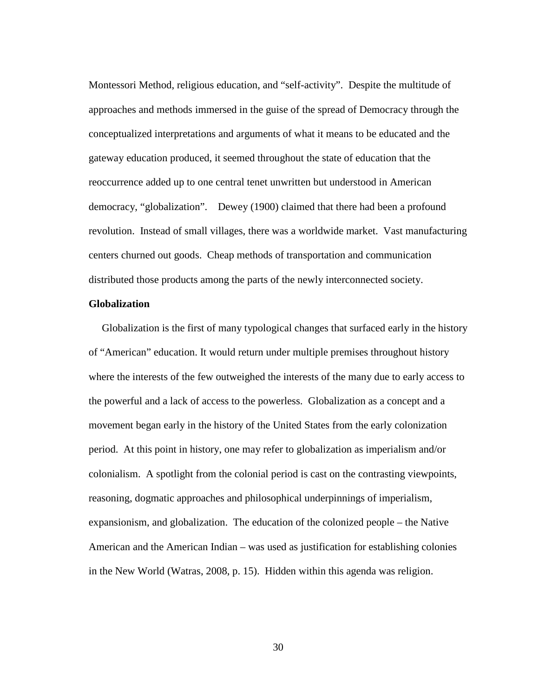Montessori Method, religious education, and "self-activity". Despite the multitude of approaches and methods immersed in the guise of the spread of Democracy through the conceptualized interpretations and arguments of what it means to be educated and the gateway education produced, it seemed throughout the state of education that the reoccurrence added up to one central tenet unwritten but understood in American democracy, "globalization". Dewey (1900) claimed that there had been a profound revolution. Instead of small villages, there was a worldwide market. Vast manufacturing centers churned out goods. Cheap methods of transportation and communication distributed those products among the parts of the newly interconnected society.

# **Globalization**

 Globalization is the first of many typological changes that surfaced early in the history of "American" education. It would return under multiple premises throughout history where the interests of the few outweighed the interests of the many due to early access to the powerful and a lack of access to the powerless. Globalization as a concept and a movement began early in the history of the United States from the early colonization period. At this point in history, one may refer to globalization as imperialism and/or colonialism. A spotlight from the colonial period is cast on the contrasting viewpoints, reasoning, dogmatic approaches and philosophical underpinnings of imperialism, expansionism, and globalization. The education of the colonized people – the Native American and the American Indian – was used as justification for establishing colonies in the New World (Watras, 2008, p. 15). Hidden within this agenda was religion.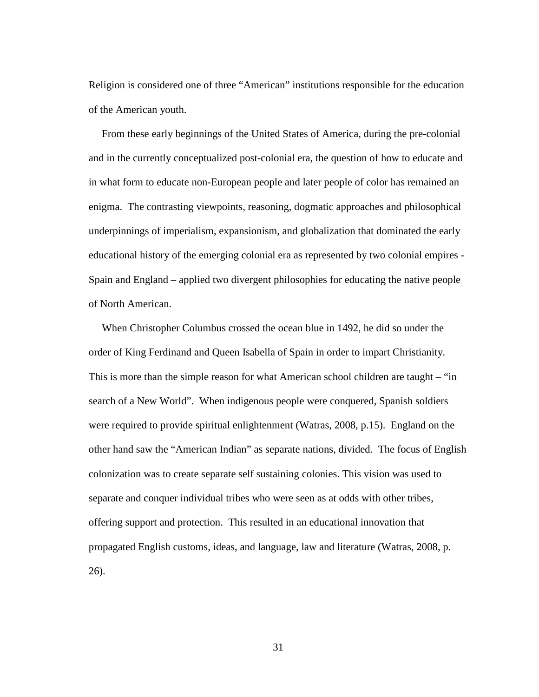Religion is considered one of three "American" institutions responsible for the education of the American youth.

 From these early beginnings of the United States of America, during the pre-colonial and in the currently conceptualized post-colonial era, the question of how to educate and in what form to educate non-European people and later people of color has remained an enigma. The contrasting viewpoints, reasoning, dogmatic approaches and philosophical underpinnings of imperialism, expansionism, and globalization that dominated the early educational history of the emerging colonial era as represented by two colonial empires - Spain and England – applied two divergent philosophies for educating the native people of North American.

 When Christopher Columbus crossed the ocean blue in 1492, he did so under the order of King Ferdinand and Queen Isabella of Spain in order to impart Christianity. This is more than the simple reason for what American school children are taught – "in search of a New World". When indigenous people were conquered, Spanish soldiers were required to provide spiritual enlightenment (Watras, 2008, p.15). England on the other hand saw the "American Indian" as separate nations, divided*.* The focus of English colonization was to create separate self sustaining colonies. This vision was used to separate and conquer individual tribes who were seen as at odds with other tribes, offering support and protection. This resulted in an educational innovation that propagated English customs, ideas, and language, law and literature (Watras, 2008, p. 26).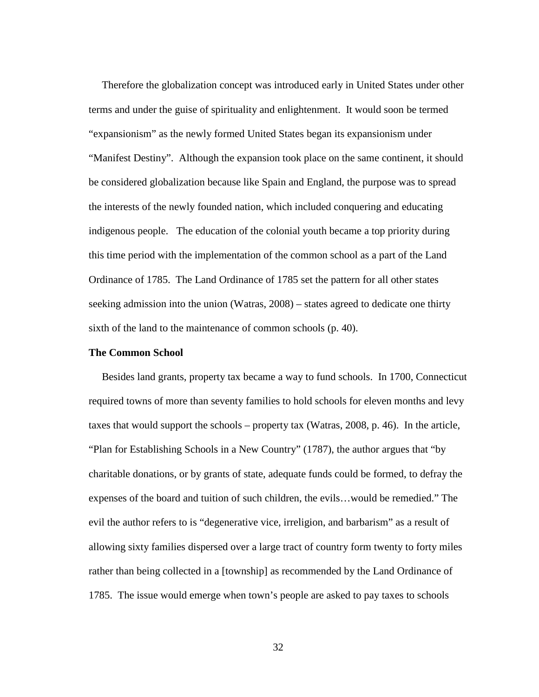Therefore the globalization concept was introduced early in United States under other terms and under the guise of spirituality and enlightenment. It would soon be termed "expansionism" as the newly formed United States began its expansionism under "Manifest Destiny". Although the expansion took place on the same continent, it should be considered globalization because like Spain and England, the purpose was to spread the interests of the newly founded nation, which included conquering and educating indigenous people. The education of the colonial youth became a top priority during this time period with the implementation of the common school as a part of the Land Ordinance of 1785. The Land Ordinance of 1785 set the pattern for all other states seeking admission into the union (Watras, 2008) – states agreed to dedicate one thirty sixth of the land to the maintenance of common schools (p. 40).

## **The Common School**

 Besides land grants, property tax became a way to fund schools. In 1700, Connecticut required towns of more than seventy families to hold schools for eleven months and levy taxes that would support the schools – property tax (Watras, 2008, p. 46). In the article, "Plan for Establishing Schools in a New Country" (1787), the author argues that "by charitable donations, or by grants of state, adequate funds could be formed, to defray the expenses of the board and tuition of such children, the evils…would be remedied." The evil the author refers to is "degenerative vice, irreligion, and barbarism" as a result of allowing sixty families dispersed over a large tract of country form twenty to forty miles rather than being collected in a [township] as recommended by the Land Ordinance of 1785. The issue would emerge when town's people are asked to pay taxes to schools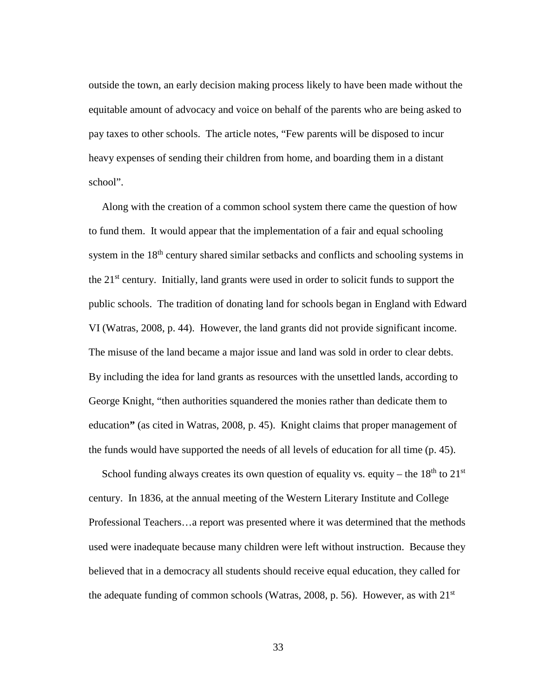outside the town, an early decision making process likely to have been made without the equitable amount of advocacy and voice on behalf of the parents who are being asked to pay taxes to other schools. The article notes, "Few parents will be disposed to incur heavy expenses of sending their children from home, and boarding them in a distant school".

 Along with the creation of a common school system there came the question of how to fund them. It would appear that the implementation of a fair and equal schooling system in the 18<sup>th</sup> century shared similar setbacks and conflicts and schooling systems in the  $21<sup>st</sup>$  century. Initially, land grants were used in order to solicit funds to support the public schools. The tradition of donating land for schools began in England with Edward VI (Watras, 2008, p. 44). However, the land grants did not provide significant income. The misuse of the land became a major issue and land was sold in order to clear debts. By including the idea for land grants as resources with the unsettled lands, according to George Knight, "then authorities squandered the monies rather than dedicate them to education**"** (as cited in Watras, 2008, p. 45). Knight claims that proper management of the funds would have supported the needs of all levels of education for all time (p. 45).

School funding always creates its own question of equality vs. equity – the  $18<sup>th</sup>$  to  $21<sup>st</sup>$ century. In 1836, at the annual meeting of the Western Literary Institute and College Professional Teachers…a report was presented where it was determined that the methods used were inadequate because many children were left without instruction. Because they believed that in a democracy all students should receive equal education, they called for the adequate funding of common schools (Watras, 2008, p. 56). However, as with 21st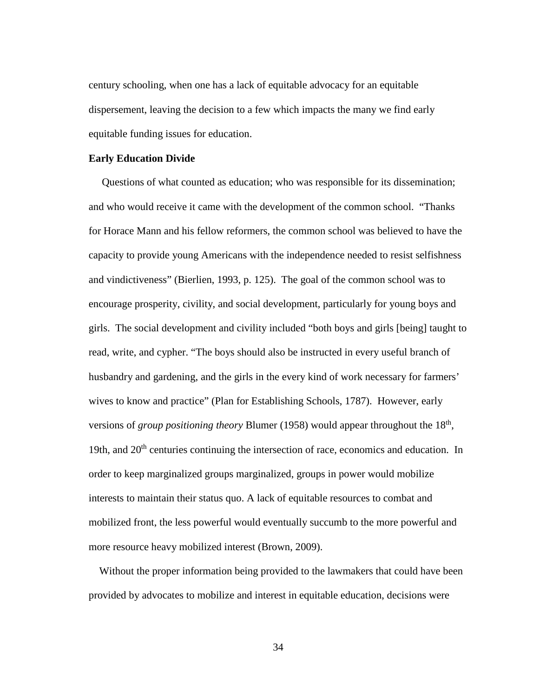century schooling, when one has a lack of equitable advocacy for an equitable dispersement, leaving the decision to a few which impacts the many we find early equitable funding issues for education.

#### **Early Education Divide**

 Questions of what counted as education; who was responsible for its dissemination; and who would receive it came with the development of the common school. "Thanks for Horace Mann and his fellow reformers, the common school was believed to have the capacity to provide young Americans with the independence needed to resist selfishness and vindictiveness" (Bierlien, 1993, p. 125). The goal of the common school was to encourage prosperity, civility, and social development, particularly for young boys and girls. The social development and civility included "both boys and girls [being] taught to read, write, and cypher. "The boys should also be instructed in every useful branch of husbandry and gardening, and the girls in the every kind of work necessary for farmers' wives to know and practice" (Plan for Establishing Schools, 1787). However, early versions of *group positioning theory* Blumer (1958) would appear throughout the 18<sup>th</sup>, 19th, and  $20<sup>th</sup>$  centuries continuing the intersection of race, economics and education. In order to keep marginalized groups marginalized, groups in power would mobilize interests to maintain their status quo. A lack of equitable resources to combat and mobilized front, the less powerful would eventually succumb to the more powerful and more resource heavy mobilized interest (Brown, 2009).

 Without the proper information being provided to the lawmakers that could have been provided by advocates to mobilize and interest in equitable education, decisions were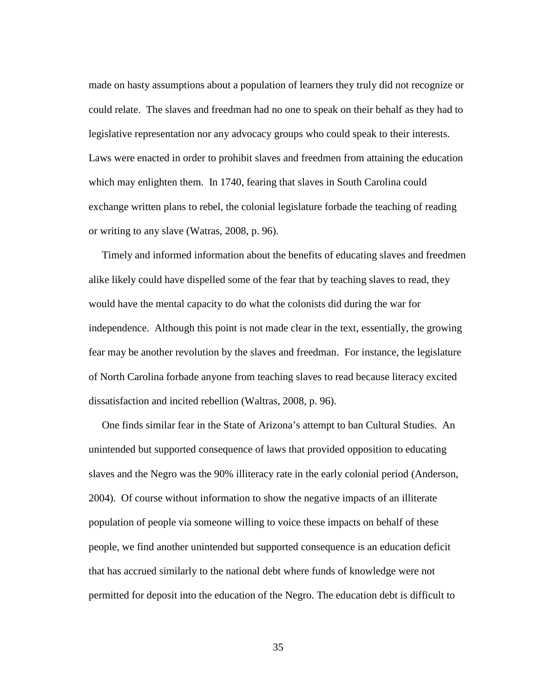made on hasty assumptions about a population of learners they truly did not recognize or could relate. The slaves and freedman had no one to speak on their behalf as they had to legislative representation nor any advocacy groups who could speak to their interests. Laws were enacted in order to prohibit slaves and freedmen from attaining the education which may enlighten them. In 1740, fearing that slaves in South Carolina could exchange written plans to rebel, the colonial legislature forbade the teaching of reading or writing to any slave (Watras, 2008, p. 96).

 Timely and informed information about the benefits of educating slaves and freedmen alike likely could have dispelled some of the fear that by teaching slaves to read, they would have the mental capacity to do what the colonists did during the war for independence. Although this point is not made clear in the text, essentially, the growing fear may be another revolution by the slaves and freedman. For instance, the legislature of North Carolina forbade anyone from teaching slaves to read because literacy excited dissatisfaction and incited rebellion (Waltras, 2008, p. 96).

 One finds similar fear in the State of Arizona's attempt to ban Cultural Studies. An unintended but supported consequence of laws that provided opposition to educating slaves and the Negro was the 90% illiteracy rate in the early colonial period (Anderson, 2004). Of course without information to show the negative impacts of an illiterate population of people via someone willing to voice these impacts on behalf of these people, we find another unintended but supported consequence is an education deficit that has accrued similarly to the national debt where funds of knowledge were not permitted for deposit into the education of the Negro. The education debt is difficult to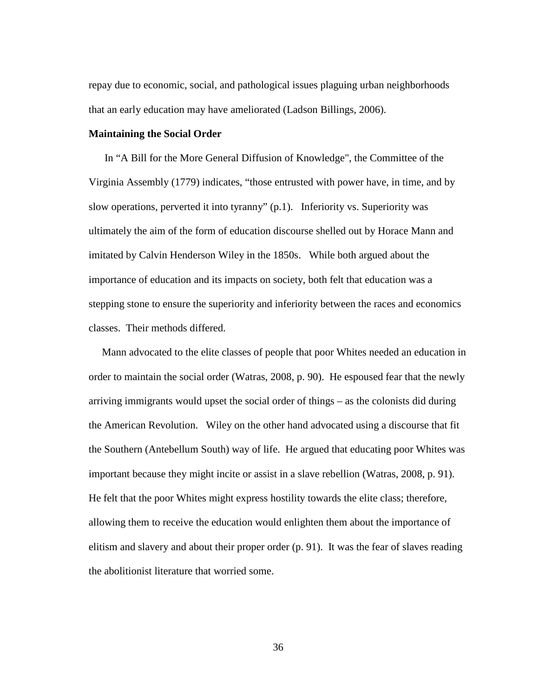repay due to economic, social, and pathological issues plaguing urban neighborhoods that an early education may have ameliorated (Ladson Billings, 2006).

### **Maintaining the Social Order**

 In "A Bill for the More General Diffusion of Knowledge", the Committee of the Virginia Assembly (1779) indicates, "those entrusted with power have, in time, and by slow operations, perverted it into tyranny" (p.1). Inferiority vs. Superiority was ultimately the aim of the form of education discourse shelled out by Horace Mann and imitated by Calvin Henderson Wiley in the 1850s. While both argued about the importance of education and its impacts on society, both felt that education was a stepping stone to ensure the superiority and inferiority between the races and economics classes. Their methods differed.

 Mann advocated to the elite classes of people that poor Whites needed an education in order to maintain the social order (Watras, 2008, p. 90). He espoused fear that the newly arriving immigrants would upset the social order of things – as the colonists did during the American Revolution. Wiley on the other hand advocated using a discourse that fit the Southern (Antebellum South) way of life. He argued that educating poor Whites was important because they might incite or assist in a slave rebellion (Watras, 2008, p. 91). He felt that the poor Whites might express hostility towards the elite class; therefore, allowing them to receive the education would enlighten them about the importance of elitism and slavery and about their proper order (p. 91). It was the fear of slaves reading the abolitionist literature that worried some.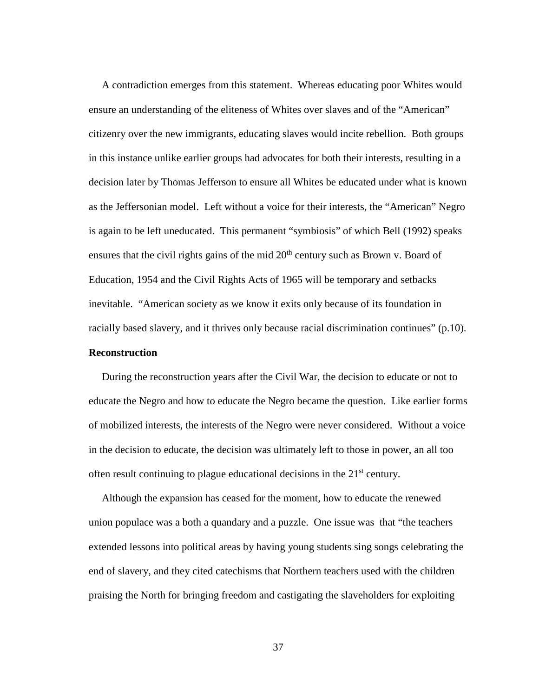A contradiction emerges from this statement. Whereas educating poor Whites would ensure an understanding of the eliteness of Whites over slaves and of the "American" citizenry over the new immigrants, educating slaves would incite rebellion. Both groups in this instance unlike earlier groups had advocates for both their interests, resulting in a decision later by Thomas Jefferson to ensure all Whites be educated under what is known as the Jeffersonian model. Left without a voice for their interests, the "American" Negro is again to be left uneducated. This permanent "symbiosis" of which Bell (1992) speaks ensures that the civil rights gains of the mid  $20<sup>th</sup>$  century such as Brown v. Board of Education, 1954 and the Civil Rights Acts of 1965 will be temporary and setbacks inevitable. "American society as we know it exits only because of its foundation in racially based slavery, and it thrives only because racial discrimination continues" (p.10).

## **Reconstruction**

 During the reconstruction years after the Civil War, the decision to educate or not to educate the Negro and how to educate the Negro became the question. Like earlier forms of mobilized interests, the interests of the Negro were never considered. Without a voice in the decision to educate, the decision was ultimately left to those in power, an all too often result continuing to plague educational decisions in the 21st century.

 Although the expansion has ceased for the moment, how to educate the renewed union populace was a both a quandary and a puzzle. One issue was that "the teachers extended lessons into political areas by having young students sing songs celebrating the end of slavery, and they cited catechisms that Northern teachers used with the children praising the North for bringing freedom and castigating the slaveholders for exploiting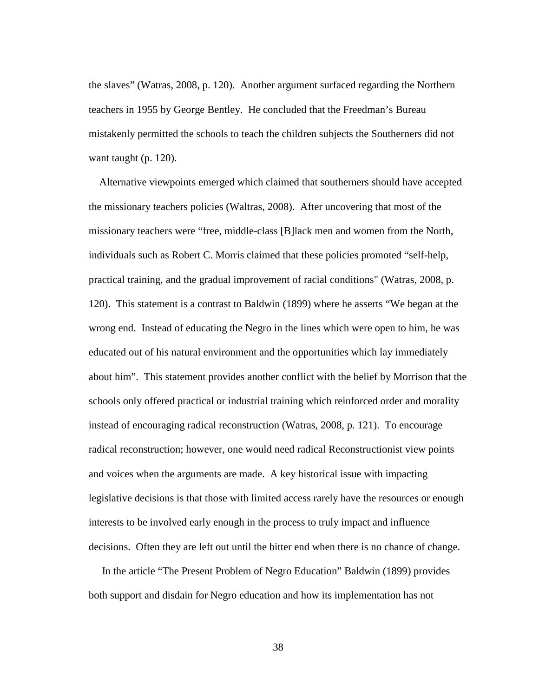the slaves" (Watras, 2008, p. 120).Another argument surfaced regarding the Northern teachers in 1955 by George Bentley. He concluded that the Freedman's Bureau mistakenly permitted the schools to teach the children subjects the Southerners did not want taught (p. 120).

 Alternative viewpoints emerged which claimed that southerners should have accepted the missionary teachers policies (Waltras, 2008). After uncovering that most of the missionary teachers were "free, middle-class [B]lack men and women from the North, individuals such as Robert C. Morris claimed that these policies promoted "self-help, practical training, and the gradual improvement of racial conditions" (Watras, 2008, p. 120). This statement is a contrast to Baldwin (1899) where he asserts "We began at the wrong end. Instead of educating the Negro in the lines which were open to him, he was educated out of his natural environment and the opportunities which lay immediately about him". This statement provides another conflict with the belief by Morrison that the schools only offered practical or industrial training which reinforced order and morality instead of encouraging radical reconstruction (Watras, 2008, p. 121). To encourage radical reconstruction; however, one would need radical Reconstructionist view points and voices when the arguments are made. A key historical issue with impacting legislative decisions is that those with limited access rarely have the resources or enough interests to be involved early enough in the process to truly impact and influence decisions. Often they are left out until the bitter end when there is no chance of change.

 In the article "The Present Problem of Negro Education" Baldwin (1899) provides both support and disdain for Negro education and how its implementation has not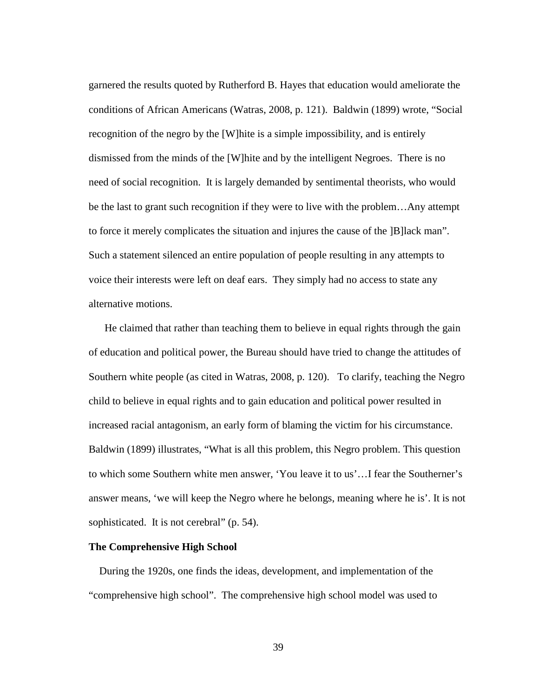garnered the results quoted by Rutherford B. Hayes that education would ameliorate the conditions of African Americans (Watras, 2008, p. 121). Baldwin (1899) wrote, "Social recognition of the negro by the [W]hite is a simple impossibility, and is entirely dismissed from the minds of the [W]hite and by the intelligent Negroes. There is no need of social recognition. It is largely demanded by sentimental theorists, who would be the last to grant such recognition if they were to live with the problem…Any attempt to force it merely complicates the situation and injures the cause of the ]B]lack man". Such a statement silenced an entire population of people resulting in any attempts to voice their interests were left on deaf ears. They simply had no access to state any alternative motions.

 He claimed that rather than teaching them to believe in equal rights through the gain of education and political power, the Bureau should have tried to change the attitudes of Southern white people (as cited in Watras, 2008, p. 120). To clarify, teaching the Negro child to believe in equal rights and to gain education and political power resulted in increased racial antagonism, an early form of blaming the victim for his circumstance. Baldwin (1899) illustrates, "What is all this problem, this Negro problem. This question to which some Southern white men answer, 'You leave it to us'…I fear the Southerner's answer means, 'we will keep the Negro where he belongs, meaning where he is'. It is not sophisticated. It is not cerebral" (p. 54).

# **The Comprehensive High School**

 During the 1920s, one finds the ideas, development, and implementation of the "comprehensive high school". The comprehensive high school model was used to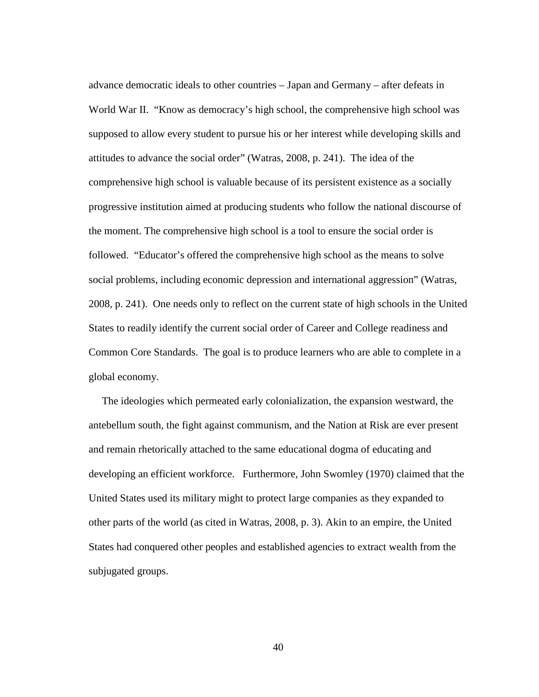advance democratic ideals to other countries – Japan and Germany – after defeats in World War II. "Know as democracy's high school, the comprehensive high school was supposed to allow every student to pursue his or her interest while developing skills and attitudes to advance the social order" (Watras, 2008, p. 241). The idea of the comprehensive high school is valuable because of its persistent existence as a socially progressive institution aimed at producing students who follow the national discourse of the moment. The comprehensive high school is a tool to ensure the social order is followed. "Educator's offered the comprehensive high school as the means to solve social problems, including economic depression and international aggression" (Watras, 2008, p. 241). One needs only to reflect on the current state of high schools in the United States to readily identify the current social order of Career and College readiness and Common Core Standards. The goal is to produce learners who are able to complete in a global economy.

 The ideologies which permeated early colonialization, the expansion westward, the antebellum south, the fight against communism, and the Nation at Risk are ever present and remain rhetorically attached to the same educational dogma of educating and developing an efficient workforce. Furthermore, John Swomley (1970) claimed that the United States used its military might to protect large companies as they expanded to other parts of the world (as cited in Watras, 2008, p. 3). Akin to an empire, the United States had conquered other peoples and established agencies to extract wealth from the subjugated groups.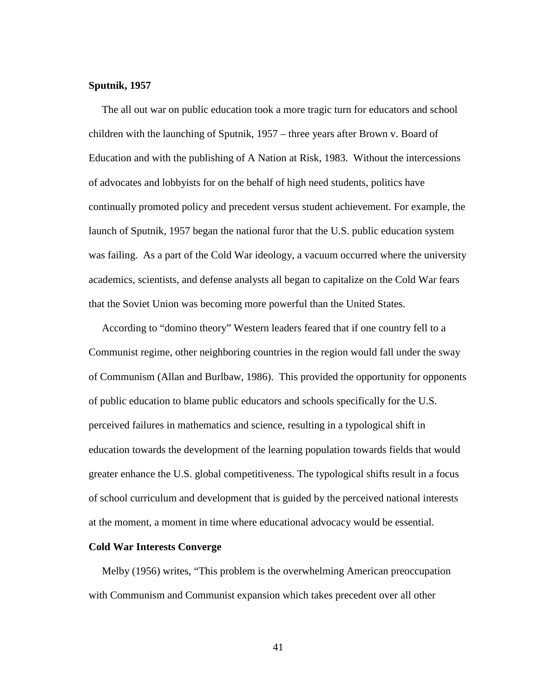### **Sputnik, 1957**

 The all out war on public education took a more tragic turn for educators and school children with the launching of Sputnik, 1957 – three years after Brown v. Board of Education and with the publishing of A Nation at Risk, 1983. Without the intercessions of advocates and lobbyists for on the behalf of high need students, politics have continually promoted policy and precedent versus student achievement. For example, the launch of Sputnik, 1957 began the national furor that the U.S. public education system was failing. As a part of the Cold War ideology, a vacuum occurred where the university academics, scientists, and defense analysts all began to capitalize on the Cold War fears that the Soviet Union was becoming more powerful than the United States.

 According to "domino theory" Western leaders feared that if one country fell to a Communist regime, other neighboring countries in the region would fall under the sway of Communism (Allan and Burlbaw, 1986). This provided the opportunity for opponents of public education to blame public educators and schools specifically for the U.S. perceived failures in mathematics and science, resulting in a typological shift in education towards the development of the learning population towards fields that would greater enhance the U.S. global competitiveness. The typological shifts result in a focus of school curriculum and development that is guided by the perceived national interests at the moment, a moment in time where educational advocacy would be essential.

# **Cold War Interests Converge**

 Melby (1956) writes, "This problem is the overwhelming American preoccupation with Communism and Communist expansion which takes precedent over all other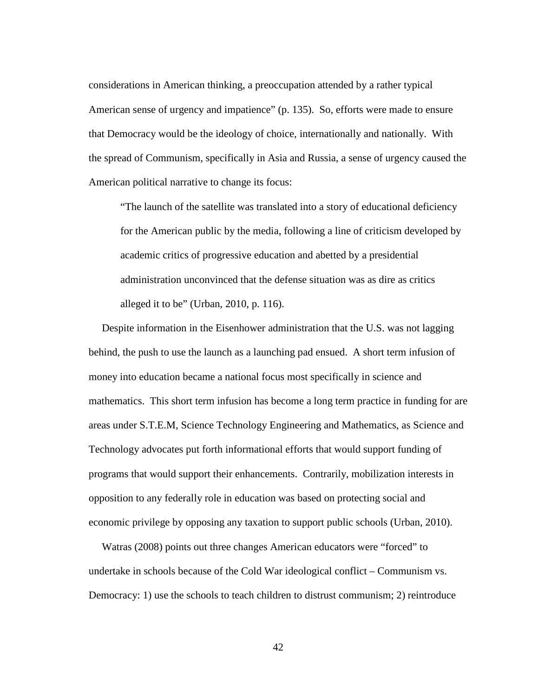considerations in American thinking, a preoccupation attended by a rather typical American sense of urgency and impatience" (p. 135). So, efforts were made to ensure that Democracy would be the ideology of choice, internationally and nationally. With the spread of Communism, specifically in Asia and Russia, a sense of urgency caused the American political narrative to change its focus:

"The launch of the satellite was translated into a story of educational deficiency for the American public by the media, following a line of criticism developed by academic critics of progressive education and abetted by a presidential administration unconvinced that the defense situation was as dire as critics alleged it to be" (Urban, 2010, p. 116).

 Despite information in the Eisenhower administration that the U.S. was not lagging behind, the push to use the launch as a launching pad ensued. A short term infusion of money into education became a national focus most specifically in science and mathematics. This short term infusion has become a long term practice in funding for are areas under S.T.E.M, Science Technology Engineering and Mathematics, as Science and Technology advocates put forth informational efforts that would support funding of programs that would support their enhancements. Contrarily, mobilization interests in opposition to any federally role in education was based on protecting social and economic privilege by opposing any taxation to support public schools (Urban, 2010).

 Watras (2008) points out three changes American educators were "forced" to undertake in schools because of the Cold War ideological conflict – Communism vs. Democracy: 1) use the schools to teach children to distrust communism; 2) reintroduce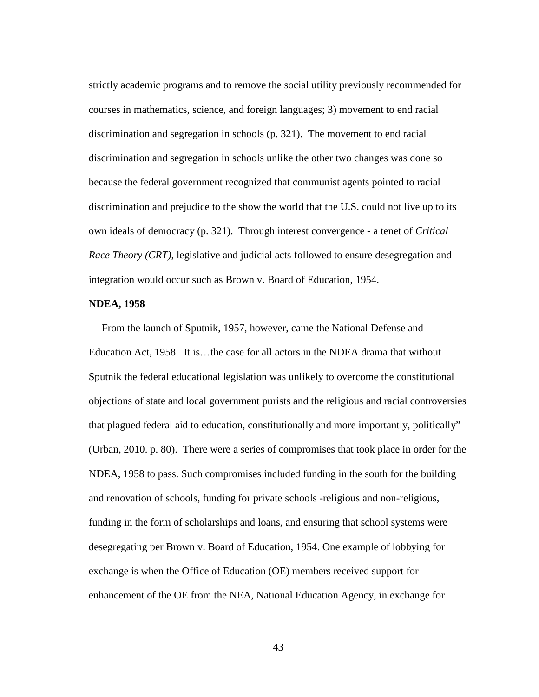strictly academic programs and to remove the social utility previously recommended for courses in mathematics, science, and foreign languages; 3) movement to end racial discrimination and segregation in schools (p. 321). The movement to end racial discrimination and segregation in schools unlike the other two changes was done so because the federal government recognized that communist agents pointed to racial discrimination and prejudice to the show the world that the U.S. could not live up to its own ideals of democracy (p. 321). Through interest convergence - a tenet of *Critical Race Theory (CRT)*, legislative and judicial acts followed to ensure desegregation and integration would occur such as Brown v. Board of Education, 1954.

## **NDEA, 1958**

 From the launch of Sputnik, 1957, however, came the National Defense and Education Act, 1958. It is…the case for all actors in the NDEA drama that without Sputnik the federal educational legislation was unlikely to overcome the constitutional objections of state and local government purists and the religious and racial controversies that plagued federal aid to education, constitutionally and more importantly, politically" (Urban, 2010. p. 80). There were a series of compromises that took place in order for the NDEA, 1958 to pass. Such compromises included funding in the south for the building and renovation of schools, funding for private schools -religious and non-religious, funding in the form of scholarships and loans, and ensuring that school systems were desegregating per Brown v. Board of Education, 1954. One example of lobbying for exchange is when the Office of Education (OE) members received support for enhancement of the OE from the NEA, National Education Agency, in exchange for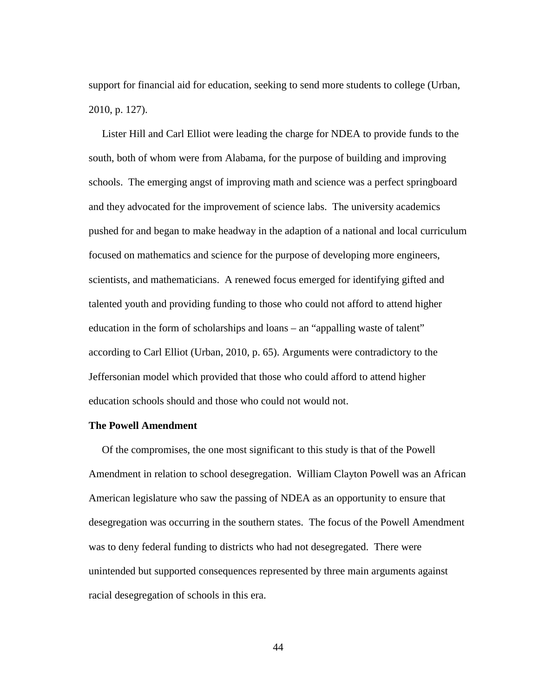support for financial aid for education, seeking to send more students to college (Urban, 2010, p. 127).

 Lister Hill and Carl Elliot were leading the charge for NDEA to provide funds to the south, both of whom were from Alabama, for the purpose of building and improving schools. The emerging angst of improving math and science was a perfect springboard and they advocated for the improvement of science labs. The university academics pushed for and began to make headway in the adaption of a national and local curriculum focused on mathematics and science for the purpose of developing more engineers, scientists, and mathematicians. A renewed focus emerged for identifying gifted and talented youth and providing funding to those who could not afford to attend higher education in the form of scholarships and loans – an "appalling waste of talent" according to Carl Elliot (Urban, 2010, p. 65). Arguments were contradictory to the Jeffersonian model which provided that those who could afford to attend higher education schools should and those who could not would not.

### **The Powell Amendment**

 Of the compromises, the one most significant to this study is that of the Powell Amendment in relation to school desegregation. William Clayton Powell was an African American legislature who saw the passing of NDEA as an opportunity to ensure that desegregation was occurring in the southern states. The focus of the Powell Amendment was to deny federal funding to districts who had not desegregated. There were unintended but supported consequences represented by three main arguments against racial desegregation of schools in this era.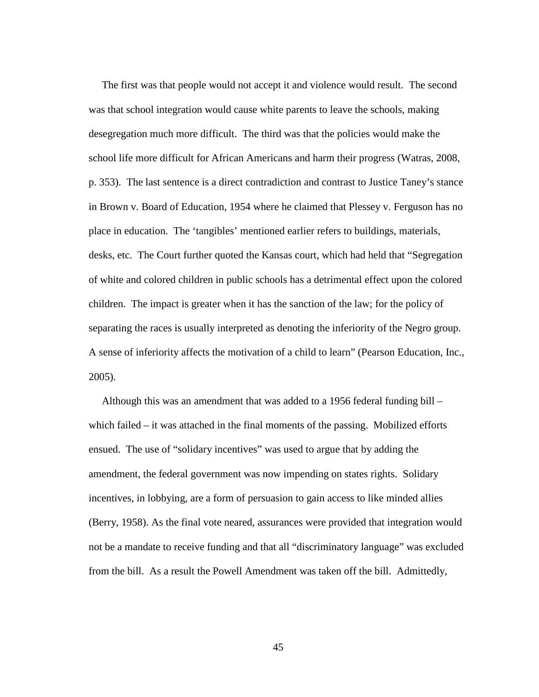The first was that people would not accept it and violence would result. The second was that school integration would cause white parents to leave the schools, making desegregation much more difficult. The third was that the policies would make the school life more difficult for African Americans and harm their progress (Watras, 2008, p. 353). The last sentence is a direct contradiction and contrast to Justice Taney's stance in Brown v. Board of Education, 1954 where he claimed that Plessey v. Ferguson has no place in education. The 'tangibles' mentioned earlier refers to buildings, materials, desks, etc. The Court further quoted the Kansas court, which had held that "Segregation of white and colored children in public schools has a detrimental effect upon the colored children. The impact is greater when it has the sanction of the law; for the policy of separating the races is usually interpreted as denoting the inferiority of the Negro group. A sense of inferiority affects the motivation of a child to learn" (Pearson Education, Inc., 2005).

 Although this was an amendment that was added to a 1956 federal funding bill – which failed – it was attached in the final moments of the passing. Mobilized efforts ensued. The use of "solidary incentives" was used to argue that by adding the amendment, the federal government was now impending on states rights. Solidary incentives, in lobbying, are a form of persuasion to gain access to like minded allies (Berry, 1958). As the final vote neared, assurances were provided that integration would not be a mandate to receive funding and that all "discriminatory language" was excluded from the bill. As a result the Powell Amendment was taken off the bill. Admittedly,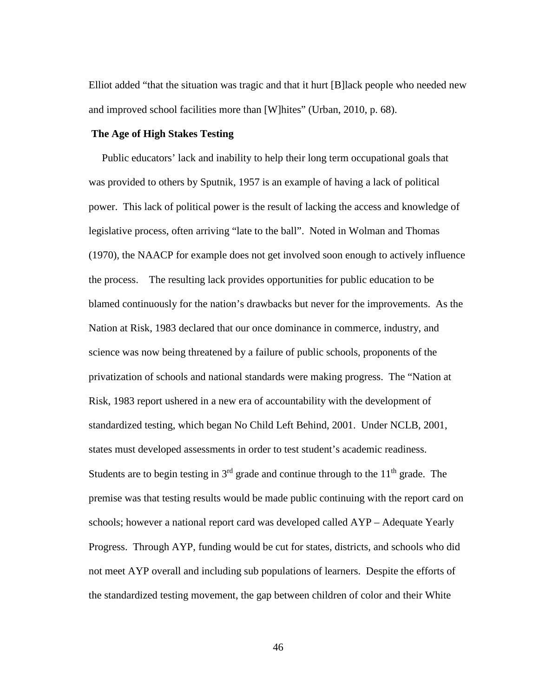Elliot added "that the situation was tragic and that it hurt [B]lack people who needed new and improved school facilities more than [W]hites" (Urban, 2010, p. 68).

## **The Age of High Stakes Testing**

 Public educators' lack and inability to help their long term occupational goals that was provided to others by Sputnik, 1957 is an example of having a lack of political power. This lack of political power is the result of lacking the access and knowledge of legislative process, often arriving "late to the ball". Noted in Wolman and Thomas (1970), the NAACP for example does not get involved soon enough to actively influence the process. The resulting lack provides opportunities for public education to be blamed continuously for the nation's drawbacks but never for the improvements. As the Nation at Risk, 1983 declared that our once dominance in commerce, industry, and science was now being threatened by a failure of public schools, proponents of the privatization of schools and national standards were making progress. The "Nation at Risk, 1983 report ushered in a new era of accountability with the development of standardized testing, which began No Child Left Behind, 2001. Under NCLB, 2001, states must developed assessments in order to test student's academic readiness. Students are to begin testing in  $3<sup>rd</sup>$  grade and continue through to the  $11<sup>th</sup>$  grade. The premise was that testing results would be made public continuing with the report card on schools; however a national report card was developed called AYP – Adequate Yearly Progress. Through AYP, funding would be cut for states, districts, and schools who did not meet AYP overall and including sub populations of learners. Despite the efforts of the standardized testing movement, the gap between children of color and their White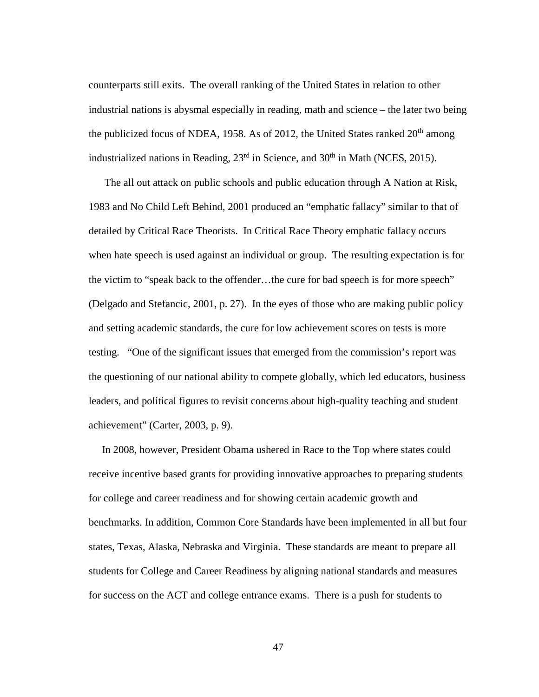counterparts still exits. The overall ranking of the United States in relation to other industrial nations is abysmal especially in reading, math and science – the later two being the publicized focus of NDEA, 1958. As of 2012, the United States ranked  $20<sup>th</sup>$  among industrialized nations in Reading,  $23<sup>rd</sup>$  in Science, and  $30<sup>th</sup>$  in Math (NCES, 2015).

 The all out attack on public schools and public education through A Nation at Risk, 1983 and No Child Left Behind, 2001 produced an "emphatic fallacy" similar to that of detailed by Critical Race Theorists. In Critical Race Theory emphatic fallacy occurs when hate speech is used against an individual or group. The resulting expectation is for the victim to "speak back to the offender…the cure for bad speech is for more speech" (Delgado and Stefancic, 2001, p. 27). In the eyes of those who are making public policy and setting academic standards, the cure for low achievement scores on tests is more testing. "One of the significant issues that emerged from the commission's report was the questioning of our national ability to compete globally, which led educators, business leaders, and political figures to revisit concerns about high-quality teaching and student achievement" (Carter, 2003, p. 9).

 In 2008, however, President Obama ushered in Race to the Top where states could receive incentive based grants for providing innovative approaches to preparing students for college and career readiness and for showing certain academic growth and benchmarks. In addition, Common Core Standards have been implemented in all but four states, Texas, Alaska, Nebraska and Virginia. These standards are meant to prepare all students for College and Career Readiness by aligning national standards and measures for success on the ACT and college entrance exams. There is a push for students to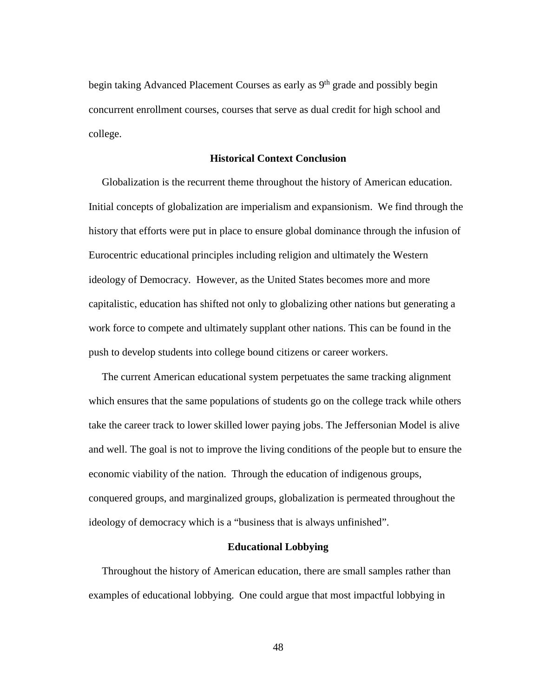begin taking Advanced Placement Courses as early as 9<sup>th</sup> grade and possibly begin concurrent enrollment courses, courses that serve as dual credit for high school and college.

#### **Historical Context Conclusion**

 Globalization is the recurrent theme throughout the history of American education. Initial concepts of globalization are imperialism and expansionism. We find through the history that efforts were put in place to ensure global dominance through the infusion of Eurocentric educational principles including religion and ultimately the Western ideology of Democracy. However, as the United States becomes more and more capitalistic, education has shifted not only to globalizing other nations but generating a work force to compete and ultimately supplant other nations. This can be found in the push to develop students into college bound citizens or career workers.

 The current American educational system perpetuates the same tracking alignment which ensures that the same populations of students go on the college track while others take the career track to lower skilled lower paying jobs. The Jeffersonian Model is alive and well. The goal is not to improve the living conditions of the people but to ensure the economic viability of the nation. Through the education of indigenous groups, conquered groups, and marginalized groups, globalization is permeated throughout the ideology of democracy which is a "business that is always unfinished".

# **Educational Lobbying**

Throughout the history of American education, there are small samples rather than examples of educational lobbying. One could argue that most impactful lobbying in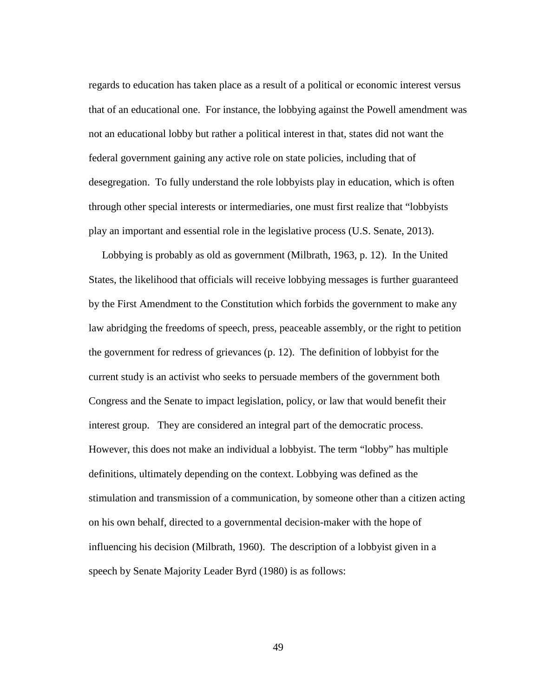regards to education has taken place as a result of a political or economic interest versus that of an educational one. For instance, the lobbying against the Powell amendment was not an educational lobby but rather a political interest in that, states did not want the federal government gaining any active role on state policies, including that of desegregation. To fully understand the role lobbyists play in education, which is often through other special interests or intermediaries, one must first realize that "lobbyists play an important and essential role in the legislative process (U.S. Senate, 2013).

 Lobbying is probably as old as government (Milbrath, 1963, p. 12). In the United States, the likelihood that officials will receive lobbying messages is further guaranteed by the First Amendment to the Constitution which forbids the government to make any law abridging the freedoms of speech, press, peaceable assembly, or the right to petition the government for redress of grievances (p. 12). The definition of lobbyist for the current study is an activist who seeks to persuade members of the government both Congress and the Senate to impact legislation, policy, or law that would benefit their interest group. They are considered an integral part of the democratic process. However, this does not make an individual a lobbyist. The term "lobby" has multiple definitions, ultimately depending on the context. Lobbying was defined as the stimulation and transmission of a communication, by someone other than a citizen acting on his own behalf, directed to a governmental decision-maker with the hope of influencing his decision (Milbrath, 1960). The description of a lobbyist given in a speech by Senate Majority Leader Byrd (1980) is as follows: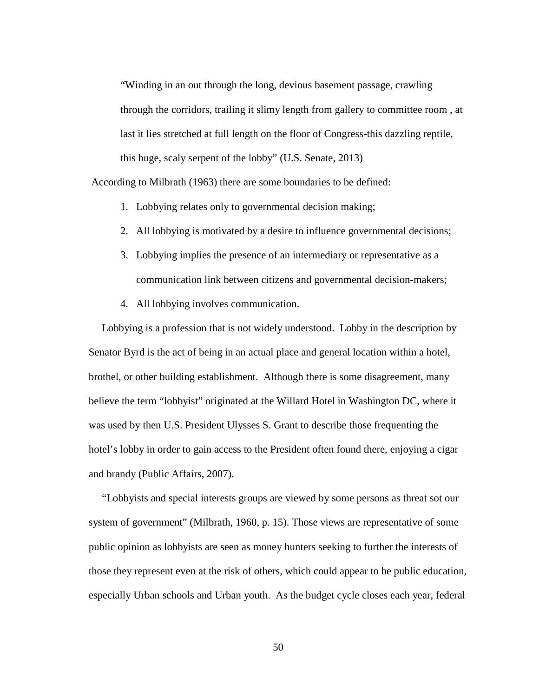"Winding in an out through the long, devious basement passage, crawling through the corridors, trailing it slimy length from gallery to committee room , at last it lies stretched at full length on the floor of Congress-this dazzling reptile, this huge, scaly serpent of the lobby" (U.S. Senate, 2013)

According to Milbrath (1963) there are some boundaries to be defined:

- 1. Lobbying relates only to governmental decision making;
- 2. All lobbying is motivated by a desire to influence governmental decisions;
- 3. Lobbying implies the presence of an intermediary or representative as a communication link between citizens and governmental decision-makers;
- 4. All lobbying involves communication.

 Lobbying is a profession that is not widely understood. Lobby in the description by Senator Byrd is the act of being in an actual place and general location within a hotel, brothel, or other building establishment. Although there is some disagreement, many believe the term "lobbyist" originated at the Willard Hotel in Washington DC, where it was used by then U.S. President Ulysses S. Grant to describe those frequenting the hotel's lobby in order to gain access to the President often found there, enjoying a cigar and brandy (Public Affairs, 2007).

 "Lobbyists and special interests groups are viewed by some persons as threat sot our system of government" (Milbrath, 1960, p. 15). Those views are representative of some public opinion as lobbyists are seen as money hunters seeking to further the interests of those they represent even at the risk of others, which could appear to be public education, especially Urban schools and Urban youth. As the budget cycle closes each year, federal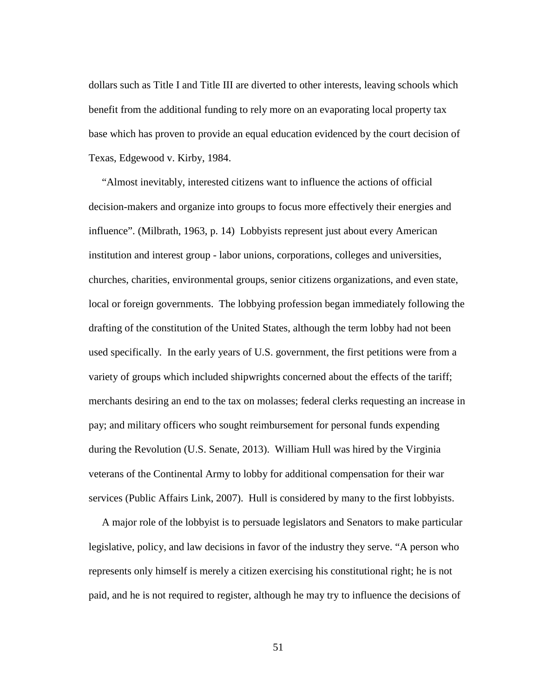dollars such as Title I and Title III are diverted to other interests, leaving schools which benefit from the additional funding to rely more on an evaporating local property tax base which has proven to provide an equal education evidenced by the court decision of Texas, Edgewood v. Kirby, 1984.

 "Almost inevitably, interested citizens want to influence the actions of official decision-makers and organize into groups to focus more effectively their energies and influence". (Milbrath, 1963, p. 14) Lobbyists represent just about every American institution and interest group - labor unions, corporations, colleges and universities, churches, charities, environmental groups, senior citizens organizations, and even state, local or foreign governments. The lobbying profession began immediately following the drafting of the constitution of the United States, although the term lobby had not been used specifically. In the early years of U.S. government, the first petitions were from a variety of groups which included shipwrights concerned about the effects of the tariff; merchants desiring an end to the tax on molasses; federal clerks requesting an increase in pay; and military officers who sought reimbursement for personal funds expending during the Revolution (U.S. Senate, 2013). William Hull was hired by the Virginia veterans of the Continental Army to lobby for additional compensation for their war services (Public Affairs Link, 2007). Hull is considered by many to the first lobbyists.

 A major role of the lobbyist is to persuade legislators and Senators to make particular legislative, policy, and law decisions in favor of the industry they serve. "A person who represents only himself is merely a citizen exercising his constitutional right; he is not paid, and he is not required to register, although he may try to influence the decisions of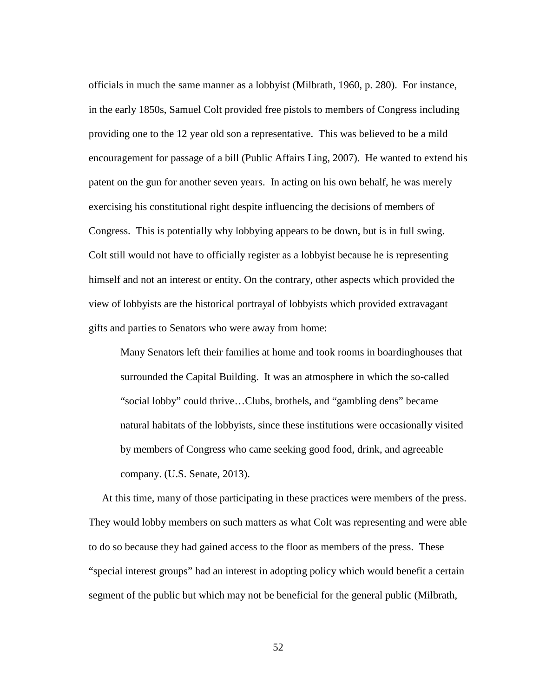officials in much the same manner as a lobbyist (Milbrath, 1960, p. 280). For instance, in the early 1850s, Samuel Colt provided free pistols to members of Congress including providing one to the 12 year old son a representative. This was believed to be a mild encouragement for passage of a bill (Public Affairs Ling, 2007). He wanted to extend his patent on the gun for another seven years. In acting on his own behalf, he was merely exercising his constitutional right despite influencing the decisions of members of Congress. This is potentially why lobbying appears to be down, but is in full swing. Colt still would not have to officially register as a lobbyist because he is representing himself and not an interest or entity. On the contrary, other aspects which provided the view of lobbyists are the historical portrayal of lobbyists which provided extravagant gifts and parties to Senators who were away from home:

Many Senators left their families at home and took rooms in boardinghouses that surrounded the Capital Building. It was an atmosphere in which the so-called "social lobby" could thrive…Clubs, brothels, and "gambling dens" became natural habitats of the lobbyists, since these institutions were occasionally visited by members of Congress who came seeking good food, drink, and agreeable company. (U.S. Senate, 2013).

 At this time, many of those participating in these practices were members of the press. They would lobby members on such matters as what Colt was representing and were able to do so because they had gained access to the floor as members of the press. These "special interest groups" had an interest in adopting policy which would benefit a certain segment of the public but which may not be beneficial for the general public (Milbrath,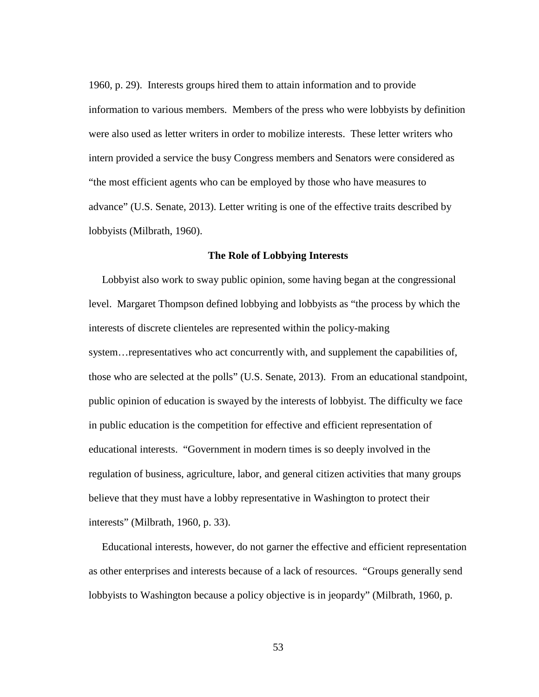1960, p. 29). Interests groups hired them to attain information and to provide information to various members. Members of the press who were lobbyists by definition were also used as letter writers in order to mobilize interests. These letter writers who intern provided a service the busy Congress members and Senators were considered as "the most efficient agents who can be employed by those who have measures to advance" (U.S. Senate, 2013). Letter writing is one of the effective traits described by lobbyists (Milbrath, 1960).

#### **The Role of Lobbying Interests**

 Lobbyist also work to sway public opinion, some having began at the congressional level. Margaret Thompson defined lobbying and lobbyists as "the process by which the interests of discrete clienteles are represented within the policy-making system... representatives who act concurrently with, and supplement the capabilities of, those who are selected at the polls" (U.S. Senate, 2013). From an educational standpoint, public opinion of education is swayed by the interests of lobbyist. The difficulty we face in public education is the competition for effective and efficient representation of educational interests. "Government in modern times is so deeply involved in the regulation of business, agriculture, labor, and general citizen activities that many groups believe that they must have a lobby representative in Washington to protect their interests" (Milbrath, 1960, p. 33).

 Educational interests, however, do not garner the effective and efficient representation as other enterprises and interests because of a lack of resources. "Groups generally send lobbyists to Washington because a policy objective is in jeopardy" (Milbrath, 1960, p.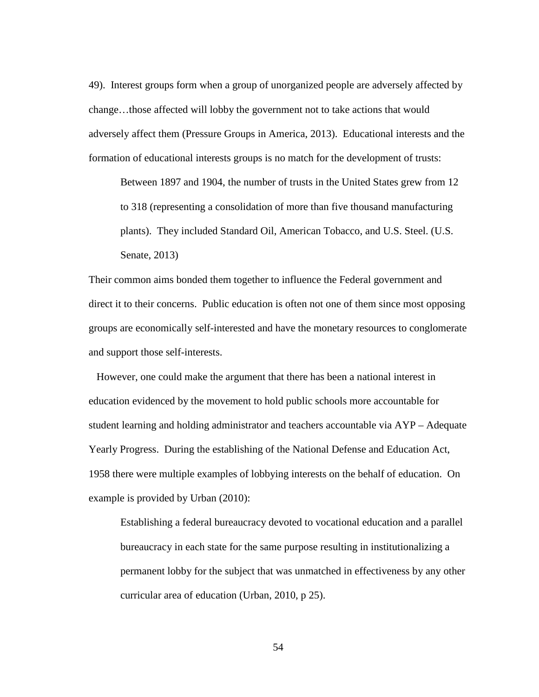49). Interest groups form when a group of unorganized people are adversely affected by change…those affected will lobby the government not to take actions that would adversely affect them (Pressure Groups in America, 2013). Educational interests and the formation of educational interests groups is no match for the development of trusts:

Between 1897 and 1904, the number of trusts in the United States grew from 12 to 318 (representing a consolidation of more than five thousand manufacturing plants). They included Standard Oil, American Tobacco, and U.S. Steel. (U.S. Senate, 2013)

Their common aims bonded them together to influence the Federal government and direct it to their concerns. Public education is often not one of them since most opposing groups are economically self-interested and have the monetary resources to conglomerate and support those self-interests.

 However, one could make the argument that there has been a national interest in education evidenced by the movement to hold public schools more accountable for student learning and holding administrator and teachers accountable via AYP – Adequate Yearly Progress. During the establishing of the National Defense and Education Act, 1958 there were multiple examples of lobbying interests on the behalf of education. On example is provided by Urban (2010):

Establishing a federal bureaucracy devoted to vocational education and a parallel bureaucracy in each state for the same purpose resulting in institutionalizing a permanent lobby for the subject that was unmatched in effectiveness by any other curricular area of education (Urban, 2010, p 25).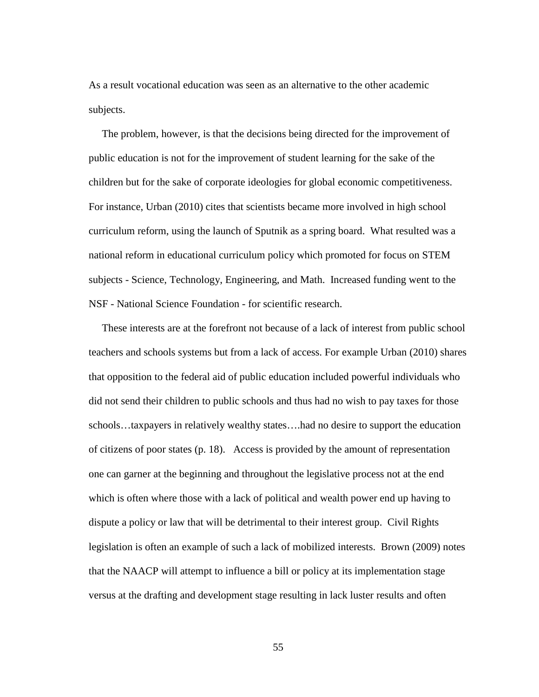As a result vocational education was seen as an alternative to the other academic subjects.

 The problem, however, is that the decisions being directed for the improvement of public education is not for the improvement of student learning for the sake of the children but for the sake of corporate ideologies for global economic competitiveness. For instance, Urban (2010) cites that scientists became more involved in high school curriculum reform, using the launch of Sputnik as a spring board. What resulted was a national reform in educational curriculum policy which promoted for focus on STEM subjects - Science, Technology, Engineering, and Math. Increased funding went to the NSF - National Science Foundation - for scientific research.

 These interests are at the forefront not because of a lack of interest from public school teachers and schools systems but from a lack of access. For example Urban (2010) shares that opposition to the federal aid of public education included powerful individuals who did not send their children to public schools and thus had no wish to pay taxes for those schools…taxpayers in relatively wealthy states….had no desire to support the education of citizens of poor states (p. 18). Access is provided by the amount of representation one can garner at the beginning and throughout the legislative process not at the end which is often where those with a lack of political and wealth power end up having to dispute a policy or law that will be detrimental to their interest group. Civil Rights legislation is often an example of such a lack of mobilized interests. Brown (2009) notes that the NAACP will attempt to influence a bill or policy at its implementation stage versus at the drafting and development stage resulting in lack luster results and often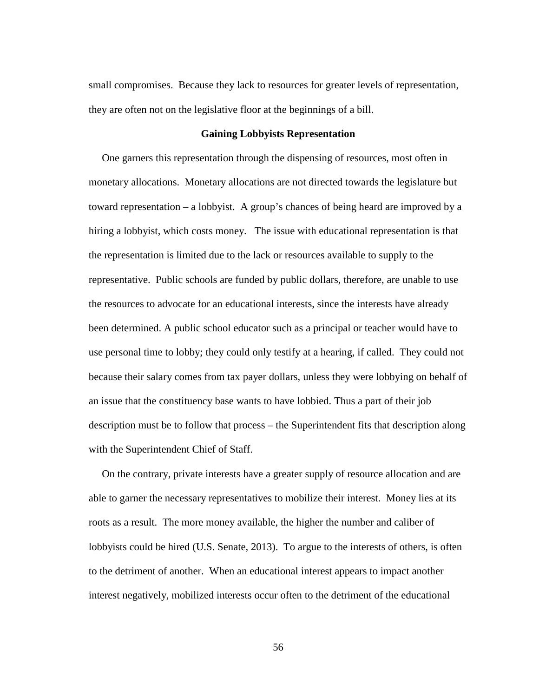small compromises. Because they lack to resources for greater levels of representation, they are often not on the legislative floor at the beginnings of a bill.

### **Gaining Lobbyists Representation**

 One garners this representation through the dispensing of resources, most often in monetary allocations. Monetary allocations are not directed towards the legislature but toward representation – a lobbyist. A group's chances of being heard are improved by a hiring a lobbyist, which costs money. The issue with educational representation is that the representation is limited due to the lack or resources available to supply to the representative. Public schools are funded by public dollars, therefore, are unable to use the resources to advocate for an educational interests, since the interests have already been determined. A public school educator such as a principal or teacher would have to use personal time to lobby; they could only testify at a hearing, if called. They could not because their salary comes from tax payer dollars, unless they were lobbying on behalf of an issue that the constituency base wants to have lobbied. Thus a part of their job description must be to follow that process – the Superintendent fits that description along with the Superintendent Chief of Staff.

 On the contrary, private interests have a greater supply of resource allocation and are able to garner the necessary representatives to mobilize their interest. Money lies at its roots as a result. The more money available, the higher the number and caliber of lobbyists could be hired (U.S. Senate, 2013). To argue to the interests of others, is often to the detriment of another. When an educational interest appears to impact another interest negatively, mobilized interests occur often to the detriment of the educational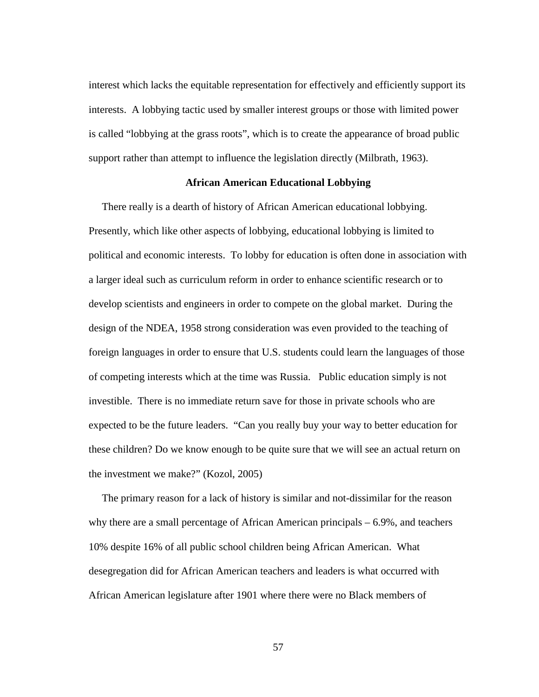interest which lacks the equitable representation for effectively and efficiently support its interests. A lobbying tactic used by smaller interest groups or those with limited power is called "lobbying at the grass roots", which is to create the appearance of broad public support rather than attempt to influence the legislation directly (Milbrath, 1963).

#### **African American Educational Lobbying**

There really is a dearth of history of African American educational lobbying. Presently, which like other aspects of lobbying, educational lobbying is limited to political and economic interests. To lobby for education is often done in association with a larger ideal such as curriculum reform in order to enhance scientific research or to develop scientists and engineers in order to compete on the global market. During the design of the NDEA, 1958 strong consideration was even provided to the teaching of foreign languages in order to ensure that U.S. students could learn the languages of those of competing interests which at the time was Russia. Public education simply is not investible. There is no immediate return save for those in private schools who are expected to be the future leaders. "Can you really buy your way to better education for these children? Do we know enough to be quite sure that we will see an actual return on the investment we make?" (Kozol, 2005)

 The primary reason for a lack of history is similar and not-dissimilar for the reason why there are a small percentage of African American principals – 6.9%, and teachers 10% despite 16% of all public school children being African American. What desegregation did for African American teachers and leaders is what occurred with African American legislature after 1901 where there were no Black members of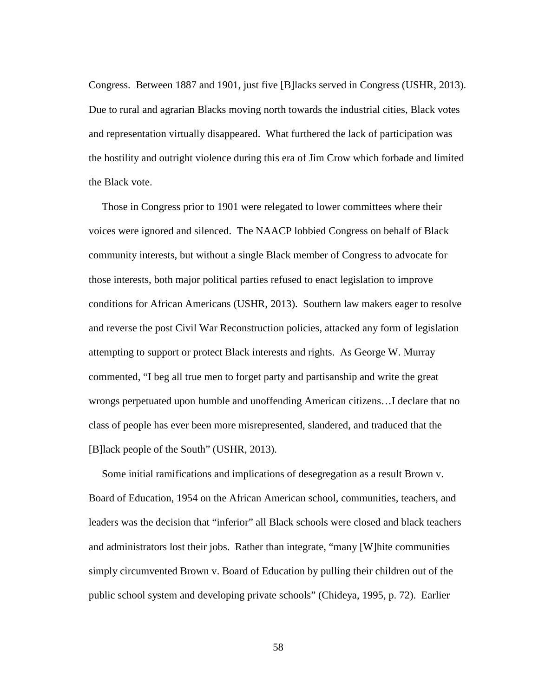Congress. Between 1887 and 1901, just five [B]lacks served in Congress (USHR, 2013). Due to rural and agrarian Blacks moving north towards the industrial cities, Black votes and representation virtually disappeared. What furthered the lack of participation was the hostility and outright violence during this era of Jim Crow which forbade and limited the Black vote.

 Those in Congress prior to 1901 were relegated to lower committees where their voices were ignored and silenced. The NAACP lobbied Congress on behalf of Black community interests, but without a single Black member of Congress to advocate for those interests, both major political parties refused to enact legislation to improve conditions for African Americans (USHR, 2013). Southern law makers eager to resolve and reverse the post Civil War Reconstruction policies, attacked any form of legislation attempting to support or protect Black interests and rights. As George W. Murray commented, "I beg all true men to forget party and partisanship and write the great wrongs perpetuated upon humble and unoffending American citizens…I declare that no class of people has ever been more misrepresented, slandered, and traduced that the [B]lack people of the South" (USHR, 2013).

Some initial ramifications and implications of desegregation as a result Brown v. Board of Education, 1954 on the African American school, communities, teachers, and leaders was the decision that "inferior" all Black schools were closed and black teachers and administrators lost their jobs. Rather than integrate, "many [W]hite communities simply circumvented Brown v. Board of Education by pulling their children out of the public school system and developing private schools" (Chideya, 1995, p. 72). Earlier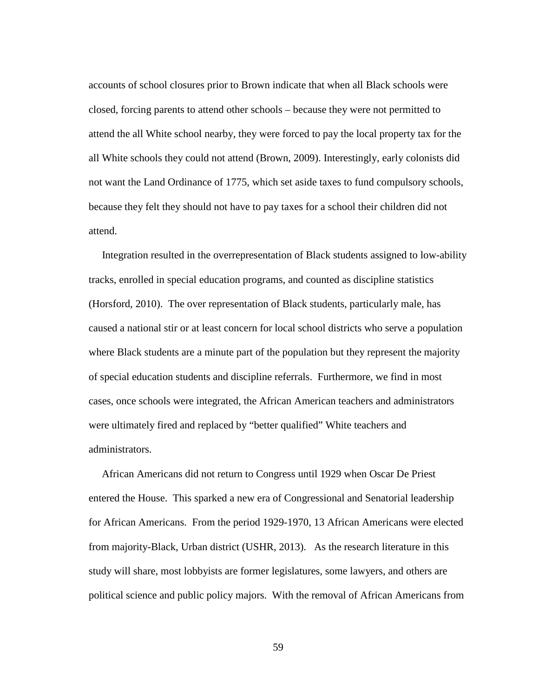accounts of school closures prior to Brown indicate that when all Black schools were closed, forcing parents to attend other schools – because they were not permitted to attend the all White school nearby, they were forced to pay the local property tax for the all White schools they could not attend (Brown, 2009). Interestingly, early colonists did not want the Land Ordinance of 1775, which set aside taxes to fund compulsory schools, because they felt they should not have to pay taxes for a school their children did not attend.

 Integration resulted in the overrepresentation of Black students assigned to low-ability tracks, enrolled in special education programs, and counted as discipline statistics (Horsford, 2010). The over representation of Black students, particularly male, has caused a national stir or at least concern for local school districts who serve a population where Black students are a minute part of the population but they represent the majority of special education students and discipline referrals. Furthermore, we find in most cases, once schools were integrated, the African American teachers and administrators were ultimately fired and replaced by "better qualified" White teachers and administrators.

 African Americans did not return to Congress until 1929 when Oscar De Priest entered the House. This sparked a new era of Congressional and Senatorial leadership for African Americans. From the period 1929-1970, 13 African Americans were elected from majority-Black, Urban district (USHR, 2013). As the research literature in this study will share, most lobbyists are former legislatures, some lawyers, and others are political science and public policy majors. With the removal of African Americans from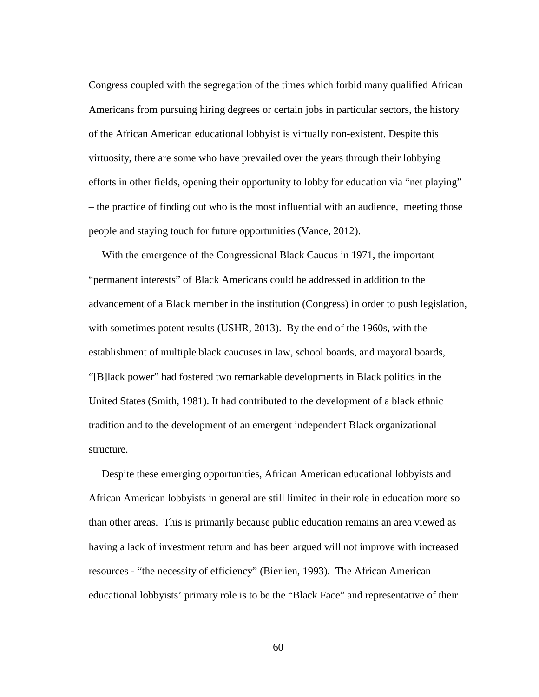Congress coupled with the segregation of the times which forbid many qualified African Americans from pursuing hiring degrees or certain jobs in particular sectors, the history of the African American educational lobbyist is virtually non-existent. Despite this virtuosity, there are some who have prevailed over the years through their lobbying efforts in other fields, opening their opportunity to lobby for education via "net playing" – the practice of finding out who is the most influential with an audience, meeting those people and staying touch for future opportunities (Vance, 2012).

With the emergence of the Congressional Black Caucus in 1971, the important "permanent interests" of Black Americans could be addressed in addition to the advancement of a Black member in the institution (Congress) in order to push legislation, with sometimes potent results (USHR, 2013).By the end of the 1960s, with the establishment of multiple black caucuses in law, school boards, and mayoral boards, "[B]lack power" had fostered two remarkable developments in Black politics in the United States (Smith, 1981). It had contributed to the development of a black ethnic tradition and to the development of an emergent independent Black organizational structure.

 Despite these emerging opportunities, African American educational lobbyists and African American lobbyists in general are still limited in their role in education more so than other areas. This is primarily because public education remains an area viewed as having a lack of investment return and has been argued will not improve with increased resources - "the necessity of efficiency" (Bierlien, 1993). The African American educational lobbyists' primary role is to be the "Black Face" and representative of their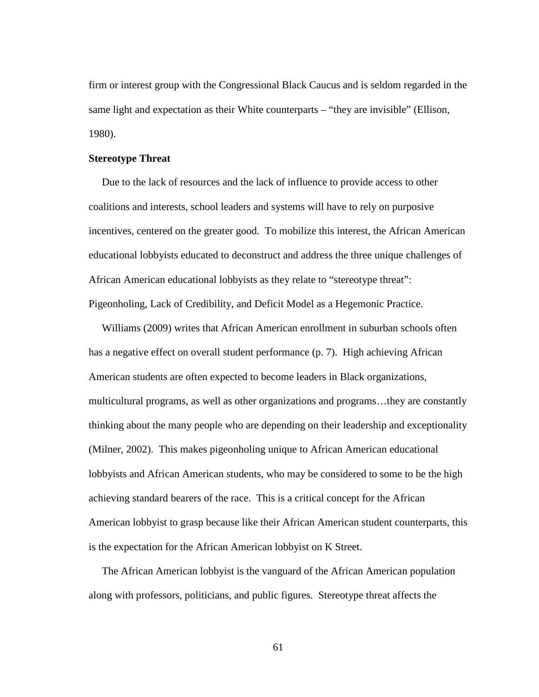firm or interest group with the Congressional Black Caucus and is seldom regarded in the same light and expectation as their White counterparts – "they are invisible" (Ellison, 1980).

## **Stereotype Threat**

 Due to the lack of resources and the lack of influence to provide access to other coalitions and interests, school leaders and systems will have to rely on purposive incentives, centered on the greater good. To mobilize this interest, the African American educational lobbyists educated to deconstruct and address the three unique challenges of African American educational lobbyists as they relate to "stereotype threat": Pigeonholing, Lack of Credibility, and Deficit Model as a Hegemonic Practice.

 Williams (2009) writes that African American enrollment in suburban schools often has a negative effect on overall student performance (p. 7). High achieving African American students are often expected to become leaders in Black organizations, multicultural programs, as well as other organizations and programs…they are constantly thinking about the many people who are depending on their leadership and exceptionality (Milner, 2002). This makes pigeonholing unique to African American educational lobbyists and African American students, who may be considered to some to be the high achieving standard bearers of the race. This is a critical concept for the African American lobbyist to grasp because like their African American student counterparts, this is the expectation for the African American lobbyist on K Street.

 The African American lobbyist is the vanguard of the African American population along with professors, politicians, and public figures. Stereotype threat affects the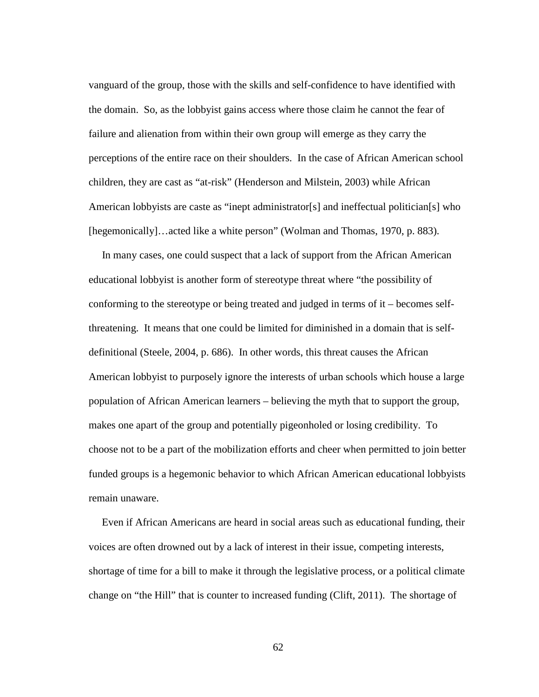vanguard of the group, those with the skills and self-confidence to have identified with the domain. So, as the lobbyist gains access where those claim he cannot the fear of failure and alienation from within their own group will emerge as they carry the perceptions of the entire race on their shoulders. In the case of African American school children, they are cast as "at-risk" (Henderson and Milstein, 2003) while African American lobbyists are caste as "inept administrator[s] and ineffectual politician[s] who [hegemonically]…acted like a white person" (Wolman and Thomas, 1970, p. 883).

 In many cases, one could suspect that a lack of support from the African American educational lobbyist is another form of stereotype threat where "the possibility of conforming to the stereotype or being treated and judged in terms of it – becomes selfthreatening. It means that one could be limited for diminished in a domain that is selfdefinitional (Steele, 2004, p. 686). In other words, this threat causes the African American lobbyist to purposely ignore the interests of urban schools which house a large population of African American learners – believing the myth that to support the group, makes one apart of the group and potentially pigeonholed or losing credibility. To choose not to be a part of the mobilization efforts and cheer when permitted to join better funded groups is a hegemonic behavior to which African American educational lobbyists remain unaware.

 Even if African Americans are heard in social areas such as educational funding, their voices are often drowned out by a lack of interest in their issue, competing interests, shortage of time for a bill to make it through the legislative process, or a political climate change on "the Hill" that is counter to increased funding (Clift, 2011). The shortage of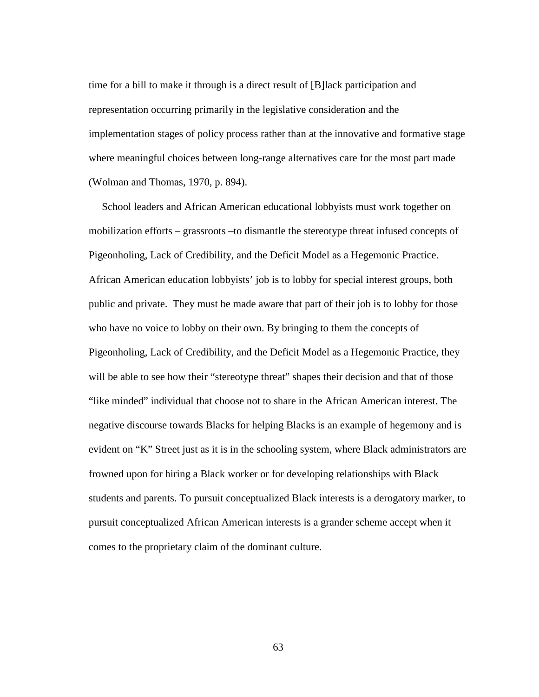time for a bill to make it through is a direct result of [B]lack participation and representation occurring primarily in the legislative consideration and the implementation stages of policy process rather than at the innovative and formative stage where meaningful choices between long-range alternatives care for the most part made (Wolman and Thomas, 1970, p. 894).

 School leaders and African American educational lobbyists must work together on mobilization efforts – grassroots –to dismantle the stereotype threat infused concepts of Pigeonholing, Lack of Credibility, and the Deficit Model as a Hegemonic Practice. African American education lobbyists' job is to lobby for special interest groups, both public and private. They must be made aware that part of their job is to lobby for those who have no voice to lobby on their own. By bringing to them the concepts of Pigeonholing, Lack of Credibility, and the Deficit Model as a Hegemonic Practice, they will be able to see how their "stereotype threat" shapes their decision and that of those "like minded" individual that choose not to share in the African American interest. The negative discourse towards Blacks for helping Blacks is an example of hegemony and is evident on "K" Street just as it is in the schooling system, where Black administrators are frowned upon for hiring a Black worker or for developing relationships with Black students and parents. To pursuit conceptualized Black interests is a derogatory marker, to pursuit conceptualized African American interests is a grander scheme accept when it comes to the proprietary claim of the dominant culture.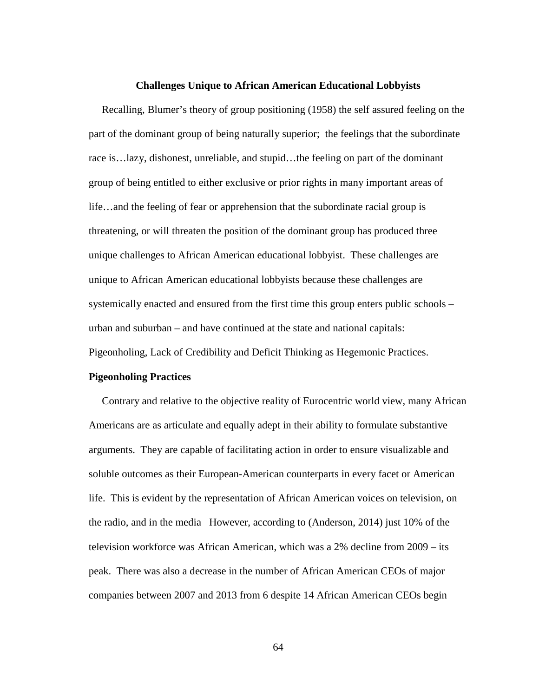#### **Challenges Unique to African American Educational Lobbyists**

 Recalling, Blumer's theory of group positioning (1958) the self assured feeling on the part of the dominant group of being naturally superior; the feelings that the subordinate race is…lazy, dishonest, unreliable, and stupid…the feeling on part of the dominant group of being entitled to either exclusive or prior rights in many important areas of life…and the feeling of fear or apprehension that the subordinate racial group is threatening, or will threaten the position of the dominant group has produced three unique challenges to African American educational lobbyist. These challenges are unique to African American educational lobbyists because these challenges are systemically enacted and ensured from the first time this group enters public schools – urban and suburban – and have continued at the state and national capitals: Pigeonholing, Lack of Credibility and Deficit Thinking as Hegemonic Practices.

### **Pigeonholing Practices**

 Contrary and relative to the objective reality of Eurocentric world view, many African Americans are as articulate and equally adept in their ability to formulate substantive arguments. They are capable of facilitating action in order to ensure visualizable and soluble outcomes as their European-American counterparts in every facet or American life. This is evident by the representation of African American voices on television, on the radio, and in the media However, according to (Anderson, 2014) just 10% of the television workforce was African American, which was a 2% decline from 2009 – its peak. There was also a decrease in the number of African American CEOs of major companies between 2007 and 2013 from 6 despite 14 African American CEOs begin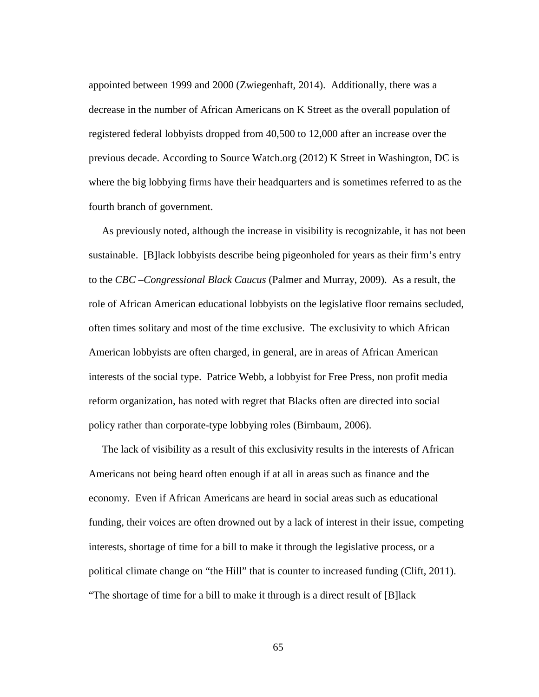appointed between 1999 and 2000 (Zwiegenhaft, 2014). Additionally, there was a decrease in the number of African Americans on K Street as the overall population of registered federal lobbyists dropped from 40,500 to 12,000 after an increase over the previous decade. According to Source Watch.org (2012) K Street in Washington, DC is where the big lobbying firms have their headquarters and is sometimes referred to as the fourth branch of government.

 As previously noted, although the increase in visibility is recognizable, it has not been sustainable. [B]lack lobbyists describe being pigeonholed for years as their firm's entry to the *CBC –Congressional Black Caucus* (Palmer and Murray, 2009). As a result, the role of African American educational lobbyists on the legislative floor remains secluded, often times solitary and most of the time exclusive. The exclusivity to which African American lobbyists are often charged, in general, are in areas of African American interests of the social type. Patrice Webb, a lobbyist for Free Press, non profit media reform organization, has noted with regret that Blacks often are directed into social policy rather than corporate-type lobbying roles (Birnbaum, 2006).

 The lack of visibility as a result of this exclusivity results in the interests of African Americans not being heard often enough if at all in areas such as finance and the economy. Even if African Americans are heard in social areas such as educational funding, their voices are often drowned out by a lack of interest in their issue, competing interests, shortage of time for a bill to make it through the legislative process, or a political climate change on "the Hill" that is counter to increased funding (Clift, 2011). "The shortage of time for a bill to make it through is a direct result of [B]lack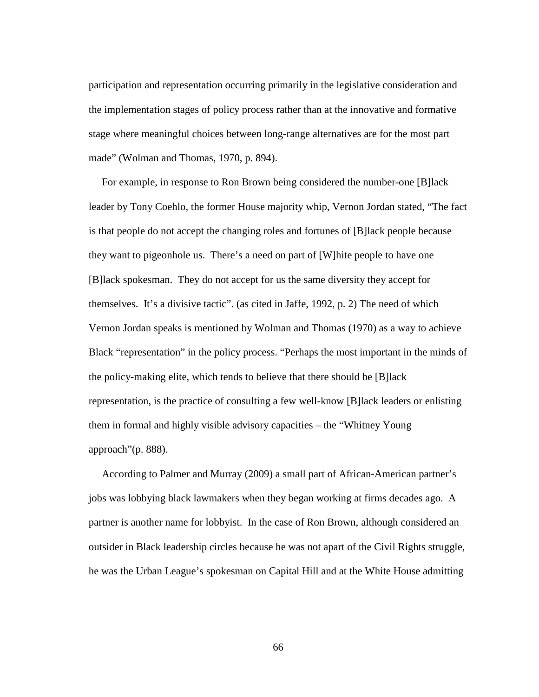participation and representation occurring primarily in the legislative consideration and the implementation stages of policy process rather than at the innovative and formative stage where meaningful choices between long-range alternatives are for the most part made" (Wolman and Thomas, 1970, p. 894).

 For example, in response to Ron Brown being considered the number-one [B]lack leader by Tony Coehlo, the former House majority whip, Vernon Jordan stated, "The fact is that people do not accept the changing roles and fortunes of [B]lack people because they want to pigeonhole us. There's a need on part of [W]hite people to have one [B]lack spokesman. They do not accept for us the same diversity they accept for themselves. It's a divisive tactic". (as cited in Jaffe, 1992, p. 2) The need of which Vernon Jordan speaks is mentioned by Wolman and Thomas (1970) as a way to achieve Black "representation" in the policy process. "Perhaps the most important in the minds of the policy-making elite, which tends to believe that there should be [B]lack representation, is the practice of consulting a few well-know [B]lack leaders or enlisting them in formal and highly visible advisory capacities – the "Whitney Young approach"(p. 888).

 According to Palmer and Murray (2009) a small part of African-American partner's jobs was lobbying black lawmakers when they began working at firms decades ago. A partner is another name for lobbyist. In the case of Ron Brown, although considered an outsider in Black leadership circles because he was not apart of the Civil Rights struggle, he was the Urban League's spokesman on Capital Hill and at the White House admitting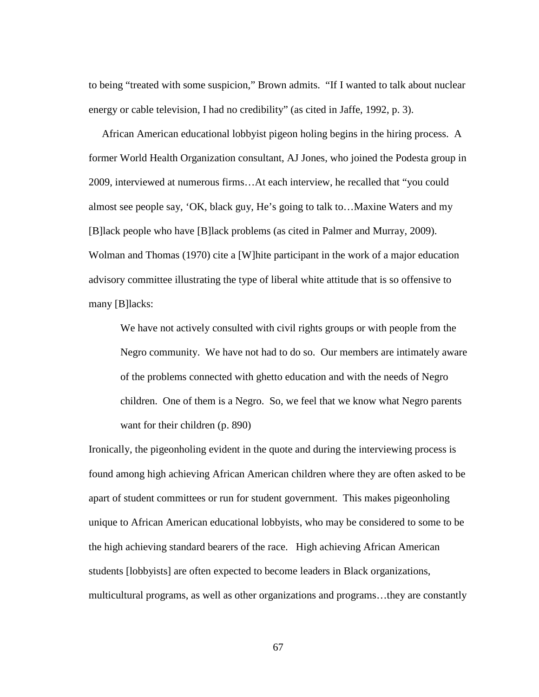to being "treated with some suspicion," Brown admits. "If I wanted to talk about nuclear energy or cable television, I had no credibility" (as cited in Jaffe, 1992, p. 3).

 African American educational lobbyist pigeon holing begins in the hiring process. A former World Health Organization consultant, AJ Jones, who joined the Podesta group in 2009, interviewed at numerous firms…At each interview, he recalled that "you could almost see people say, 'OK, black guy, He's going to talk to…Maxine Waters and my [B]lack people who have [B]lack problems (as cited in Palmer and Murray, 2009). Wolman and Thomas (1970) cite a [W]hite participant in the work of a major education advisory committee illustrating the type of liberal white attitude that is so offensive to many [B]lacks:

We have not actively consulted with civil rights groups or with people from the Negro community. We have not had to do so. Our members are intimately aware of the problems connected with ghetto education and with the needs of Negro children. One of them is a Negro. So, we feel that we know what Negro parents want for their children (p. 890)

Ironically, the pigeonholing evident in the quote and during the interviewing process is found among high achieving African American children where they are often asked to be apart of student committees or run for student government. This makes pigeonholing unique to African American educational lobbyists, who may be considered to some to be the high achieving standard bearers of the race. High achieving African American students [lobbyists] are often expected to become leaders in Black organizations, multicultural programs, as well as other organizations and programs…they are constantly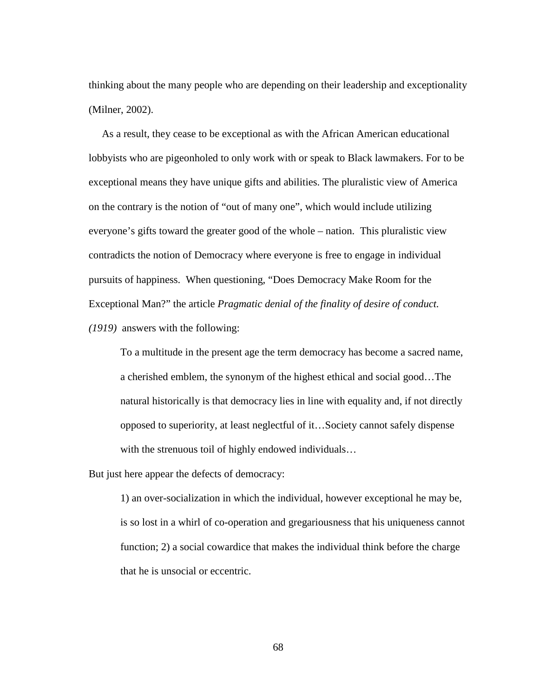thinking about the many people who are depending on their leadership and exceptionality (Milner, 2002).

 As a result, they cease to be exceptional as with the African American educational lobbyists who are pigeonholed to only work with or speak to Black lawmakers. For to be exceptional means they have unique gifts and abilities. The pluralistic view of America on the contrary is the notion of "out of many one", which would include utilizing everyone's gifts toward the greater good of the whole – nation. This pluralistic view contradicts the notion of Democracy where everyone is free to engage in individual pursuits of happiness. When questioning, "Does Democracy Make Room for the Exceptional Man?" the article *Pragmatic denial of the finality of desire of conduct. (1919)* answers with the following:

To a multitude in the present age the term democracy has become a sacred name, a cherished emblem, the synonym of the highest ethical and social good…The natural historically is that democracy lies in line with equality and, if not directly opposed to superiority, at least neglectful of it…Society cannot safely dispense with the strenuous toil of highly endowed individuals…

But just here appear the defects of democracy:

1) an over-socialization in which the individual, however exceptional he may be, is so lost in a whirl of co-operation and gregariousness that his uniqueness cannot function; 2) a social cowardice that makes the individual think before the charge that he is unsocial or eccentric.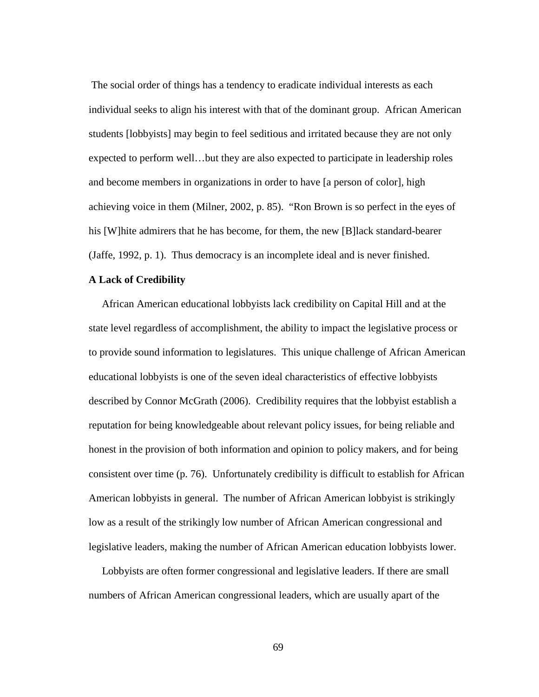The social order of things has a tendency to eradicate individual interests as each individual seeks to align his interest with that of the dominant group. African American students [lobbyists] may begin to feel seditious and irritated because they are not only expected to perform well…but they are also expected to participate in leadership roles and become members in organizations in order to have [a person of color], high achieving voice in them (Milner, 2002, p. 85). "Ron Brown is so perfect in the eyes of his [W]hite admirers that he has become, for them, the new [B]lack standard-bearer (Jaffe, 1992, p. 1). Thus democracy is an incomplete ideal and is never finished.

### **A Lack of Credibility**

 African American educational lobbyists lack credibility on Capital Hill and at the state level regardless of accomplishment, the ability to impact the legislative process or to provide sound information to legislatures. This unique challenge of African American educational lobbyists is one of the seven ideal characteristics of effective lobbyists described by Connor McGrath (2006). Credibility requires that the lobbyist establish a reputation for being knowledgeable about relevant policy issues, for being reliable and honest in the provision of both information and opinion to policy makers, and for being consistent over time (p. 76). Unfortunately credibility is difficult to establish for African American lobbyists in general. The number of African American lobbyist is strikingly low as a result of the strikingly low number of African American congressional and legislative leaders, making the number of African American education lobbyists lower.

 Lobbyists are often former congressional and legislative leaders. If there are small numbers of African American congressional leaders, which are usually apart of the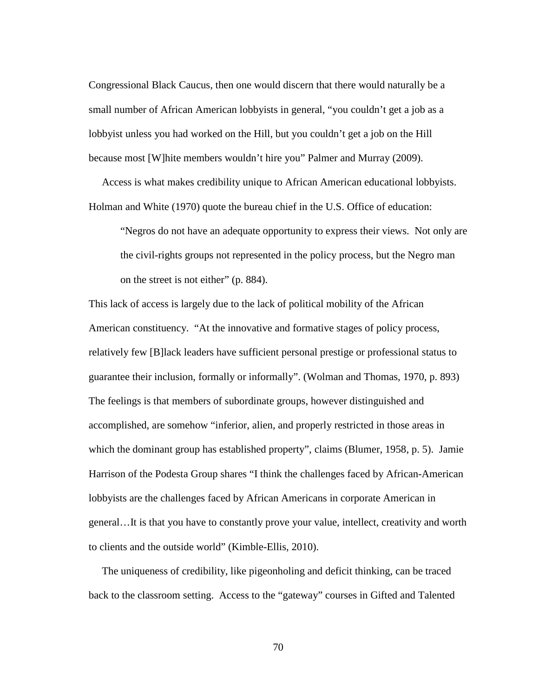Congressional Black Caucus, then one would discern that there would naturally be a small number of African American lobbyists in general, "you couldn't get a job as a lobbyist unless you had worked on the Hill, but you couldn't get a job on the Hill because most [W]hite members wouldn't hire you" Palmer and Murray (2009).

 Access is what makes credibility unique to African American educational lobbyists. Holman and White (1970) quote the bureau chief in the U.S. Office of education:

"Negros do not have an adequate opportunity to express their views. Not only are the civil-rights groups not represented in the policy process, but the Negro man on the street is not either" (p. 884).

This lack of access is largely due to the lack of political mobility of the African American constituency. "At the innovative and formative stages of policy process, relatively few [B]lack leaders have sufficient personal prestige or professional status to guarantee their inclusion, formally or informally". (Wolman and Thomas, 1970, p. 893) The feelings is that members of subordinate groups, however distinguished and accomplished, are somehow "inferior, alien, and properly restricted in those areas in which the dominant group has established property", claims (Blumer, 1958, p. 5). Jamie Harrison of the Podesta Group shares "I think the challenges faced by African-American lobbyists are the challenges faced by African Americans in corporate American in general…It is that you have to constantly prove your value, intellect, creativity and worth to clients and the outside world" (Kimble-Ellis, 2010).

 The uniqueness of credibility, like pigeonholing and deficit thinking, can be traced back to the classroom setting. Access to the "gateway" courses in Gifted and Talented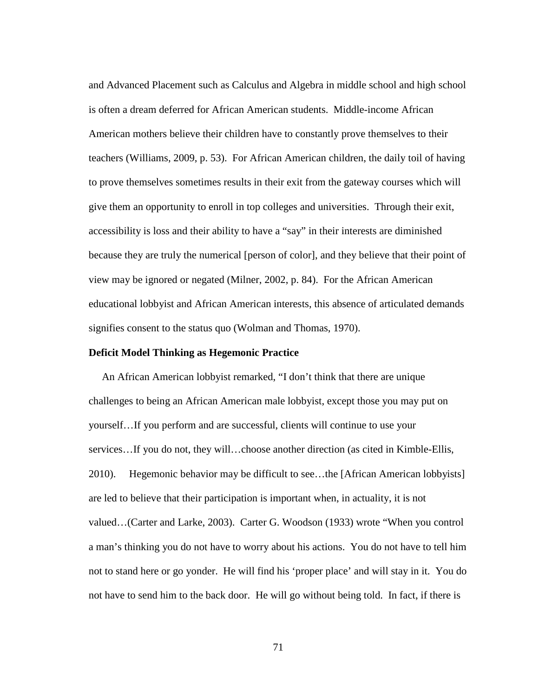and Advanced Placement such as Calculus and Algebra in middle school and high school is often a dream deferred for African American students. Middle-income African American mothers believe their children have to constantly prove themselves to their teachers (Williams, 2009, p. 53). For African American children, the daily toil of having to prove themselves sometimes results in their exit from the gateway courses which will give them an opportunity to enroll in top colleges and universities. Through their exit, accessibility is loss and their ability to have a "say" in their interests are diminished because they are truly the numerical [person of color], and they believe that their point of view may be ignored or negated (Milner, 2002, p. 84). For the African American educational lobbyist and African American interests, this absence of articulated demands signifies consent to the status quo (Wolman and Thomas, 1970).

# **Deficit Model Thinking as Hegemonic Practice**

An African American lobbyist remarked, "I don't think that there are unique challenges to being an African American male lobbyist, except those you may put on yourself…If you perform and are successful, clients will continue to use your services...If you do not, they will...choose another direction (as cited in Kimble-Ellis, 2010). Hegemonic behavior may be difficult to see…the [African American lobbyists] are led to believe that their participation is important when, in actuality, it is not valued…(Carter and Larke, 2003). Carter G. Woodson (1933) wrote "When you control a man's thinking you do not have to worry about his actions. You do not have to tell him not to stand here or go yonder. He will find his 'proper place' and will stay in it. You do not have to send him to the back door. He will go without being told. In fact, if there is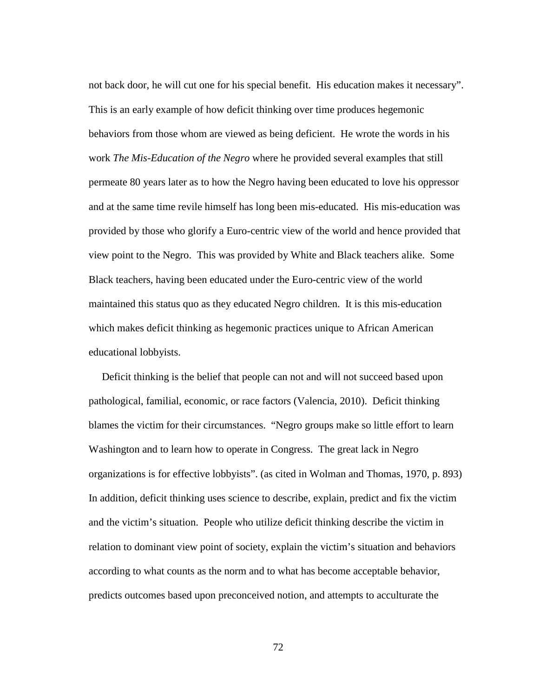not back door, he will cut one for his special benefit. His education makes it necessary". This is an early example of how deficit thinking over time produces hegemonic behaviors from those whom are viewed as being deficient. He wrote the words in his work *The Mis-Education of the Negro* where he provided several examples that still permeate 80 years later as to how the Negro having been educated to love his oppressor and at the same time revile himself has long been mis-educated. His mis-education was provided by those who glorify a Euro-centric view of the world and hence provided that view point to the Negro. This was provided by White and Black teachers alike. Some Black teachers, having been educated under the Euro-centric view of the world maintained this status quo as they educated Negro children. It is this mis-education which makes deficit thinking as hegemonic practices unique to African American educational lobbyists.

 Deficit thinking is the belief that people can not and will not succeed based upon pathological, familial, economic, or race factors (Valencia, 2010). Deficit thinking blames the victim for their circumstances. "Negro groups make so little effort to learn Washington and to learn how to operate in Congress. The great lack in Negro organizations is for effective lobbyists". (as cited in Wolman and Thomas, 1970, p. 893) In addition, deficit thinking uses science to describe, explain, predict and fix the victim and the victim's situation. People who utilize deficit thinking describe the victim in relation to dominant view point of society, explain the victim's situation and behaviors according to what counts as the norm and to what has become acceptable behavior, predicts outcomes based upon preconceived notion, and attempts to acculturate the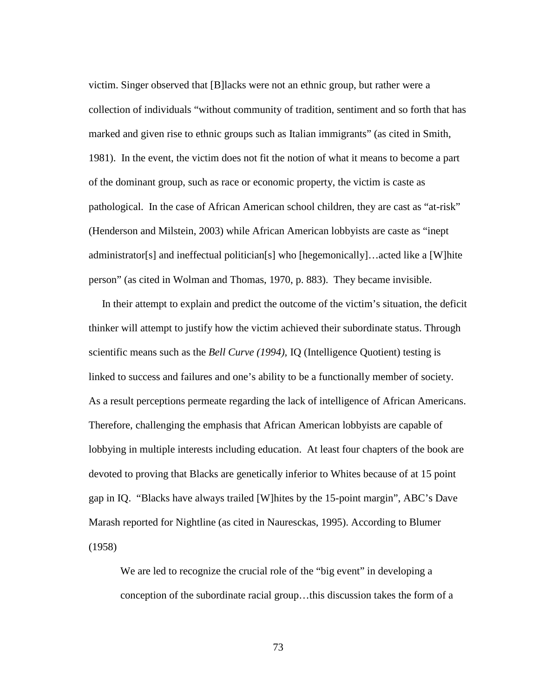victim. Singer observed that [B]lacks were not an ethnic group, but rather were a collection of individuals "without community of tradition, sentiment and so forth that has marked and given rise to ethnic groups such as Italian immigrants" (as cited in Smith, 1981). In the event, the victim does not fit the notion of what it means to become a part of the dominant group, such as race or economic property, the victim is caste as pathological. In the case of African American school children, they are cast as "at-risk" (Henderson and Milstein, 2003) while African American lobbyists are caste as "inept administrator[s] and ineffectual politician[s] who [hegemonically]…acted like a [W]hite person" (as cited in Wolman and Thomas, 1970, p. 883). They became invisible.

 In their attempt to explain and predict the outcome of the victim's situation, the deficit thinker will attempt to justify how the victim achieved their subordinate status. Through scientific means such as the *Bell Curve (1994),* IQ (Intelligence Quotient) testing is linked to success and failures and one's ability to be a functionally member of society. As a result perceptions permeate regarding the lack of intelligence of African Americans. Therefore, challenging the emphasis that African American lobbyists are capable of lobbying in multiple interests including education. At least four chapters of the book are devoted to proving that Blacks are genetically inferior to Whites because of at 15 point gap in IQ. "Blacks have always trailed [W]hites by the 15-point margin", ABC's Dave Marash reported for Nightline (as cited in Nauresckas, 1995). According to Blumer (1958)

We are led to recognize the crucial role of the "big event" in developing a conception of the subordinate racial group…this discussion takes the form of a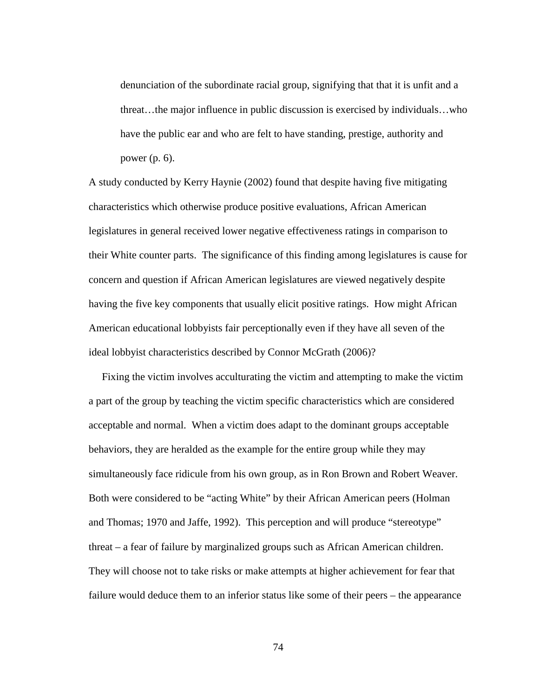denunciation of the subordinate racial group, signifying that that it is unfit and a threat…the major influence in public discussion is exercised by individuals…who have the public ear and who are felt to have standing, prestige, authority and power (p. 6).

A study conducted by Kerry Haynie (2002) found that despite having five mitigating characteristics which otherwise produce positive evaluations, African American legislatures in general received lower negative effectiveness ratings in comparison to their White counter parts. The significance of this finding among legislatures is cause for concern and question if African American legislatures are viewed negatively despite having the five key components that usually elicit positive ratings. How might African American educational lobbyists fair perceptionally even if they have all seven of the ideal lobbyist characteristics described by Connor McGrath (2006)?

 Fixing the victim involves acculturating the victim and attempting to make the victim a part of the group by teaching the victim specific characteristics which are considered acceptable and normal. When a victim does adapt to the dominant groups acceptable behaviors, they are heralded as the example for the entire group while they may simultaneously face ridicule from his own group, as in Ron Brown and Robert Weaver. Both were considered to be "acting White" by their African American peers (Holman and Thomas; 1970 and Jaffe, 1992). This perception and will produce "stereotype" threat – a fear of failure by marginalized groups such as African American children. They will choose not to take risks or make attempts at higher achievement for fear that failure would deduce them to an inferior status like some of their peers – the appearance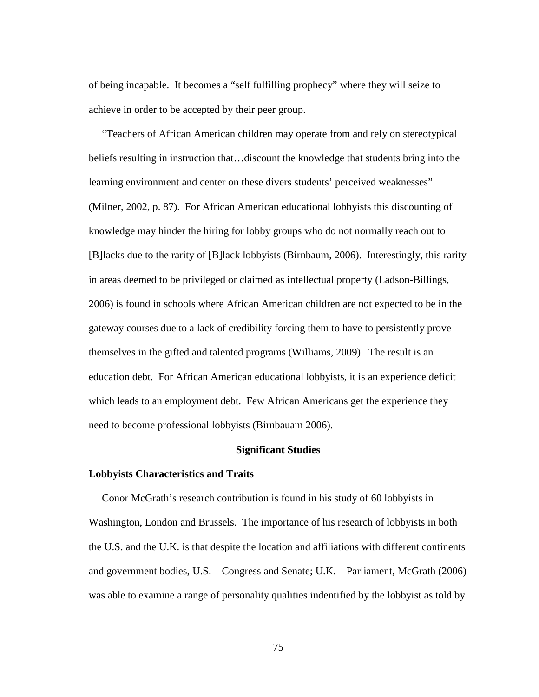of being incapable. It becomes a "self fulfilling prophecy" where they will seize to achieve in order to be accepted by their peer group.

 "Teachers of African American children may operate from and rely on stereotypical beliefs resulting in instruction that…discount the knowledge that students bring into the learning environment and center on these divers students' perceived weaknesses" (Milner, 2002, p. 87). For African American educational lobbyists this discounting of knowledge may hinder the hiring for lobby groups who do not normally reach out to [B]lacks due to the rarity of [B]lack lobbyists (Birnbaum, 2006). Interestingly, this rarity in areas deemed to be privileged or claimed as intellectual property (Ladson-Billings, 2006) is found in schools where African American children are not expected to be in the gateway courses due to a lack of credibility forcing them to have to persistently prove themselves in the gifted and talented programs (Williams, 2009). The result is an education debt. For African American educational lobbyists, it is an experience deficit which leads to an employment debt. Few African Americans get the experience they need to become professional lobbyists (Birnbauam 2006).

# **Significant Studies**

# **Lobbyists Characteristics and Traits**

 Conor McGrath's research contribution is found in his study of 60 lobbyists in Washington, London and Brussels. The importance of his research of lobbyists in both the U.S. and the U.K. is that despite the location and affiliations with different continents and government bodies, U.S. – Congress and Senate; U.K. – Parliament, McGrath (2006) was able to examine a range of personality qualities indentified by the lobbyist as told by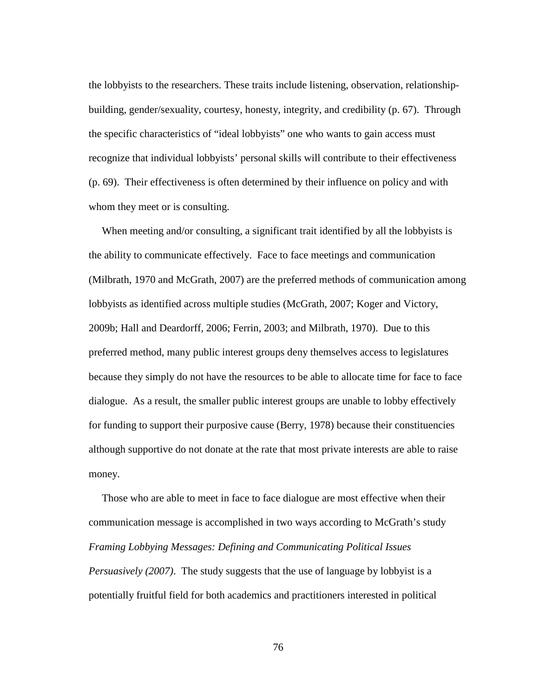the lobbyists to the researchers. These traits include listening, observation, relationshipbuilding, gender/sexuality, courtesy, honesty, integrity, and credibility (p. 67). Through the specific characteristics of "ideal lobbyists" one who wants to gain access must recognize that individual lobbyists' personal skills will contribute to their effectiveness (p. 69). Their effectiveness is often determined by their influence on policy and with whom they meet or is consulting.

When meeting and/or consulting, a significant trait identified by all the lobbyists is the ability to communicate effectively. Face to face meetings and communication (Milbrath, 1970 and McGrath, 2007) are the preferred methods of communication among lobbyists as identified across multiple studies (McGrath, 2007; Koger and Victory, 2009b; Hall and Deardorff, 2006; Ferrin, 2003; and Milbrath, 1970). Due to this preferred method, many public interest groups deny themselves access to legislatures because they simply do not have the resources to be able to allocate time for face to face dialogue. As a result, the smaller public interest groups are unable to lobby effectively for funding to support their purposive cause (Berry, 1978) because their constituencies although supportive do not donate at the rate that most private interests are able to raise money.

 Those who are able to meet in face to face dialogue are most effective when their communication message is accomplished in two ways according to McGrath's study *Framing Lobbying Messages: Defining and Communicating Political Issues Persuasively (2007)*. The study suggests that the use of language by lobbyist is a potentially fruitful field for both academics and practitioners interested in political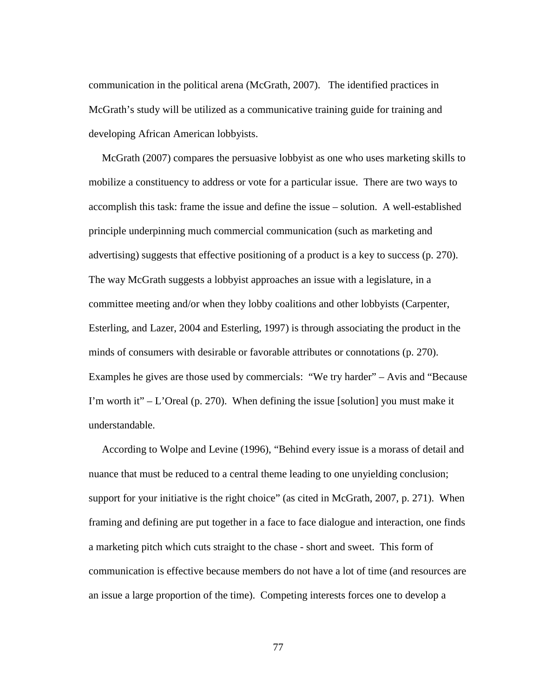communication in the political arena (McGrath, 2007). The identified practices in McGrath's study will be utilized as a communicative training guide for training and developing African American lobbyists.

 McGrath (2007) compares the persuasive lobbyist as one who uses marketing skills to mobilize a constituency to address or vote for a particular issue. There are two ways to accomplish this task: frame the issue and define the issue – solution. A well-established principle underpinning much commercial communication (such as marketing and advertising) suggests that effective positioning of a product is a key to success (p. 270). The way McGrath suggests a lobbyist approaches an issue with a legislature, in a committee meeting and/or when they lobby coalitions and other lobbyists (Carpenter, Esterling, and Lazer, 2004 and Esterling, 1997) is through associating the product in the minds of consumers with desirable or favorable attributes or connotations (p. 270). Examples he gives are those used by commercials: "We try harder" – Avis and "Because I'm worth it"  $-$  L'Oreal (p. 270). When defining the issue [solution] you must make it understandable.

 According to Wolpe and Levine (1996), "Behind every issue is a morass of detail and nuance that must be reduced to a central theme leading to one unyielding conclusion; support for your initiative is the right choice" (as cited in McGrath, 2007, p. 271). When framing and defining are put together in a face to face dialogue and interaction, one finds a marketing pitch which cuts straight to the chase - short and sweet. This form of communication is effective because members do not have a lot of time (and resources are an issue a large proportion of the time). Competing interests forces one to develop a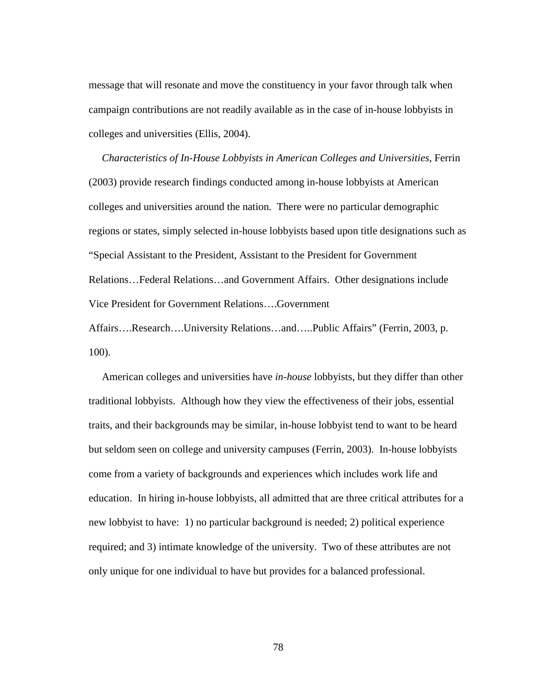message that will resonate and move the constituency in your favor through talk when campaign contributions are not readily available as in the case of in-house lobbyists in colleges and universities (Ellis, 2004).

 *Characteristics of In-House Lobbyists in American Colleges and Universities*, Ferrin (2003) provide research findings conducted among in-house lobbyists at American colleges and universities around the nation. There were no particular demographic regions or states, simply selected in-house lobbyists based upon title designations such as "Special Assistant to the President, Assistant to the President for Government Relations…Federal Relations…and Government Affairs. Other designations include Vice President for Government Relations….Government Affairs….Research….University Relations…and…..Public Affairs" (Ferrin, 2003, p. 100).

 American colleges and universities have *in-house* lobbyists, but they differ than other traditional lobbyists. Although how they view the effectiveness of their jobs, essential traits, and their backgrounds may be similar, in-house lobbyist tend to want to be heard but seldom seen on college and university campuses (Ferrin, 2003). In-house lobbyists come from a variety of backgrounds and experiences which includes work life and education. In hiring in-house lobbyists, all admitted that are three critical attributes for a new lobbyist to have: 1) no particular background is needed; 2) political experience required; and 3) intimate knowledge of the university. Two of these attributes are not only unique for one individual to have but provides for a balanced professional.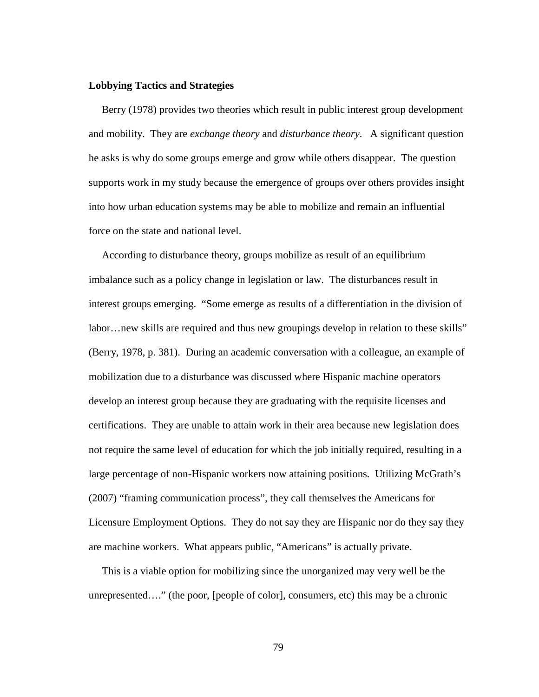### **Lobbying Tactics and Strategies**

Berry (1978) provides two theories which result in public interest group development and mobility. They are *exchange theory* and *disturbance theory*. A significant question he asks is why do some groups emerge and grow while others disappear. The question supports work in my study because the emergence of groups over others provides insight into how urban education systems may be able to mobilize and remain an influential force on the state and national level.

 According to disturbance theory, groups mobilize as result of an equilibrium imbalance such as a policy change in legislation or law. The disturbances result in interest groups emerging. "Some emerge as results of a differentiation in the division of labor…new skills are required and thus new groupings develop in relation to these skills" (Berry, 1978, p. 381). During an academic conversation with a colleague, an example of mobilization due to a disturbance was discussed where Hispanic machine operators develop an interest group because they are graduating with the requisite licenses and certifications. They are unable to attain work in their area because new legislation does not require the same level of education for which the job initially required, resulting in a large percentage of non-Hispanic workers now attaining positions. Utilizing McGrath's (2007) "framing communication process", they call themselves the Americans for Licensure Employment Options. They do not say they are Hispanic nor do they say they are machine workers. What appears public, "Americans" is actually private.

 This is a viable option for mobilizing since the unorganized may very well be the unrepresented…." (the poor, [people of color], consumers, etc) this may be a chronic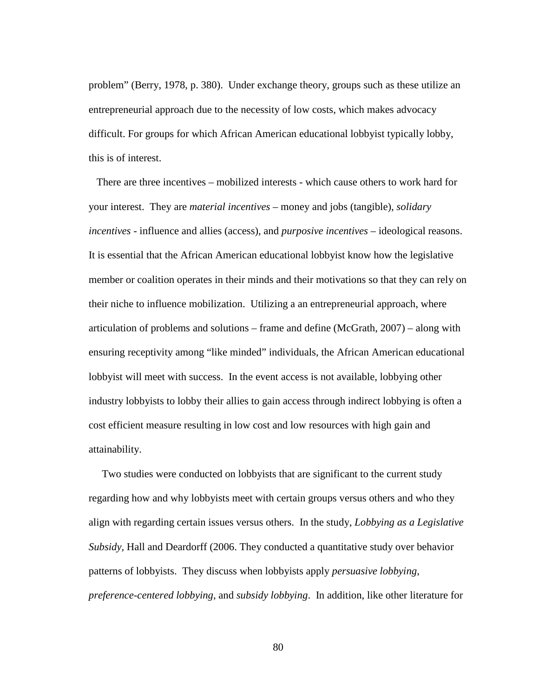problem" (Berry, 1978, p. 380). Under exchange theory, groups such as these utilize an entrepreneurial approach due to the necessity of low costs, which makes advocacy difficult. For groups for which African American educational lobbyist typically lobby, this is of interest.

 There are three incentives – mobilized interests - which cause others to work hard for your interest. They are *material incentives* – money and jobs (tangible), *solidary incentives* - influence and allies (access), and *purposive incentives* – ideological reasons. It is essential that the African American educational lobbyist know how the legislative member or coalition operates in their minds and their motivations so that they can rely on their niche to influence mobilization. Utilizing a an entrepreneurial approach, where articulation of problems and solutions – frame and define (McGrath, 2007) – along with ensuring receptivity among "like minded" individuals, the African American educational lobbyist will meet with success. In the event access is not available, lobbying other industry lobbyists to lobby their allies to gain access through indirect lobbying is often a cost efficient measure resulting in low cost and low resources with high gain and attainability.

Two studies were conducted on lobbyists that are significant to the current study regarding how and why lobbyists meet with certain groups versus others and who they align with regarding certain issues versus others. In the study, *Lobbying as a Legislative Subsidy,* Hall and Deardorff (2006. They conducted a quantitative study over behavior patterns of lobbyists. They discuss when lobbyists apply *persuasive lobbying*, *preference-centered lobbying*, and *subsidy lobbying*. In addition, like other literature for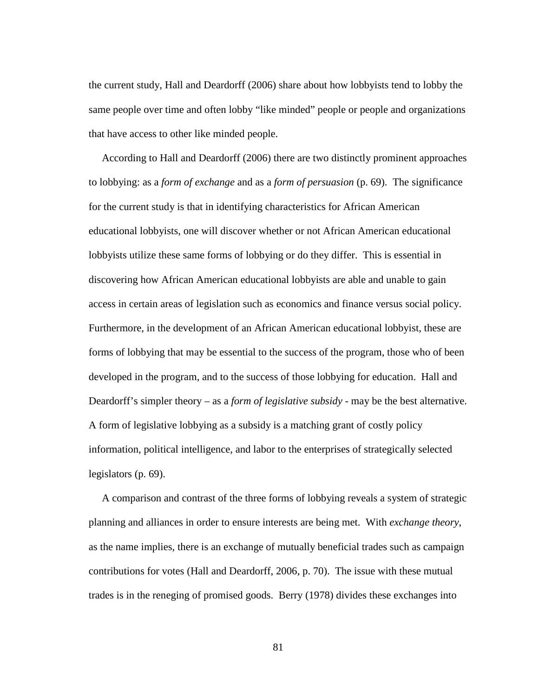the current study, Hall and Deardorff (2006) share about how lobbyists tend to lobby the same people over time and often lobby "like minded" people or people and organizations that have access to other like minded people.

 According to Hall and Deardorff (2006) there are two distinctly prominent approaches to lobbying: as a *form of exchange* and as a *form of persuasion* (p. 69). The significance for the current study is that in identifying characteristics for African American educational lobbyists, one will discover whether or not African American educational lobbyists utilize these same forms of lobbying or do they differ. This is essential in discovering how African American educational lobbyists are able and unable to gain access in certain areas of legislation such as economics and finance versus social policy. Furthermore, in the development of an African American educational lobbyist, these are forms of lobbying that may be essential to the success of the program, those who of been developed in the program, and to the success of those lobbying for education. Hall and Deardorff's simpler theory – as a *form of legislative subsidy -* may be the best alternative. A form of legislative lobbying as a subsidy is a matching grant of costly policy information, political intelligence, and labor to the enterprises of strategically selected legislators (p. 69).

 A comparison and contrast of the three forms of lobbying reveals a system of strategic planning and alliances in order to ensure interests are being met. With *exchange theory*, as the name implies, there is an exchange of mutually beneficial trades such as campaign contributions for votes (Hall and Deardorff, 2006, p. 70). The issue with these mutual trades is in the reneging of promised goods. Berry (1978) divides these exchanges into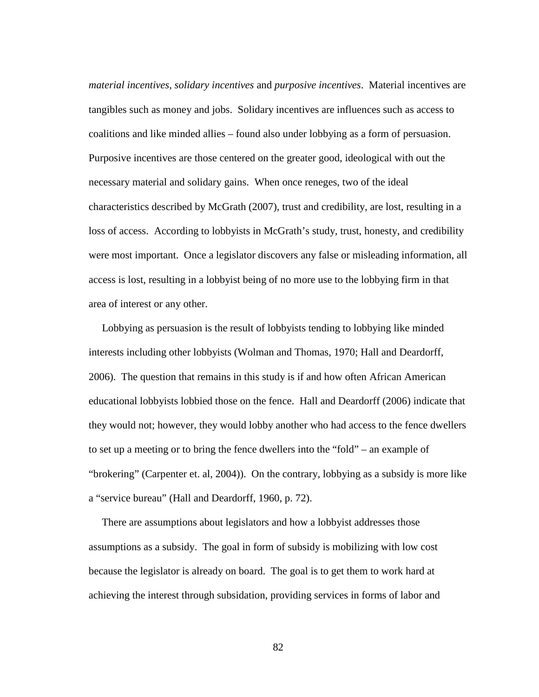*material incentives*, *solidary incentives* and *purposive incentives*. Material incentives are tangibles such as money and jobs. Solidary incentives are influences such as access to coalitions and like minded allies – found also under lobbying as a form of persuasion. Purposive incentives are those centered on the greater good, ideological with out the necessary material and solidary gains. When once reneges, two of the ideal characteristics described by McGrath (2007), trust and credibility, are lost, resulting in a loss of access. According to lobbyists in McGrath's study, trust, honesty, and credibility were most important. Once a legislator discovers any false or misleading information, all access is lost, resulting in a lobbyist being of no more use to the lobbying firm in that area of interest or any other.

 Lobbying as persuasion is the result of lobbyists tending to lobbying like minded interests including other lobbyists (Wolman and Thomas, 1970; Hall and Deardorff, 2006). The question that remains in this study is if and how often African American educational lobbyists lobbied those on the fence. Hall and Deardorff (2006) indicate that they would not; however, they would lobby another who had access to the fence dwellers to set up a meeting or to bring the fence dwellers into the "fold" – an example of "brokering" (Carpenter et. al, 2004)). On the contrary, lobbying as a subsidy is more like a "service bureau" (Hall and Deardorff, 1960, p. 72).

 There are assumptions about legislators and how a lobbyist addresses those assumptions as a subsidy. The goal in form of subsidy is mobilizing with low cost because the legislator is already on board. The goal is to get them to work hard at achieving the interest through subsidation, providing services in forms of labor and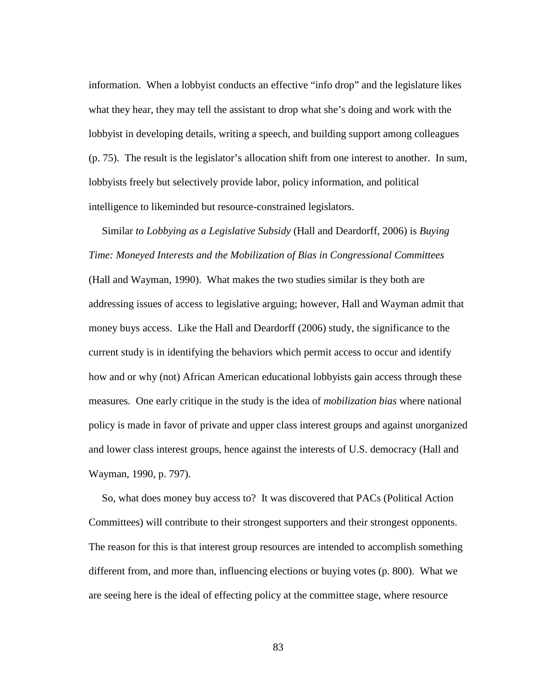information. When a lobbyist conducts an effective "info drop" and the legislature likes what they hear, they may tell the assistant to drop what she's doing and work with the lobbyist in developing details, writing a speech, and building support among colleagues (p. 75). The result is the legislator's allocation shift from one interest to another. In sum, lobbyists freely but selectively provide labor, policy information, and political intelligence to likeminded but resource-constrained legislators.

 Similar *to Lobbying as a Legislative Subsidy* (Hall and Deardorff, 2006) is *Buying Time: Moneyed Interests and the Mobilization of Bias in Congressional Committees* (Hall and Wayman, 1990). What makes the two studies similar is they both are addressing issues of access to legislative arguing; however, Hall and Wayman admit that money buys access. Like the Hall and Deardorff (2006) study, the significance to the current study is in identifying the behaviors which permit access to occur and identify how and or why (not) African American educational lobbyists gain access through these measures. One early critique in the study is the idea of *mobilization bias* where national policy is made in favor of private and upper class interest groups and against unorganized and lower class interest groups, hence against the interests of U.S. democracy (Hall and Wayman, 1990, p. 797).

 So, what does money buy access to? It was discovered that PACs (Political Action Committees) will contribute to their strongest supporters and their strongest opponents. The reason for this is that interest group resources are intended to accomplish something different from, and more than, influencing elections or buying votes (p. 800). What we are seeing here is the ideal of effecting policy at the committee stage, where resource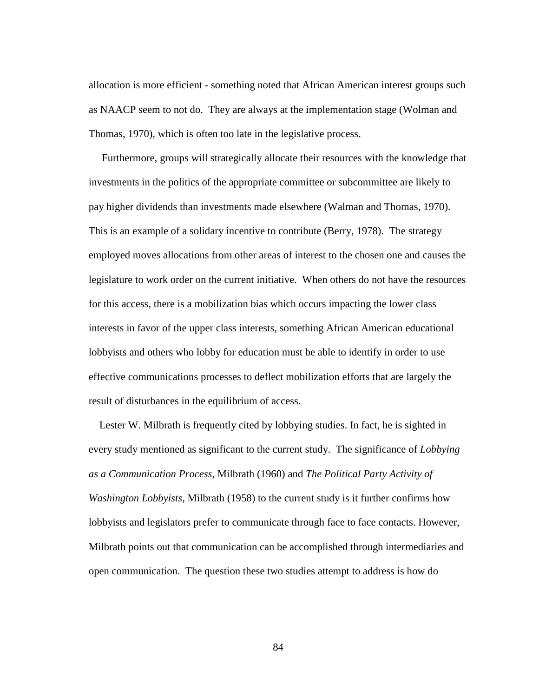allocation is more efficient - something noted that African American interest groups such as NAACP seem to not do. They are always at the implementation stage (Wolman and Thomas, 1970), which is often too late in the legislative process.

 Furthermore, groups will strategically allocate their resources with the knowledge that investments in the politics of the appropriate committee or subcommittee are likely to pay higher dividends than investments made elsewhere (Walman and Thomas, 1970). This is an example of a solidary incentive to contribute (Berry, 1978). The strategy employed moves allocations from other areas of interest to the chosen one and causes the legislature to work order on the current initiative. When others do not have the resources for this access, there is a mobilization bias which occurs impacting the lower class interests in favor of the upper class interests, something African American educational lobbyists and others who lobby for education must be able to identify in order to use effective communications processes to deflect mobilization efforts that are largely the result of disturbances in the equilibrium of access.

 Lester W. Milbrath is frequently cited by lobbying studies. In fact, he is sighted in every study mentioned as significant to the current study. The significance of *Lobbying as a Communication Process,* Milbrath (1960) and *The Political Party Activity of Washington Lobbyists,* Milbrath (1958) to the current study is it further confirms how lobbyists and legislators prefer to communicate through face to face contacts. However, Milbrath points out that communication can be accomplished through intermediaries and open communication. The question these two studies attempt to address is how do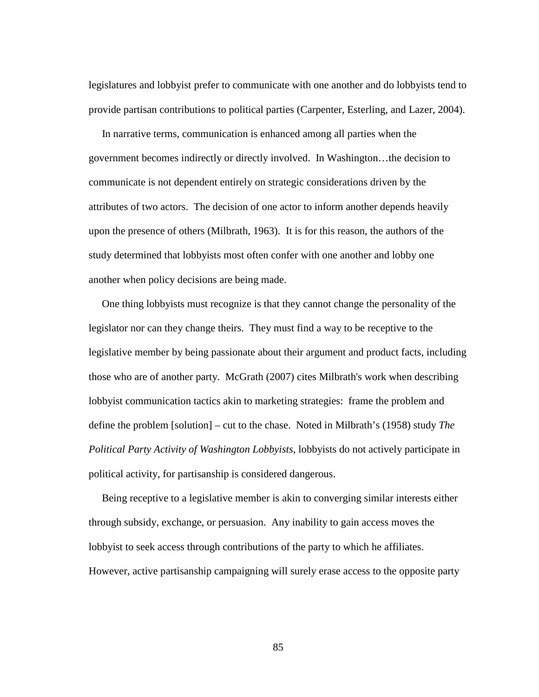legislatures and lobbyist prefer to communicate with one another and do lobbyists tend to provide partisan contributions to political parties (Carpenter, Esterling, and Lazer, 2004).

 In narrative terms, communication is enhanced among all parties when the government becomes indirectly or directly involved. In Washington…the decision to communicate is not dependent entirely on strategic considerations driven by the attributes of two actors. The decision of one actor to inform another depends heavily upon the presence of others (Milbrath, 1963). It is for this reason, the authors of the study determined that lobbyists most often confer with one another and lobby one another when policy decisions are being made.

 One thing lobbyists must recognize is that they cannot change the personality of the legislator nor can they change theirs. They must find a way to be receptive to the legislative member by being passionate about their argument and product facts, including those who are of another party. McGrath (2007) cites Milbrath's work when describing lobbyist communication tactics akin to marketing strategies: frame the problem and define the problem [solution] – cut to the chase. Noted in Milbrath's (1958) study *The Political Party Activity of Washington Lobbyists*, lobbyists do not actively participate in political activity, for partisanship is considered dangerous.

 Being receptive to a legislative member is akin to converging similar interests either through subsidy, exchange, or persuasion. Any inability to gain access moves the lobbyist to seek access through contributions of the party to which he affiliates. However, active partisanship campaigning will surely erase access to the opposite party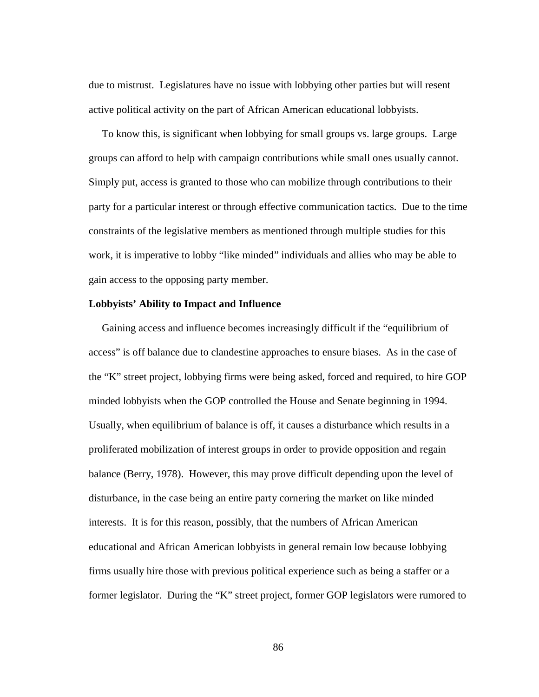due to mistrust. Legislatures have no issue with lobbying other parties but will resent active political activity on the part of African American educational lobbyists.

 To know this, is significant when lobbying for small groups vs. large groups. Large groups can afford to help with campaign contributions while small ones usually cannot. Simply put, access is granted to those who can mobilize through contributions to their party for a particular interest or through effective communication tactics. Due to the time constraints of the legislative members as mentioned through multiple studies for this work, it is imperative to lobby "like minded" individuals and allies who may be able to gain access to the opposing party member.

## **Lobbyists' Ability to Impact and Influence**

 Gaining access and influence becomes increasingly difficult if the "equilibrium of access" is off balance due to clandestine approaches to ensure biases. As in the case of the "K" street project, lobbying firms were being asked, forced and required, to hire GOP minded lobbyists when the GOP controlled the House and Senate beginning in 1994. Usually, when equilibrium of balance is off, it causes a disturbance which results in a proliferated mobilization of interest groups in order to provide opposition and regain balance (Berry, 1978). However, this may prove difficult depending upon the level of disturbance, in the case being an entire party cornering the market on like minded interests. It is for this reason, possibly, that the numbers of African American educational and African American lobbyists in general remain low because lobbying firms usually hire those with previous political experience such as being a staffer or a former legislator. During the "K" street project, former GOP legislators were rumored to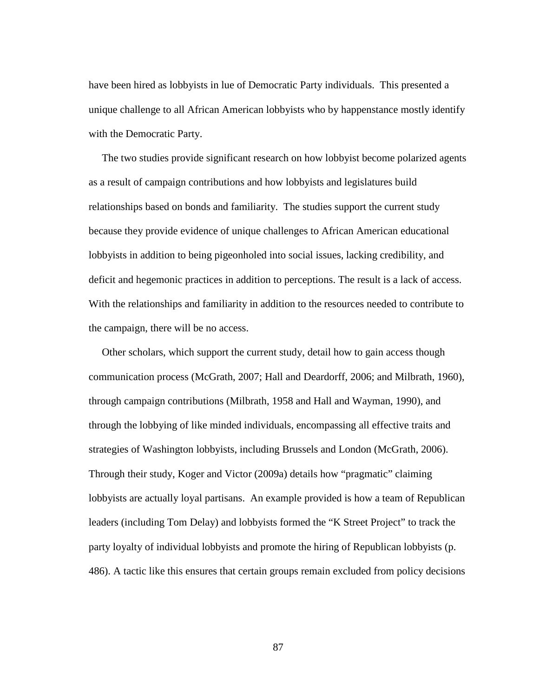have been hired as lobbyists in lue of Democratic Party individuals. This presented a unique challenge to all African American lobbyists who by happenstance mostly identify with the Democratic Party.

 The two studies provide significant research on how lobbyist become polarized agents as a result of campaign contributions and how lobbyists and legislatures build relationships based on bonds and familiarity. The studies support the current study because they provide evidence of unique challenges to African American educational lobbyists in addition to being pigeonholed into social issues, lacking credibility, and deficit and hegemonic practices in addition to perceptions. The result is a lack of access. With the relationships and familiarity in addition to the resources needed to contribute to the campaign, there will be no access.

 Other scholars, which support the current study, detail how to gain access though communication process (McGrath, 2007; Hall and Deardorff, 2006; and Milbrath, 1960), through campaign contributions (Milbrath, 1958 and Hall and Wayman, 1990), and through the lobbying of like minded individuals, encompassing all effective traits and strategies of Washington lobbyists, including Brussels and London (McGrath, 2006). Through their study, Koger and Victor (2009a) details how "pragmatic" claiming lobbyists are actually loyal partisans. An example provided is how a team of Republican leaders (including Tom Delay) and lobbyists formed the "K Street Project" to track the party loyalty of individual lobbyists and promote the hiring of Republican lobbyists (p. 486). A tactic like this ensures that certain groups remain excluded from policy decisions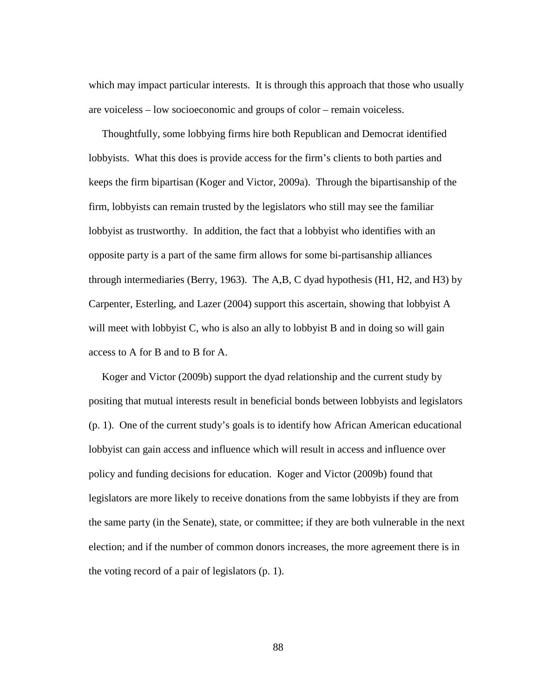which may impact particular interests. It is through this approach that those who usually are voiceless – low socioeconomic and groups of color – remain voiceless.

 Thoughtfully, some lobbying firms hire both Republican and Democrat identified lobbyists. What this does is provide access for the firm's clients to both parties and keeps the firm bipartisan (Koger and Victor, 2009a). Through the bipartisanship of the firm, lobbyists can remain trusted by the legislators who still may see the familiar lobbyist as trustworthy. In addition, the fact that a lobbyist who identifies with an opposite party is a part of the same firm allows for some bi-partisanship alliances through intermediaries (Berry, 1963). The A,B, C dyad hypothesis (H1, H2, and H3) by Carpenter, Esterling, and Lazer (2004) support this ascertain, showing that lobbyist A will meet with lobbyist C, who is also an ally to lobbyist B and in doing so will gain access to A for B and to B for A.

 Koger and Victor (2009b) support the dyad relationship and the current study by positing that mutual interests result in beneficial bonds between lobbyists and legislators (p. 1). One of the current study's goals is to identify how African American educational lobbyist can gain access and influence which will result in access and influence over policy and funding decisions for education. Koger and Victor (2009b) found that legislators are more likely to receive donations from the same lobbyists if they are from the same party (in the Senate), state, or committee; if they are both vulnerable in the next election; and if the number of common donors increases, the more agreement there is in the voting record of a pair of legislators (p. 1).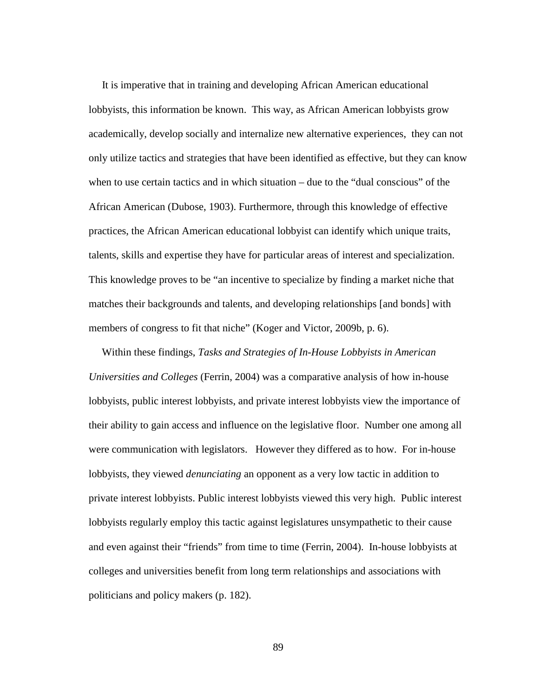It is imperative that in training and developing African American educational lobbyists, this information be known. This way, as African American lobbyists grow academically, develop socially and internalize new alternative experiences, they can not only utilize tactics and strategies that have been identified as effective, but they can know when to use certain tactics and in which situation – due to the "dual conscious" of the African American (Dubose, 1903). Furthermore, through this knowledge of effective practices, the African American educational lobbyist can identify which unique traits, talents, skills and expertise they have for particular areas of interest and specialization. This knowledge proves to be "an incentive to specialize by finding a market niche that matches their backgrounds and talents, and developing relationships [and bonds] with members of congress to fit that niche" (Koger and Victor, 2009b, p. 6).

 Within these findings, *Tasks and Strategies of In-House Lobbyists in American Universities and Colleges* (Ferrin, 2004) was a comparative analysis of how in-house lobbyists, public interest lobbyists, and private interest lobbyists view the importance of their ability to gain access and influence on the legislative floor. Number one among all were communication with legislators. However they differed as to how. For in-house lobbyists, they viewed *denunciating* an opponent as a very low tactic in addition to private interest lobbyists. Public interest lobbyists viewed this very high. Public interest lobbyists regularly employ this tactic against legislatures unsympathetic to their cause and even against their "friends" from time to time (Ferrin, 2004). In-house lobbyists at colleges and universities benefit from long term relationships and associations with politicians and policy makers (p. 182).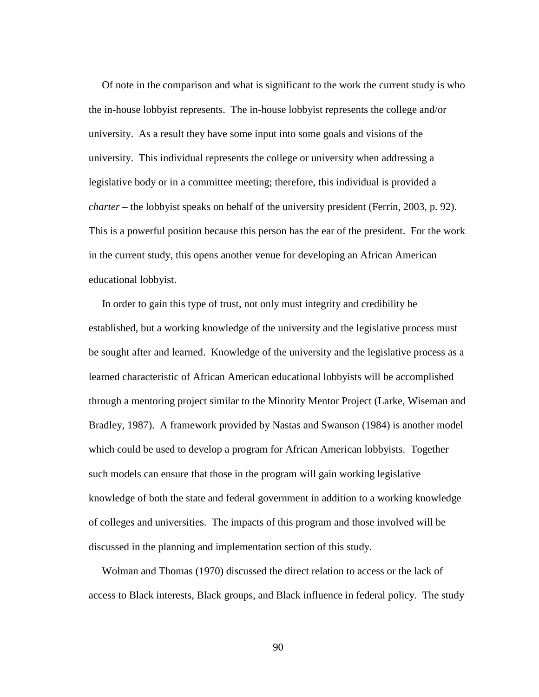Of note in the comparison and what is significant to the work the current study is who the in-house lobbyist represents. The in-house lobbyist represents the college and/or university. As a result they have some input into some goals and visions of the university. This individual represents the college or university when addressing a legislative body or in a committee meeting; therefore, this individual is provided a *charter* – the lobbyist speaks on behalf of the university president (Ferrin, 2003, p. 92). This is a powerful position because this person has the ear of the president. For the work in the current study, this opens another venue for developing an African American educational lobbyist.

 In order to gain this type of trust, not only must integrity and credibility be established, but a working knowledge of the university and the legislative process must be sought after and learned. Knowledge of the university and the legislative process as a learned characteristic of African American educational lobbyists will be accomplished through a mentoring project similar to the Minority Mentor Project (Larke, Wiseman and Bradley, 1987). A framework provided by Nastas and Swanson (1984) is another model which could be used to develop a program for African American lobbyists. Together such models can ensure that those in the program will gain working legislative knowledge of both the state and federal government in addition to a working knowledge of colleges and universities. The impacts of this program and those involved will be discussed in the planning and implementation section of this study.

 Wolman and Thomas (1970) discussed the direct relation to access or the lack of access to Black interests, Black groups, and Black influence in federal policy. The study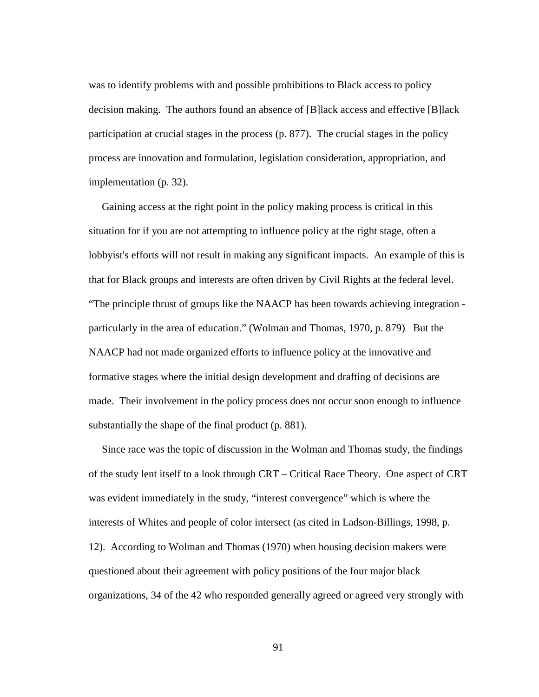was to identify problems with and possible prohibitions to Black access to policy decision making. The authors found an absence of [B]lack access and effective [B]lack participation at crucial stages in the process (p. 877). The crucial stages in the policy process are innovation and formulation, legislation consideration, appropriation, and implementation (p. 32).

 Gaining access at the right point in the policy making process is critical in this situation for if you are not attempting to influence policy at the right stage, often a lobbyist's efforts will not result in making any significant impacts. An example of this is that for Black groups and interests are often driven by Civil Rights at the federal level. "The principle thrust of groups like the NAACP has been towards achieving integration particularly in the area of education." (Wolman and Thomas, 1970, p. 879) But the NAACP had not made organized efforts to influence policy at the innovative and formative stages where the initial design development and drafting of decisions are made. Their involvement in the policy process does not occur soon enough to influence substantially the shape of the final product (p. 881).

 Since race was the topic of discussion in the Wolman and Thomas study, the findings of the study lent itself to a look through CRT – Critical Race Theory. One aspect of CRT was evident immediately in the study, "interest convergence" which is where the interests of Whites and people of color intersect (as cited in Ladson-Billings, 1998, p. 12). According to Wolman and Thomas (1970) when housing decision makers were questioned about their agreement with policy positions of the four major black organizations, 34 of the 42 who responded generally agreed or agreed very strongly with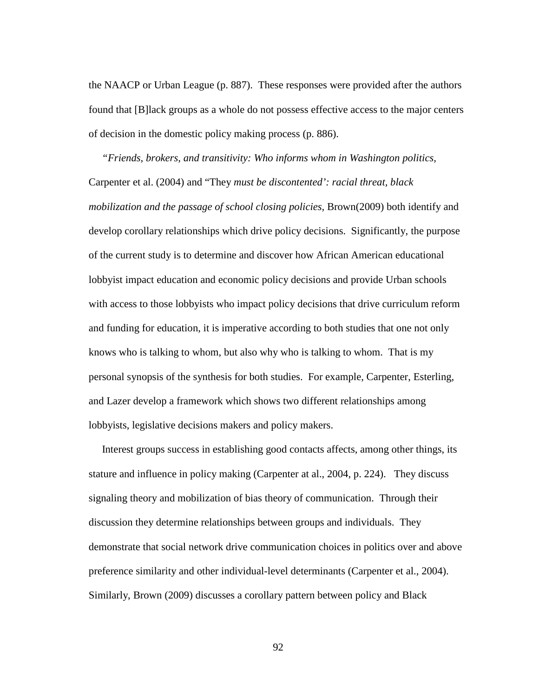the NAACP or Urban League (p. 887). These responses were provided after the authors found that [B]lack groups as a whole do not possess effective access to the major centers of decision in the domestic policy making process (p. 886).

 *"Friends, brokers, and transitivity: Who informs whom in Washington politics,*  Carpenter et al. (2004) and "They *must be discontented': racial threat, black mobilization and the passage of school closing policies,* Brown(2009) both identify and develop corollary relationships which drive policy decisions. Significantly, the purpose of the current study is to determine and discover how African American educational lobbyist impact education and economic policy decisions and provide Urban schools with access to those lobbyists who impact policy decisions that drive curriculum reform and funding for education, it is imperative according to both studies that one not only knows who is talking to whom, but also why who is talking to whom. That is my personal synopsis of the synthesis for both studies. For example, Carpenter, Esterling, and Lazer develop a framework which shows two different relationships among lobbyists, legislative decisions makers and policy makers.

 Interest groups success in establishing good contacts affects, among other things, its stature and influence in policy making (Carpenter at al., 2004, p. 224). They discuss signaling theory and mobilization of bias theory of communication. Through their discussion they determine relationships between groups and individuals. They demonstrate that social network drive communication choices in politics over and above preference similarity and other individual-level determinants (Carpenter et al., 2004). Similarly, Brown (2009) discusses a corollary pattern between policy and Black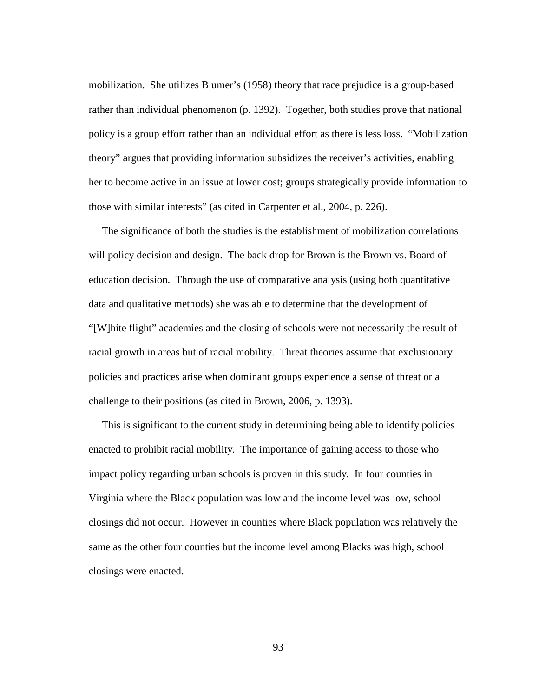mobilization. She utilizes Blumer's (1958) theory that race prejudice is a group-based rather than individual phenomenon (p. 1392). Together, both studies prove that national policy is a group effort rather than an individual effort as there is less loss. "Mobilization theory" argues that providing information subsidizes the receiver's activities, enabling her to become active in an issue at lower cost; groups strategically provide information to those with similar interests" (as cited in Carpenter et al., 2004, p. 226).

 The significance of both the studies is the establishment of mobilization correlations will policy decision and design. The back drop for Brown is the Brown vs. Board of education decision. Through the use of comparative analysis (using both quantitative data and qualitative methods) she was able to determine that the development of "[W]hite flight" academies and the closing of schools were not necessarily the result of racial growth in areas but of racial mobility. Threat theories assume that exclusionary policies and practices arise when dominant groups experience a sense of threat or a challenge to their positions (as cited in Brown, 2006, p. 1393).

 This is significant to the current study in determining being able to identify policies enacted to prohibit racial mobility. The importance of gaining access to those who impact policy regarding urban schools is proven in this study. In four counties in Virginia where the Black population was low and the income level was low, school closings did not occur. However in counties where Black population was relatively the same as the other four counties but the income level among Blacks was high, school closings were enacted.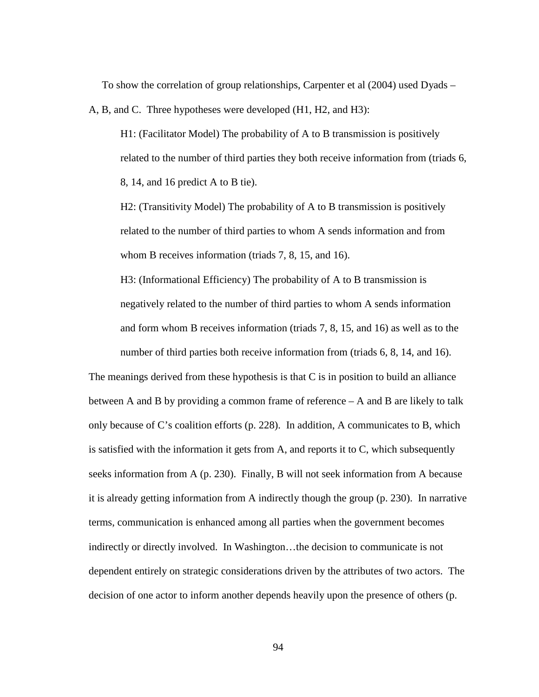To show the correlation of group relationships, Carpenter et al (2004) used Dyads –

A, B, and C. Three hypotheses were developed (H1, H2, and H3):

H1: (Facilitator Model) The probability of A to B transmission is positively related to the number of third parties they both receive information from (triads 6, 8, 14, and 16 predict A to B tie).

H2: (Transitivity Model) The probability of A to B transmission is positively related to the number of third parties to whom A sends information and from whom B receives information (triads 7, 8, 15, and 16).

H3: (Informational Efficiency) The probability of A to B transmission is negatively related to the number of third parties to whom A sends information and form whom B receives information (triads 7, 8, 15, and 16) as well as to the number of third parties both receive information from (triads 6, 8, 14, and 16).

The meanings derived from these hypothesis is that C is in position to build an alliance between A and B by providing a common frame of reference – A and B are likely to talk only because of C's coalition efforts (p. 228). In addition, A communicates to B, which is satisfied with the information it gets from A, and reports it to C, which subsequently seeks information from A (p. 230). Finally, B will not seek information from A because it is already getting information from A indirectly though the group (p. 230). In narrative terms, communication is enhanced among all parties when the government becomes indirectly or directly involved. In Washington…the decision to communicate is not dependent entirely on strategic considerations driven by the attributes of two actors. The decision of one actor to inform another depends heavily upon the presence of others (p.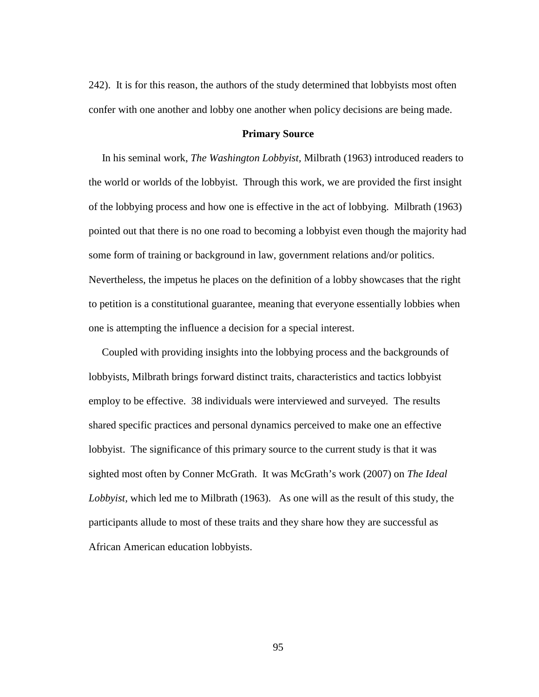242). It is for this reason, the authors of the study determined that lobbyists most often confer with one another and lobby one another when policy decisions are being made.

### **Primary Source**

 In his seminal work, *The Washington Lobbyist,* Milbrath (1963) introduced readers to the world or worlds of the lobbyist. Through this work, we are provided the first insight of the lobbying process and how one is effective in the act of lobbying. Milbrath (1963) pointed out that there is no one road to becoming a lobbyist even though the majority had some form of training or background in law, government relations and/or politics. Nevertheless, the impetus he places on the definition of a lobby showcases that the right to petition is a constitutional guarantee, meaning that everyone essentially lobbies when one is attempting the influence a decision for a special interest.

 Coupled with providing insights into the lobbying process and the backgrounds of lobbyists, Milbrath brings forward distinct traits, characteristics and tactics lobbyist employ to be effective. 38 individuals were interviewed and surveyed. The results shared specific practices and personal dynamics perceived to make one an effective lobbyist. The significance of this primary source to the current study is that it was sighted most often by Conner McGrath. It was McGrath's work (2007) on *The Ideal Lobbyist,* which led me to Milbrath (1963). As one will as the result of this study, the participants allude to most of these traits and they share how they are successful as African American education lobbyists.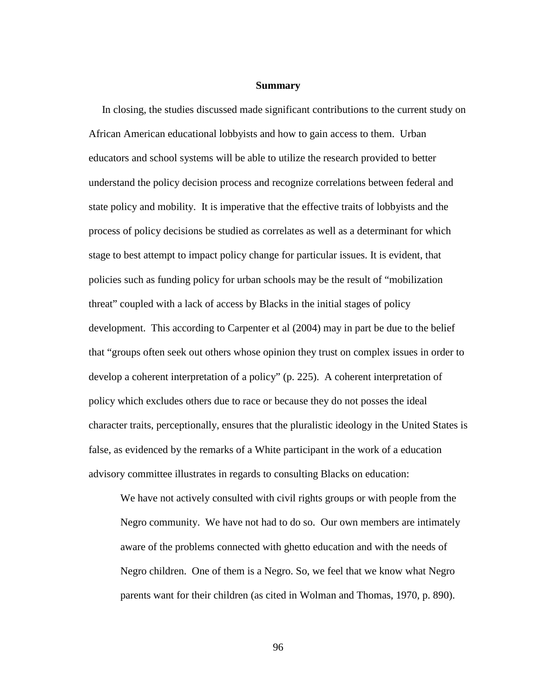#### **Summary**

 In closing, the studies discussed made significant contributions to the current study on African American educational lobbyists and how to gain access to them. Urban educators and school systems will be able to utilize the research provided to better understand the policy decision process and recognize correlations between federal and state policy and mobility. It is imperative that the effective traits of lobbyists and the process of policy decisions be studied as correlates as well as a determinant for which stage to best attempt to impact policy change for particular issues. It is evident, that policies such as funding policy for urban schools may be the result of "mobilization threat" coupled with a lack of access by Blacks in the initial stages of policy development. This according to Carpenter et al (2004) may in part be due to the belief that "groups often seek out others whose opinion they trust on complex issues in order to develop a coherent interpretation of a policy" (p. 225). A coherent interpretation of policy which excludes others due to race or because they do not posses the ideal character traits, perceptionally, ensures that the pluralistic ideology in the United States is false, as evidenced by the remarks of a White participant in the work of a education advisory committee illustrates in regards to consulting Blacks on education:

We have not actively consulted with civil rights groups or with people from the Negro community. We have not had to do so. Our own members are intimately aware of the problems connected with ghetto education and with the needs of Negro children. One of them is a Negro. So, we feel that we know what Negro parents want for their children (as cited in Wolman and Thomas, 1970, p. 890).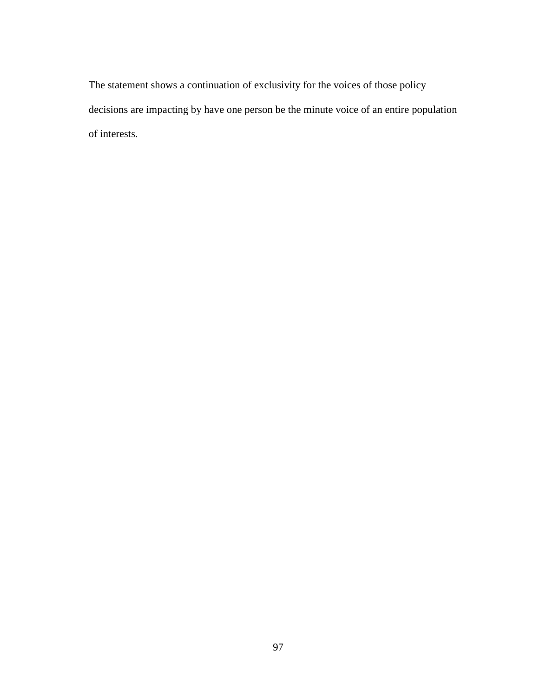The statement shows a continuation of exclusivity for the voices of those policy decisions are impacting by have one person be the minute voice of an entire population of interests.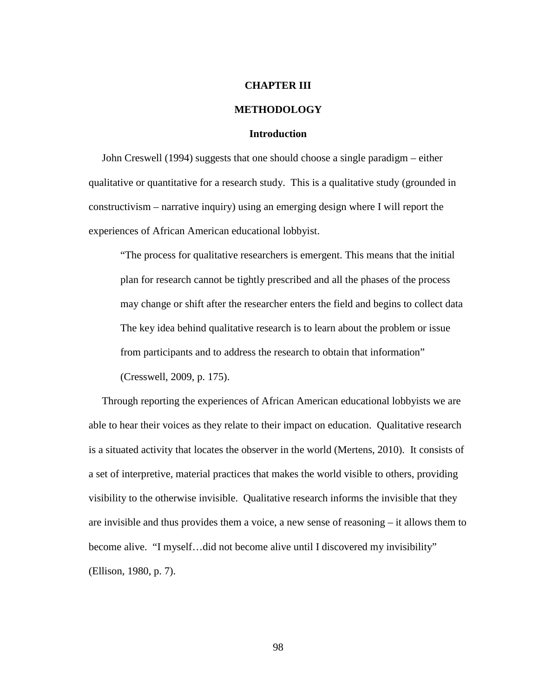### **CHAPTER III**

### **METHODOLOGY**

## **Introduction**

 John Creswell (1994) suggests that one should choose a single paradigm – either qualitative or quantitative for a research study. This is a qualitative study (grounded in constructivism – narrative inquiry) using an emerging design where I will report the experiences of African American educational lobbyist.

"The process for qualitative researchers is emergent. This means that the initial plan for research cannot be tightly prescribed and all the phases of the process may change or shift after the researcher enters the field and begins to collect data The key idea behind qualitative research is to learn about the problem or issue from participants and to address the research to obtain that information"

(Cresswell, 2009, p. 175).

 Through reporting the experiences of African American educational lobbyists we are able to hear their voices as they relate to their impact on education. Qualitative research is a situated activity that locates the observer in the world (Mertens, 2010). It consists of a set of interpretive, material practices that makes the world visible to others, providing visibility to the otherwise invisible. Qualitative research informs the invisible that they are invisible and thus provides them a voice, a new sense of reasoning – it allows them to become alive. "I myself…did not become alive until I discovered my invisibility" (Ellison, 1980, p. 7).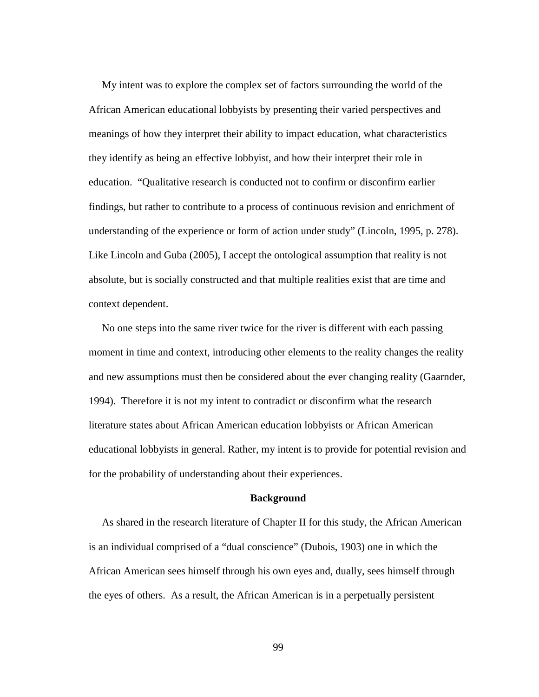My intent was to explore the complex set of factors surrounding the world of the African American educational lobbyists by presenting their varied perspectives and meanings of how they interpret their ability to impact education, what characteristics they identify as being an effective lobbyist, and how their interpret their role in education. "Qualitative research is conducted not to confirm or disconfirm earlier findings, but rather to contribute to a process of continuous revision and enrichment of understanding of the experience or form of action under study" (Lincoln, 1995, p. 278). Like Lincoln and Guba (2005), I accept the ontological assumption that reality is not absolute, but is socially constructed and that multiple realities exist that are time and context dependent.

 No one steps into the same river twice for the river is different with each passing moment in time and context, introducing other elements to the reality changes the reality and new assumptions must then be considered about the ever changing reality (Gaarnder, 1994). Therefore it is not my intent to contradict or disconfirm what the research literature states about African American education lobbyists or African American educational lobbyists in general. Rather, my intent is to provide for potential revision and for the probability of understanding about their experiences.

# **Background**

As shared in the research literature of Chapter II for this study, the African American is an individual comprised of a "dual conscience" (Dubois, 1903) one in which the African American sees himself through his own eyes and, dually, sees himself through the eyes of others. As a result, the African American is in a perpetually persistent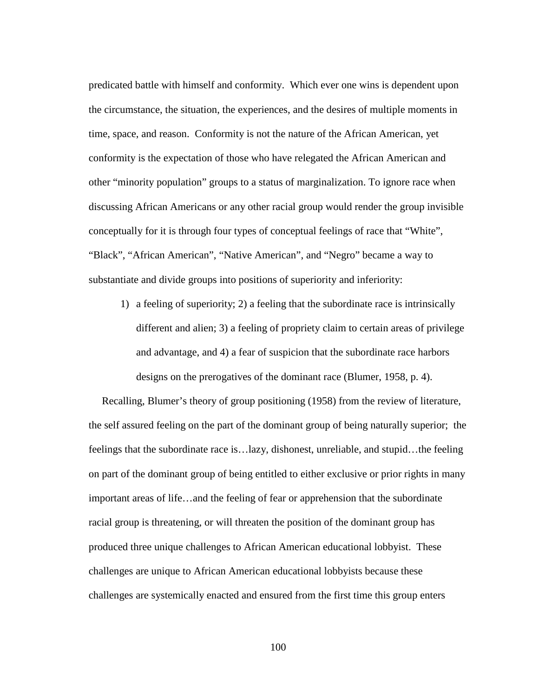predicated battle with himself and conformity. Which ever one wins is dependent upon the circumstance, the situation, the experiences, and the desires of multiple moments in time, space, and reason. Conformity is not the nature of the African American, yet conformity is the expectation of those who have relegated the African American and other "minority population" groups to a status of marginalization. To ignore race when discussing African Americans or any other racial group would render the group invisible conceptually for it is through four types of conceptual feelings of race that "White", "Black", "African American", "Native American", and "Negro" became a way to substantiate and divide groups into positions of superiority and inferiority:

1) a feeling of superiority; 2) a feeling that the subordinate race is intrinsically different and alien; 3) a feeling of propriety claim to certain areas of privilege and advantage, and 4) a fear of suspicion that the subordinate race harbors designs on the prerogatives of the dominant race (Blumer, 1958, p. 4).

 Recalling, Blumer's theory of group positioning (1958) from the review of literature, the self assured feeling on the part of the dominant group of being naturally superior; the feelings that the subordinate race is…lazy, dishonest, unreliable, and stupid…the feeling on part of the dominant group of being entitled to either exclusive or prior rights in many important areas of life…and the feeling of fear or apprehension that the subordinate racial group is threatening, or will threaten the position of the dominant group has produced three unique challenges to African American educational lobbyist. These challenges are unique to African American educational lobbyists because these challenges are systemically enacted and ensured from the first time this group enters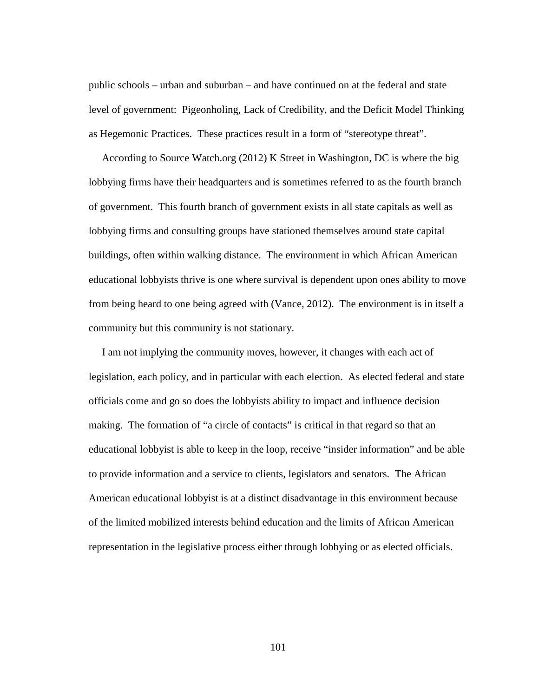public schools – urban and suburban – and have continued on at the federal and state level of government: Pigeonholing, Lack of Credibility, and the Deficit Model Thinking as Hegemonic Practices. These practices result in a form of "stereotype threat".

 According to Source Watch.org (2012) K Street in Washington, DC is where the big lobbying firms have their headquarters and is sometimes referred to as the fourth branch of government. This fourth branch of government exists in all state capitals as well as lobbying firms and consulting groups have stationed themselves around state capital buildings, often within walking distance. The environment in which African American educational lobbyists thrive is one where survival is dependent upon ones ability to move from being heard to one being agreed with (Vance, 2012). The environment is in itself a community but this community is not stationary.

 I am not implying the community moves, however, it changes with each act of legislation, each policy, and in particular with each election. As elected federal and state officials come and go so does the lobbyists ability to impact and influence decision making. The formation of "a circle of contacts" is critical in that regard so that an educational lobbyist is able to keep in the loop, receive "insider information" and be able to provide information and a service to clients, legislators and senators. The African American educational lobbyist is at a distinct disadvantage in this environment because of the limited mobilized interests behind education and the limits of African American representation in the legislative process either through lobbying or as elected officials.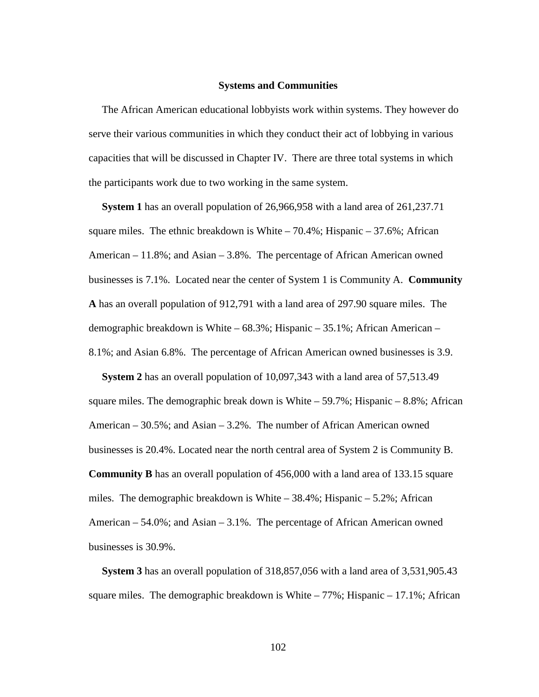#### **Systems and Communities**

 The African American educational lobbyists work within systems. They however do serve their various communities in which they conduct their act of lobbying in various capacities that will be discussed in Chapter IV. There are three total systems in which the participants work due to two working in the same system.

 **System 1** has an overall population of 26,966,958 with a land area of 261,237.71 square miles. The ethnic breakdown is White  $-70.4\%$ ; Hispanic  $-37.6\%$ ; African American  $-11.8\%$ ; and Asian  $-3.8\%$ . The percentage of African American owned businesses is 7.1%. Located near the center of System 1 is Community A. **Community A** has an overall population of 912,791 with a land area of 297.90 square miles. The demographic breakdown is White – 68.3%; Hispanic – 35.1%; African American – 8.1%; and Asian 6.8%. The percentage of African American owned businesses is 3.9.

 **System 2** has an overall population of 10,097,343 with a land area of 57,513.49 square miles. The demographic break down is White  $-59.7\%$ ; Hispanic  $-8.8\%$ ; African American – 30.5%; and Asian – 3.2%. The number of African American owned businesses is 20.4%. Located near the north central area of System 2 is Community B. **Community B** has an overall population of 456,000 with a land area of 133.15 square miles. The demographic breakdown is White  $-38.4\%$ ; Hispanic  $-5.2\%$ ; African American – 54.0%; and Asian – 3.1%. The percentage of African American owned businesses is 30.9%.

 **System 3** has an overall population of 318,857,056 with a land area of 3,531,905.43 square miles. The demographic breakdown is White  $-77\%$ ; Hispanic  $-17.1\%$ ; African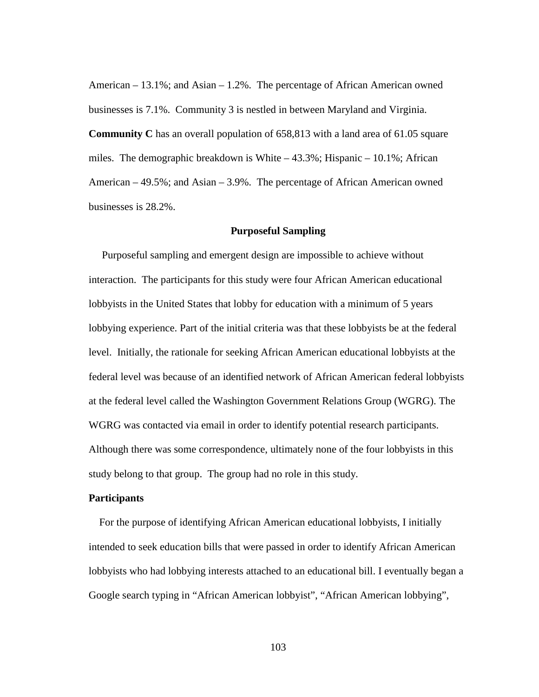American – 13.1%; and Asian – 1.2%. The percentage of African American owned businesses is 7.1%. Community 3 is nestled in between Maryland and Virginia. **Community C** has an overall population of 658,813 with a land area of 61.05 square miles. The demographic breakdown is White  $-43.3\%$ ; Hispanic  $-10.1\%$ ; African American – 49.5%; and Asian – 3.9%. The percentage of African American owned businesses is 28.2%.

### **Purposeful Sampling**

 Purposeful sampling and emergent design are impossible to achieve without interaction. The participants for this study were four African American educational lobbyists in the United States that lobby for education with a minimum of 5 years lobbying experience. Part of the initial criteria was that these lobbyists be at the federal level. Initially, the rationale for seeking African American educational lobbyists at the federal level was because of an identified network of African American federal lobbyists at the federal level called the Washington Government Relations Group (WGRG). The WGRG was contacted via email in order to identify potential research participants. Although there was some correspondence, ultimately none of the four lobbyists in this study belong to that group. The group had no role in this study.

# **Participants**

 For the purpose of identifying African American educational lobbyists, I initially intended to seek education bills that were passed in order to identify African American lobbyists who had lobbying interests attached to an educational bill. I eventually began a Google search typing in "African American lobbyist", "African American lobbying",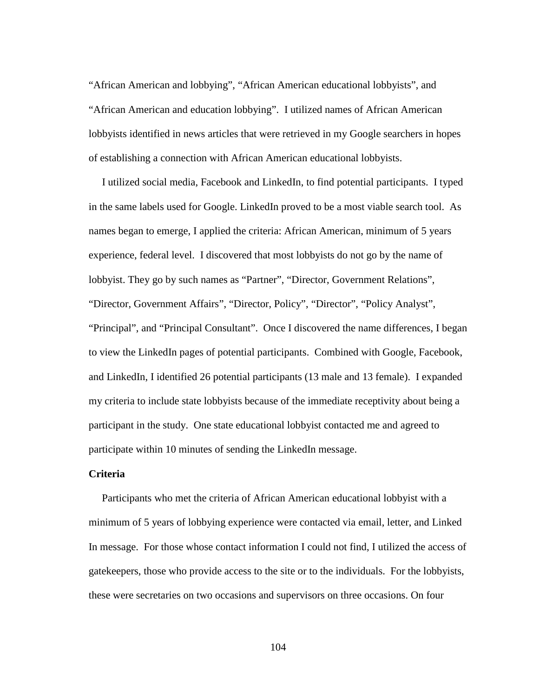"African American and lobbying", "African American educational lobbyists", and "African American and education lobbying". I utilized names of African American lobbyists identified in news articles that were retrieved in my Google searchers in hopes of establishing a connection with African American educational lobbyists.

 I utilized social media, Facebook and LinkedIn, to find potential participants. I typed in the same labels used for Google. LinkedIn proved to be a most viable search tool. As names began to emerge, I applied the criteria: African American, minimum of 5 years experience, federal level. I discovered that most lobbyists do not go by the name of lobbyist. They go by such names as "Partner", "Director, Government Relations", "Director, Government Affairs", "Director, Policy", "Director", "Policy Analyst", "Principal", and "Principal Consultant". Once I discovered the name differences, I began to view the LinkedIn pages of potential participants. Combined with Google, Facebook, and LinkedIn, I identified 26 potential participants (13 male and 13 female). I expanded my criteria to include state lobbyists because of the immediate receptivity about being a participant in the study. One state educational lobbyist contacted me and agreed to participate within 10 minutes of sending the LinkedIn message.

# **Criteria**

 Participants who met the criteria of African American educational lobbyist with a minimum of 5 years of lobbying experience were contacted via email, letter, and Linked In message. For those whose contact information I could not find, I utilized the access of gatekeepers, those who provide access to the site or to the individuals. For the lobbyists, these were secretaries on two occasions and supervisors on three occasions. On four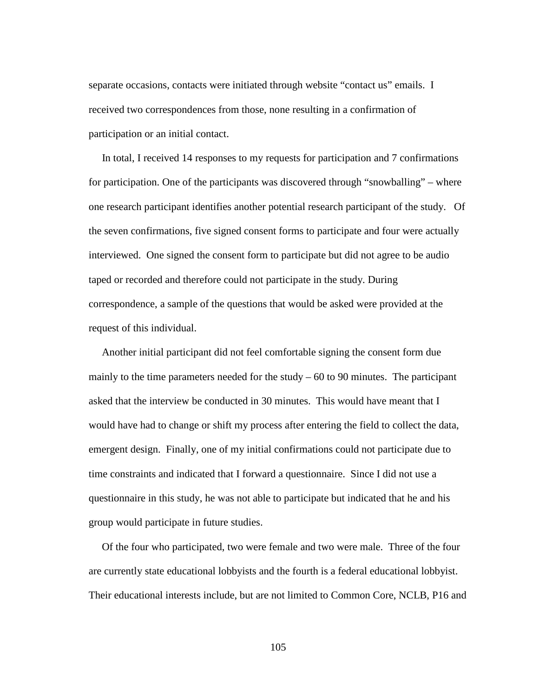separate occasions, contacts were initiated through website "contact us" emails. I received two correspondences from those, none resulting in a confirmation of participation or an initial contact.

 In total, I received 14 responses to my requests for participation and 7 confirmations for participation. One of the participants was discovered through "snowballing" – where one research participant identifies another potential research participant of the study. Of the seven confirmations, five signed consent forms to participate and four were actually interviewed. One signed the consent form to participate but did not agree to be audio taped or recorded and therefore could not participate in the study. During correspondence, a sample of the questions that would be asked were provided at the request of this individual.

 Another initial participant did not feel comfortable signing the consent form due mainly to the time parameters needed for the study  $-60$  to 90 minutes. The participant asked that the interview be conducted in 30 minutes. This would have meant that I would have had to change or shift my process after entering the field to collect the data, emergent design. Finally, one of my initial confirmations could not participate due to time constraints and indicated that I forward a questionnaire. Since I did not use a questionnaire in this study, he was not able to participate but indicated that he and his group would participate in future studies.

 Of the four who participated, two were female and two were male. Three of the four are currently state educational lobbyists and the fourth is a federal educational lobbyist. Their educational interests include, but are not limited to Common Core, NCLB, P16 and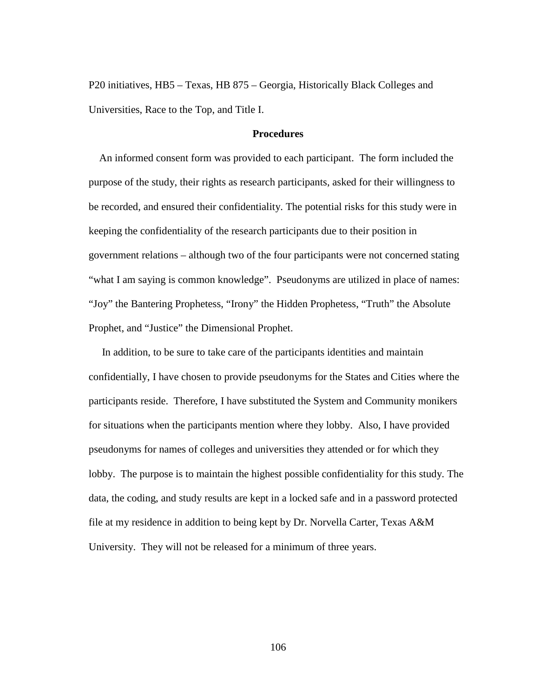P20 initiatives, HB5 – Texas, HB 875 – Georgia, Historically Black Colleges and Universities, Race to the Top, and Title I.

# **Procedures**

 An informed consent form was provided to each participant. The form included the purpose of the study, their rights as research participants, asked for their willingness to be recorded, and ensured their confidentiality. The potential risks for this study were in keeping the confidentiality of the research participants due to their position in government relations – although two of the four participants were not concerned stating "what I am saying is common knowledge". Pseudonyms are utilized in place of names: "Joy" the Bantering Prophetess, "Irony" the Hidden Prophetess, "Truth" the Absolute Prophet, and "Justice" the Dimensional Prophet.

 In addition, to be sure to take care of the participants identities and maintain confidentially, I have chosen to provide pseudonyms for the States and Cities where the participants reside. Therefore, I have substituted the System and Community monikers for situations when the participants mention where they lobby. Also, I have provided pseudonyms for names of colleges and universities they attended or for which they lobby. The purpose is to maintain the highest possible confidentiality for this study. The data, the coding, and study results are kept in a locked safe and in a password protected file at my residence in addition to being kept by Dr. Norvella Carter, Texas A&M University. They will not be released for a minimum of three years.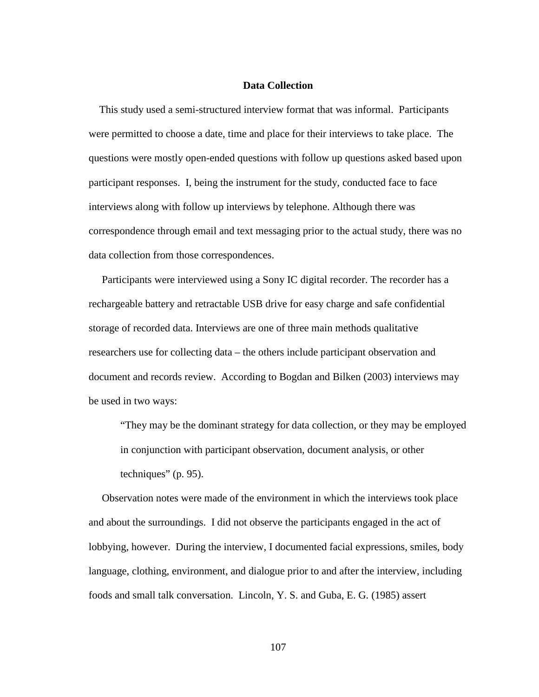### **Data Collection**

 This study used a semi-structured interview format that was informal. Participants were permitted to choose a date, time and place for their interviews to take place. The questions were mostly open-ended questions with follow up questions asked based upon participant responses. I, being the instrument for the study, conducted face to face interviews along with follow up interviews by telephone. Although there was correspondence through email and text messaging prior to the actual study, there was no data collection from those correspondences.

 Participants were interviewed using a Sony IC digital recorder. The recorder has a rechargeable battery and retractable USB drive for easy charge and safe confidential storage of recorded data. Interviews are one of three main methods qualitative researchers use for collecting data – the others include participant observation and document and records review. According to Bogdan and Bilken (2003) interviews may be used in two ways:

"They may be the dominant strategy for data collection, or they may be employed in conjunction with participant observation, document analysis, or other techniques" (p. 95).

 Observation notes were made of the environment in which the interviews took place and about the surroundings. I did not observe the participants engaged in the act of lobbying, however. During the interview, I documented facial expressions, smiles, body language, clothing, environment, and dialogue prior to and after the interview, including foods and small talk conversation. Lincoln, Y. S. and Guba, E. G. (1985) assert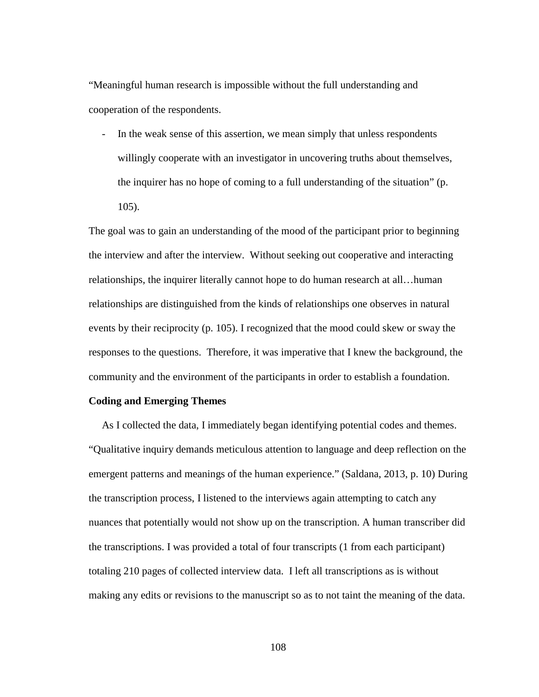"Meaningful human research is impossible without the full understanding and cooperation of the respondents.

In the weak sense of this assertion, we mean simply that unless respondents willingly cooperate with an investigator in uncovering truths about themselves, the inquirer has no hope of coming to a full understanding of the situation" (p. 105).

The goal was to gain an understanding of the mood of the participant prior to beginning the interview and after the interview. Without seeking out cooperative and interacting relationships, the inquirer literally cannot hope to do human research at all…human relationships are distinguished from the kinds of relationships one observes in natural events by their reciprocity (p. 105). I recognized that the mood could skew or sway the responses to the questions. Therefore, it was imperative that I knew the background, the community and the environment of the participants in order to establish a foundation.

# **Coding and Emerging Themes**

 As I collected the data, I immediately began identifying potential codes and themes. "Qualitative inquiry demands meticulous attention to language and deep reflection on the emergent patterns and meanings of the human experience." (Saldana, 2013, p. 10) During the transcription process, I listened to the interviews again attempting to catch any nuances that potentially would not show up on the transcription. A human transcriber did the transcriptions. I was provided a total of four transcripts (1 from each participant) totaling 210 pages of collected interview data. I left all transcriptions as is without making any edits or revisions to the manuscript so as to not taint the meaning of the data.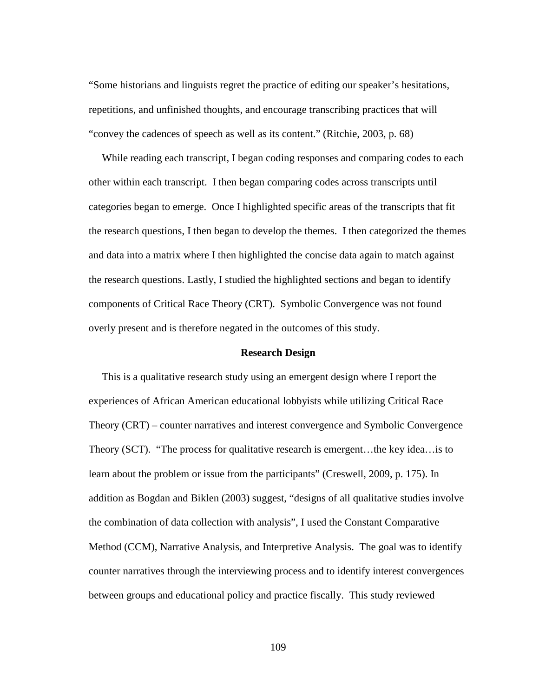"Some historians and linguists regret the practice of editing our speaker's hesitations, repetitions, and unfinished thoughts, and encourage transcribing practices that will "convey the cadences of speech as well as its content." (Ritchie, 2003, p. 68)

 While reading each transcript, I began coding responses and comparing codes to each other within each transcript. I then began comparing codes across transcripts until categories began to emerge. Once I highlighted specific areas of the transcripts that fit the research questions, I then began to develop the themes. I then categorized the themes and data into a matrix where I then highlighted the concise data again to match against the research questions. Lastly, I studied the highlighted sections and began to identify components of Critical Race Theory (CRT). Symbolic Convergence was not found overly present and is therefore negated in the outcomes of this study.

#### **Research Design**

 This is a qualitative research study using an emergent design where I report the experiences of African American educational lobbyists while utilizing Critical Race Theory (CRT) – counter narratives and interest convergence and Symbolic Convergence Theory (SCT). "The process for qualitative research is emergent…the key idea…is to learn about the problem or issue from the participants" (Creswell, 2009, p. 175). In addition as Bogdan and Biklen (2003) suggest, "designs of all qualitative studies involve the combination of data collection with analysis", I used the Constant Comparative Method (CCM), Narrative Analysis, and Interpretive Analysis. The goal was to identify counter narratives through the interviewing process and to identify interest convergences between groups and educational policy and practice fiscally. This study reviewed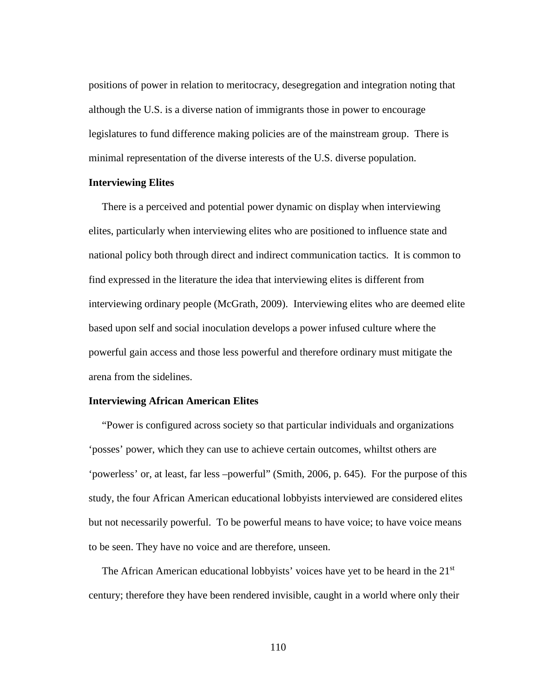positions of power in relation to meritocracy, desegregation and integration noting that although the U.S. is a diverse nation of immigrants those in power to encourage legislatures to fund difference making policies are of the mainstream group. There is minimal representation of the diverse interests of the U.S. diverse population.

### **Interviewing Elites**

 There is a perceived and potential power dynamic on display when interviewing elites, particularly when interviewing elites who are positioned to influence state and national policy both through direct and indirect communication tactics. It is common to find expressed in the literature the idea that interviewing elites is different from interviewing ordinary people (McGrath, 2009). Interviewing elites who are deemed elite based upon self and social inoculation develops a power infused culture where the powerful gain access and those less powerful and therefore ordinary must mitigate the arena from the sidelines.

# **Interviewing African American Elites**

 "Power is configured across society so that particular individuals and organizations 'posses' power, which they can use to achieve certain outcomes, whiltst others are 'powerless' or, at least, far less –powerful" (Smith, 2006, p. 645). For the purpose of this study, the four African American educational lobbyists interviewed are considered elites but not necessarily powerful. To be powerful means to have voice; to have voice means to be seen. They have no voice and are therefore, unseen.

The African American educational lobbyists' voices have yet to be heard in the 21<sup>st</sup> century; therefore they have been rendered invisible, caught in a world where only their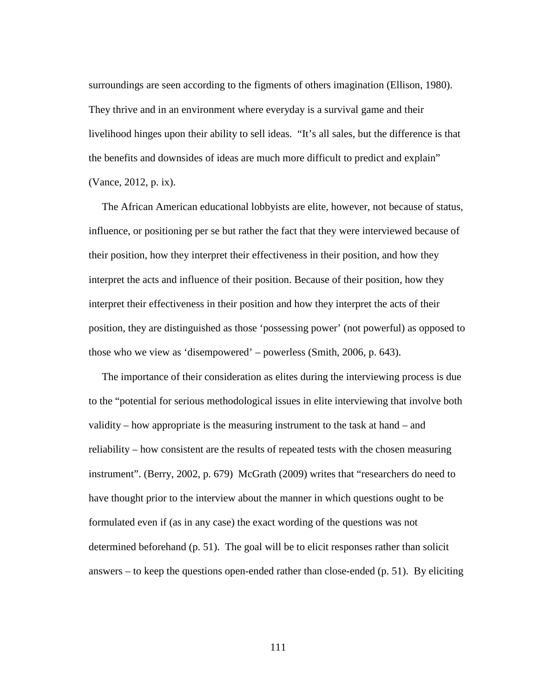surroundings are seen according to the figments of others imagination (Ellison, 1980). They thrive and in an environment where everyday is a survival game and their livelihood hinges upon their ability to sell ideas. "It's all sales, but the difference is that the benefits and downsides of ideas are much more difficult to predict and explain" (Vance, 2012, p. ix).

 The African American educational lobbyists are elite, however, not because of status, influence, or positioning per se but rather the fact that they were interviewed because of their position, how they interpret their effectiveness in their position, and how they interpret the acts and influence of their position. Because of their position, how they interpret their effectiveness in their position and how they interpret the acts of their position, they are distinguished as those 'possessing power' (not powerful) as opposed to those who we view as 'disempowered' – powerless (Smith, 2006, p. 643).

 The importance of their consideration as elites during the interviewing process is due to the "potential for serious methodological issues in elite interviewing that involve both validity – how appropriate is the measuring instrument to the task at hand – and reliability – how consistent are the results of repeated tests with the chosen measuring instrument". (Berry, 2002, p. 679) McGrath (2009) writes that "researchers do need to have thought prior to the interview about the manner in which questions ought to be formulated even if (as in any case) the exact wording of the questions was not determined beforehand (p. 51). The goal will be to elicit responses rather than solicit answers – to keep the questions open-ended rather than close-ended (p. 51). By eliciting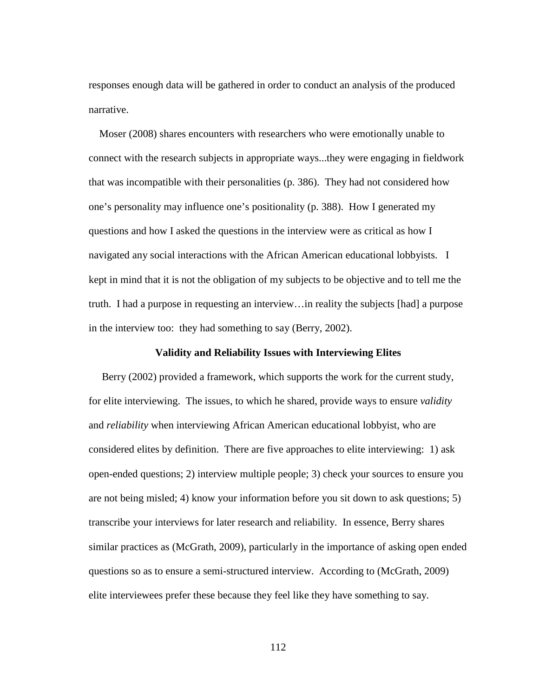responses enough data will be gathered in order to conduct an analysis of the produced narrative.

 Moser (2008) shares encounters with researchers who were emotionally unable to connect with the research subjects in appropriate ways...they were engaging in fieldwork that was incompatible with their personalities (p. 386). They had not considered how one's personality may influence one's positionality (p. 388). How I generated my questions and how I asked the questions in the interview were as critical as how I navigated any social interactions with the African American educational lobbyists. I kept in mind that it is not the obligation of my subjects to be objective and to tell me the truth. I had a purpose in requesting an interview…in reality the subjects [had] a purpose in the interview too: they had something to say (Berry, 2002).

### **Validity and Reliability Issues with Interviewing Elites**

 Berry (2002) provided a framework, which supports the work for the current study, for elite interviewing. The issues, to which he shared, provide ways to ensure *validity* and *reliability* when interviewing African American educational lobbyist, who are considered elites by definition. There are five approaches to elite interviewing: 1) ask open-ended questions; 2) interview multiple people; 3) check your sources to ensure you are not being misled; 4) know your information before you sit down to ask questions; 5) transcribe your interviews for later research and reliability. In essence, Berry shares similar practices as (McGrath, 2009), particularly in the importance of asking open ended questions so as to ensure a semi-structured interview. According to (McGrath, 2009) elite interviewees prefer these because they feel like they have something to say.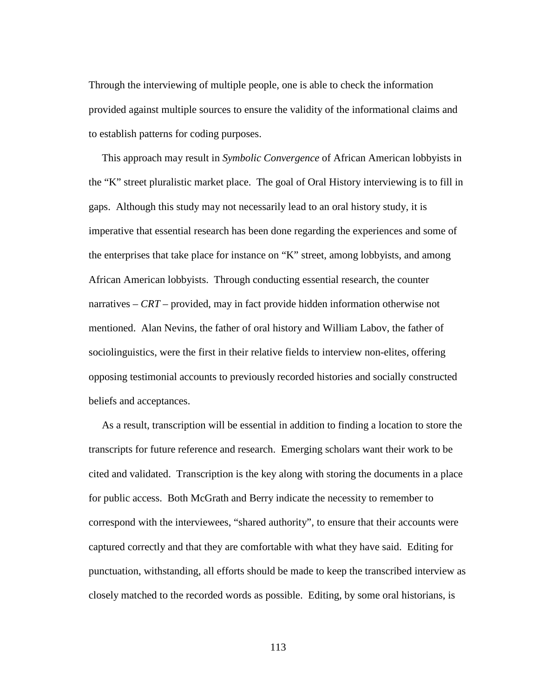Through the interviewing of multiple people, one is able to check the information provided against multiple sources to ensure the validity of the informational claims and to establish patterns for coding purposes.

 This approach may result in *Symbolic Convergence* of African American lobbyists in the "K" street pluralistic market place. The goal of Oral History interviewing is to fill in gaps. Although this study may not necessarily lead to an oral history study, it is imperative that essential research has been done regarding the experiences and some of the enterprises that take place for instance on "K" street, among lobbyists, and among African American lobbyists. Through conducting essential research, the counter narratives – *CRT* – provided, may in fact provide hidden information otherwise not mentioned. Alan Nevins, the father of oral history and William Labov, the father of sociolinguistics, were the first in their relative fields to interview non-elites, offering opposing testimonial accounts to previously recorded histories and socially constructed beliefs and acceptances.

 As a result, transcription will be essential in addition to finding a location to store the transcripts for future reference and research. Emerging scholars want their work to be cited and validated. Transcription is the key along with storing the documents in a place for public access. Both McGrath and Berry indicate the necessity to remember to correspond with the interviewees, "shared authority", to ensure that their accounts were captured correctly and that they are comfortable with what they have said. Editing for punctuation, withstanding, all efforts should be made to keep the transcribed interview as closely matched to the recorded words as possible. Editing, by some oral historians, is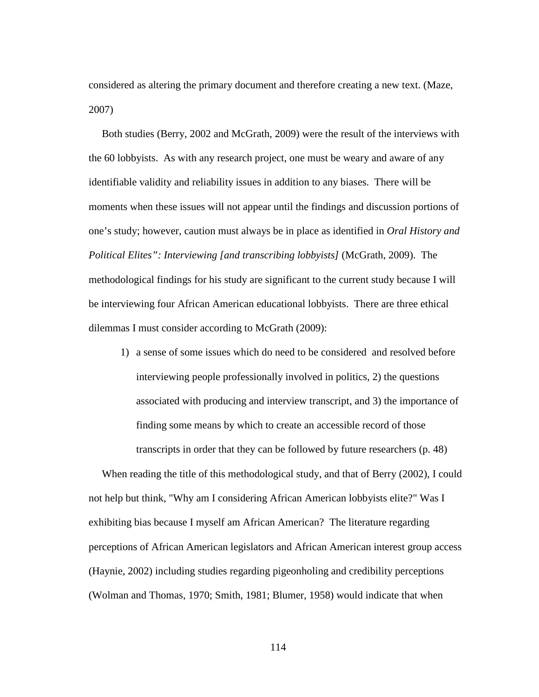considered as altering the primary document and therefore creating a new text. (Maze, 2007)

 Both studies (Berry, 2002 and McGrath, 2009) were the result of the interviews with the 60 lobbyists. As with any research project, one must be weary and aware of any identifiable validity and reliability issues in addition to any biases. There will be moments when these issues will not appear until the findings and discussion portions of one's study; however, caution must always be in place as identified in *Oral History and Political Elites": Interviewing [and transcribing lobbyists]* (McGrath, 2009). The methodological findings for his study are significant to the current study because I will be interviewing four African American educational lobbyists. There are three ethical dilemmas I must consider according to McGrath (2009):

1) a sense of some issues which do need to be considered and resolved before interviewing people professionally involved in politics, 2) the questions associated with producing and interview transcript, and 3) the importance of finding some means by which to create an accessible record of those transcripts in order that they can be followed by future researchers (p. 48)

 When reading the title of this methodological study, and that of Berry (2002), I could not help but think, "Why am I considering African American lobbyists elite?" Was I exhibiting bias because I myself am African American? The literature regarding perceptions of African American legislators and African American interest group access (Haynie, 2002) including studies regarding pigeonholing and credibility perceptions (Wolman and Thomas, 1970; Smith, 1981; Blumer, 1958) would indicate that when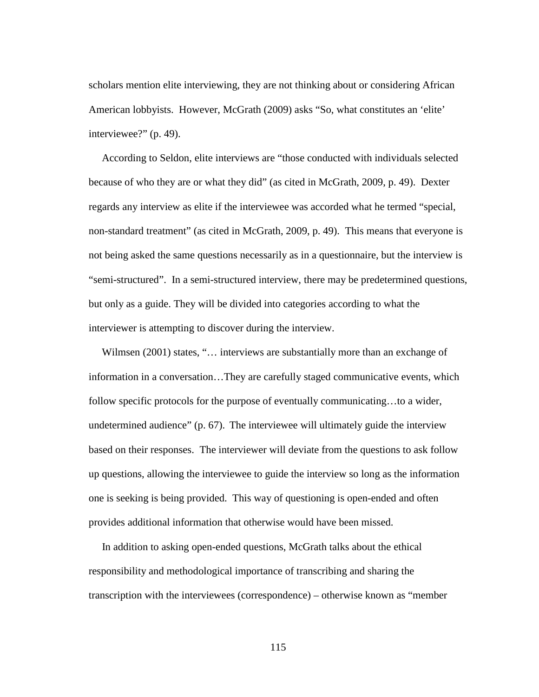scholars mention elite interviewing, they are not thinking about or considering African American lobbyists. However, McGrath (2009) asks "So, what constitutes an 'elite' interviewee?" (p. 49).

 According to Seldon, elite interviews are "those conducted with individuals selected because of who they are or what they did" (as cited in McGrath, 2009, p. 49). Dexter regards any interview as elite if the interviewee was accorded what he termed "special, non-standard treatment" (as cited in McGrath, 2009, p. 49). This means that everyone is not being asked the same questions necessarily as in a questionnaire, but the interview is "semi-structured". In a semi-structured interview, there may be predetermined questions, but only as a guide. They will be divided into categories according to what the interviewer is attempting to discover during the interview.

Wilmsen (2001) states, "... interviews are substantially more than an exchange of information in a conversation…They are carefully staged communicative events, which follow specific protocols for the purpose of eventually communicating...to a wider, undetermined audience" (p. 67). The interviewee will ultimately guide the interview based on their responses. The interviewer will deviate from the questions to ask follow up questions, allowing the interviewee to guide the interview so long as the information one is seeking is being provided. This way of questioning is open-ended and often provides additional information that otherwise would have been missed.

 In addition to asking open-ended questions, McGrath talks about the ethical responsibility and methodological importance of transcribing and sharing the transcription with the interviewees (correspondence) – otherwise known as "member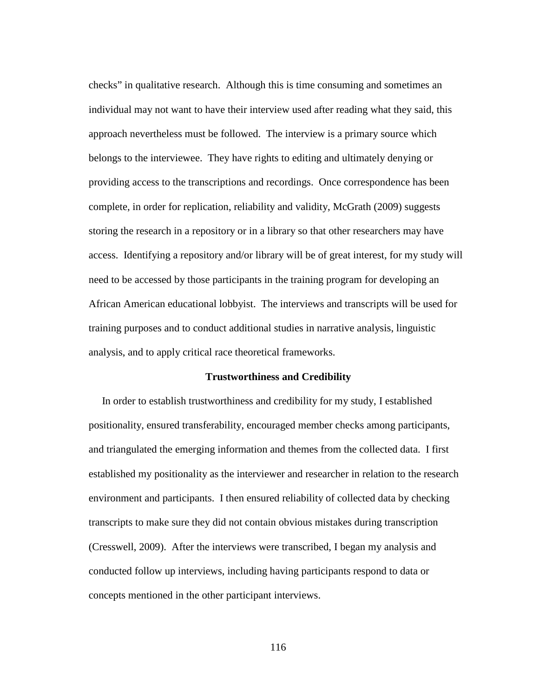checks" in qualitative research. Although this is time consuming and sometimes an individual may not want to have their interview used after reading what they said, this approach nevertheless must be followed. The interview is a primary source which belongs to the interviewee. They have rights to editing and ultimately denying or providing access to the transcriptions and recordings. Once correspondence has been complete, in order for replication, reliability and validity, McGrath (2009) suggests storing the research in a repository or in a library so that other researchers may have access. Identifying a repository and/or library will be of great interest, for my study will need to be accessed by those participants in the training program for developing an African American educational lobbyist. The interviews and transcripts will be used for training purposes and to conduct additional studies in narrative analysis, linguistic analysis, and to apply critical race theoretical frameworks.

### **Trustworthiness and Credibility**

In order to establish trustworthiness and credibility for my study, I established positionality, ensured transferability, encouraged member checks among participants, and triangulated the emerging information and themes from the collected data. I first established my positionality as the interviewer and researcher in relation to the research environment and participants. I then ensured reliability of collected data by checking transcripts to make sure they did not contain obvious mistakes during transcription (Cresswell, 2009). After the interviews were transcribed, I began my analysis and conducted follow up interviews, including having participants respond to data or concepts mentioned in the other participant interviews.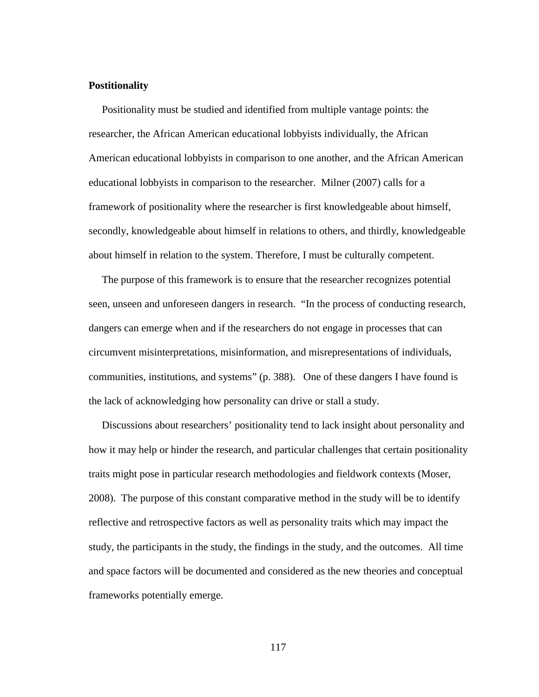### **Postitionality**

 Positionality must be studied and identified from multiple vantage points: the researcher, the African American educational lobbyists individually, the African American educational lobbyists in comparison to one another, and the African American educational lobbyists in comparison to the researcher. Milner (2007) calls for a framework of positionality where the researcher is first knowledgeable about himself, secondly, knowledgeable about himself in relations to others, and thirdly, knowledgeable about himself in relation to the system. Therefore, I must be culturally competent.

 The purpose of this framework is to ensure that the researcher recognizes potential seen, unseen and unforeseen dangers in research. "In the process of conducting research, dangers can emerge when and if the researchers do not engage in processes that can circumvent misinterpretations, misinformation, and misrepresentations of individuals, communities, institutions, and systems" (p. 388).One of these dangers I have found is the lack of acknowledging how personality can drive or stall a study.

 Discussions about researchers' positionality tend to lack insight about personality and how it may help or hinder the research, and particular challenges that certain positionality traits might pose in particular research methodologies and fieldwork contexts (Moser, 2008). The purpose of this constant comparative method in the study will be to identify reflective and retrospective factors as well as personality traits which may impact the study, the participants in the study, the findings in the study, and the outcomes. All time and space factors will be documented and considered as the new theories and conceptual frameworks potentially emerge.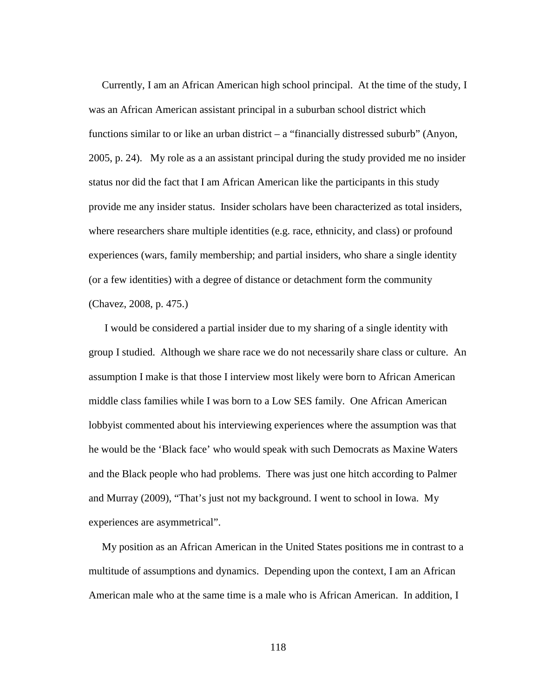Currently, I am an African American high school principal. At the time of the study, I was an African American assistant principal in a suburban school district which functions similar to or like an urban district  $-$  a "financially distressed suburb" (Anyon, 2005, p. 24). My role as a an assistant principal during the study provided me no insider status nor did the fact that I am African American like the participants in this study provide me any insider status. Insider scholars have been characterized as total insiders, where researchers share multiple identities (e.g. race, ethnicity, and class) or profound experiences (wars, family membership; and partial insiders, who share a single identity (or a few identities) with a degree of distance or detachment form the community (Chavez, 2008, p. 475.)

 I would be considered a partial insider due to my sharing of a single identity with group I studied. Although we share race we do not necessarily share class or culture. An assumption I make is that those I interview most likely were born to African American middle class families while I was born to a Low SES family. One African American lobbyist commented about his interviewing experiences where the assumption was that he would be the 'Black face' who would speak with such Democrats as Maxine Waters and the Black people who had problems. There was just one hitch according to Palmer and Murray (2009), "That's just not my background. I went to school in Iowa. My experiences are asymmetrical".

 My position as an African American in the United States positions me in contrast to a multitude of assumptions and dynamics. Depending upon the context, I am an African American male who at the same time is a male who is African American. In addition, I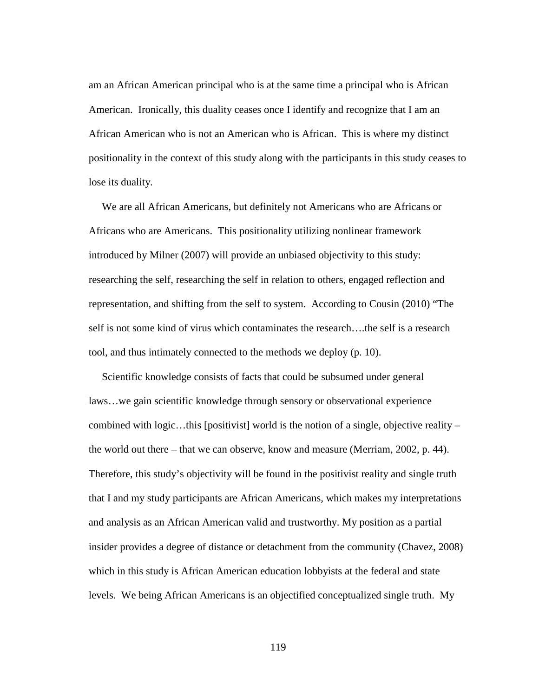am an African American principal who is at the same time a principal who is African American. Ironically, this duality ceases once I identify and recognize that I am an African American who is not an American who is African. This is where my distinct positionality in the context of this study along with the participants in this study ceases to lose its duality.

 We are all African Americans, but definitely not Americans who are Africans or Africans who are Americans. This positionality utilizing nonlinear framework introduced by Milner (2007) will provide an unbiased objectivity to this study: researching the self, researching the self in relation to others, engaged reflection and representation, and shifting from the self to system. According to Cousin (2010) "The self is not some kind of virus which contaminates the research….the self is a research tool, and thus intimately connected to the methods we deploy (p. 10).

 Scientific knowledge consists of facts that could be subsumed under general laws…we gain scientific knowledge through sensory or observational experience combined with logic…this [positivist] world is the notion of a single, objective reality – the world out there – that we can observe, know and measure (Merriam, 2002, p. 44). Therefore, this study's objectivity will be found in the positivist reality and single truth that I and my study participants are African Americans, which makes my interpretations and analysis as an African American valid and trustworthy. My position as a partial insider provides a degree of distance or detachment from the community (Chavez, 2008) which in this study is African American education lobbyists at the federal and state levels. We being African Americans is an objectified conceptualized single truth. My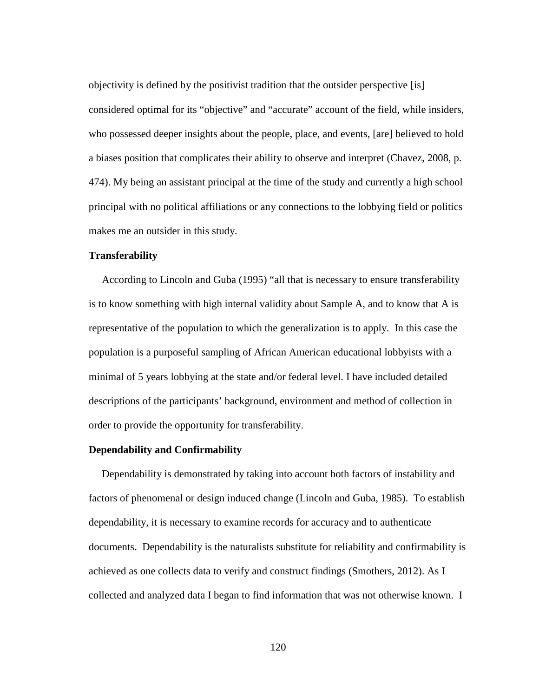objectivity is defined by the positivist tradition that the outsider perspective [is] considered optimal for its "objective" and "accurate" account of the field, while insiders, who possessed deeper insights about the people, place, and events, [are] believed to hold a biases position that complicates their ability to observe and interpret (Chavez, 2008, p. 474). My being an assistant principal at the time of the study and currently a high school principal with no political affiliations or any connections to the lobbying field or politics makes me an outsider in this study.

#### **Transferability**

 According to Lincoln and Guba (1995) "all that is necessary to ensure transferability is to know something with high internal validity about Sample A, and to know that A is representative of the population to which the generalization is to apply. In this case the population is a purposeful sampling of African American educational lobbyists with a minimal of 5 years lobbying at the state and/or federal level. I have included detailed descriptions of the participants' background, environment and method of collection in order to provide the opportunity for transferability.

# **Dependability and Confirmability**

 Dependability is demonstrated by taking into account both factors of instability and factors of phenomenal or design induced change (Lincoln and Guba, 1985). To establish dependability, it is necessary to examine records for accuracy and to authenticate documents. Dependability is the naturalists substitute for reliability and confirmability is achieved as one collects data to verify and construct findings (Smothers, 2012). As I collected and analyzed data I began to find information that was not otherwise known. I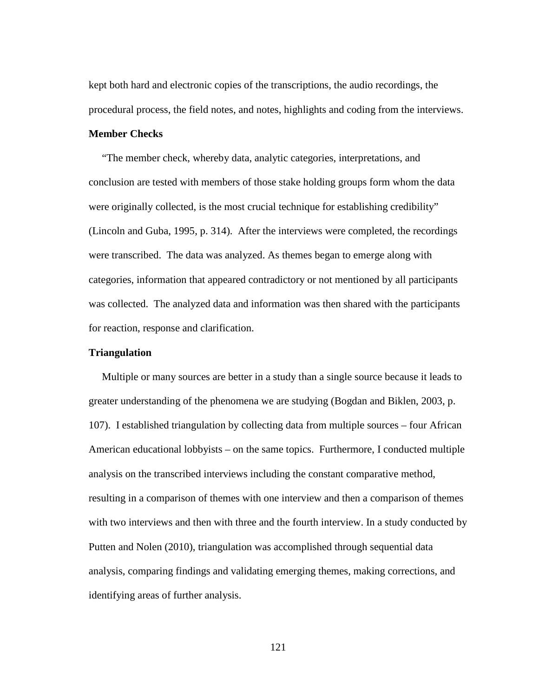kept both hard and electronic copies of the transcriptions, the audio recordings, the procedural process, the field notes, and notes, highlights and coding from the interviews.

# **Member Checks**

 "The member check, whereby data, analytic categories, interpretations, and conclusion are tested with members of those stake holding groups form whom the data were originally collected, is the most crucial technique for establishing credibility" (Lincoln and Guba, 1995, p. 314). After the interviews were completed, the recordings were transcribed. The data was analyzed. As themes began to emerge along with categories, information that appeared contradictory or not mentioned by all participants was collected. The analyzed data and information was then shared with the participants for reaction, response and clarification.

# **Triangulation**

 Multiple or many sources are better in a study than a single source because it leads to greater understanding of the phenomena we are studying (Bogdan and Biklen, 2003, p. 107). I established triangulation by collecting data from multiple sources – four African American educational lobbyists – on the same topics. Furthermore, I conducted multiple analysis on the transcribed interviews including the constant comparative method, resulting in a comparison of themes with one interview and then a comparison of themes with two interviews and then with three and the fourth interview. In a study conducted by Putten and Nolen (2010), triangulation was accomplished through sequential data analysis, comparing findings and validating emerging themes, making corrections, and identifying areas of further analysis.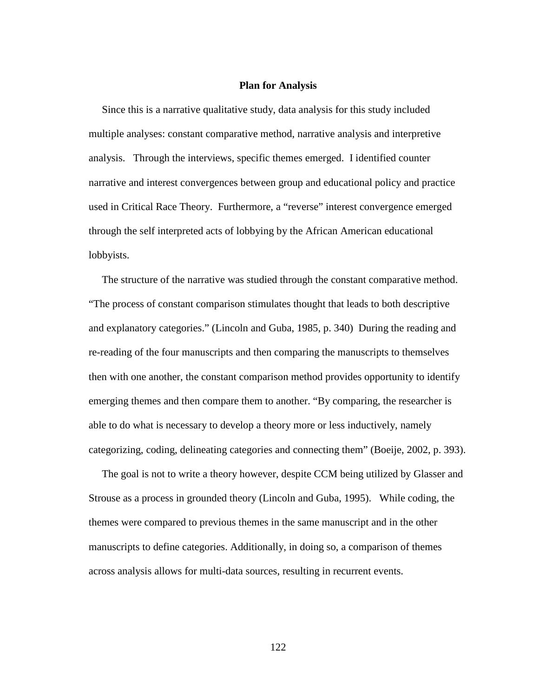### **Plan for Analysis**

 Since this is a narrative qualitative study, data analysis for this study included multiple analyses: constant comparative method, narrative analysis and interpretive analysis. Through the interviews, specific themes emerged. I identified counter narrative and interest convergences between group and educational policy and practice used in Critical Race Theory. Furthermore, a "reverse" interest convergence emerged through the self interpreted acts of lobbying by the African American educational lobbyists.

 The structure of the narrative was studied through the constant comparative method. "The process of constant comparison stimulates thought that leads to both descriptive and explanatory categories." (Lincoln and Guba, 1985, p. 340) During the reading and re-reading of the four manuscripts and then comparing the manuscripts to themselves then with one another, the constant comparison method provides opportunity to identify emerging themes and then compare them to another. "By comparing, the researcher is able to do what is necessary to develop a theory more or less inductively, namely categorizing, coding, delineating categories and connecting them" (Boeije, 2002, p. 393).

 The goal is not to write a theory however, despite CCM being utilized by Glasser and Strouse as a process in grounded theory (Lincoln and Guba, 1995). While coding, the themes were compared to previous themes in the same manuscript and in the other manuscripts to define categories. Additionally, in doing so, a comparison of themes across analysis allows for multi-data sources, resulting in recurrent events.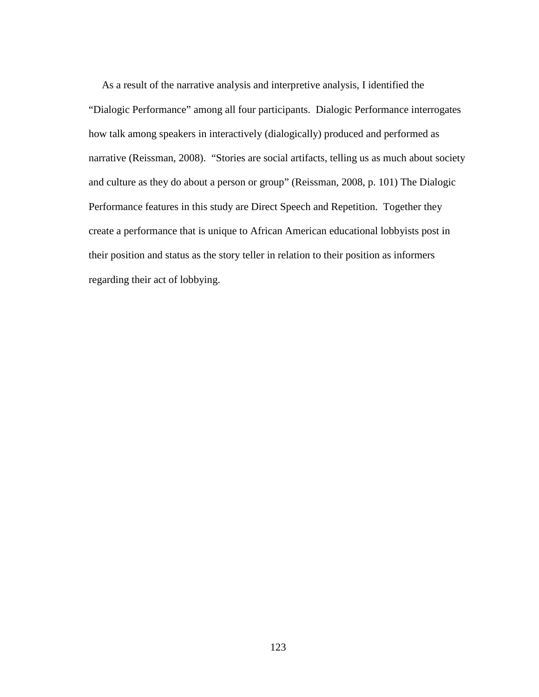As a result of the narrative analysis and interpretive analysis, I identified the "Dialogic Performance" among all four participants. Dialogic Performance interrogates how talk among speakers in interactively (dialogically) produced and performed as narrative (Reissman, 2008). "Stories are social artifacts, telling us as much about society and culture as they do about a person or group" (Reissman, 2008, p. 101) The Dialogic Performance features in this study are Direct Speech and Repetition. Together they create a performance that is unique to African American educational lobbyists post in their position and status as the story teller in relation to their position as informers regarding their act of lobbying.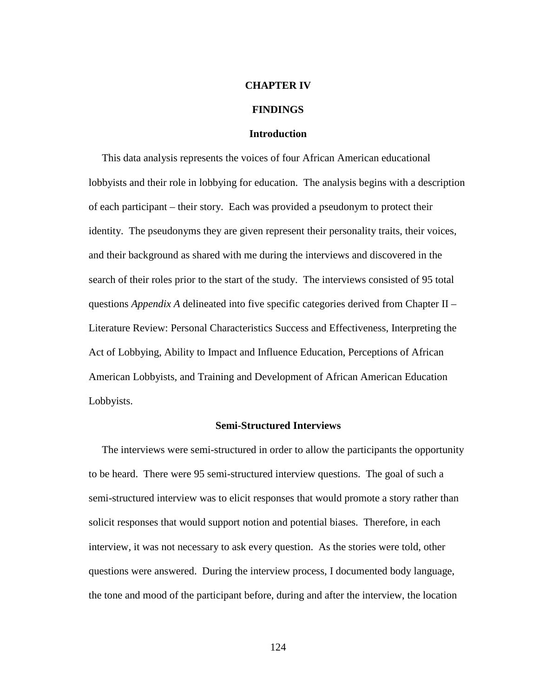#### **CHAPTER IV**

### **FINDINGS**

# **Introduction**

 This data analysis represents the voices of four African American educational lobbyists and their role in lobbying for education. The analysis begins with a description of each participant – their story. Each was provided a pseudonym to protect their identity. The pseudonyms they are given represent their personality traits, their voices, and their background as shared with me during the interviews and discovered in the search of their roles prior to the start of the study. The interviews consisted of 95 total questions *Appendix A* delineated into five specific categories derived from Chapter II – Literature Review: Personal Characteristics Success and Effectiveness, Interpreting the Act of Lobbying, Ability to Impact and Influence Education, Perceptions of African American Lobbyists, and Training and Development of African American Education Lobbyists.

### **Semi-Structured Interviews**

 The interviews were semi-structured in order to allow the participants the opportunity to be heard. There were 95 semi-structured interview questions. The goal of such a semi-structured interview was to elicit responses that would promote a story rather than solicit responses that would support notion and potential biases. Therefore, in each interview, it was not necessary to ask every question. As the stories were told, other questions were answered. During the interview process, I documented body language, the tone and mood of the participant before, during and after the interview, the location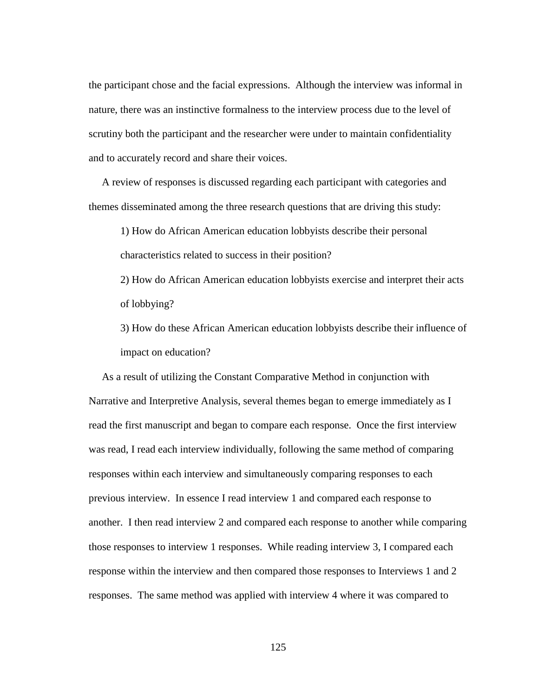the participant chose and the facial expressions. Although the interview was informal in nature, there was an instinctive formalness to the interview process due to the level of scrutiny both the participant and the researcher were under to maintain confidentiality and to accurately record and share their voices.

 A review of responses is discussed regarding each participant with categories and themes disseminated among the three research questions that are driving this study:

1) How do African American education lobbyists describe their personal characteristics related to success in their position?

2) How do African American education lobbyists exercise and interpret their acts of lobbying?

3) How do these African American education lobbyists describe their influence of impact on education?

 As a result of utilizing the Constant Comparative Method in conjunction with Narrative and Interpretive Analysis, several themes began to emerge immediately as I read the first manuscript and began to compare each response. Once the first interview was read, I read each interview individually, following the same method of comparing responses within each interview and simultaneously comparing responses to each previous interview. In essence I read interview 1 and compared each response to another. I then read interview 2 and compared each response to another while comparing those responses to interview 1 responses. While reading interview 3, I compared each response within the interview and then compared those responses to Interviews 1 and 2 responses. The same method was applied with interview 4 where it was compared to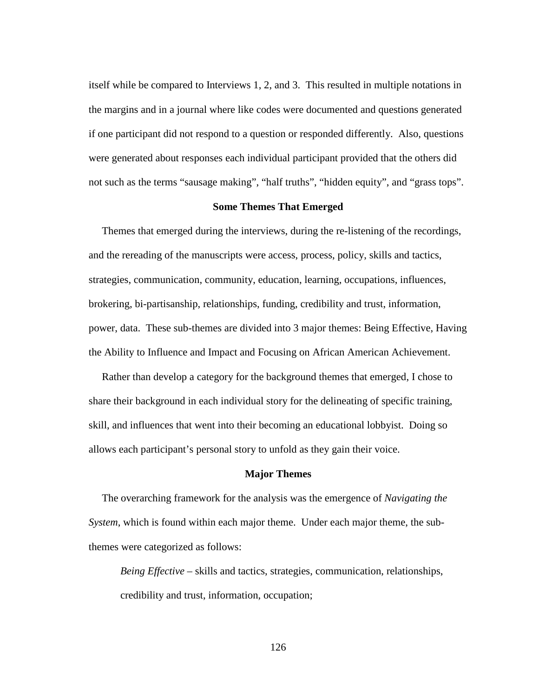itself while be compared to Interviews 1, 2, and 3. This resulted in multiple notations in the margins and in a journal where like codes were documented and questions generated if one participant did not respond to a question or responded differently. Also, questions were generated about responses each individual participant provided that the others did not such as the terms "sausage making", "half truths", "hidden equity", and "grass tops".

# **Some Themes That Emerged**

 Themes that emerged during the interviews, during the re-listening of the recordings, and the rereading of the manuscripts were access, process, policy, skills and tactics, strategies, communication, community, education, learning, occupations, influences, brokering, bi-partisanship, relationships, funding, credibility and trust, information, power, data. These sub-themes are divided into 3 major themes: Being Effective, Having the Ability to Influence and Impact and Focusing on African American Achievement.

 Rather than develop a category for the background themes that emerged, I chose to share their background in each individual story for the delineating of specific training, skill, and influences that went into their becoming an educational lobbyist. Doing so allows each participant's personal story to unfold as they gain their voice.

# **Major Themes**

 The overarching framework for the analysis was the emergence of *Navigating the System*, which is found within each major theme. Under each major theme, the subthemes were categorized as follows:

*Being Effective* – skills and tactics, strategies, communication, relationships, credibility and trust, information, occupation;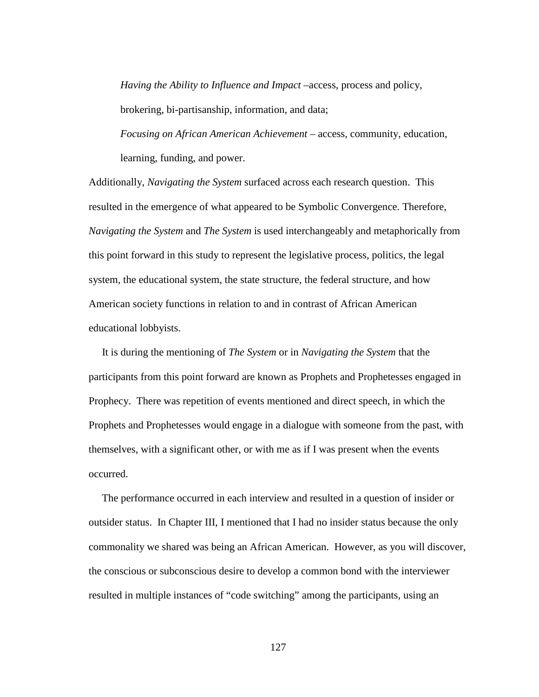*Having the Ability to Influence and Impact* –access, process and policy, brokering, bi-partisanship, information, and data;

*Focusing on African American Achievement* – access, community, education, learning, funding, and power.

Additionally, *Navigating the System* surfaced across each research question. This resulted in the emergence of what appeared to be Symbolic Convergence. Therefore, *Navigating the System* and *The System* is used interchangeably and metaphorically from this point forward in this study to represent the legislative process, politics, the legal system, the educational system, the state structure, the federal structure, and how American society functions in relation to and in contrast of African American educational lobbyists.

 It is during the mentioning of *The System* or in *Navigating the System* that the participants from this point forward are known as Prophets and Prophetesses engaged in Prophecy. There was repetition of events mentioned and direct speech, in which the Prophets and Prophetesses would engage in a dialogue with someone from the past, with themselves, with a significant other, or with me as if I was present when the events occurred.

 The performance occurred in each interview and resulted in a question of insider or outsider status. In Chapter III, I mentioned that I had no insider status because the only commonality we shared was being an African American. However, as you will discover, the conscious or subconscious desire to develop a common bond with the interviewer resulted in multiple instances of "code switching" among the participants, using an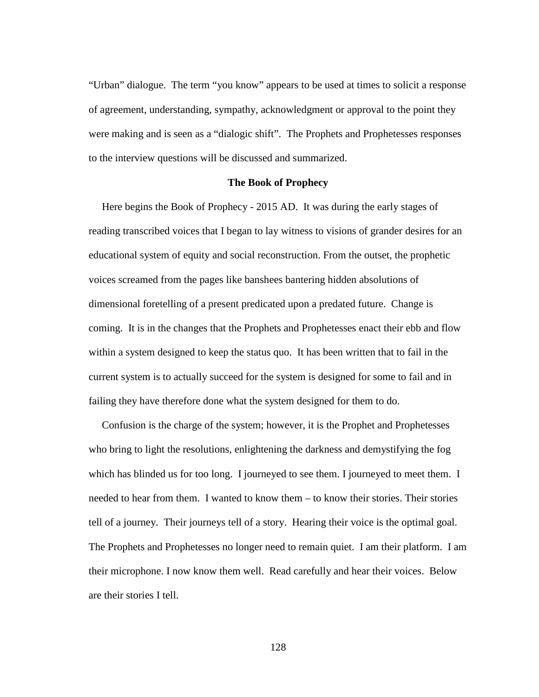"Urban" dialogue. The term "you know" appears to be used at times to solicit a response of agreement, understanding, sympathy, acknowledgment or approval to the point they were making and is seen as a "dialogic shift". The Prophets and Prophetesses responses to the interview questions will be discussed and summarized.

#### **The Book of Prophecy**

 Here begins the Book of Prophecy - 2015 AD. It was during the early stages of reading transcribed voices that I began to lay witness to visions of grander desires for an educational system of equity and social reconstruction. From the outset, the prophetic voices screamed from the pages like banshees bantering hidden absolutions of dimensional foretelling of a present predicated upon a predated future. Change is coming. It is in the changes that the Prophets and Prophetesses enact their ebb and flow within a system designed to keep the status quo. It has been written that to fail in the current system is to actually succeed for the system is designed for some to fail and in failing they have therefore done what the system designed for them to do.

 Confusion is the charge of the system; however, it is the Prophet and Prophetesses who bring to light the resolutions, enlightening the darkness and demystifying the fog which has blinded us for too long. I journeyed to see them. I journeyed to meet them. I needed to hear from them. I wanted to know them – to know their stories. Their stories tell of a journey. Their journeys tell of a story. Hearing their voice is the optimal goal. The Prophets and Prophetesses no longer need to remain quiet. I am their platform. I am their microphone. I now know them well. Read carefully and hear their voices. Below are their stories I tell.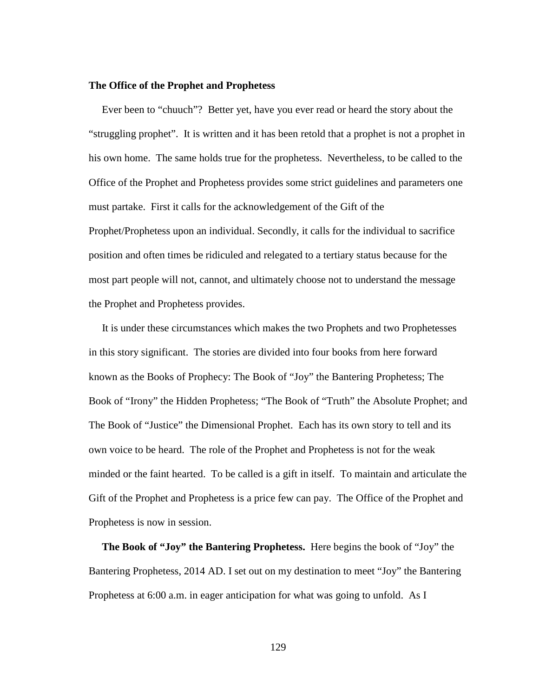# **The Office of the Prophet and Prophetess**

 Ever been to "chuuch"? Better yet, have you ever read or heard the story about the "struggling prophet". It is written and it has been retold that a prophet is not a prophet in his own home. The same holds true for the prophetess. Nevertheless, to be called to the Office of the Prophet and Prophetess provides some strict guidelines and parameters one must partake. First it calls for the acknowledgement of the Gift of the Prophet/Prophetess upon an individual. Secondly, it calls for the individual to sacrifice position and often times be ridiculed and relegated to a tertiary status because for the most part people will not, cannot, and ultimately choose not to understand the message the Prophet and Prophetess provides.

 It is under these circumstances which makes the two Prophets and two Prophetesses in this story significant. The stories are divided into four books from here forward known as the Books of Prophecy: The Book of "Joy" the Bantering Prophetess; The Book of "Irony" the Hidden Prophetess; "The Book of "Truth" the Absolute Prophet; and The Book of "Justice" the Dimensional Prophet. Each has its own story to tell and its own voice to be heard. The role of the Prophet and Prophetess is not for the weak minded or the faint hearted. To be called is a gift in itself. To maintain and articulate the Gift of the Prophet and Prophetess is a price few can pay. The Office of the Prophet and Prophetess is now in session.

 **The Book of "Joy" the Bantering Prophetess.** Here begins the book of "Joy" the Bantering Prophetess, 2014 AD. I set out on my destination to meet "Joy" the Bantering Prophetess at 6:00 a.m. in eager anticipation for what was going to unfold. As I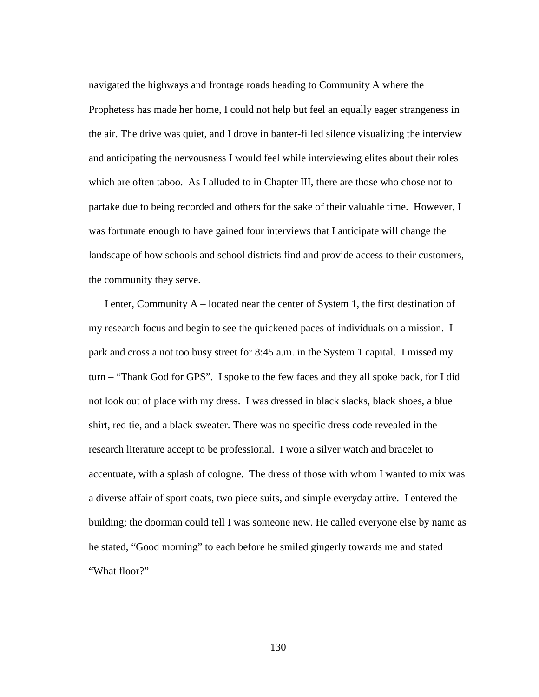navigated the highways and frontage roads heading to Community A where the Prophetess has made her home, I could not help but feel an equally eager strangeness in the air. The drive was quiet, and I drove in banter-filled silence visualizing the interview and anticipating the nervousness I would feel while interviewing elites about their roles which are often taboo. As I alluded to in Chapter III, there are those who chose not to partake due to being recorded and others for the sake of their valuable time. However, I was fortunate enough to have gained four interviews that I anticipate will change the landscape of how schools and school districts find and provide access to their customers, the community they serve.

I enter, Community  $A -$  located near the center of System 1, the first destination of my research focus and begin to see the quickened paces of individuals on a mission. I park and cross a not too busy street for 8:45 a.m. in the System 1 capital. I missed my turn – "Thank God for GPS". I spoke to the few faces and they all spoke back, for I did not look out of place with my dress. I was dressed in black slacks, black shoes, a blue shirt, red tie, and a black sweater. There was no specific dress code revealed in the research literature accept to be professional. I wore a silver watch and bracelet to accentuate, with a splash of cologne. The dress of those with whom I wanted to mix was a diverse affair of sport coats, two piece suits, and simple everyday attire. I entered the building; the doorman could tell I was someone new. He called everyone else by name as he stated, "Good morning" to each before he smiled gingerly towards me and stated "What floor?"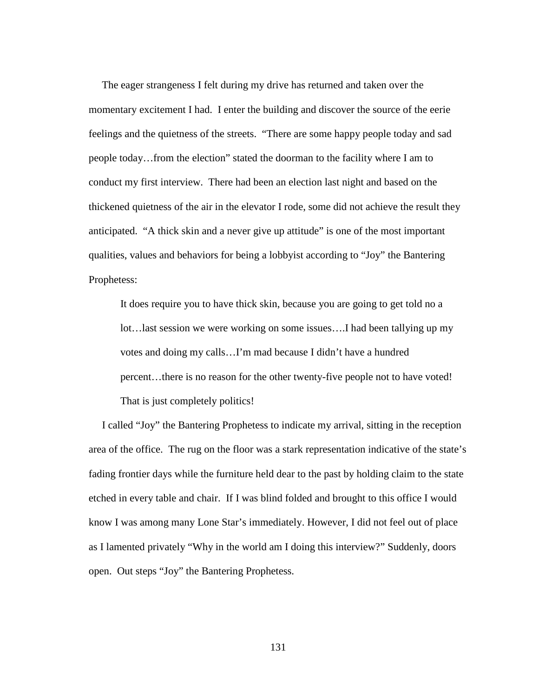The eager strangeness I felt during my drive has returned and taken over the momentary excitement I had. I enter the building and discover the source of the eerie feelings and the quietness of the streets. "There are some happy people today and sad people today…from the election" stated the doorman to the facility where I am to conduct my first interview. There had been an election last night and based on the thickened quietness of the air in the elevator I rode, some did not achieve the result they anticipated. "A thick skin and a never give up attitude" is one of the most important qualities, values and behaviors for being a lobbyist according to "Joy" the Bantering Prophetess:

It does require you to have thick skin, because you are going to get told no a lot…last session we were working on some issues….I had been tallying up my votes and doing my calls…I'm mad because I didn't have a hundred percent…there is no reason for the other twenty-five people not to have voted! That is just completely politics!

 I called "Joy" the Bantering Prophetess to indicate my arrival, sitting in the reception area of the office. The rug on the floor was a stark representation indicative of the state's fading frontier days while the furniture held dear to the past by holding claim to the state etched in every table and chair. If I was blind folded and brought to this office I would know I was among many Lone Star's immediately. However, I did not feel out of place as I lamented privately "Why in the world am I doing this interview?" Suddenly, doors open. Out steps "Joy" the Bantering Prophetess.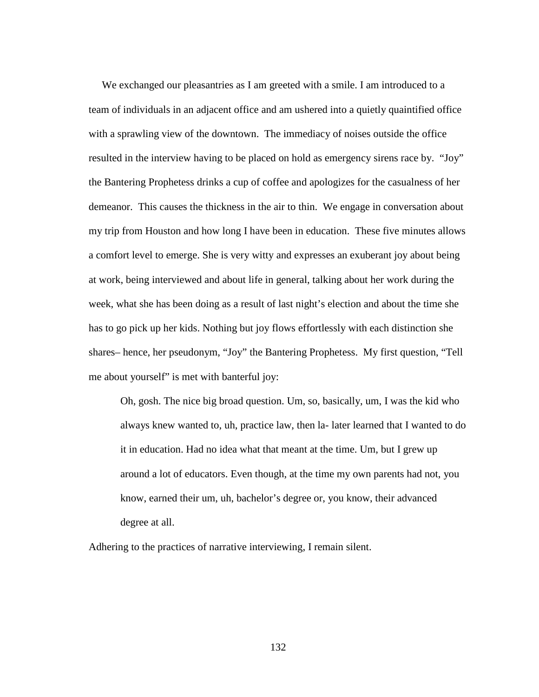We exchanged our pleasantries as I am greeted with a smile. I am introduced to a team of individuals in an adjacent office and am ushered into a quietly quaintified office with a sprawling view of the downtown. The immediacy of noises outside the office resulted in the interview having to be placed on hold as emergency sirens race by. "Joy" the Bantering Prophetess drinks a cup of coffee and apologizes for the casualness of her demeanor. This causes the thickness in the air to thin. We engage in conversation about my trip from Houston and how long I have been in education. These five minutes allows a comfort level to emerge. She is very witty and expresses an exuberant joy about being at work, being interviewed and about life in general, talking about her work during the week, what she has been doing as a result of last night's election and about the time she has to go pick up her kids. Nothing but joy flows effortlessly with each distinction she shares– hence, her pseudonym, "Joy" the Bantering Prophetess. My first question, "Tell me about yourself" is met with banterful joy:

Oh, gosh. The nice big broad question. Um, so, basically, um, I was the kid who always knew wanted to, uh, practice law, then la- later learned that I wanted to do it in education. Had no idea what that meant at the time. Um, but I grew up around a lot of educators. Even though, at the time my own parents had not, you know, earned their um, uh, bachelor's degree or, you know, their advanced degree at all.

Adhering to the practices of narrative interviewing, I remain silent.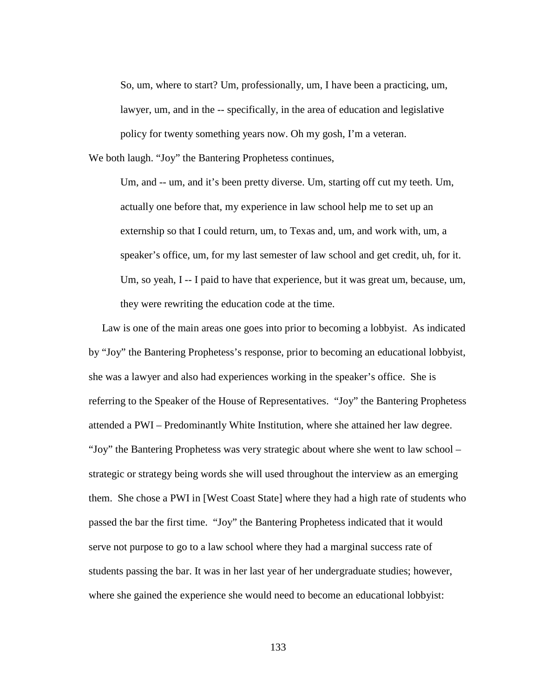So, um, where to start? Um, professionally, um, I have been a practicing, um, lawyer, um, and in the -- specifically, in the area of education and legislative policy for twenty something years now. Oh my gosh, I'm a veteran.

We both laugh. "Joy" the Bantering Prophetess continues,

Um, and -- um, and it's been pretty diverse. Um, starting off cut my teeth. Um, actually one before that, my experience in law school help me to set up an externship so that I could return, um, to Texas and, um, and work with, um, a speaker's office, um, for my last semester of law school and get credit, uh, for it. Um, so yeah, I -- I paid to have that experience, but it was great um, because, um, they were rewriting the education code at the time.

 Law is one of the main areas one goes into prior to becoming a lobbyist. As indicated by "Joy" the Bantering Prophetess's response, prior to becoming an educational lobbyist, she was a lawyer and also had experiences working in the speaker's office. She is referring to the Speaker of the House of Representatives. "Joy" the Bantering Prophetess attended a PWI – Predominantly White Institution, where she attained her law degree. "Joy" the Bantering Prophetess was very strategic about where she went to law school – strategic or strategy being words she will used throughout the interview as an emerging them. She chose a PWI in [West Coast State] where they had a high rate of students who passed the bar the first time. "Joy" the Bantering Prophetess indicated that it would serve not purpose to go to a law school where they had a marginal success rate of students passing the bar. It was in her last year of her undergraduate studies; however, where she gained the experience she would need to become an educational lobbyist: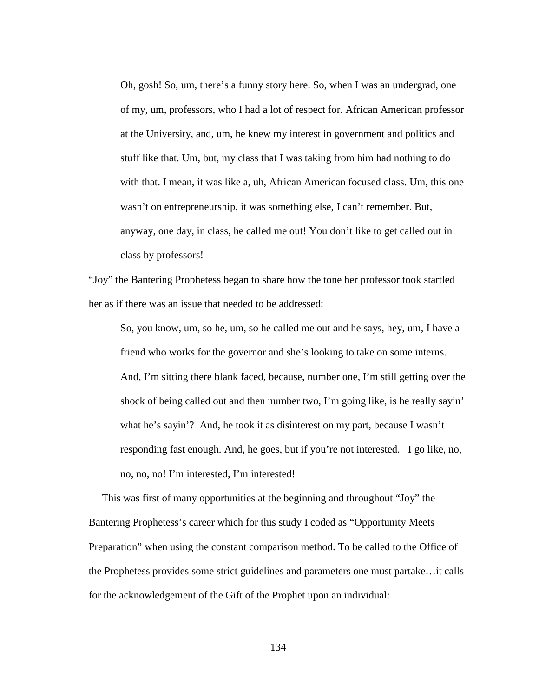Oh, gosh! So, um, there's a funny story here. So, when I was an undergrad, one of my, um, professors, who I had a lot of respect for. African American professor at the University, and, um, he knew my interest in government and politics and stuff like that. Um, but, my class that I was taking from him had nothing to do with that. I mean, it was like a, uh, African American focused class. Um, this one wasn't on entrepreneurship, it was something else, I can't remember. But, anyway, one day, in class, he called me out! You don't like to get called out in class by professors!

"Joy" the Bantering Prophetess began to share how the tone her professor took startled her as if there was an issue that needed to be addressed:

So, you know, um, so he, um, so he called me out and he says, hey, um, I have a friend who works for the governor and she's looking to take on some interns. And, I'm sitting there blank faced, because, number one, I'm still getting over the shock of being called out and then number two, I'm going like, is he really sayin' what he's sayin'? And, he took it as disinterest on my part, because I wasn't responding fast enough. And, he goes, but if you're not interested. I go like, no, no, no, no! I'm interested, I'm interested!

 This was first of many opportunities at the beginning and throughout "Joy" the Bantering Prophetess's career which for this study I coded as "Opportunity Meets Preparation" when using the constant comparison method. To be called to the Office of the Prophetess provides some strict guidelines and parameters one must partake…it calls for the acknowledgement of the Gift of the Prophet upon an individual: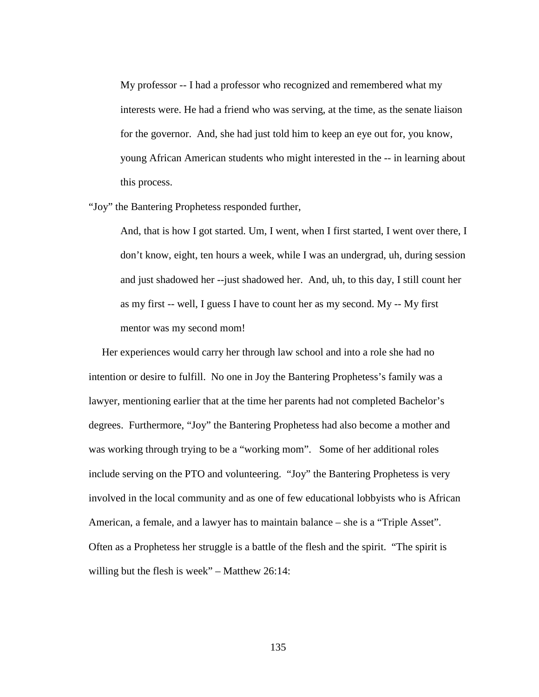My professor -- I had a professor who recognized and remembered what my interests were. He had a friend who was serving, at the time, as the senate liaison for the governor. And, she had just told him to keep an eye out for, you know, young African American students who might interested in the -- in learning about this process.

"Joy" the Bantering Prophetess responded further,

And, that is how I got started. Um, I went, when I first started, I went over there, I don't know, eight, ten hours a week, while I was an undergrad, uh, during session and just shadowed her --just shadowed her. And, uh, to this day, I still count her as my first -- well, I guess I have to count her as my second. My -- My first mentor was my second mom!

 Her experiences would carry her through law school and into a role she had no intention or desire to fulfill. No one in Joy the Bantering Prophetess's family was a lawyer, mentioning earlier that at the time her parents had not completed Bachelor's degrees. Furthermore, "Joy" the Bantering Prophetess had also become a mother and was working through trying to be a "working mom". Some of her additional roles include serving on the PTO and volunteering. "Joy" the Bantering Prophetess is very involved in the local community and as one of few educational lobbyists who is African American, a female, and a lawyer has to maintain balance – she is a "Triple Asset". Often as a Prophetess her struggle is a battle of the flesh and the spirit. "The spirit is willing but the flesh is week" – Matthew 26:14: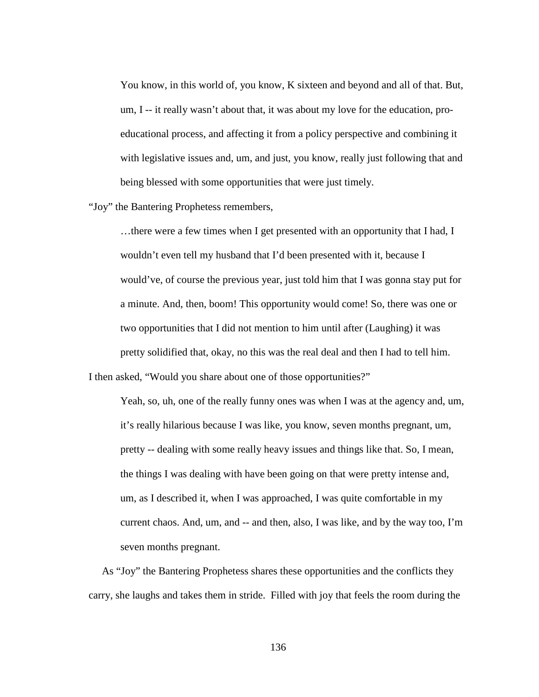You know, in this world of, you know, K sixteen and beyond and all of that. But, um, I -- it really wasn't about that, it was about my love for the education, proeducational process, and affecting it from a policy perspective and combining it with legislative issues and, um, and just, you know, really just following that and being blessed with some opportunities that were just timely.

"Joy" the Bantering Prophetess remembers,

…there were a few times when I get presented with an opportunity that I had, I wouldn't even tell my husband that I'd been presented with it, because I would've, of course the previous year, just told him that I was gonna stay put for a minute. And, then, boom! This opportunity would come! So, there was one or two opportunities that I did not mention to him until after (Laughing) it was pretty solidified that, okay, no this was the real deal and then I had to tell him.

I then asked, "Would you share about one of those opportunities?"

Yeah, so, uh, one of the really funny ones was when I was at the agency and, um, it's really hilarious because I was like, you know, seven months pregnant, um, pretty -- dealing with some really heavy issues and things like that. So, I mean, the things I was dealing with have been going on that were pretty intense and, um, as I described it, when I was approached, I was quite comfortable in my current chaos. And, um, and -- and then, also, I was like, and by the way too, I'm seven months pregnant.

 As "Joy" the Bantering Prophetess shares these opportunities and the conflicts they carry, she laughs and takes them in stride. Filled with joy that feels the room during the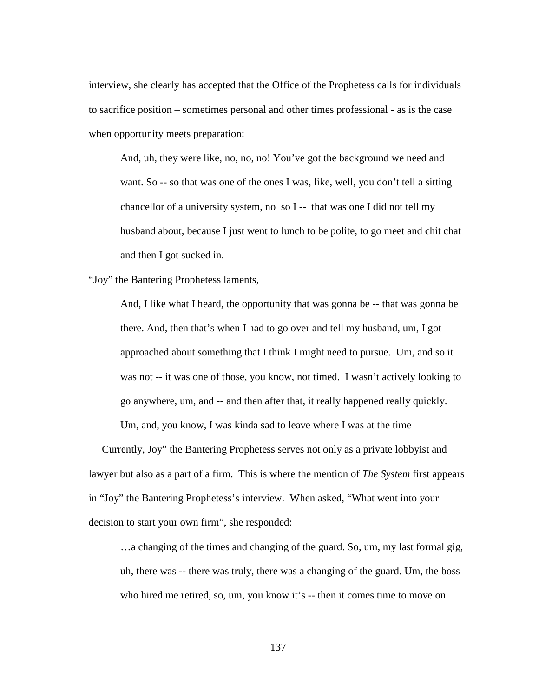interview, she clearly has accepted that the Office of the Prophetess calls for individuals to sacrifice position – sometimes personal and other times professional - as is the case when opportunity meets preparation:

And, uh, they were like, no, no, no! You've got the background we need and want. So -- so that was one of the ones I was, like, well, you don't tell a sitting chancellor of a university system, no so I -- that was one I did not tell my husband about, because I just went to lunch to be polite, to go meet and chit chat and then I got sucked in.

"Joy" the Bantering Prophetess laments,

And, I like what I heard, the opportunity that was gonna be -- that was gonna be there. And, then that's when I had to go over and tell my husband, um, I got approached about something that I think I might need to pursue. Um, and so it was not -- it was one of those, you know, not timed. I wasn't actively looking to go anywhere, um, and -- and then after that, it really happened really quickly.

Um, and, you know, I was kinda sad to leave where I was at the time

 Currently, Joy" the Bantering Prophetess serves not only as a private lobbyist and lawyer but also as a part of a firm. This is where the mention of *The System* first appears in "Joy" the Bantering Prophetess's interview. When asked, "What went into your decision to start your own firm", she responded:

…a changing of the times and changing of the guard. So, um, my last formal gig, uh, there was -- there was truly, there was a changing of the guard. Um, the boss who hired me retired, so, um, you know it's -- then it comes time to move on.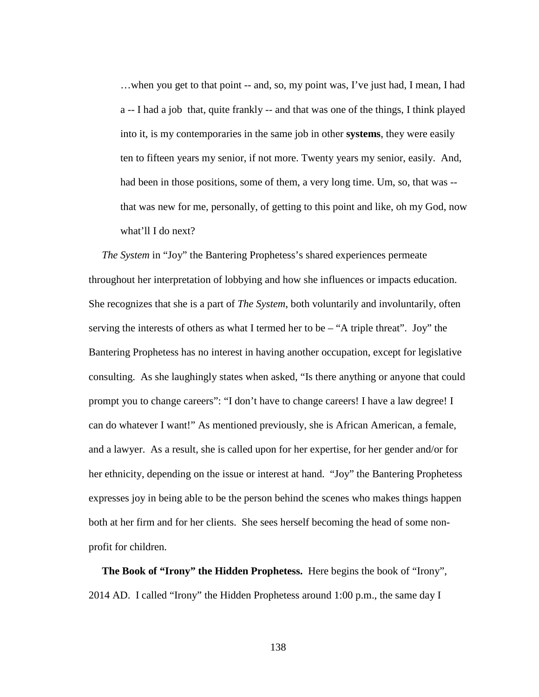…when you get to that point -- and, so, my point was, I've just had, I mean, I had a -- I had a job that, quite frankly -- and that was one of the things, I think played into it, is my contemporaries in the same job in other **systems**, they were easily ten to fifteen years my senior, if not more. Twenty years my senior, easily. And, had been in those positions, some of them, a very long time. Um, so, that was - that was new for me, personally, of getting to this point and like, oh my God, now what'll I do next?

 *The System* in "Joy" the Bantering Prophetess's shared experiences permeate throughout her interpretation of lobbying and how she influences or impacts education. She recognizes that she is a part of *The System*, both voluntarily and involuntarily, often serving the interests of others as what I termed her to be – "A triple threat". Joy" the Bantering Prophetess has no interest in having another occupation, except for legislative consulting. As she laughingly states when asked, "Is there anything or anyone that could prompt you to change careers": "I don't have to change careers! I have a law degree! I can do whatever I want!" As mentioned previously, she is African American, a female, and a lawyer. As a result, she is called upon for her expertise, for her gender and/or for her ethnicity, depending on the issue or interest at hand. "Joy" the Bantering Prophetess expresses joy in being able to be the person behind the scenes who makes things happen both at her firm and for her clients. She sees herself becoming the head of some nonprofit for children.

 **The Book of "Irony" the Hidden Prophetess.** Here begins the book of "Irony", 2014 AD. I called "Irony" the Hidden Prophetess around 1:00 p.m., the same day I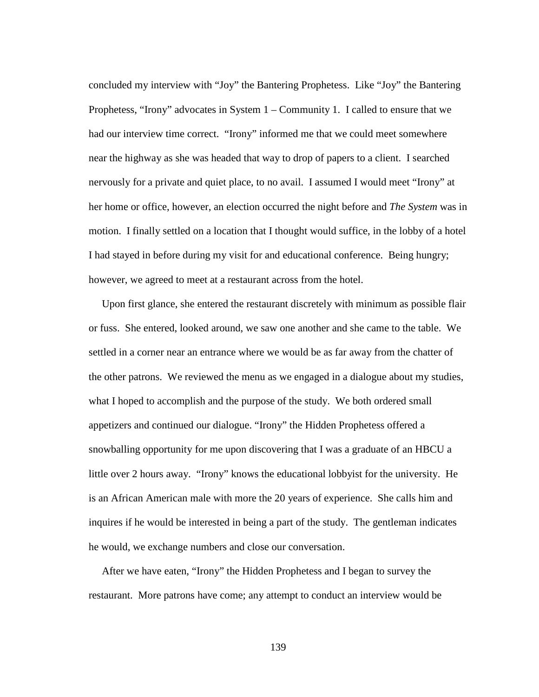concluded my interview with "Joy" the Bantering Prophetess. Like "Joy" the Bantering Prophetess, "Irony" advocates in System 1 – Community 1. I called to ensure that we had our interview time correct. "Irony" informed me that we could meet somewhere near the highway as she was headed that way to drop of papers to a client. I searched nervously for a private and quiet place, to no avail. I assumed I would meet "Irony" at her home or office, however, an election occurred the night before and *The System* was in motion. I finally settled on a location that I thought would suffice, in the lobby of a hotel I had stayed in before during my visit for and educational conference. Being hungry; however, we agreed to meet at a restaurant across from the hotel.

 Upon first glance, she entered the restaurant discretely with minimum as possible flair or fuss. She entered, looked around, we saw one another and she came to the table. We settled in a corner near an entrance where we would be as far away from the chatter of the other patrons. We reviewed the menu as we engaged in a dialogue about my studies, what I hoped to accomplish and the purpose of the study. We both ordered small appetizers and continued our dialogue. "Irony" the Hidden Prophetess offered a snowballing opportunity for me upon discovering that I was a graduate of an HBCU a little over 2 hours away. "Irony" knows the educational lobbyist for the university. He is an African American male with more the 20 years of experience. She calls him and inquires if he would be interested in being a part of the study. The gentleman indicates he would, we exchange numbers and close our conversation.

 After we have eaten, "Irony" the Hidden Prophetess and I began to survey the restaurant. More patrons have come; any attempt to conduct an interview would be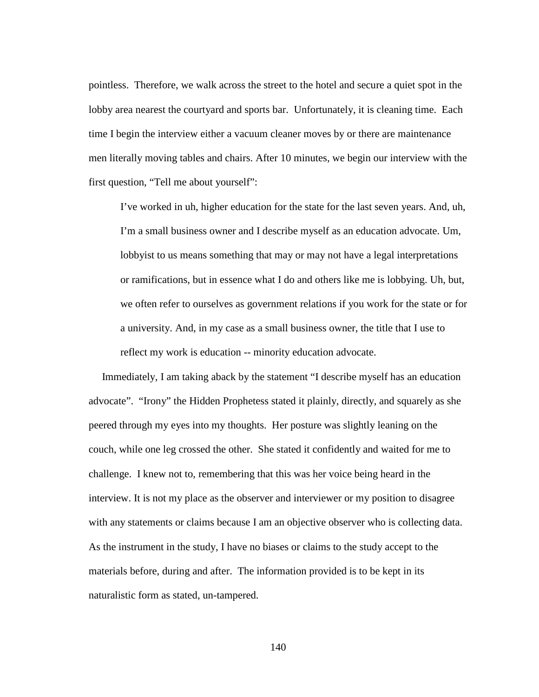pointless. Therefore, we walk across the street to the hotel and secure a quiet spot in the lobby area nearest the courtyard and sports bar. Unfortunately, it is cleaning time. Each time I begin the interview either a vacuum cleaner moves by or there are maintenance men literally moving tables and chairs. After 10 minutes, we begin our interview with the first question, "Tell me about yourself":

I've worked in uh, higher education for the state for the last seven years. And, uh, I'm a small business owner and I describe myself as an education advocate. Um, lobbyist to us means something that may or may not have a legal interpretations or ramifications, but in essence what I do and others like me is lobbying. Uh, but, we often refer to ourselves as government relations if you work for the state or for a university. And, in my case as a small business owner, the title that I use to reflect my work is education -- minority education advocate.

 Immediately, I am taking aback by the statement "I describe myself has an education advocate". "Irony" the Hidden Prophetess stated it plainly, directly, and squarely as she peered through my eyes into my thoughts. Her posture was slightly leaning on the couch, while one leg crossed the other. She stated it confidently and waited for me to challenge. I knew not to, remembering that this was her voice being heard in the interview. It is not my place as the observer and interviewer or my position to disagree with any statements or claims because I am an objective observer who is collecting data. As the instrument in the study, I have no biases or claims to the study accept to the materials before, during and after. The information provided is to be kept in its naturalistic form as stated, un-tampered.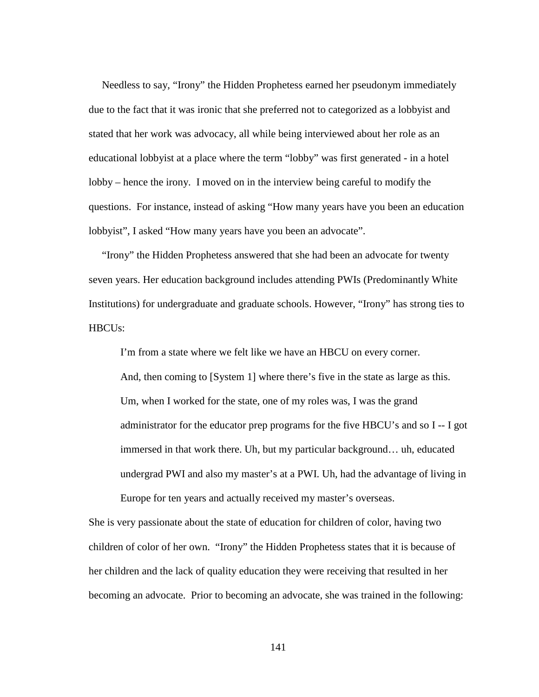Needless to say, "Irony" the Hidden Prophetess earned her pseudonym immediately due to the fact that it was ironic that she preferred not to categorized as a lobbyist and stated that her work was advocacy, all while being interviewed about her role as an educational lobbyist at a place where the term "lobby" was first generated - in a hotel lobby – hence the irony. I moved on in the interview being careful to modify the questions. For instance, instead of asking "How many years have you been an education lobbyist", I asked "How many years have you been an advocate".

 "Irony" the Hidden Prophetess answered that she had been an advocate for twenty seven years. Her education background includes attending PWIs (Predominantly White Institutions) for undergraduate and graduate schools. However, "Irony" has strong ties to HBCUs:

I'm from a state where we felt like we have an HBCU on every corner.

And, then coming to [System 1] where there's five in the state as large as this. Um, when I worked for the state, one of my roles was, I was the grand administrator for the educator prep programs for the five HBCU's and so I -- I got immersed in that work there. Uh, but my particular background… uh, educated undergrad PWI and also my master's at a PWI. Uh, had the advantage of living in Europe for ten years and actually received my master's overseas.

She is very passionate about the state of education for children of color, having two children of color of her own. "Irony" the Hidden Prophetess states that it is because of her children and the lack of quality education they were receiving that resulted in her becoming an advocate. Prior to becoming an advocate, she was trained in the following: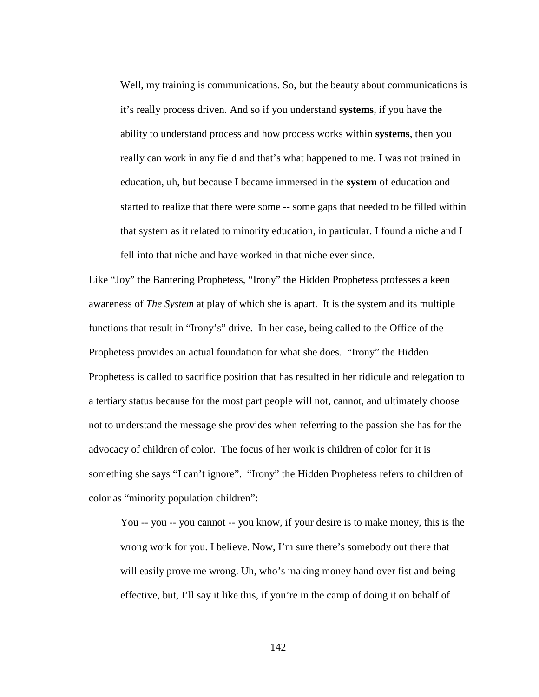Well, my training is communications. So, but the beauty about communications is it's really process driven. And so if you understand **systems**, if you have the ability to understand process and how process works within **systems**, then you really can work in any field and that's what happened to me. I was not trained in education, uh, but because I became immersed in the **system** of education and started to realize that there were some -- some gaps that needed to be filled within that system as it related to minority education, in particular. I found a niche and I fell into that niche and have worked in that niche ever since.

Like "Joy" the Bantering Prophetess, "Irony" the Hidden Prophetess professes a keen awareness of *The System* at play of which she is apart. It is the system and its multiple functions that result in "Irony's" drive. In her case, being called to the Office of the Prophetess provides an actual foundation for what she does. "Irony" the Hidden Prophetess is called to sacrifice position that has resulted in her ridicule and relegation to a tertiary status because for the most part people will not, cannot, and ultimately choose not to understand the message she provides when referring to the passion she has for the advocacy of children of color. The focus of her work is children of color for it is something she says "I can't ignore". "Irony" the Hidden Prophetess refers to children of color as "minority population children":

You -- you -- you cannot -- you know, if your desire is to make money, this is the wrong work for you. I believe. Now, I'm sure there's somebody out there that will easily prove me wrong. Uh, who's making money hand over fist and being effective, but, I'll say it like this, if you're in the camp of doing it on behalf of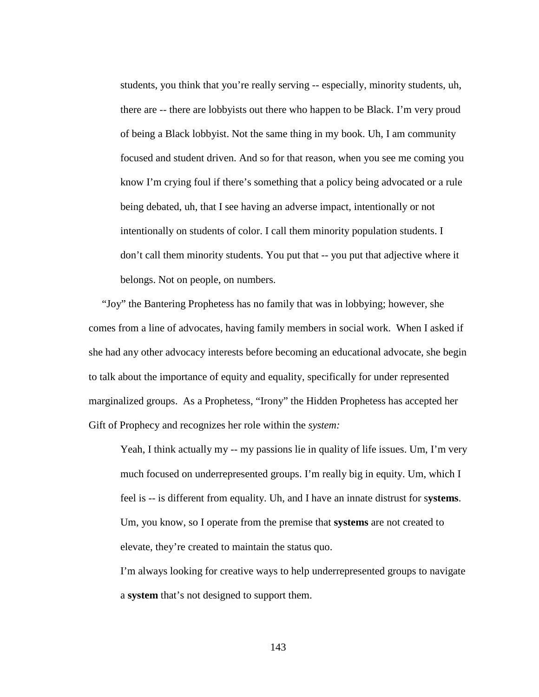students, you think that you're really serving -- especially, minority students, uh, there are -- there are lobbyists out there who happen to be Black. I'm very proud of being a Black lobbyist. Not the same thing in my book. Uh, I am community focused and student driven. And so for that reason, when you see me coming you know I'm crying foul if there's something that a policy being advocated or a rule being debated, uh, that I see having an adverse impact, intentionally or not intentionally on students of color. I call them minority population students. I don't call them minority students. You put that -- you put that adjective where it belongs. Not on people, on numbers.

 "Joy" the Bantering Prophetess has no family that was in lobbying; however, she comes from a line of advocates, having family members in social work. When I asked if she had any other advocacy interests before becoming an educational advocate, she begin to talk about the importance of equity and equality, specifically for under represented marginalized groups. As a Prophetess, "Irony" the Hidden Prophetess has accepted her Gift of Prophecy and recognizes her role within the *system:*

Yeah, I think actually my -- my passions lie in quality of life issues. Um, I'm very much focused on underrepresented groups. I'm really big in equity. Um, which I feel is -- is different from equality. Uh, and I have an innate distrust for s**ystems**. Um, you know, so I operate from the premise that **systems** are not created to elevate, they're created to maintain the status quo.

I'm always looking for creative ways to help underrepresented groups to navigate a **system** that's not designed to support them.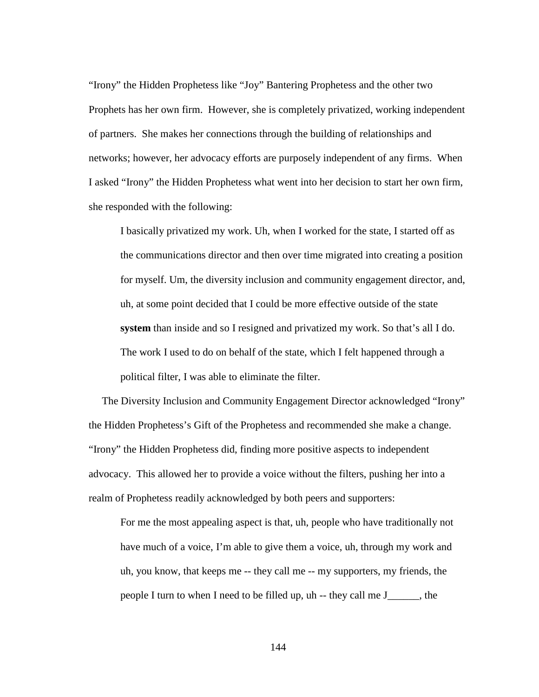"Irony" the Hidden Prophetess like "Joy" Bantering Prophetess and the other two Prophets has her own firm. However, she is completely privatized, working independent of partners. She makes her connections through the building of relationships and networks; however, her advocacy efforts are purposely independent of any firms. When I asked "Irony" the Hidden Prophetess what went into her decision to start her own firm, she responded with the following:

I basically privatized my work. Uh, when I worked for the state, I started off as the communications director and then over time migrated into creating a position for myself. Um, the diversity inclusion and community engagement director, and, uh, at some point decided that I could be more effective outside of the state **system** than inside and so I resigned and privatized my work. So that's all I do. The work I used to do on behalf of the state, which I felt happened through a political filter, I was able to eliminate the filter.

 The Diversity Inclusion and Community Engagement Director acknowledged "Irony" the Hidden Prophetess's Gift of the Prophetess and recommended she make a change. "Irony" the Hidden Prophetess did, finding more positive aspects to independent advocacy. This allowed her to provide a voice without the filters, pushing her into a realm of Prophetess readily acknowledged by both peers and supporters:

For me the most appealing aspect is that, uh, people who have traditionally not have much of a voice, I'm able to give them a voice, uh, through my work and uh, you know, that keeps me -- they call me -- my supporters, my friends, the people I turn to when I need to be filled up, uh -- they call me J\_\_\_\_\_\_, the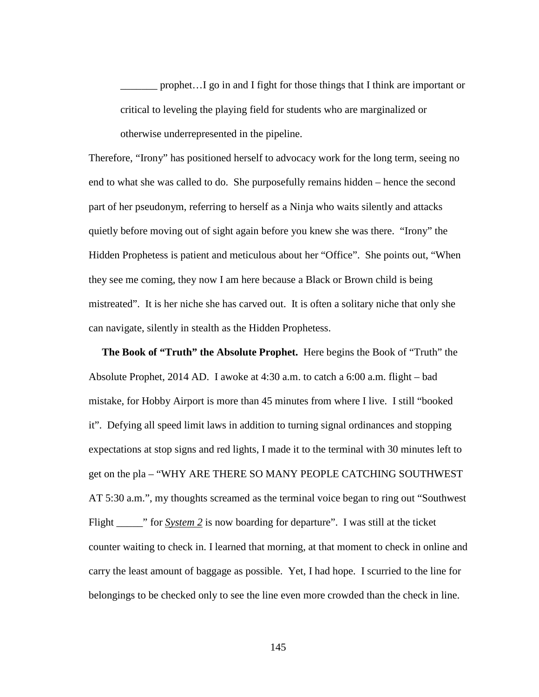prophet... I go in and I fight for those things that I think are important or critical to leveling the playing field for students who are marginalized or otherwise underrepresented in the pipeline.

Therefore, "Irony" has positioned herself to advocacy work for the long term, seeing no end to what she was called to do. She purposefully remains hidden – hence the second part of her pseudonym, referring to herself as a Ninja who waits silently and attacks quietly before moving out of sight again before you knew she was there. "Irony" the Hidden Prophetess is patient and meticulous about her "Office". She points out, "When they see me coming, they now I am here because a Black or Brown child is being mistreated". It is her niche she has carved out. It is often a solitary niche that only she can navigate, silently in stealth as the Hidden Prophetess.

 **The Book of "Truth" the Absolute Prophet.** Here begins the Book of "Truth" the Absolute Prophet, 2014 AD. I awoke at 4:30 a.m. to catch a 6:00 a.m. flight – bad mistake, for Hobby Airport is more than 45 minutes from where I live. I still "booked it". Defying all speed limit laws in addition to turning signal ordinances and stopping expectations at stop signs and red lights, I made it to the terminal with 30 minutes left to get on the pla – "WHY ARE THERE SO MANY PEOPLE CATCHING SOUTHWEST AT 5:30 a.m.", my thoughts screamed as the terminal voice began to ring out "Southwest Flight \_\_\_\_\_\_" for *System 2* is now boarding for departure". I was still at the ticket counter waiting to check in. I learned that morning, at that moment to check in online and carry the least amount of baggage as possible. Yet, I had hope. I scurried to the line for belongings to be checked only to see the line even more crowded than the check in line.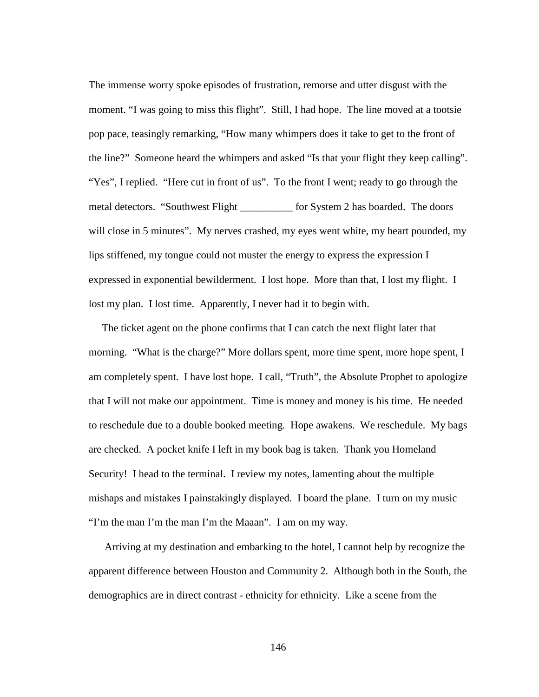The immense worry spoke episodes of frustration, remorse and utter disgust with the moment. "I was going to miss this flight". Still, I had hope. The line moved at a tootsie pop pace, teasingly remarking, "How many whimpers does it take to get to the front of the line?" Someone heard the whimpers and asked "Is that your flight they keep calling". "Yes", I replied. "Here cut in front of us". To the front I went; ready to go through the metal detectors. "Southwest Flight \_\_\_\_\_\_\_\_\_\_ for System 2 has boarded. The doors will close in 5 minutes". My nerves crashed, my eyes went white, my heart pounded, my lips stiffened, my tongue could not muster the energy to express the expression I expressed in exponential bewilderment. I lost hope. More than that, I lost my flight. I lost my plan. I lost time. Apparently, I never had it to begin with.

 The ticket agent on the phone confirms that I can catch the next flight later that morning. "What is the charge?" More dollars spent, more time spent, more hope spent, I am completely spent. I have lost hope. I call, "Truth", the Absolute Prophet to apologize that I will not make our appointment. Time is money and money is his time. He needed to reschedule due to a double booked meeting. Hope awakens. We reschedule. My bags are checked. A pocket knife I left in my book bag is taken. Thank you Homeland Security! I head to the terminal. I review my notes, lamenting about the multiple mishaps and mistakes I painstakingly displayed. I board the plane. I turn on my music "I'm the man I'm the man I'm the Maaan". I am on my way.

 Arriving at my destination and embarking to the hotel, I cannot help by recognize the apparent difference between Houston and Community 2. Although both in the South, the demographics are in direct contrast - ethnicity for ethnicity. Like a scene from the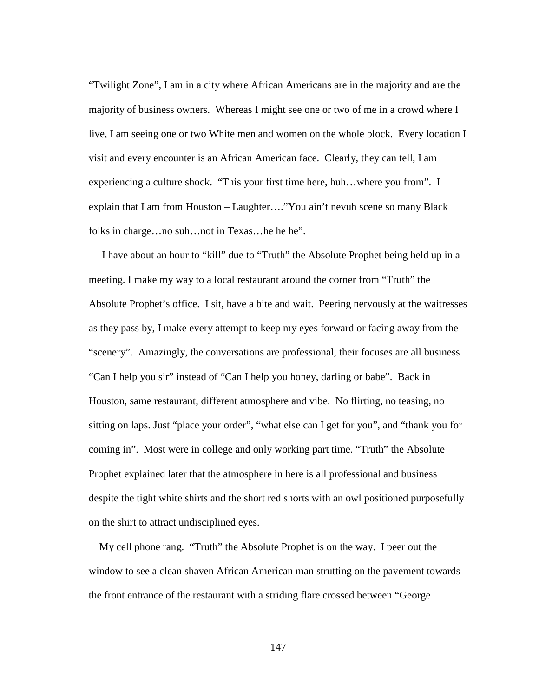"Twilight Zone", I am in a city where African Americans are in the majority and are the majority of business owners. Whereas I might see one or two of me in a crowd where I live, I am seeing one or two White men and women on the whole block. Every location I visit and every encounter is an African American face. Clearly, they can tell, I am experiencing a culture shock. "This your first time here, huh…where you from". I explain that I am from Houston – Laughter…."You ain't nevuh scene so many Black folks in charge…no suh…not in Texas…he he he".

 I have about an hour to "kill" due to "Truth" the Absolute Prophet being held up in a meeting. I make my way to a local restaurant around the corner from "Truth" the Absolute Prophet's office. I sit, have a bite and wait. Peering nervously at the waitresses as they pass by, I make every attempt to keep my eyes forward or facing away from the "scenery". Amazingly, the conversations are professional, their focuses are all business "Can I help you sir" instead of "Can I help you honey, darling or babe". Back in Houston, same restaurant, different atmosphere and vibe. No flirting, no teasing, no sitting on laps. Just "place your order", "what else can I get for you", and "thank you for coming in". Most were in college and only working part time. "Truth" the Absolute Prophet explained later that the atmosphere in here is all professional and business despite the tight white shirts and the short red shorts with an owl positioned purposefully on the shirt to attract undisciplined eyes.

 My cell phone rang. "Truth" the Absolute Prophet is on the way. I peer out the window to see a clean shaven African American man strutting on the pavement towards the front entrance of the restaurant with a striding flare crossed between "George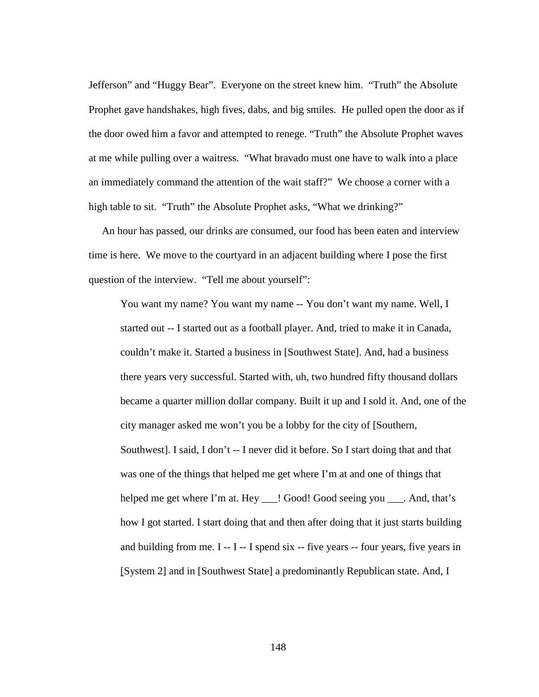Jefferson" and "Huggy Bear". Everyone on the street knew him. "Truth" the Absolute Prophet gave handshakes, high fives, dabs, and big smiles. He pulled open the door as if the door owed him a favor and attempted to renege. "Truth" the Absolute Prophet waves at me while pulling over a waitress. "What bravado must one have to walk into a place an immediately command the attention of the wait staff?" We choose a corner with a high table to sit. "Truth" the Absolute Prophet asks, "What we drinking?"

 An hour has passed, our drinks are consumed, our food has been eaten and interview time is here. We move to the courtyard in an adjacent building where I pose the first question of the interview. "Tell me about yourself":

You want my name? You want my name -- You don't want my name. Well, I started out -- I started out as a football player. And, tried to make it in Canada, couldn't make it. Started a business in [Southwest State]. And, had a business there years very successful. Started with, uh, two hundred fifty thousand dollars became a quarter million dollar company. Built it up and I sold it. And, one of the city manager asked me won't you be a lobby for the city of [Southern, Southwest]. I said, I don't -- I never did it before. So I start doing that and that was one of the things that helped me get where I'm at and one of things that helped me get where I'm at. Hey \_\_\_! Good! Good seeing you \_\_\_. And, that's how I got started. I start doing that and then after doing that it just starts building and building from me.  $I - I - I$  spend six  $-$  five years  $-$  four years, five years in [System 2] and in [Southwest State] a predominantly Republican state. And, I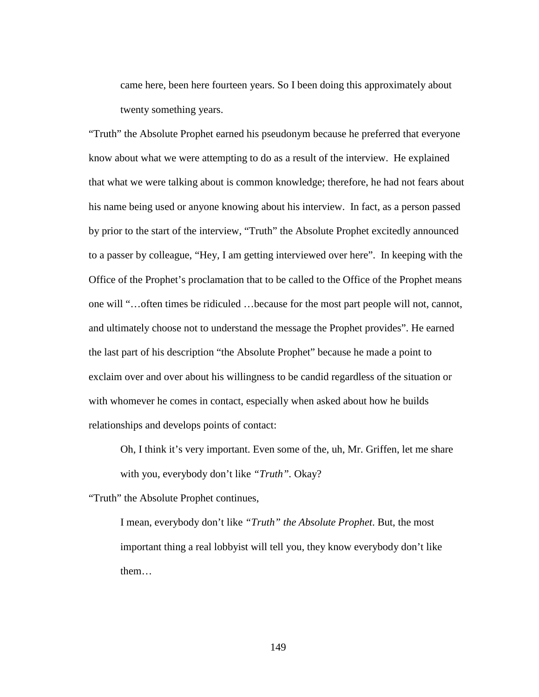came here, been here fourteen years. So I been doing this approximately about twenty something years.

"Truth" the Absolute Prophet earned his pseudonym because he preferred that everyone know about what we were attempting to do as a result of the interview. He explained that what we were talking about is common knowledge; therefore, he had not fears about his name being used or anyone knowing about his interview. In fact, as a person passed by prior to the start of the interview, "Truth" the Absolute Prophet excitedly announced to a passer by colleague, "Hey, I am getting interviewed over here". In keeping with the Office of the Prophet's proclamation that to be called to the Office of the Prophet means one will "…often times be ridiculed …because for the most part people will not, cannot, and ultimately choose not to understand the message the Prophet provides". He earned the last part of his description "the Absolute Prophet" because he made a point to exclaim over and over about his willingness to be candid regardless of the situation or with whomever he comes in contact, especially when asked about how he builds relationships and develops points of contact:

Oh, I think it's very important. Even some of the, uh, Mr. Griffen, let me share with you, everybody don't like *"Truth".* Okay?

"Truth" the Absolute Prophet continues,

I mean, everybody don't like *"Truth" the Absolute Prophet*. But, the most important thing a real lobbyist will tell you, they know everybody don't like them…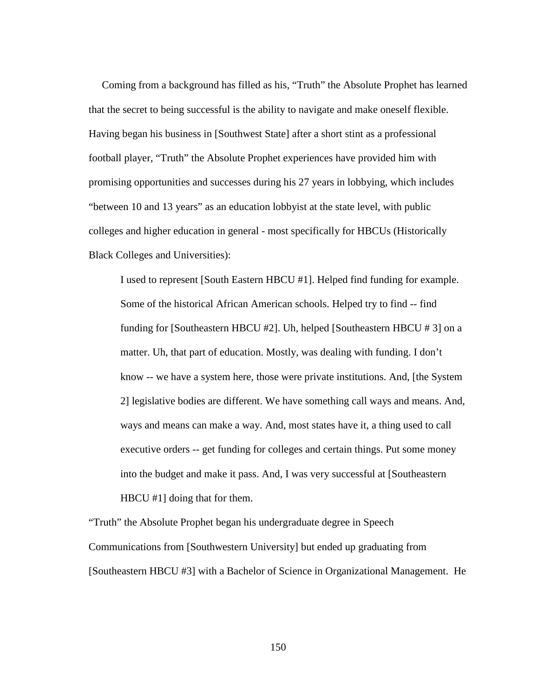Coming from a background has filled as his, "Truth" the Absolute Prophet has learned that the secret to being successful is the ability to navigate and make oneself flexible. Having began his business in [Southwest State] after a short stint as a professional football player, "Truth" the Absolute Prophet experiences have provided him with promising opportunities and successes during his 27 years in lobbying, which includes "between 10 and 13 years" as an education lobbyist at the state level, with public colleges and higher education in general - most specifically for HBCUs (Historically Black Colleges and Universities):

I used to represent [South Eastern HBCU #1]. Helped find funding for example. Some of the historical African American schools. Helped try to find -- find funding for [Southeastern HBCU #2]. Uh, helped [Southeastern HBCU # 3] on a matter. Uh, that part of education. Mostly, was dealing with funding. I don't know -- we have a system here, those were private institutions. And, [the System 2] legislative bodies are different. We have something call ways and means. And, ways and means can make a way. And, most states have it, a thing used to call executive orders -- get funding for colleges and certain things. Put some money into the budget and make it pass. And, I was very successful at [Southeastern HBCU #1] doing that for them.

"Truth" the Absolute Prophet began his undergraduate degree in Speech Communications from [Southwestern University] but ended up graduating from [Southeastern HBCU #3] with a Bachelor of Science in Organizational Management. He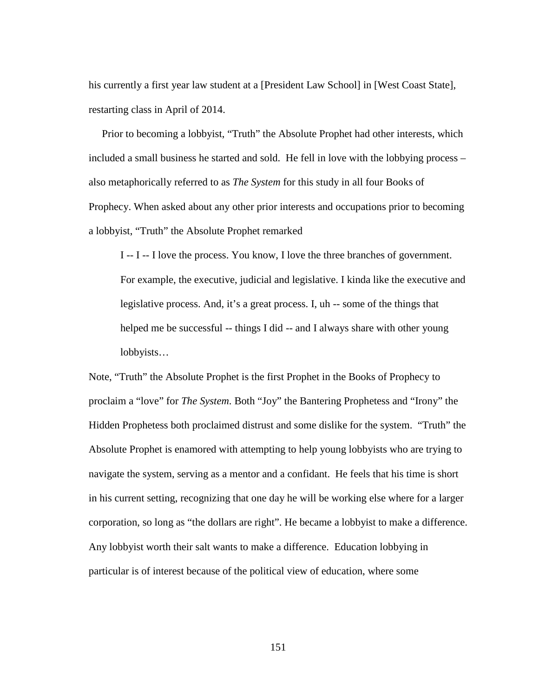his currently a first year law student at a [President Law School] in [West Coast State], restarting class in April of 2014.

 Prior to becoming a lobbyist, "Truth" the Absolute Prophet had other interests, which included a small business he started and sold. He fell in love with the lobbying process – also metaphorically referred to as *The System* for this study in all four Books of Prophecy. When asked about any other prior interests and occupations prior to becoming a lobbyist, "Truth" the Absolute Prophet remarked

I -- I -- I love the process. You know, I love the three branches of government. For example, the executive, judicial and legislative. I kinda like the executive and legislative process. And, it's a great process. I, uh -- some of the things that helped me be successful -- things I did -- and I always share with other young lobbyists…

Note, "Truth" the Absolute Prophet is the first Prophet in the Books of Prophecy to proclaim a "love" for *The System*. Both "Joy" the Bantering Prophetess and "Irony" the Hidden Prophetess both proclaimed distrust and some dislike for the system. "Truth" the Absolute Prophet is enamored with attempting to help young lobbyists who are trying to navigate the system, serving as a mentor and a confidant. He feels that his time is short in his current setting, recognizing that one day he will be working else where for a larger corporation, so long as "the dollars are right". He became a lobbyist to make a difference. Any lobbyist worth their salt wants to make a difference. Education lobbying in particular is of interest because of the political view of education, where some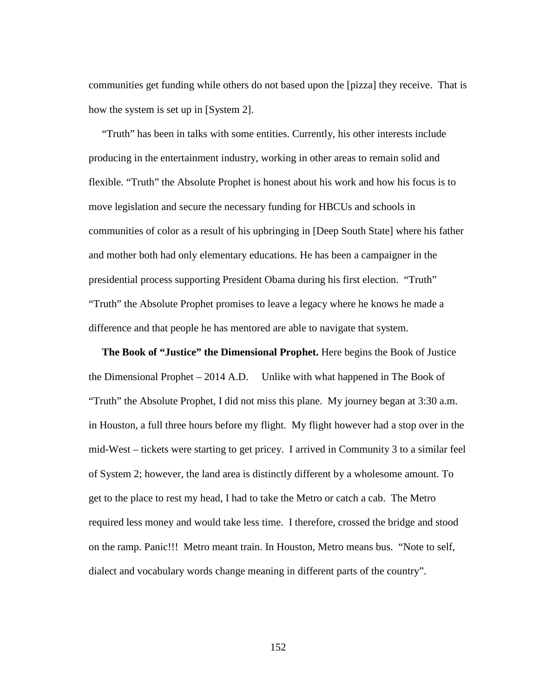communities get funding while others do not based upon the [pizza] they receive. That is how the system is set up in [System 2].

 "Truth" has been in talks with some entities. Currently, his other interests include producing in the entertainment industry, working in other areas to remain solid and flexible. "Truth" the Absolute Prophet is honest about his work and how his focus is to move legislation and secure the necessary funding for HBCUs and schools in communities of color as a result of his upbringing in [Deep South State] where his father and mother both had only elementary educations. He has been a campaigner in the presidential process supporting President Obama during his first election. "Truth" "Truth" the Absolute Prophet promises to leave a legacy where he knows he made a difference and that people he has mentored are able to navigate that system.

 **The Book of "Justice" the Dimensional Prophet.** Here begins the Book of Justice the Dimensional Prophet – 2014 A.D. Unlike with what happened in The Book of "Truth" the Absolute Prophet, I did not miss this plane. My journey began at 3:30 a.m. in Houston, a full three hours before my flight. My flight however had a stop over in the mid-West – tickets were starting to get pricey. I arrived in Community 3 to a similar feel of System 2; however, the land area is distinctly different by a wholesome amount. To get to the place to rest my head, I had to take the Metro or catch a cab. The Metro required less money and would take less time. I therefore, crossed the bridge and stood on the ramp. Panic!!! Metro meant train. In Houston, Metro means bus. "Note to self, dialect and vocabulary words change meaning in different parts of the country".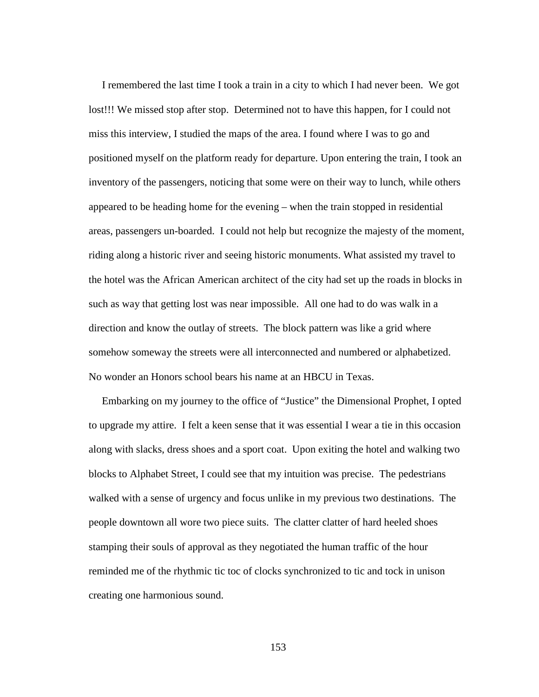I remembered the last time I took a train in a city to which I had never been. We got lost!!! We missed stop after stop. Determined not to have this happen, for I could not miss this interview, I studied the maps of the area. I found where I was to go and positioned myself on the platform ready for departure. Upon entering the train, I took an inventory of the passengers, noticing that some were on their way to lunch, while others appeared to be heading home for the evening – when the train stopped in residential areas, passengers un-boarded. I could not help but recognize the majesty of the moment, riding along a historic river and seeing historic monuments. What assisted my travel to the hotel was the African American architect of the city had set up the roads in blocks in such as way that getting lost was near impossible. All one had to do was walk in a direction and know the outlay of streets. The block pattern was like a grid where somehow someway the streets were all interconnected and numbered or alphabetized. No wonder an Honors school bears his name at an HBCU in Texas.

 Embarking on my journey to the office of "Justice" the Dimensional Prophet, I opted to upgrade my attire. I felt a keen sense that it was essential I wear a tie in this occasion along with slacks, dress shoes and a sport coat. Upon exiting the hotel and walking two blocks to Alphabet Street, I could see that my intuition was precise. The pedestrians walked with a sense of urgency and focus unlike in my previous two destinations. The people downtown all wore two piece suits. The clatter clatter of hard heeled shoes stamping their souls of approval as they negotiated the human traffic of the hour reminded me of the rhythmic tic toc of clocks synchronized to tic and tock in unison creating one harmonious sound.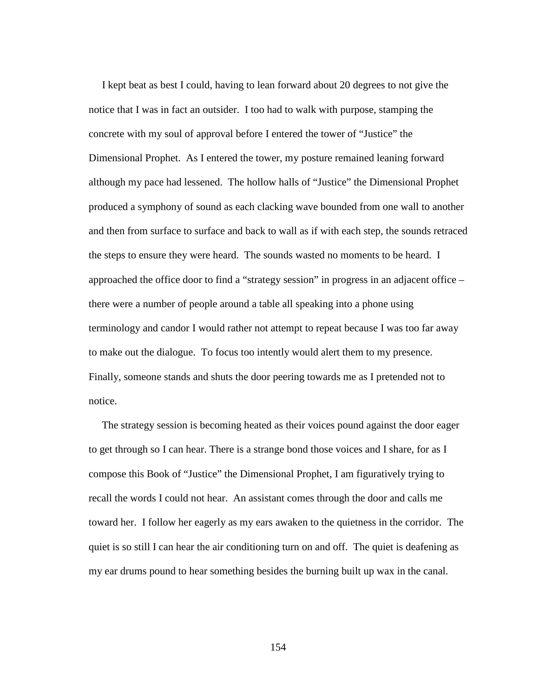I kept beat as best I could, having to lean forward about 20 degrees to not give the notice that I was in fact an outsider. I too had to walk with purpose, stamping the concrete with my soul of approval before I entered the tower of "Justice" the Dimensional Prophet. As I entered the tower, my posture remained leaning forward although my pace had lessened. The hollow halls of "Justice" the Dimensional Prophet produced a symphony of sound as each clacking wave bounded from one wall to another and then from surface to surface and back to wall as if with each step, the sounds retraced the steps to ensure they were heard. The sounds wasted no moments to be heard. I approached the office door to find a "strategy session" in progress in an adjacent office – there were a number of people around a table all speaking into a phone using terminology and candor I would rather not attempt to repeat because I was too far away to make out the dialogue. To focus too intently would alert them to my presence. Finally, someone stands and shuts the door peering towards me as I pretended not to notice.

 The strategy session is becoming heated as their voices pound against the door eager to get through so I can hear. There is a strange bond those voices and I share, for as I compose this Book of "Justice" the Dimensional Prophet, I am figuratively trying to recall the words I could not hear. An assistant comes through the door and calls me toward her. I follow her eagerly as my ears awaken to the quietness in the corridor. The quiet is so still I can hear the air conditioning turn on and off. The quiet is deafening as my ear drums pound to hear something besides the burning built up wax in the canal.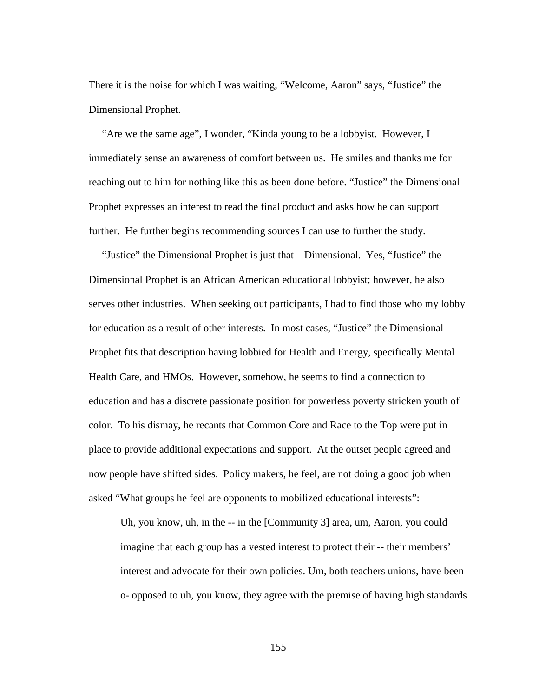There it is the noise for which I was waiting, "Welcome, Aaron" says, "Justice" the Dimensional Prophet.

 "Are we the same age", I wonder, "Kinda young to be a lobbyist. However, I immediately sense an awareness of comfort between us. He smiles and thanks me for reaching out to him for nothing like this as been done before. "Justice" the Dimensional Prophet expresses an interest to read the final product and asks how he can support further. He further begins recommending sources I can use to further the study.

 "Justice" the Dimensional Prophet is just that – Dimensional. Yes, "Justice" the Dimensional Prophet is an African American educational lobbyist; however, he also serves other industries. When seeking out participants, I had to find those who my lobby for education as a result of other interests. In most cases, "Justice" the Dimensional Prophet fits that description having lobbied for Health and Energy, specifically Mental Health Care, and HMOs. However, somehow, he seems to find a connection to education and has a discrete passionate position for powerless poverty stricken youth of color. To his dismay, he recants that Common Core and Race to the Top were put in place to provide additional expectations and support. At the outset people agreed and now people have shifted sides. Policy makers, he feel, are not doing a good job when asked "What groups he feel are opponents to mobilized educational interests":

Uh, you know, uh, in the -- in the [Community 3] area, um, Aaron, you could imagine that each group has a vested interest to protect their -- their members' interest and advocate for their own policies. Um, both teachers unions, have been o- opposed to uh, you know, they agree with the premise of having high standards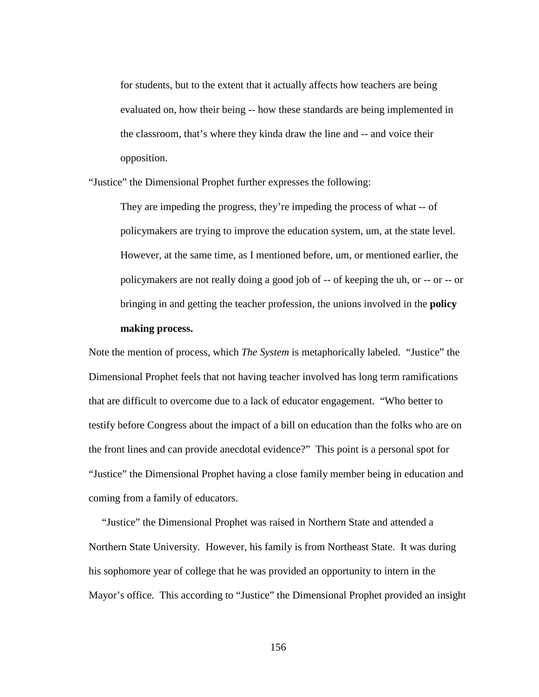for students, but to the extent that it actually affects how teachers are being evaluated on, how their being -- how these standards are being implemented in the classroom, that's where they kinda draw the line and -- and voice their opposition.

"Justice" the Dimensional Prophet further expresses the following:

They are impeding the progress, they're impeding the process of what -- of policymakers are trying to improve the education system, um, at the state level. However, at the same time, as I mentioned before, um, or mentioned earlier, the policymakers are not really doing a good job of -- of keeping the uh, or -- or -- or bringing in and getting the teacher profession, the unions involved in the **policy making process.** 

Note the mention of process, which *The System* is metaphorically labeled. "Justice" the Dimensional Prophet feels that not having teacher involved has long term ramifications that are difficult to overcome due to a lack of educator engagement. "Who better to testify before Congress about the impact of a bill on education than the folks who are on the front lines and can provide anecdotal evidence?" This point is a personal spot for "Justice" the Dimensional Prophet having a close family member being in education and coming from a family of educators.

 "Justice" the Dimensional Prophet was raised in Northern State and attended a Northern State University. However, his family is from Northeast State. It was during his sophomore year of college that he was provided an opportunity to intern in the Mayor's office. This according to "Justice" the Dimensional Prophet provided an insight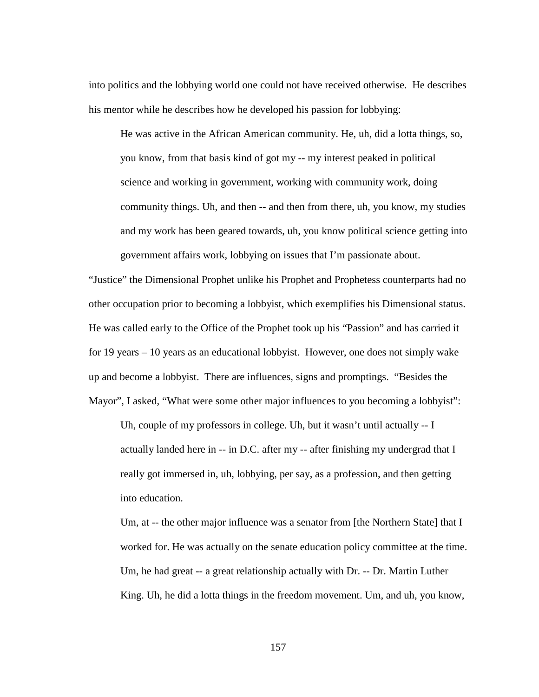into politics and the lobbying world one could not have received otherwise. He describes his mentor while he describes how he developed his passion for lobbying:

He was active in the African American community. He, uh, did a lotta things, so, you know, from that basis kind of got my -- my interest peaked in political science and working in government, working with community work, doing community things. Uh, and then -- and then from there, uh, you know, my studies and my work has been geared towards, uh, you know political science getting into government affairs work, lobbying on issues that I'm passionate about.

"Justice" the Dimensional Prophet unlike his Prophet and Prophetess counterparts had no other occupation prior to becoming a lobbyist, which exemplifies his Dimensional status. He was called early to the Office of the Prophet took up his "Passion" and has carried it for 19 years – 10 years as an educational lobbyist. However, one does not simply wake up and become a lobbyist. There are influences, signs and promptings. "Besides the Mayor", I asked, "What were some other major influences to you becoming a lobbyist":

Uh, couple of my professors in college. Uh, but it wasn't until actually -- I actually landed here in -- in D.C. after my -- after finishing my undergrad that I really got immersed in, uh, lobbying, per say, as a profession, and then getting into education.

Um, at -- the other major influence was a senator from [the Northern State] that I worked for. He was actually on the senate education policy committee at the time. Um, he had great -- a great relationship actually with Dr. -- Dr. Martin Luther King. Uh, he did a lotta things in the freedom movement. Um, and uh, you know,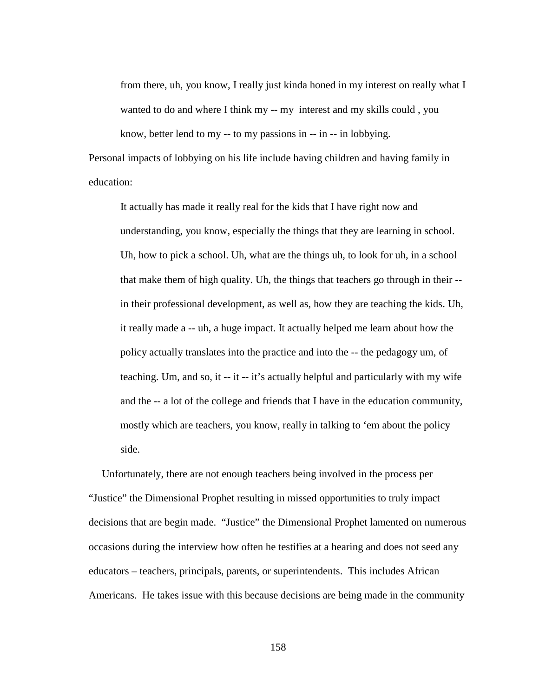from there, uh, you know, I really just kinda honed in my interest on really what I wanted to do and where I think my -- my interest and my skills could , you know, better lend to my -- to my passions in -- in -- in lobbying.

Personal impacts of lobbying on his life include having children and having family in education:

It actually has made it really real for the kids that I have right now and understanding, you know, especially the things that they are learning in school. Uh, how to pick a school. Uh, what are the things uh, to look for uh, in a school that make them of high quality. Uh, the things that teachers go through in their - in their professional development, as well as, how they are teaching the kids. Uh, it really made a -- uh, a huge impact. It actually helped me learn about how the policy actually translates into the practice and into the -- the pedagogy um, of teaching. Um, and so, it -- it -- it's actually helpful and particularly with my wife and the -- a lot of the college and friends that I have in the education community, mostly which are teachers, you know, really in talking to 'em about the policy side.

 Unfortunately, there are not enough teachers being involved in the process per "Justice" the Dimensional Prophet resulting in missed opportunities to truly impact decisions that are begin made. "Justice" the Dimensional Prophet lamented on numerous occasions during the interview how often he testifies at a hearing and does not seed any educators – teachers, principals, parents, or superintendents. This includes African Americans. He takes issue with this because decisions are being made in the community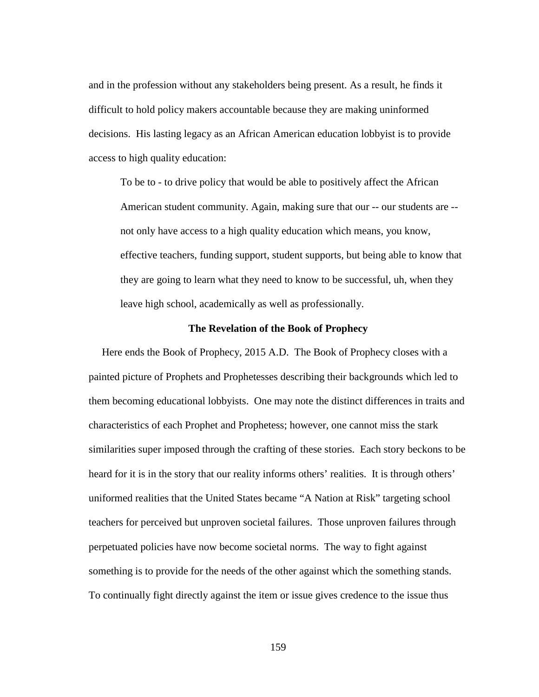and in the profession without any stakeholders being present. As a result, he finds it difficult to hold policy makers accountable because they are making uninformed decisions. His lasting legacy as an African American education lobbyist is to provide access to high quality education:

To be to - to drive policy that would be able to positively affect the African American student community. Again, making sure that our -- our students are - not only have access to a high quality education which means, you know, effective teachers, funding support, student supports, but being able to know that they are going to learn what they need to know to be successful, uh, when they leave high school, academically as well as professionally.

## **The Revelation of the Book of Prophecy**

 Here ends the Book of Prophecy, 2015 A.D.The Book of Prophecy closes with a painted picture of Prophets and Prophetesses describing their backgrounds which led to them becoming educational lobbyists. One may note the distinct differences in traits and characteristics of each Prophet and Prophetess; however, one cannot miss the stark similarities super imposed through the crafting of these stories. Each story beckons to be heard for it is in the story that our reality informs others' realities. It is through others' uniformed realities that the United States became "A Nation at Risk" targeting school teachers for perceived but unproven societal failures. Those unproven failures through perpetuated policies have now become societal norms. The way to fight against something is to provide for the needs of the other against which the something stands. To continually fight directly against the item or issue gives credence to the issue thus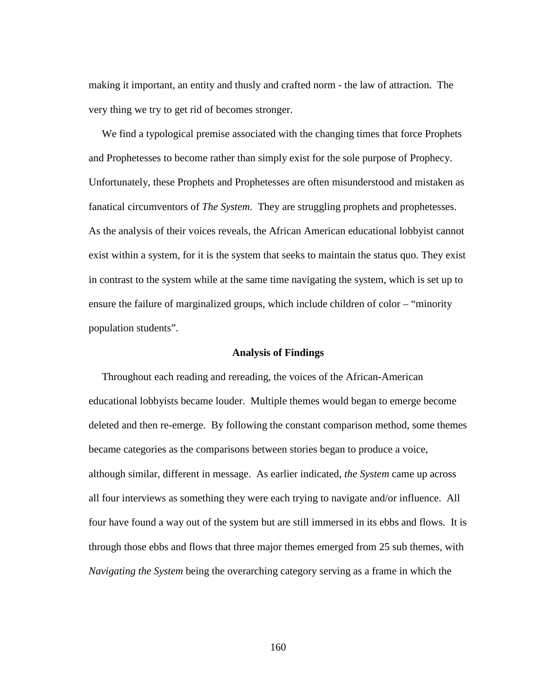making it important, an entity and thusly and crafted norm - the law of attraction. The very thing we try to get rid of becomes stronger.

 We find a typological premise associated with the changing times that force Prophets and Prophetesses to become rather than simply exist for the sole purpose of Prophecy. Unfortunately, these Prophets and Prophetesses are often misunderstood and mistaken as fanatical circumventors of *The System*. They are struggling prophets and prophetesses. As the analysis of their voices reveals, the African American educational lobbyist cannot exist within a system, for it is the system that seeks to maintain the status quo. They exist in contrast to the system while at the same time navigating the system, which is set up to ensure the failure of marginalized groups, which include children of color – "minority population students".

## **Analysis of Findings**

 Throughout each reading and rereading, the voices of the African-American educational lobbyists became louder. Multiple themes would began to emerge become deleted and then re-emerge. By following the constant comparison method, some themes became categories as the comparisons between stories began to produce a voice, although similar, different in message. As earlier indicated, *the System* came up across all four interviews as something they were each trying to navigate and/or influence. All four have found a way out of the system but are still immersed in its ebbs and flows. It is through those ebbs and flows that three major themes emerged from 25 sub themes, with *Navigating the System* being the overarching category serving as a frame in which the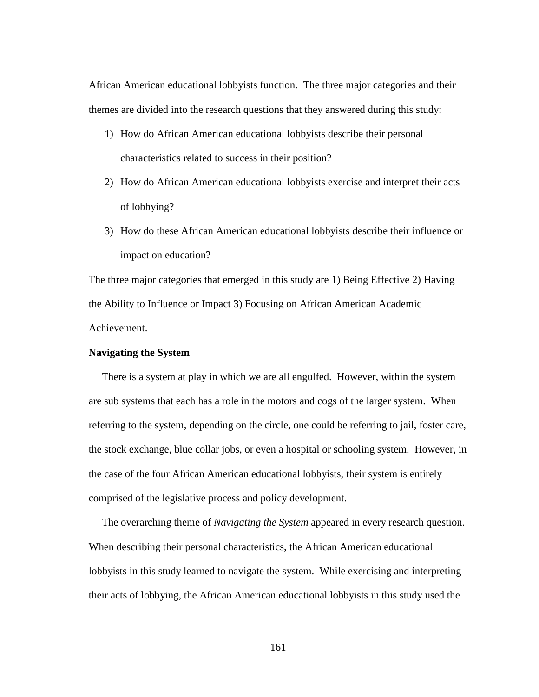African American educational lobbyists function. The three major categories and their themes are divided into the research questions that they answered during this study:

- 1) How do African American educational lobbyists describe their personal characteristics related to success in their position?
- 2) How do African American educational lobbyists exercise and interpret their acts of lobbying?
- 3) How do these African American educational lobbyists describe their influence or impact on education?

The three major categories that emerged in this study are 1) Being Effective 2) Having the Ability to Influence or Impact 3) Focusing on African American Academic Achievement.

## **Navigating the System**

 There is a system at play in which we are all engulfed. However, within the system are sub systems that each has a role in the motors and cogs of the larger system. When referring to the system, depending on the circle, one could be referring to jail, foster care, the stock exchange, blue collar jobs, or even a hospital or schooling system. However, in the case of the four African American educational lobbyists, their system is entirely comprised of the legislative process and policy development.

 The overarching theme of *Navigating the System* appeared in every research question. When describing their personal characteristics, the African American educational lobbyists in this study learned to navigate the system. While exercising and interpreting their acts of lobbying, the African American educational lobbyists in this study used the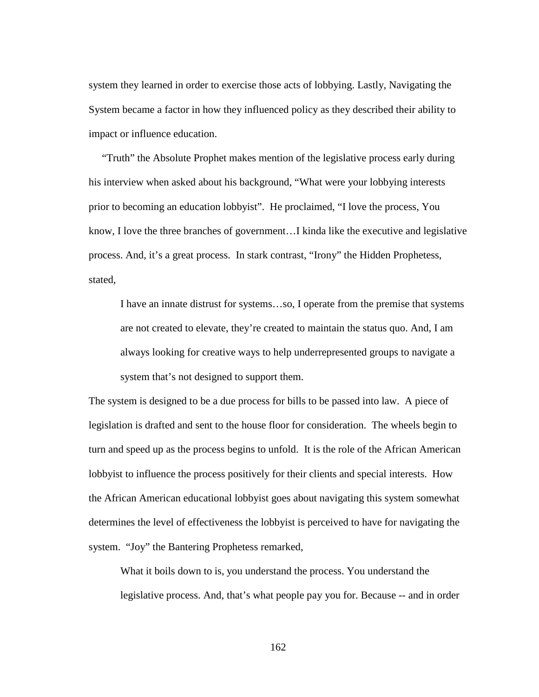system they learned in order to exercise those acts of lobbying. Lastly, Navigating the System became a factor in how they influenced policy as they described their ability to impact or influence education.

 "Truth" the Absolute Prophet makes mention of the legislative process early during his interview when asked about his background, "What were your lobbying interests prior to becoming an education lobbyist". He proclaimed, "I love the process, You know, I love the three branches of government…I kinda like the executive and legislative process. And, it's a great process. In stark contrast, "Irony" the Hidden Prophetess, stated,

I have an innate distrust for systems…so, I operate from the premise that systems are not created to elevate, they're created to maintain the status quo. And, I am always looking for creative ways to help underrepresented groups to navigate a system that's not designed to support them.

The system is designed to be a due process for bills to be passed into law. A piece of legislation is drafted and sent to the house floor for consideration. The wheels begin to turn and speed up as the process begins to unfold. It is the role of the African American lobbyist to influence the process positively for their clients and special interests. How the African American educational lobbyist goes about navigating this system somewhat determines the level of effectiveness the lobbyist is perceived to have for navigating the system. "Joy" the Bantering Prophetess remarked,

What it boils down to is, you understand the process. You understand the legislative process. And, that's what people pay you for. Because -- and in order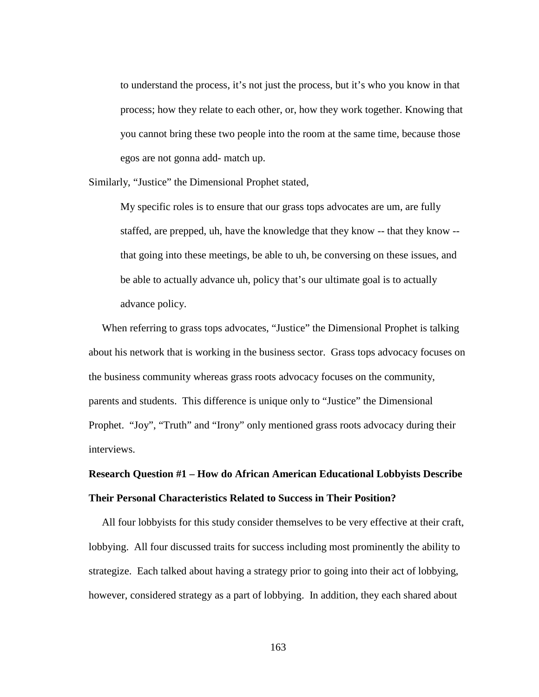to understand the process, it's not just the process, but it's who you know in that process; how they relate to each other, or, how they work together. Knowing that you cannot bring these two people into the room at the same time, because those egos are not gonna add- match up.

Similarly, "Justice" the Dimensional Prophet stated,

My specific roles is to ensure that our grass tops advocates are um, are fully staffed, are prepped, uh, have the knowledge that they know -- that they know - that going into these meetings, be able to uh, be conversing on these issues, and be able to actually advance uh, policy that's our ultimate goal is to actually advance policy.

 When referring to grass tops advocates, "Justice" the Dimensional Prophet is talking about his network that is working in the business sector. Grass tops advocacy focuses on the business community whereas grass roots advocacy focuses on the community, parents and students. This difference is unique only to "Justice" the Dimensional Prophet. "Joy", "Truth" and "Irony" only mentioned grass roots advocacy during their interviews.

## **Research Question #1 – How do African American Educational Lobbyists Describe Their Personal Characteristics Related to Success in Their Position?**

All four lobbyists for this study consider themselves to be very effective at their craft, lobbying. All four discussed traits for success including most prominently the ability to strategize. Each talked about having a strategy prior to going into their act of lobbying, however, considered strategy as a part of lobbying. In addition, they each shared about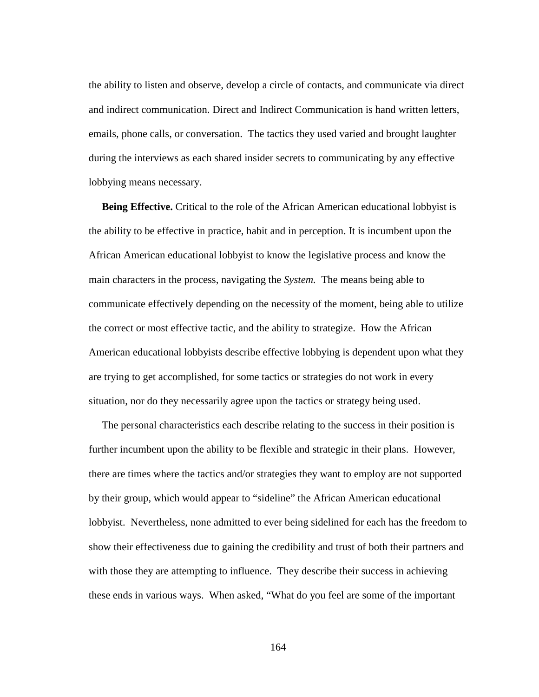the ability to listen and observe, develop a circle of contacts, and communicate via direct and indirect communication. Direct and Indirect Communication is hand written letters, emails, phone calls, or conversation. The tactics they used varied and brought laughter during the interviews as each shared insider secrets to communicating by any effective lobbying means necessary.

 **Being Effective.** Critical to the role of the African American educational lobbyist is the ability to be effective in practice, habit and in perception. It is incumbent upon the African American educational lobbyist to know the legislative process and know the main characters in the process, navigating the *System.* The means being able to communicate effectively depending on the necessity of the moment, being able to utilize the correct or most effective tactic, and the ability to strategize. How the African American educational lobbyists describe effective lobbying is dependent upon what they are trying to get accomplished, for some tactics or strategies do not work in every situation, nor do they necessarily agree upon the tactics or strategy being used.

 The personal characteristics each describe relating to the success in their position is further incumbent upon the ability to be flexible and strategic in their plans. However, there are times where the tactics and/or strategies they want to employ are not supported by their group, which would appear to "sideline" the African American educational lobbyist. Nevertheless, none admitted to ever being sidelined for each has the freedom to show their effectiveness due to gaining the credibility and trust of both their partners and with those they are attempting to influence. They describe their success in achieving these ends in various ways. When asked, "What do you feel are some of the important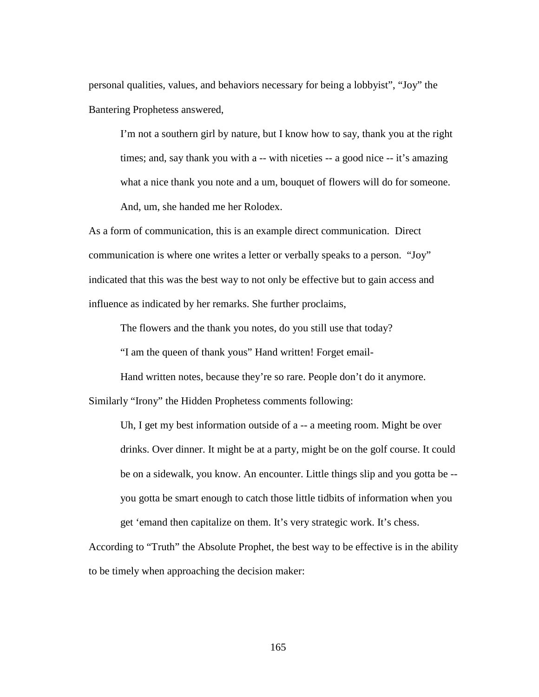personal qualities, values, and behaviors necessary for being a lobbyist", "Joy" the Bantering Prophetess answered,

I'm not a southern girl by nature, but I know how to say, thank you at the right times; and, say thank you with a -- with niceties -- a good nice -- it's amazing what a nice thank you note and a um, bouquet of flowers will do for someone. And, um, she handed me her Rolodex.

As a form of communication, this is an example direct communication. Direct communication is where one writes a letter or verbally speaks to a person. "Joy" indicated that this was the best way to not only be effective but to gain access and influence as indicated by her remarks. She further proclaims,

The flowers and the thank you notes, do you still use that today?

"I am the queen of thank yous" Hand written! Forget email-

Hand written notes, because they're so rare. People don't do it anymore.

Similarly "Irony" the Hidden Prophetess comments following:

Uh, I get my best information outside of a -- a meeting room. Might be over drinks. Over dinner. It might be at a party, might be on the golf course. It could be on a sidewalk, you know. An encounter. Little things slip and you gotta be - you gotta be smart enough to catch those little tidbits of information when you get 'emand then capitalize on them. It's very strategic work. It's chess.

According to "Truth" the Absolute Prophet, the best way to be effective is in the ability to be timely when approaching the decision maker: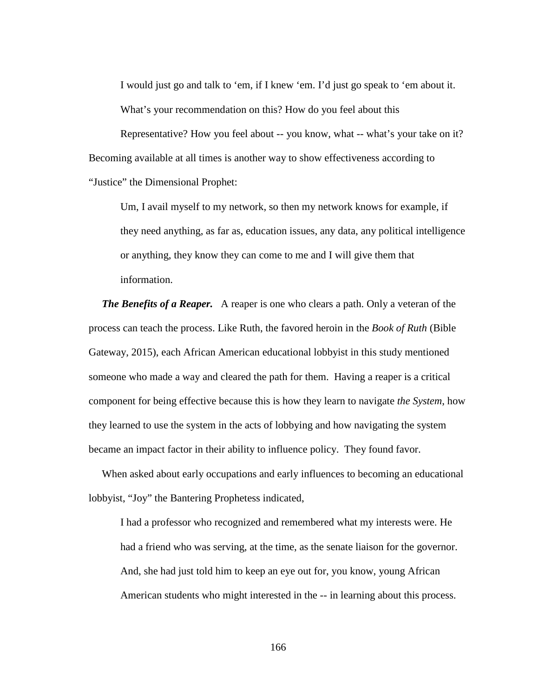I would just go and talk to 'em, if I knew 'em. I'd just go speak to 'em about it. What's your recommendation on this? How do you feel about this

Representative? How you feel about -- you know, what -- what's your take on it? Becoming available at all times is another way to show effectiveness according to "Justice" the Dimensional Prophet:

Um, I avail myself to my network, so then my network knows for example, if they need anything, as far as, education issues, any data, any political intelligence or anything, they know they can come to me and I will give them that information.

*The Benefits of a Reaper.* A reaper is one who clears a path. Only a veteran of the process can teach the process. Like Ruth, the favored heroin in the *Book of Ruth* (Bible Gateway, 2015), each African American educational lobbyist in this study mentioned someone who made a way and cleared the path for them. Having a reaper is a critical component for being effective because this is how they learn to navigate *the System*, how they learned to use the system in the acts of lobbying and how navigating the system became an impact factor in their ability to influence policy. They found favor.

 When asked about early occupations and early influences to becoming an educational lobbyist, "Joy" the Bantering Prophetess indicated,

I had a professor who recognized and remembered what my interests were. He had a friend who was serving, at the time, as the senate liaison for the governor. And, she had just told him to keep an eye out for, you know, young African American students who might interested in the -- in learning about this process.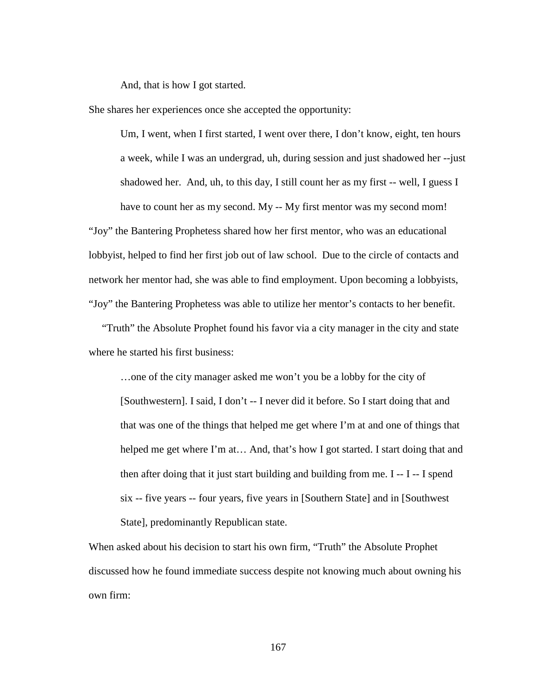And, that is how I got started.

She shares her experiences once she accepted the opportunity:

Um, I went, when I first started, I went over there, I don't know, eight, ten hours a week, while I was an undergrad, uh, during session and just shadowed her --just shadowed her. And, uh, to this day, I still count her as my first -- well, I guess I have to count her as my second. My -- My first mentor was my second mom! "Joy" the Bantering Prophetess shared how her first mentor, who was an educational lobbyist, helped to find her first job out of law school. Due to the circle of contacts and network her mentor had, she was able to find employment. Upon becoming a lobbyists, "Joy" the Bantering Prophetess was able to utilize her mentor's contacts to her benefit.

 "Truth" the Absolute Prophet found his favor via a city manager in the city and state where he started his first business:

…one of the city manager asked me won't you be a lobby for the city of [Southwestern]. I said, I don't -- I never did it before. So I start doing that and that was one of the things that helped me get where I'm at and one of things that helped me get where I'm at... And, that's how I got started. I start doing that and then after doing that it just start building and building from me. I -- I -- I spend six -- five years -- four years, five years in [Southern State] and in [Southwest State], predominantly Republican state.

When asked about his decision to start his own firm, "Truth" the Absolute Prophet discussed how he found immediate success despite not knowing much about owning his own firm: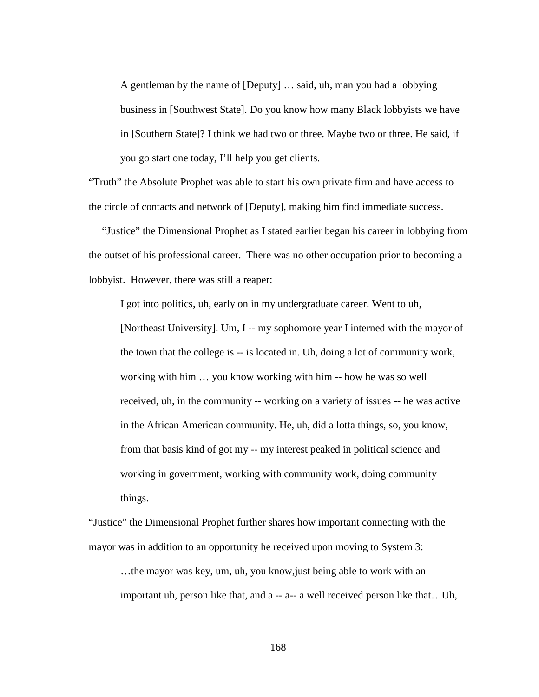A gentleman by the name of [Deputy] … said, uh, man you had a lobbying business in [Southwest State]. Do you know how many Black lobbyists we have in [Southern State]? I think we had two or three. Maybe two or three. He said, if you go start one today, I'll help you get clients.

"Truth" the Absolute Prophet was able to start his own private firm and have access to the circle of contacts and network of [Deputy], making him find immediate success.

 "Justice" the Dimensional Prophet as I stated earlier began his career in lobbying from the outset of his professional career. There was no other occupation prior to becoming a lobbyist. However, there was still a reaper:

I got into politics, uh, early on in my undergraduate career. Went to uh,

[Northeast University]. Um, I -- my sophomore year I interned with the mayor of the town that the college is -- is located in. Uh, doing a lot of community work, working with him … you know working with him -- how he was so well received, uh, in the community -- working on a variety of issues -- he was active in the African American community. He, uh, did a lotta things, so, you know, from that basis kind of got my -- my interest peaked in political science and working in government, working with community work, doing community things.

"Justice" the Dimensional Prophet further shares how important connecting with the mayor was in addition to an opportunity he received upon moving to System 3:

…the mayor was key, um, uh, you know,just being able to work with an important uh, person like that, and a -- a-- a well received person like that...Uh,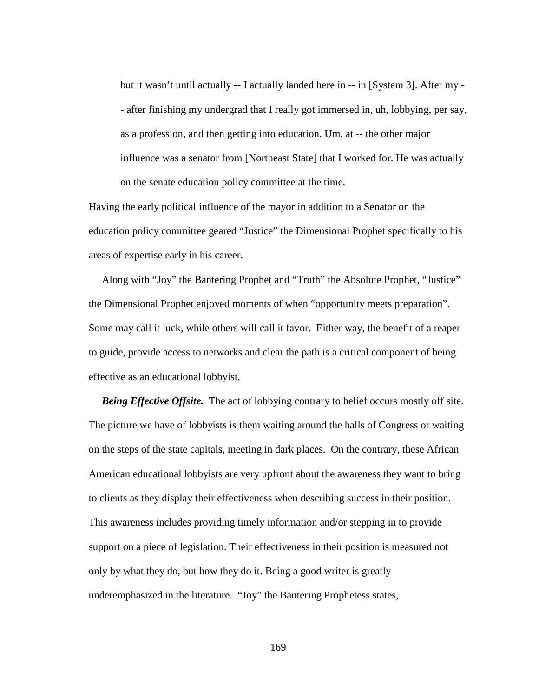but it wasn't until actually -- I actually landed here in -- in [System 3]. After my - - after finishing my undergrad that I really got immersed in, uh, lobbying, per say, as a profession, and then getting into education. Um, at -- the other major influence was a senator from [Northeast State] that I worked for. He was actually on the senate education policy committee at the time.

Having the early political influence of the mayor in addition to a Senator on the education policy committee geared "Justice" the Dimensional Prophet specifically to his areas of expertise early in his career.

 Along with "Joy" the Bantering Prophet and "Truth" the Absolute Prophet, "Justice" the Dimensional Prophet enjoyed moments of when "opportunity meets preparation". Some may call it luck, while others will call it favor. Either way, the benefit of a reaper to guide, provide access to networks and clear the path is a critical component of being effective as an educational lobbyist.

*Being Effective Offsite.* The act of lobbying contrary to belief occurs mostly off site. The picture we have of lobbyists is them waiting around the halls of Congress or waiting on the steps of the state capitals, meeting in dark places. On the contrary, these African American educational lobbyists are very upfront about the awareness they want to bring to clients as they display their effectiveness when describing success in their position. This awareness includes providing timely information and/or stepping in to provide support on a piece of legislation. Their effectiveness in their position is measured not only by what they do, but how they do it. Being a good writer is greatly underemphasized in the literature. "Joy" the Bantering Prophetess states,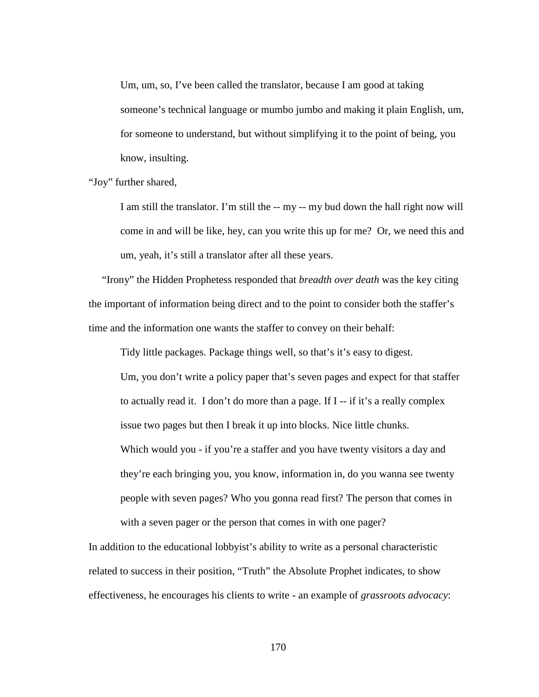Um, um, so, I've been called the translator, because I am good at taking someone's technical language or mumbo jumbo and making it plain English, um, for someone to understand, but without simplifying it to the point of being, you know, insulting.

"Joy" further shared,

I am still the translator. I'm still the -- my -- my bud down the hall right now will come in and will be like, hey, can you write this up for me? Or, we need this and um, yeah, it's still a translator after all these years.

 "Irony" the Hidden Prophetess responded that *breadth over death* was the key citing the important of information being direct and to the point to consider both the staffer's time and the information one wants the staffer to convey on their behalf:

Tidy little packages. Package things well, so that's it's easy to digest. Um, you don't write a policy paper that's seven pages and expect for that staffer to actually read it. I don't do more than a page. If I -- if it's a really complex issue two pages but then I break it up into blocks. Nice little chunks. Which would you - if you're a staffer and you have twenty visitors a day and they're each bringing you, you know, information in, do you wanna see twenty people with seven pages? Who you gonna read first? The person that comes in with a seven pager or the person that comes in with one pager?

In addition to the educational lobbyist's ability to write as a personal characteristic related to success in their position, "Truth" the Absolute Prophet indicates, to show effectiveness, he encourages his clients to write - an example of *grassroots advocacy*: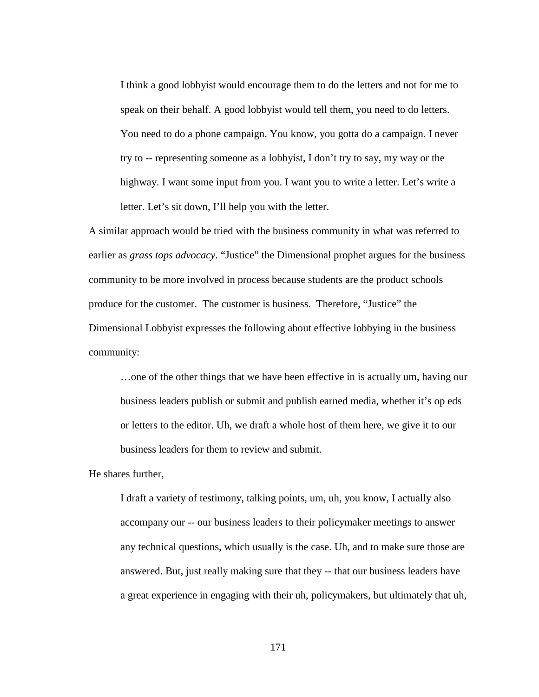I think a good lobbyist would encourage them to do the letters and not for me to speak on their behalf. A good lobbyist would tell them, you need to do letters. You need to do a phone campaign. You know, you gotta do a campaign. I never try to -- representing someone as a lobbyist, I don't try to say, my way or the highway. I want some input from you. I want you to write a letter. Let's write a letter. Let's sit down, I'll help you with the letter.

A similar approach would be tried with the business community in what was referred to earlier as *grass tops advocacy*. "Justice" the Dimensional prophet argues for the business community to be more involved in process because students are the product schools produce for the customer. The customer is business. Therefore, "Justice" the Dimensional Lobbyist expresses the following about effective lobbying in the business community:

…one of the other things that we have been effective in is actually um, having our business leaders publish or submit and publish earned media, whether it's op eds or letters to the editor. Uh, we draft a whole host of them here, we give it to our business leaders for them to review and submit.

He shares further,

I draft a variety of testimony, talking points, um, uh, you know, I actually also accompany our -- our business leaders to their policymaker meetings to answer any technical questions, which usually is the case. Uh, and to make sure those are answered. But, just really making sure that they -- that our business leaders have a great experience in engaging with their uh, policymakers, but ultimately that uh,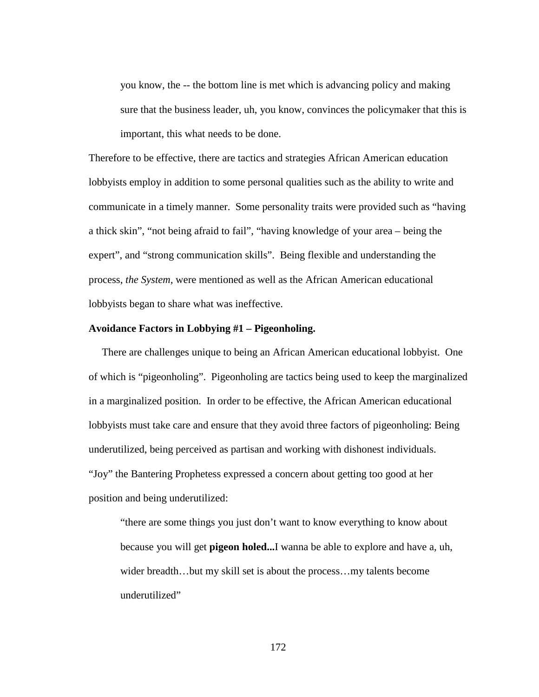you know, the -- the bottom line is met which is advancing policy and making sure that the business leader, uh, you know, convinces the policymaker that this is important, this what needs to be done.

Therefore to be effective, there are tactics and strategies African American education lobbyists employ in addition to some personal qualities such as the ability to write and communicate in a timely manner. Some personality traits were provided such as "having a thick skin", "not being afraid to fail", "having knowledge of your area – being the expert", and "strong communication skills". Being flexible and understanding the process, *the System,* were mentioned as well as the African American educational lobbyists began to share what was ineffective.

### **Avoidance Factors in Lobbying #1 – Pigeonholing.**

 There are challenges unique to being an African American educational lobbyist. One of which is "pigeonholing". Pigeonholing are tactics being used to keep the marginalized in a marginalized position. In order to be effective, the African American educational lobbyists must take care and ensure that they avoid three factors of pigeonholing: Being underutilized, being perceived as partisan and working with dishonest individuals. "Joy" the Bantering Prophetess expressed a concern about getting too good at her position and being underutilized:

"there are some things you just don't want to know everything to know about because you will get **pigeon holed...**I wanna be able to explore and have a, uh, wider breadth...but my skill set is about the process...my talents become underutilized"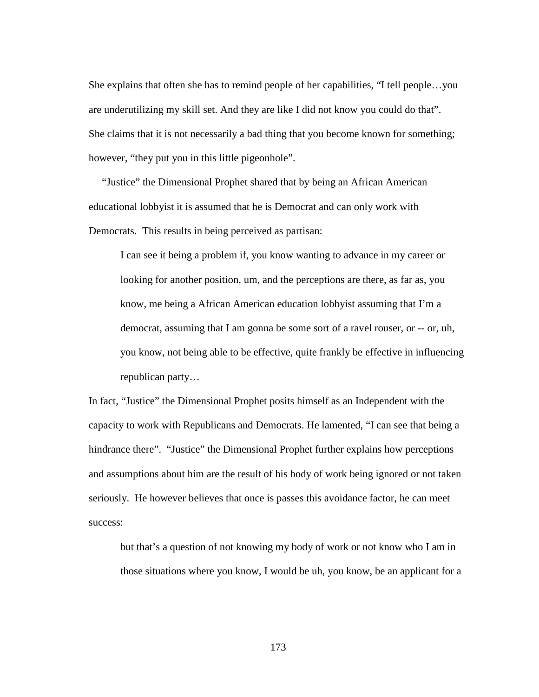She explains that often she has to remind people of her capabilities, "I tell people…you are underutilizing my skill set. And they are like I did not know you could do that". She claims that it is not necessarily a bad thing that you become known for something; however, "they put you in this little pigeonhole".

 "Justice" the Dimensional Prophet shared that by being an African American educational lobbyist it is assumed that he is Democrat and can only work with Democrats. This results in being perceived as partisan:

I can see it being a problem if, you know wanting to advance in my career or looking for another position, um, and the perceptions are there, as far as, you know, me being a African American education lobbyist assuming that I'm a democrat, assuming that I am gonna be some sort of a ravel rouser, or -- or, uh, you know, not being able to be effective, quite frankly be effective in influencing republican party…

In fact, "Justice" the Dimensional Prophet posits himself as an Independent with the capacity to work with Republicans and Democrats. He lamented, "I can see that being a hindrance there". "Justice" the Dimensional Prophet further explains how perceptions and assumptions about him are the result of his body of work being ignored or not taken seriously. He however believes that once is passes this avoidance factor, he can meet success:

but that's a question of not knowing my body of work or not know who I am in those situations where you know, I would be uh, you know, be an applicant for a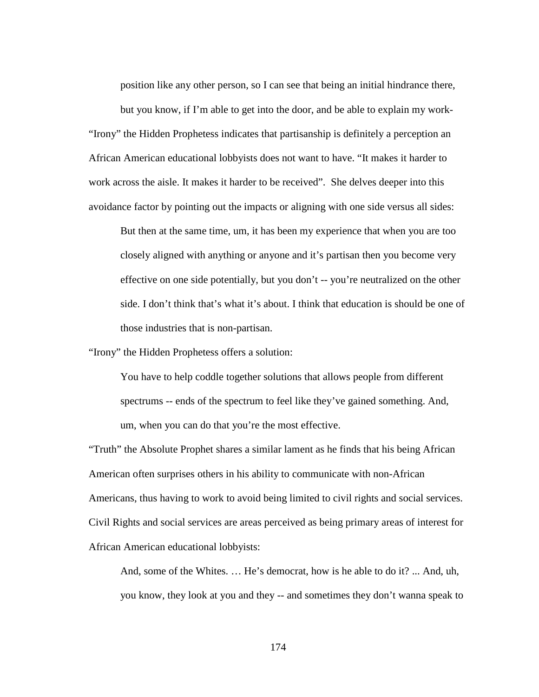position like any other person, so I can see that being an initial hindrance there, but you know, if I'm able to get into the door, and be able to explain my work- "Irony" the Hidden Prophetess indicates that partisanship is definitely a perception an African American educational lobbyists does not want to have. "It makes it harder to work across the aisle. It makes it harder to be received". She delves deeper into this avoidance factor by pointing out the impacts or aligning with one side versus all sides:

But then at the same time, um, it has been my experience that when you are too closely aligned with anything or anyone and it's partisan then you become very effective on one side potentially, but you don't -- you're neutralized on the other side. I don't think that's what it's about. I think that education is should be one of those industries that is non-partisan.

"Irony" the Hidden Prophetess offers a solution:

You have to help coddle together solutions that allows people from different spectrums -- ends of the spectrum to feel like they've gained something. And, um, when you can do that you're the most effective.

"Truth" the Absolute Prophet shares a similar lament as he finds that his being African American often surprises others in his ability to communicate with non-African Americans, thus having to work to avoid being limited to civil rights and social services. Civil Rights and social services are areas perceived as being primary areas of interest for African American educational lobbyists:

And, some of the Whites. … He's democrat, how is he able to do it? ... And, uh, you know, they look at you and they -- and sometimes they don't wanna speak to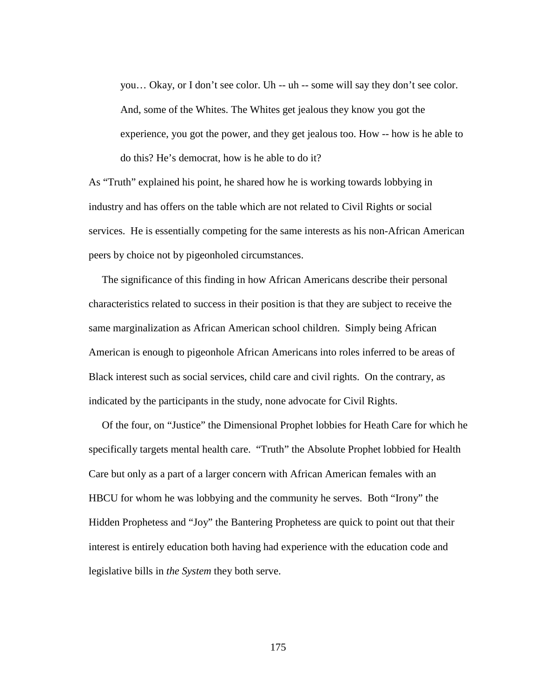you… Okay, or I don't see color. Uh -- uh -- some will say they don't see color. And, some of the Whites. The Whites get jealous they know you got the experience, you got the power, and they get jealous too. How -- how is he able to do this? He's democrat, how is he able to do it?

As "Truth" explained his point, he shared how he is working towards lobbying in industry and has offers on the table which are not related to Civil Rights or social services. He is essentially competing for the same interests as his non-African American peers by choice not by pigeonholed circumstances.

 The significance of this finding in how African Americans describe their personal characteristics related to success in their position is that they are subject to receive the same marginalization as African American school children. Simply being African American is enough to pigeonhole African Americans into roles inferred to be areas of Black interest such as social services, child care and civil rights. On the contrary, as indicated by the participants in the study, none advocate for Civil Rights.

 Of the four, on "Justice" the Dimensional Prophet lobbies for Heath Care for which he specifically targets mental health care. "Truth" the Absolute Prophet lobbied for Health Care but only as a part of a larger concern with African American females with an HBCU for whom he was lobbying and the community he serves. Both "Irony" the Hidden Prophetess and "Joy" the Bantering Prophetess are quick to point out that their interest is entirely education both having had experience with the education code and legislative bills in *the System* they both serve.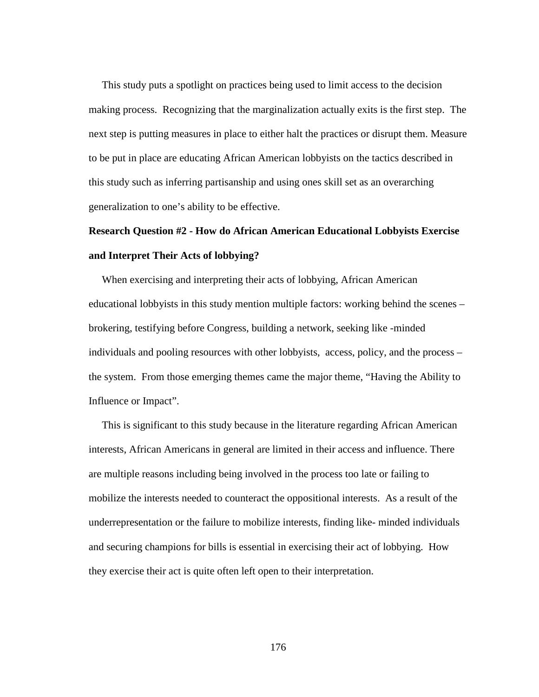This study puts a spotlight on practices being used to limit access to the decision making process. Recognizing that the marginalization actually exits is the first step. The next step is putting measures in place to either halt the practices or disrupt them. Measure to be put in place are educating African American lobbyists on the tactics described in this study such as inferring partisanship and using ones skill set as an overarching generalization to one's ability to be effective.

# **Research Question #2 - How do African American Educational Lobbyists Exercise and Interpret Their Acts of lobbying?**

 When exercising and interpreting their acts of lobbying, African American educational lobbyists in this study mention multiple factors: working behind the scenes – brokering, testifying before Congress, building a network, seeking like -minded individuals and pooling resources with other lobbyists, access, policy, and the process – the system. From those emerging themes came the major theme, "Having the Ability to Influence or Impact".

 This is significant to this study because in the literature regarding African American interests, African Americans in general are limited in their access and influence. There are multiple reasons including being involved in the process too late or failing to mobilize the interests needed to counteract the oppositional interests. As a result of the underrepresentation or the failure to mobilize interests, finding like- minded individuals and securing champions for bills is essential in exercising their act of lobbying. How they exercise their act is quite often left open to their interpretation.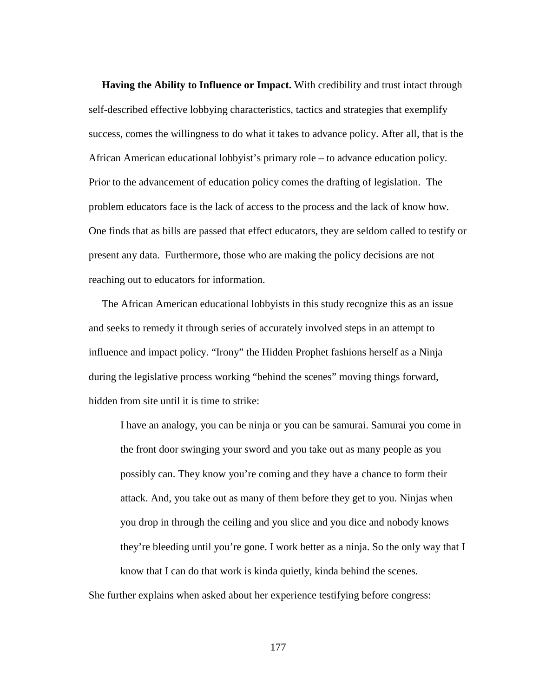**Having the Ability to Influence or Impact.** With credibility and trust intact through self-described effective lobbying characteristics, tactics and strategies that exemplify success, comes the willingness to do what it takes to advance policy. After all, that is the African American educational lobbyist's primary role – to advance education policy. Prior to the advancement of education policy comes the drafting of legislation. The problem educators face is the lack of access to the process and the lack of know how. One finds that as bills are passed that effect educators, they are seldom called to testify or present any data. Furthermore, those who are making the policy decisions are not reaching out to educators for information.

 The African American educational lobbyists in this study recognize this as an issue and seeks to remedy it through series of accurately involved steps in an attempt to influence and impact policy. "Irony" the Hidden Prophet fashions herself as a Ninja during the legislative process working "behind the scenes" moving things forward, hidden from site until it is time to strike:

I have an analogy, you can be ninja or you can be samurai. Samurai you come in the front door swinging your sword and you take out as many people as you possibly can. They know you're coming and they have a chance to form their attack. And, you take out as many of them before they get to you. Ninjas when you drop in through the ceiling and you slice and you dice and nobody knows they're bleeding until you're gone. I work better as a ninja. So the only way that I know that I can do that work is kinda quietly, kinda behind the scenes.

She further explains when asked about her experience testifying before congress: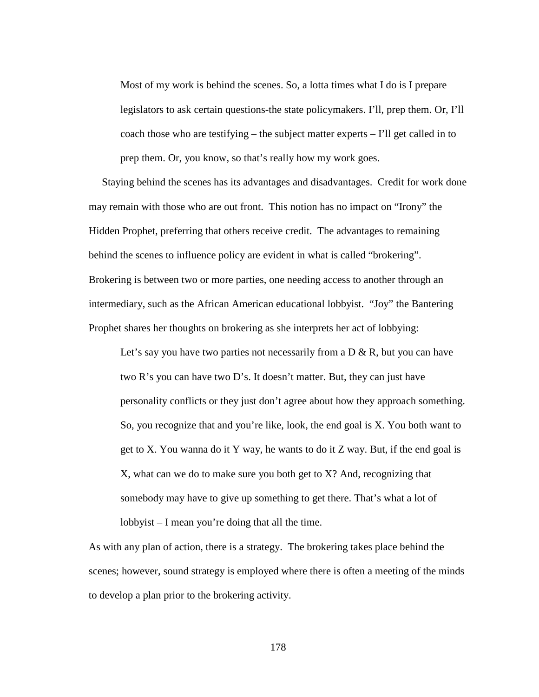Most of my work is behind the scenes. So, a lotta times what I do is I prepare legislators to ask certain questions-the state policymakers. I'll, prep them. Or, I'll coach those who are testifying – the subject matter experts  $-1$ 'll get called in to prep them. Or, you know, so that's really how my work goes.

 Staying behind the scenes has its advantages and disadvantages. Credit for work done may remain with those who are out front. This notion has no impact on "Irony" the Hidden Prophet, preferring that others receive credit. The advantages to remaining behind the scenes to influence policy are evident in what is called "brokering". Brokering is between two or more parties, one needing access to another through an intermediary, such as the African American educational lobbyist. "Joy" the Bantering Prophet shares her thoughts on brokering as she interprets her act of lobbying:

Let's say you have two parties not necessarily from a  $D \& R$ , but you can have two R's you can have two D's. It doesn't matter. But, they can just have personality conflicts or they just don't agree about how they approach something. So, you recognize that and you're like, look, the end goal is X. You both want to get to X. You wanna do it Y way, he wants to do it Z way. But, if the end goal is X, what can we do to make sure you both get to X? And, recognizing that somebody may have to give up something to get there. That's what a lot of lobbyist – I mean you're doing that all the time.

As with any plan of action, there is a strategy. The brokering takes place behind the scenes; however, sound strategy is employed where there is often a meeting of the minds to develop a plan prior to the brokering activity.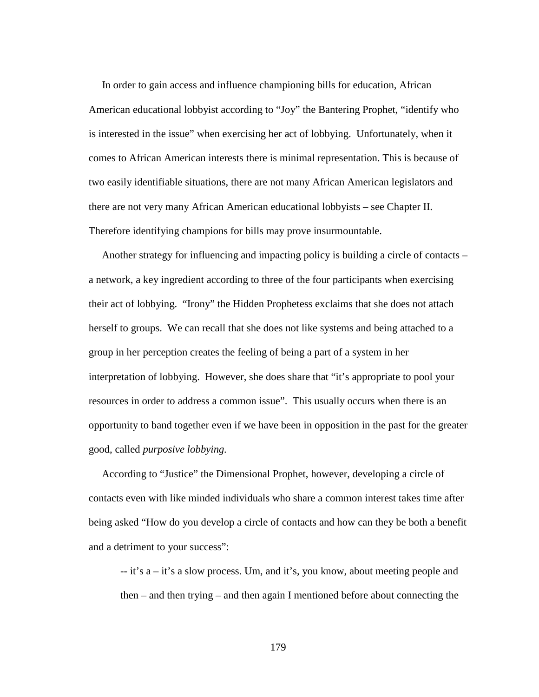In order to gain access and influence championing bills for education, African American educational lobbyist according to "Joy" the Bantering Prophet, "identify who is interested in the issue" when exercising her act of lobbying. Unfortunately, when it comes to African American interests there is minimal representation. This is because of two easily identifiable situations, there are not many African American legislators and there are not very many African American educational lobbyists – see Chapter II. Therefore identifying champions for bills may prove insurmountable.

 Another strategy for influencing and impacting policy is building a circle of contacts – a network, a key ingredient according to three of the four participants when exercising their act of lobbying. "Irony" the Hidden Prophetess exclaims that she does not attach herself to groups. We can recall that she does not like systems and being attached to a group in her perception creates the feeling of being a part of a system in her interpretation of lobbying. However, she does share that "it's appropriate to pool your resources in order to address a common issue". This usually occurs when there is an opportunity to band together even if we have been in opposition in the past for the greater good, called *purposive lobbying.*

 According to "Justice" the Dimensional Prophet, however, developing a circle of contacts even with like minded individuals who share a common interest takes time after being asked "How do you develop a circle of contacts and how can they be both a benefit and a detriment to your success":

-- it's a – it's a slow process. Um, and it's, you know, about meeting people and then – and then trying – and then again I mentioned before about connecting the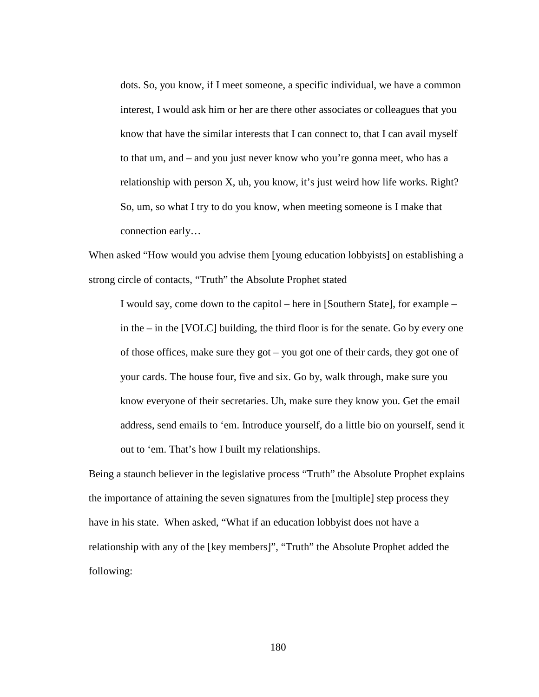dots. So, you know, if I meet someone, a specific individual, we have a common interest, I would ask him or her are there other associates or colleagues that you know that have the similar interests that I can connect to, that I can avail myself to that um, and – and you just never know who you're gonna meet, who has a relationship with person X, uh, you know, it's just weird how life works. Right? So, um, so what I try to do you know, when meeting someone is I make that connection early…

When asked "How would you advise them [young education lobbyists] on establishing a strong circle of contacts, "Truth" the Absolute Prophet stated

I would say, come down to the capitol – here in [Southern State], for example – in the – in the [VOLC] building, the third floor is for the senate. Go by every one of those offices, make sure they got – you got one of their cards, they got one of your cards. The house four, five and six. Go by, walk through, make sure you know everyone of their secretaries. Uh, make sure they know you. Get the email address, send emails to 'em. Introduce yourself, do a little bio on yourself, send it out to 'em. That's how I built my relationships.

Being a staunch believer in the legislative process "Truth" the Absolute Prophet explains the importance of attaining the seven signatures from the [multiple] step process they have in his state. When asked, "What if an education lobbyist does not have a relationship with any of the [key members]", "Truth" the Absolute Prophet added the following: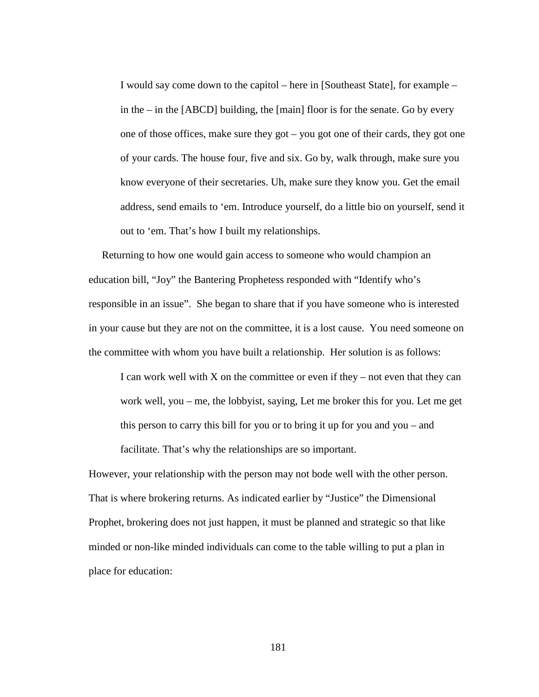I would say come down to the capitol – here in [Southeast State], for example – in the – in the [ABCD] building, the [main] floor is for the senate. Go by every one of those offices, make sure they got – you got one of their cards, they got one of your cards. The house four, five and six. Go by, walk through, make sure you know everyone of their secretaries. Uh, make sure they know you. Get the email address, send emails to 'em. Introduce yourself, do a little bio on yourself, send it out to 'em. That's how I built my relationships.

 Returning to how one would gain access to someone who would champion an education bill, "Joy" the Bantering Prophetess responded with "Identify who's responsible in an issue". She began to share that if you have someone who is interested in your cause but they are not on the committee, it is a lost cause. You need someone on the committee with whom you have built a relationship. Her solution is as follows:

I can work well with  $X$  on the committee or even if they – not even that they can work well, you – me, the lobbyist, saying, Let me broker this for you. Let me get this person to carry this bill for you or to bring it up for you and you – and facilitate. That's why the relationships are so important.

However, your relationship with the person may not bode well with the other person. That is where brokering returns. As indicated earlier by "Justice" the Dimensional Prophet, brokering does not just happen, it must be planned and strategic so that like minded or non-like minded individuals can come to the table willing to put a plan in place for education: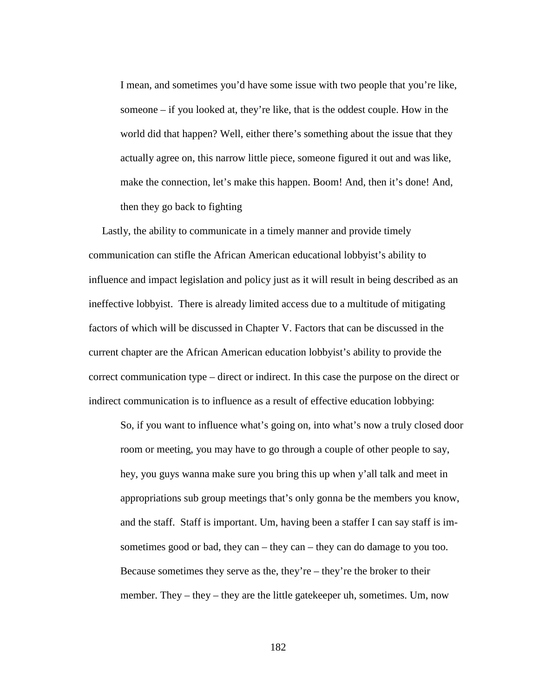I mean, and sometimes you'd have some issue with two people that you're like, someone – if you looked at, they're like, that is the oddest couple. How in the world did that happen? Well, either there's something about the issue that they actually agree on, this narrow little piece, someone figured it out and was like, make the connection, let's make this happen. Boom! And, then it's done! And, then they go back to fighting

 Lastly, the ability to communicate in a timely manner and provide timely communication can stifle the African American educational lobbyist's ability to influence and impact legislation and policy just as it will result in being described as an ineffective lobbyist. There is already limited access due to a multitude of mitigating factors of which will be discussed in Chapter V. Factors that can be discussed in the current chapter are the African American education lobbyist's ability to provide the correct communication type – direct or indirect. In this case the purpose on the direct or indirect communication is to influence as a result of effective education lobbying:

So, if you want to influence what's going on, into what's now a truly closed door room or meeting, you may have to go through a couple of other people to say, hey, you guys wanna make sure you bring this up when y'all talk and meet in appropriations sub group meetings that's only gonna be the members you know, and the staff. Staff is important. Um, having been a staffer I can say staff is imsometimes good or bad, they can – they can – they can do damage to you too. Because sometimes they serve as the, they're – they're the broker to their member. They – they – they are the little gatekeeper uh, sometimes. Um, now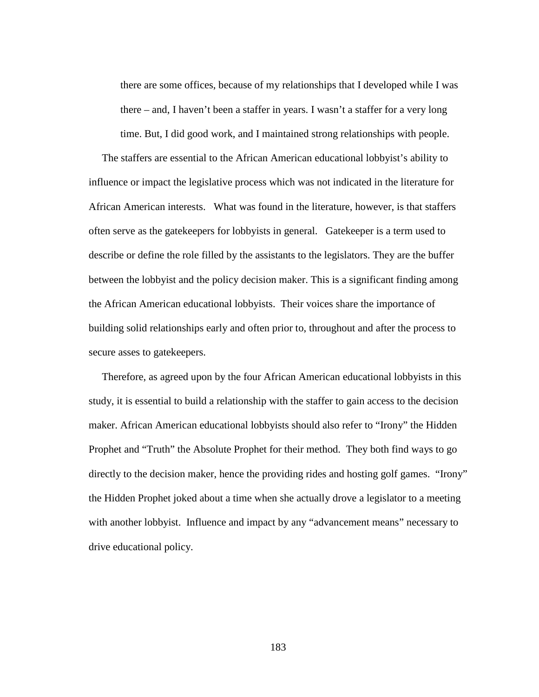there are some offices, because of my relationships that I developed while I was there – and, I haven't been a staffer in years. I wasn't a staffer for a very long time. But, I did good work, and I maintained strong relationships with people.

 The staffers are essential to the African American educational lobbyist's ability to influence or impact the legislative process which was not indicated in the literature for African American interests. What was found in the literature, however, is that staffers often serve as the gatekeepers for lobbyists in general. Gatekeeper is a term used to describe or define the role filled by the assistants to the legislators. They are the buffer between the lobbyist and the policy decision maker. This is a significant finding among the African American educational lobbyists. Their voices share the importance of building solid relationships early and often prior to, throughout and after the process to secure asses to gatekeepers.

 Therefore, as agreed upon by the four African American educational lobbyists in this study, it is essential to build a relationship with the staffer to gain access to the decision maker. African American educational lobbyists should also refer to "Irony" the Hidden Prophet and "Truth" the Absolute Prophet for their method. They both find ways to go directly to the decision maker, hence the providing rides and hosting golf games. "Irony" the Hidden Prophet joked about a time when she actually drove a legislator to a meeting with another lobbyist. Influence and impact by any "advancement means" necessary to drive educational policy.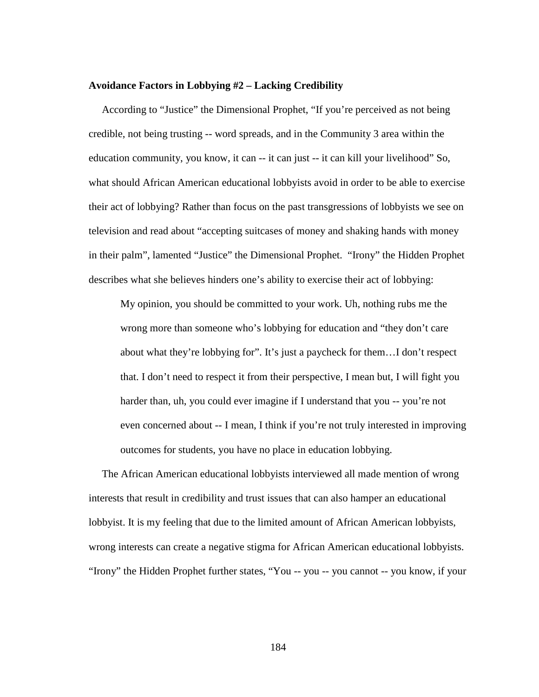#### **Avoidance Factors in Lobbying #2 – Lacking Credibility**

 According to "Justice" the Dimensional Prophet, "If you're perceived as not being credible, not being trusting -- word spreads, and in the Community 3 area within the education community, you know, it can  $-$  it can just  $-$  it can kill your livelihood" So, what should African American educational lobbyists avoid in order to be able to exercise their act of lobbying? Rather than focus on the past transgressions of lobbyists we see on television and read about "accepting suitcases of money and shaking hands with money in their palm", lamented "Justice" the Dimensional Prophet. "Irony" the Hidden Prophet describes what she believes hinders one's ability to exercise their act of lobbying:

My opinion, you should be committed to your work. Uh, nothing rubs me the wrong more than someone who's lobbying for education and "they don't care about what they're lobbying for". It's just a paycheck for them…I don't respect that. I don't need to respect it from their perspective, I mean but, I will fight you harder than, uh, you could ever imagine if I understand that you -- you're not even concerned about -- I mean, I think if you're not truly interested in improving outcomes for students, you have no place in education lobbying.

 The African American educational lobbyists interviewed all made mention of wrong interests that result in credibility and trust issues that can also hamper an educational lobbyist. It is my feeling that due to the limited amount of African American lobbyists, wrong interests can create a negative stigma for African American educational lobbyists. "Irony" the Hidden Prophet further states, "You -- you -- you cannot -- you know, if your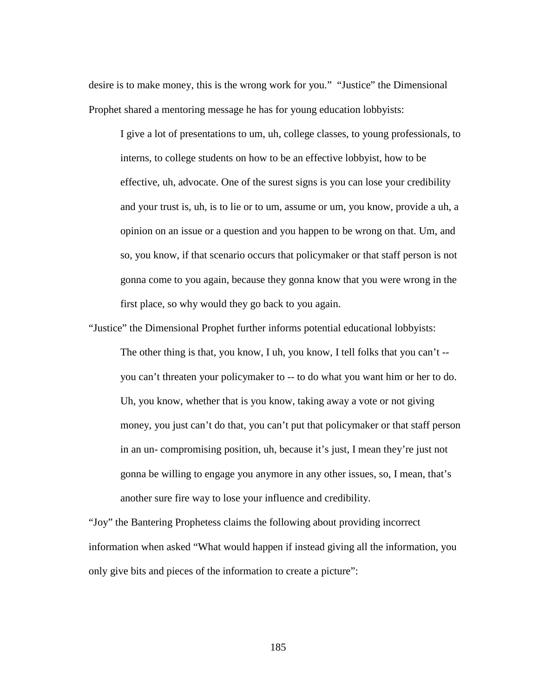desire is to make money, this is the wrong work for you." "Justice" the Dimensional Prophet shared a mentoring message he has for young education lobbyists:

I give a lot of presentations to um, uh, college classes, to young professionals, to interns, to college students on how to be an effective lobbyist, how to be effective, uh, advocate. One of the surest signs is you can lose your credibility and your trust is, uh, is to lie or to um, assume or um, you know, provide a uh, a opinion on an issue or a question and you happen to be wrong on that. Um, and so, you know, if that scenario occurs that policymaker or that staff person is not gonna come to you again, because they gonna know that you were wrong in the first place, so why would they go back to you again.

"Justice" the Dimensional Prophet further informs potential educational lobbyists:

The other thing is that, you know, I uh, you know, I tell folks that you can't - you can't threaten your policymaker to -- to do what you want him or her to do. Uh, you know, whether that is you know, taking away a vote or not giving money, you just can't do that, you can't put that policymaker or that staff person in an un- compromising position, uh, because it's just, I mean they're just not gonna be willing to engage you anymore in any other issues, so, I mean, that's another sure fire way to lose your influence and credibility.

"Joy" the Bantering Prophetess claims the following about providing incorrect information when asked "What would happen if instead giving all the information, you only give bits and pieces of the information to create a picture":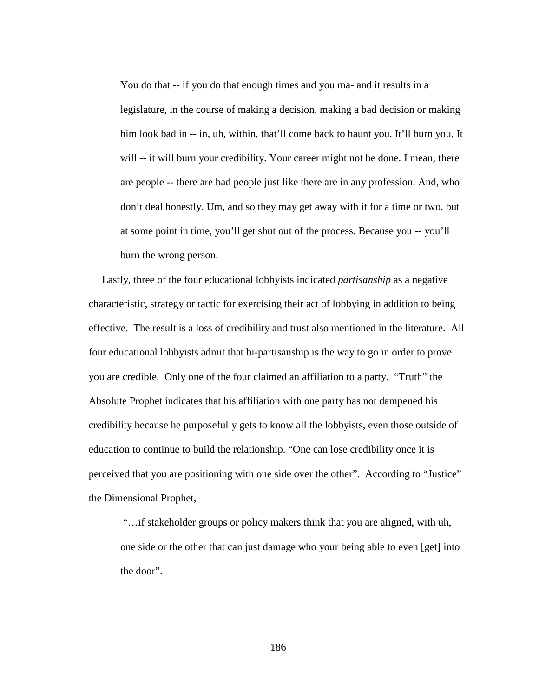You do that -- if you do that enough times and you ma- and it results in a legislature, in the course of making a decision, making a bad decision or making him look bad in -- in, uh, within, that'll come back to haunt you. It'll burn you. It will -- it will burn your credibility. Your career might not be done. I mean, there are people -- there are bad people just like there are in any profession. And, who don't deal honestly. Um, and so they may get away with it for a time or two, but at some point in time, you'll get shut out of the process. Because you -- you'll burn the wrong person.

 Lastly, three of the four educational lobbyists indicated *partisanship* as a negative characteristic, strategy or tactic for exercising their act of lobbying in addition to being effective. The result is a loss of credibility and trust also mentioned in the literature. All four educational lobbyists admit that bi-partisanship is the way to go in order to prove you are credible. Only one of the four claimed an affiliation to a party. "Truth" the Absolute Prophet indicates that his affiliation with one party has not dampened his credibility because he purposefully gets to know all the lobbyists, even those outside of education to continue to build the relationship. "One can lose credibility once it is perceived that you are positioning with one side over the other". According to "Justice" the Dimensional Prophet,

"…if stakeholder groups or policy makers think that you are aligned, with uh, one side or the other that can just damage who your being able to even [get] into the door".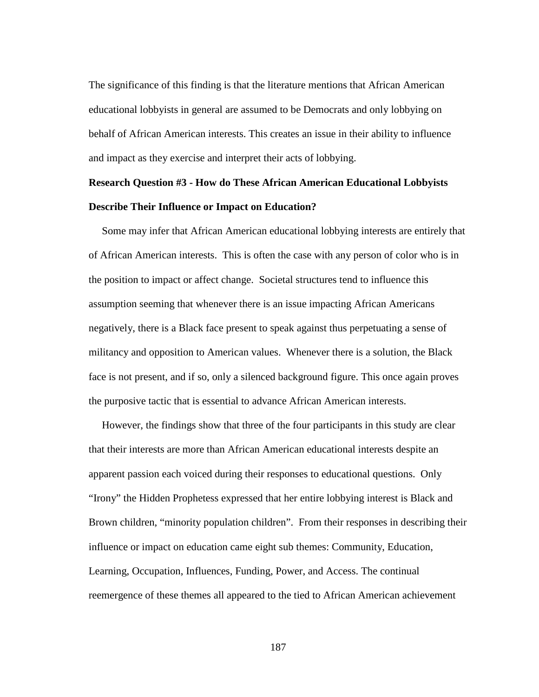The significance of this finding is that the literature mentions that African American educational lobbyists in general are assumed to be Democrats and only lobbying on behalf of African American interests. This creates an issue in their ability to influence and impact as they exercise and interpret their acts of lobbying.

## **Research Question #3 - How do These African American Educational Lobbyists Describe Their Influence or Impact on Education?**

Some may infer that African American educational lobbying interests are entirely that of African American interests. This is often the case with any person of color who is in the position to impact or affect change. Societal structures tend to influence this assumption seeming that whenever there is an issue impacting African Americans negatively, there is a Black face present to speak against thus perpetuating a sense of militancy and opposition to American values. Whenever there is a solution, the Black face is not present, and if so, only a silenced background figure. This once again proves the purposive tactic that is essential to advance African American interests.

 However, the findings show that three of the four participants in this study are clear that their interests are more than African American educational interests despite an apparent passion each voiced during their responses to educational questions. Only "Irony" the Hidden Prophetess expressed that her entire lobbying interest is Black and Brown children, "minority population children". From their responses in describing their influence or impact on education came eight sub themes: Community, Education, Learning, Occupation, Influences, Funding, Power, and Access. The continual reemergence of these themes all appeared to the tied to African American achievement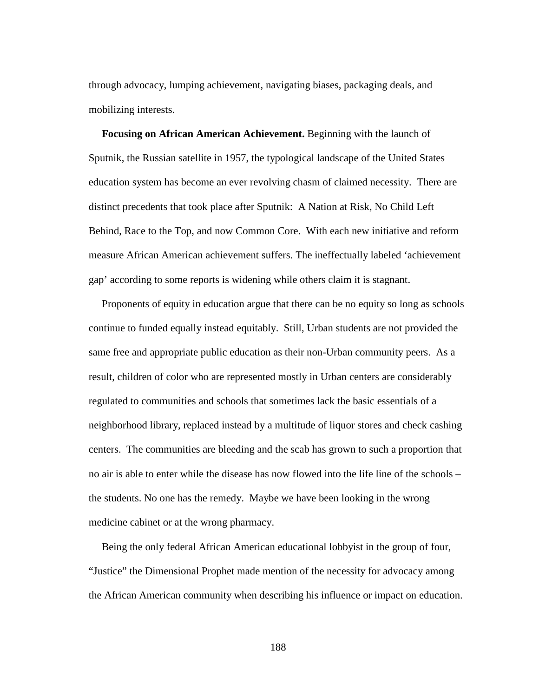through advocacy, lumping achievement, navigating biases, packaging deals, and mobilizing interests.

 **Focusing on African American Achievement.** Beginning with the launch of Sputnik, the Russian satellite in 1957, the typological landscape of the United States education system has become an ever revolving chasm of claimed necessity. There are distinct precedents that took place after Sputnik: A Nation at Risk, No Child Left Behind, Race to the Top, and now Common Core. With each new initiative and reform measure African American achievement suffers. The ineffectually labeled 'achievement gap' according to some reports is widening while others claim it is stagnant.

 Proponents of equity in education argue that there can be no equity so long as schools continue to funded equally instead equitably. Still, Urban students are not provided the same free and appropriate public education as their non-Urban community peers. As a result, children of color who are represented mostly in Urban centers are considerably regulated to communities and schools that sometimes lack the basic essentials of a neighborhood library, replaced instead by a multitude of liquor stores and check cashing centers. The communities are bleeding and the scab has grown to such a proportion that no air is able to enter while the disease has now flowed into the life line of the schools – the students. No one has the remedy. Maybe we have been looking in the wrong medicine cabinet or at the wrong pharmacy.

 Being the only federal African American educational lobbyist in the group of four, "Justice" the Dimensional Prophet made mention of the necessity for advocacy among the African American community when describing his influence or impact on education.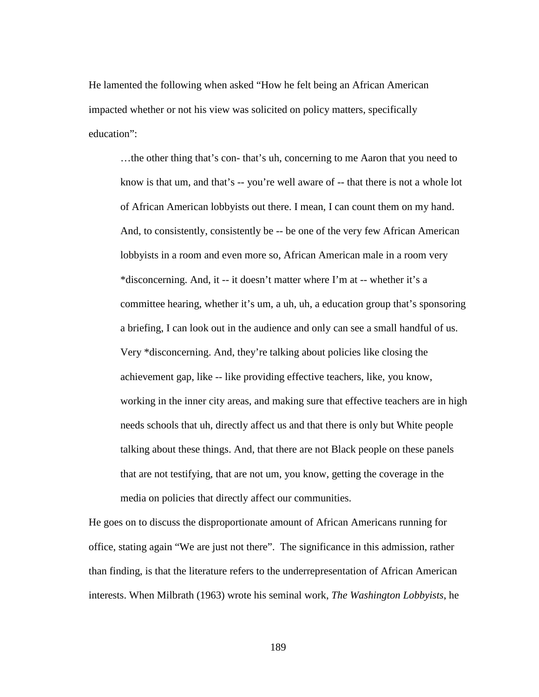He lamented the following when asked "How he felt being an African American impacted whether or not his view was solicited on policy matters, specifically education":

…the other thing that's con- that's uh, concerning to me Aaron that you need to know is that um, and that's -- you're well aware of -- that there is not a whole lot of African American lobbyists out there. I mean, I can count them on my hand. And, to consistently, consistently be -- be one of the very few African American lobbyists in a room and even more so, African American male in a room very \*disconcerning. And, it -- it doesn't matter where I'm at -- whether it's a committee hearing, whether it's um, a uh, uh, a education group that's sponsoring a briefing, I can look out in the audience and only can see a small handful of us. Very \*disconcerning. And, they're talking about policies like closing the achievement gap, like -- like providing effective teachers, like, you know, working in the inner city areas, and making sure that effective teachers are in high needs schools that uh, directly affect us and that there is only but White people talking about these things. And, that there are not Black people on these panels that are not testifying, that are not um, you know, getting the coverage in the media on policies that directly affect our communities.

He goes on to discuss the disproportionate amount of African Americans running for office, stating again "We are just not there". The significance in this admission, rather than finding, is that the literature refers to the underrepresentation of African American interests. When Milbrath (1963) wrote his seminal work, *The Washington Lobbyists*, he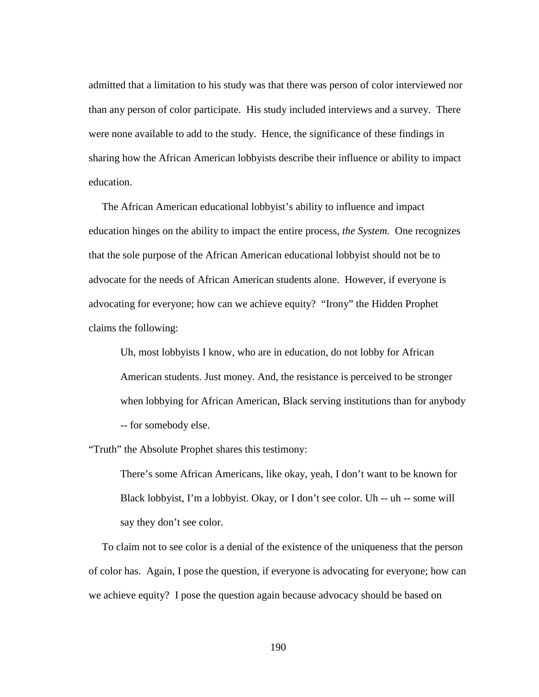admitted that a limitation to his study was that there was person of color interviewed nor than any person of color participate. His study included interviews and a survey. There were none available to add to the study. Hence, the significance of these findings in sharing how the African American lobbyists describe their influence or ability to impact education.

 The African American educational lobbyist's ability to influence and impact education hinges on the ability to impact the entire process, *the System*. One recognizes that the sole purpose of the African American educational lobbyist should not be to advocate for the needs of African American students alone. However, if everyone is advocating for everyone; how can we achieve equity? "Irony" the Hidden Prophet claims the following:

Uh, most lobbyists I know, who are in education, do not lobby for African American students. Just money. And, the resistance is perceived to be stronger when lobbying for African American, Black serving institutions than for anybody -- for somebody else.

"Truth" the Absolute Prophet shares this testimony:

There's some African Americans, like okay, yeah, I don't want to be known for Black lobbyist, I'm a lobbyist. Okay, or I don't see color. Uh -- uh -- some will say they don't see color.

 To claim not to see color is a denial of the existence of the uniqueness that the person of color has. Again, I pose the question, if everyone is advocating for everyone; how can we achieve equity? I pose the question again because advocacy should be based on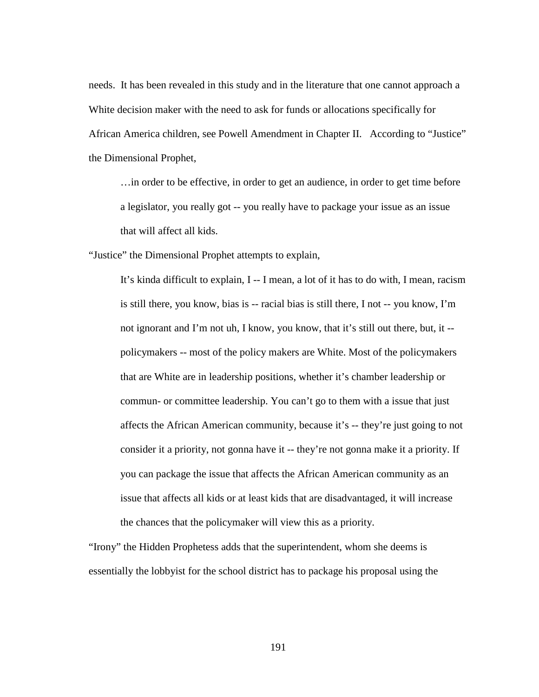needs. It has been revealed in this study and in the literature that one cannot approach a White decision maker with the need to ask for funds or allocations specifically for African America children, see Powell Amendment in Chapter II. According to "Justice" the Dimensional Prophet,

…in order to be effective, in order to get an audience, in order to get time before a legislator, you really got -- you really have to package your issue as an issue that will affect all kids.

"Justice" the Dimensional Prophet attempts to explain,

It's kinda difficult to explain, I -- I mean, a lot of it has to do with, I mean, racism is still there, you know, bias is -- racial bias is still there, I not -- you know, I'm not ignorant and I'm not uh, I know, you know, that it's still out there, but, it - policymakers -- most of the policy makers are White. Most of the policymakers that are White are in leadership positions, whether it's chamber leadership or commun- or committee leadership. You can't go to them with a issue that just affects the African American community, because it's -- they're just going to not consider it a priority, not gonna have it -- they're not gonna make it a priority. If you can package the issue that affects the African American community as an issue that affects all kids or at least kids that are disadvantaged, it will increase the chances that the policymaker will view this as a priority.

"Irony" the Hidden Prophetess adds that the superintendent, whom she deems is essentially the lobbyist for the school district has to package his proposal using the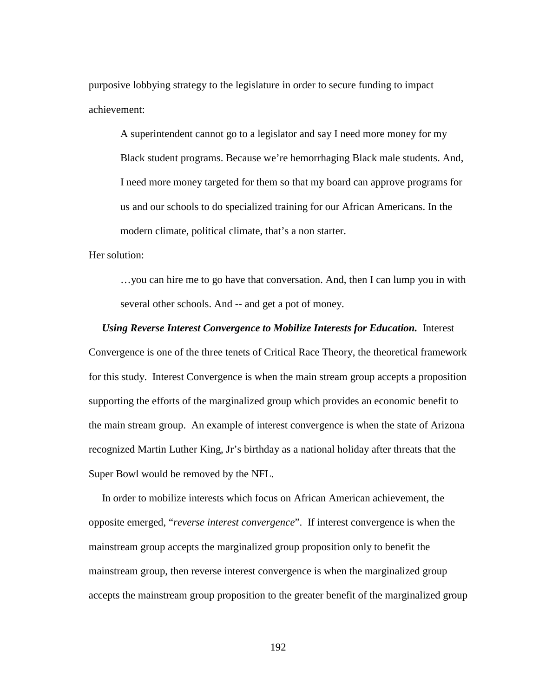purposive lobbying strategy to the legislature in order to secure funding to impact achievement:

A superintendent cannot go to a legislator and say I need more money for my Black student programs. Because we're hemorrhaging Black male students. And, I need more money targeted for them so that my board can approve programs for us and our schools to do specialized training for our African Americans. In the modern climate, political climate, that's a non starter.

Her solution:

…you can hire me to go have that conversation. And, then I can lump you in with several other schools. And -- and get a pot of money.

### *Using Reverse Interest Convergence to Mobilize Interests for Education.*Interest

Convergence is one of the three tenets of Critical Race Theory, the theoretical framework for this study. Interest Convergence is when the main stream group accepts a proposition supporting the efforts of the marginalized group which provides an economic benefit to the main stream group. An example of interest convergence is when the state of Arizona recognized Martin Luther King, Jr's birthday as a national holiday after threats that the Super Bowl would be removed by the NFL.

 In order to mobilize interests which focus on African American achievement, the opposite emerged, "*reverse interest convergence*". If interest convergence is when the mainstream group accepts the marginalized group proposition only to benefit the mainstream group, then reverse interest convergence is when the marginalized group accepts the mainstream group proposition to the greater benefit of the marginalized group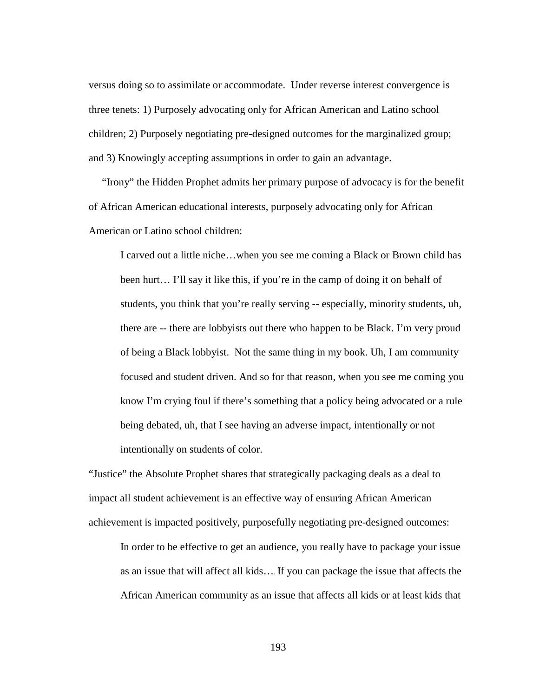versus doing so to assimilate or accommodate. Under reverse interest convergence is three tenets: 1) Purposely advocating only for African American and Latino school children; 2) Purposely negotiating pre-designed outcomes for the marginalized group; and 3) Knowingly accepting assumptions in order to gain an advantage.

 "Irony" the Hidden Prophet admits her primary purpose of advocacy is for the benefit of African American educational interests, purposely advocating only for African American or Latino school children:

I carved out a little niche…when you see me coming a Black or Brown child has been hurt… I'll say it like this, if you're in the camp of doing it on behalf of students, you think that you're really serving -- especially, minority students, uh, there are -- there are lobbyists out there who happen to be Black. I'm very proud of being a Black lobbyist. Not the same thing in my book. Uh, I am community focused and student driven. And so for that reason, when you see me coming you know I'm crying foul if there's something that a policy being advocated or a rule being debated, uh, that I see having an adverse impact, intentionally or not intentionally on students of color.

"Justice" the Absolute Prophet shares that strategically packaging deals as a deal to impact all student achievement is an effective way of ensuring African American achievement is impacted positively, purposefully negotiating pre-designed outcomes:

In order to be effective to get an audience, you really have to package your issue as an issue that will affect all kids…. If you can package the issue that affects the African American community as an issue that affects all kids or at least kids that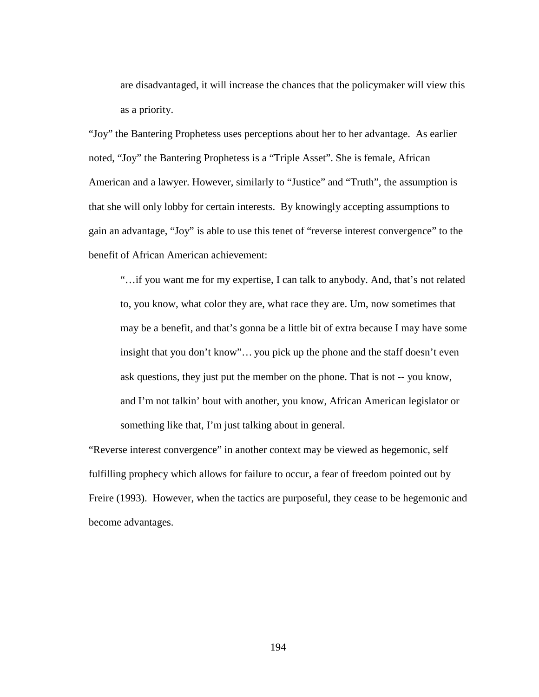are disadvantaged, it will increase the chances that the policymaker will view this as a priority.

"Joy" the Bantering Prophetess uses perceptions about her to her advantage. As earlier noted, "Joy" the Bantering Prophetess is a "Triple Asset". She is female, African American and a lawyer. However, similarly to "Justice" and "Truth", the assumption is that she will only lobby for certain interests. By knowingly accepting assumptions to gain an advantage, "Joy" is able to use this tenet of "reverse interest convergence" to the benefit of African American achievement:

"…if you want me for my expertise, I can talk to anybody. And, that's not related to, you know, what color they are, what race they are. Um, now sometimes that may be a benefit, and that's gonna be a little bit of extra because I may have some insight that you don't know"… you pick up the phone and the staff doesn't even ask questions, they just put the member on the phone. That is not -- you know, and I'm not talkin' bout with another, you know, African American legislator or something like that, I'm just talking about in general.

"Reverse interest convergence" in another context may be viewed as hegemonic, self fulfilling prophecy which allows for failure to occur, a fear of freedom pointed out by Freire (1993). However, when the tactics are purposeful, they cease to be hegemonic and become advantages.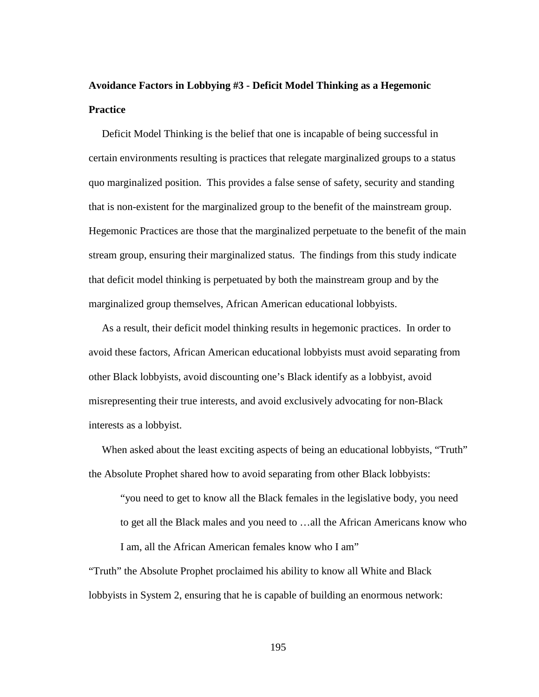# **Avoidance Factors in Lobbying #3 - Deficit Model Thinking as a Hegemonic Practice**

 Deficit Model Thinking is the belief that one is incapable of being successful in certain environments resulting is practices that relegate marginalized groups to a status quo marginalized position. This provides a false sense of safety, security and standing that is non-existent for the marginalized group to the benefit of the mainstream group. Hegemonic Practices are those that the marginalized perpetuate to the benefit of the main stream group, ensuring their marginalized status. The findings from this study indicate that deficit model thinking is perpetuated by both the mainstream group and by the marginalized group themselves, African American educational lobbyists.

 As a result, their deficit model thinking results in hegemonic practices. In order to avoid these factors, African American educational lobbyists must avoid separating from other Black lobbyists, avoid discounting one's Black identify as a lobbyist, avoid misrepresenting their true interests, and avoid exclusively advocating for non-Black interests as a lobbyist.

When asked about the least exciting aspects of being an educational lobbyists, "Truth" the Absolute Prophet shared how to avoid separating from other Black lobbyists:

"you need to get to know all the Black females in the legislative body, you need to get all the Black males and you need to …all the African Americans know who I am, all the African American females know who I am"

"Truth" the Absolute Prophet proclaimed his ability to know all White and Black lobbyists in System 2, ensuring that he is capable of building an enormous network: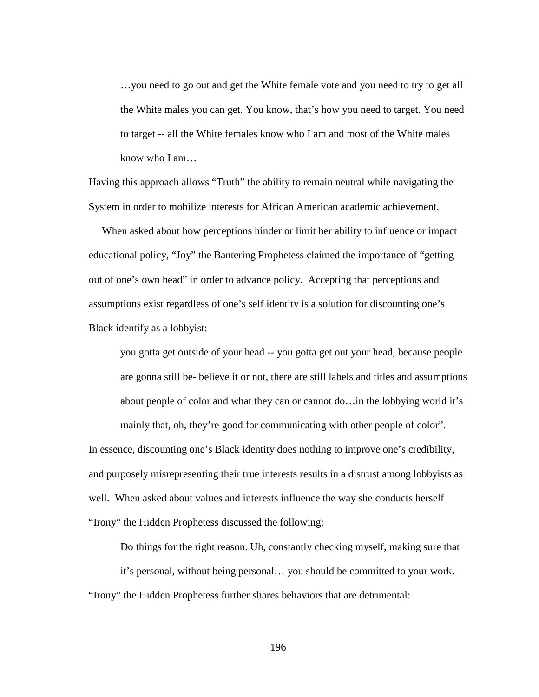…you need to go out and get the White female vote and you need to try to get all the White males you can get. You know, that's how you need to target. You need to target -- all the White females know who I am and most of the White males know who I am…

Having this approach allows "Truth" the ability to remain neutral while navigating the System in order to mobilize interests for African American academic achievement.

 When asked about how perceptions hinder or limit her ability to influence or impact educational policy, "Joy" the Bantering Prophetess claimed the importance of "getting out of one's own head" in order to advance policy. Accepting that perceptions and assumptions exist regardless of one's self identity is a solution for discounting one's Black identify as a lobbyist:

you gotta get outside of your head -- you gotta get out your head, because people are gonna still be- believe it or not, there are still labels and titles and assumptions about people of color and what they can or cannot do…in the lobbying world it's

mainly that, oh, they're good for communicating with other people of color".

In essence, discounting one's Black identity does nothing to improve one's credibility, and purposely misrepresenting their true interests results in a distrust among lobbyists as well. When asked about values and interests influence the way she conducts herself "Irony" the Hidden Prophetess discussed the following:

Do things for the right reason. Uh, constantly checking myself, making sure that it's personal, without being personal… you should be committed to your work. "Irony" the Hidden Prophetess further shares behaviors that are detrimental: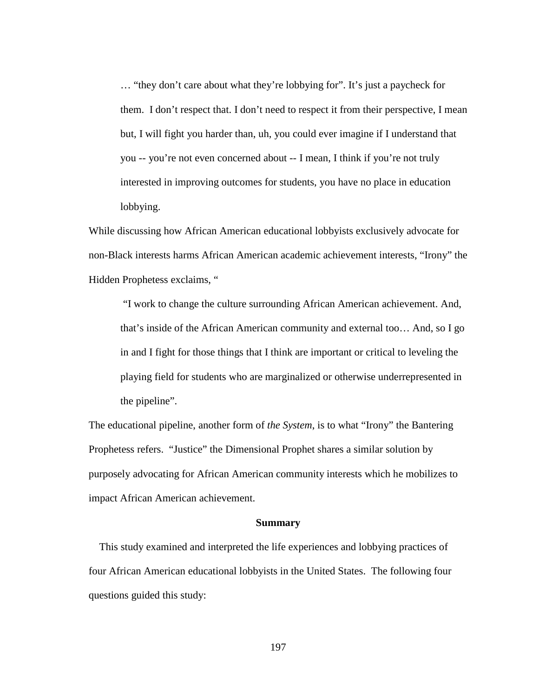… "they don't care about what they're lobbying for". It's just a paycheck for them. I don't respect that. I don't need to respect it from their perspective, I mean but, I will fight you harder than, uh, you could ever imagine if I understand that you -- you're not even concerned about -- I mean, I think if you're not truly interested in improving outcomes for students, you have no place in education lobbying.

While discussing how African American educational lobbyists exclusively advocate for non-Black interests harms African American academic achievement interests, "Irony" the Hidden Prophetess exclaims, "

"I work to change the culture surrounding African American achievement. And, that's inside of the African American community and external too… And, so I go in and I fight for those things that I think are important or critical to leveling the playing field for students who are marginalized or otherwise underrepresented in the pipeline".

The educational pipeline, another form of *the System*, is to what "Irony" the Bantering Prophetess refers. "Justice" the Dimensional Prophet shares a similar solution by purposely advocating for African American community interests which he mobilizes to impact African American achievement.

#### **Summary**

This study examined and interpreted the life experiences and lobbying practices of four African American educational lobbyists in the United States. The following four questions guided this study: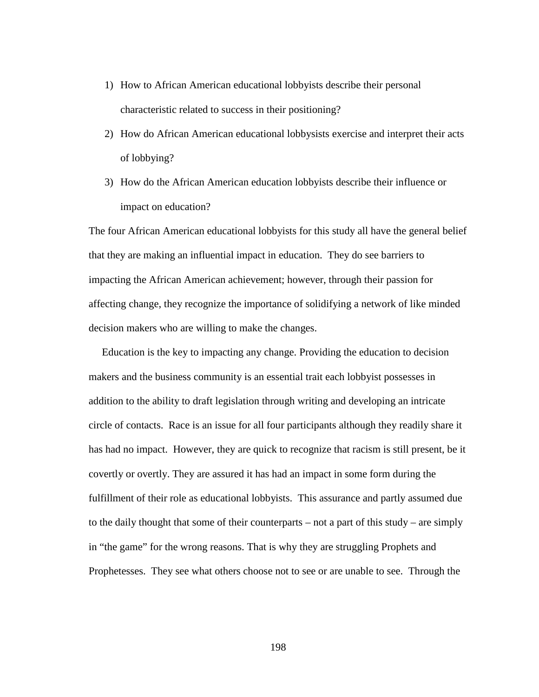- 1) How to African American educational lobbyists describe their personal characteristic related to success in their positioning?
- 2) How do African American educational lobbysists exercise and interpret their acts of lobbying?
- 3) How do the African American education lobbyists describe their influence or impact on education?

The four African American educational lobbyists for this study all have the general belief that they are making an influential impact in education. They do see barriers to impacting the African American achievement; however, through their passion for affecting change, they recognize the importance of solidifying a network of like minded decision makers who are willing to make the changes.

 Education is the key to impacting any change. Providing the education to decision makers and the business community is an essential trait each lobbyist possesses in addition to the ability to draft legislation through writing and developing an intricate circle of contacts. Race is an issue for all four participants although they readily share it has had no impact. However, they are quick to recognize that racism is still present, be it covertly or overtly. They are assured it has had an impact in some form during the fulfillment of their role as educational lobbyists. This assurance and partly assumed due to the daily thought that some of their counterparts – not a part of this study – are simply in "the game" for the wrong reasons. That is why they are struggling Prophets and Prophetesses. They see what others choose not to see or are unable to see. Through the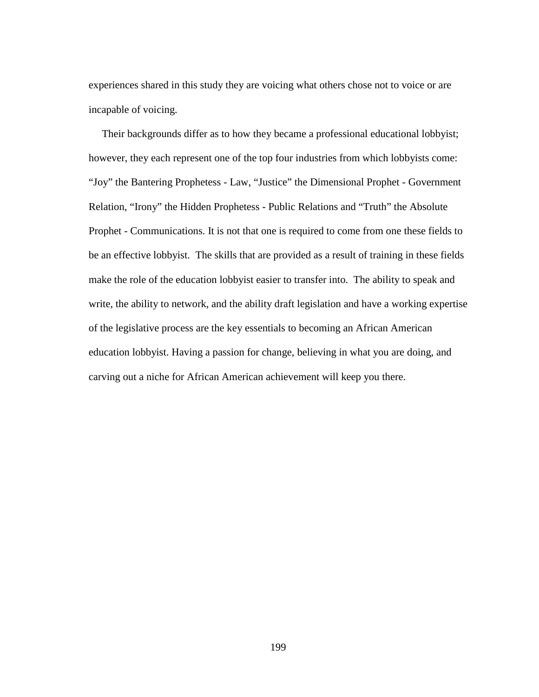experiences shared in this study they are voicing what others chose not to voice or are incapable of voicing.

 Their backgrounds differ as to how they became a professional educational lobbyist; however, they each represent one of the top four industries from which lobbyists come: "Joy" the Bantering Prophetess - Law, "Justice" the Dimensional Prophet - Government Relation, "Irony" the Hidden Prophetess - Public Relations and "Truth" the Absolute Prophet - Communications. It is not that one is required to come from one these fields to be an effective lobbyist. The skills that are provided as a result of training in these fields make the role of the education lobbyist easier to transfer into. The ability to speak and write, the ability to network, and the ability draft legislation and have a working expertise of the legislative process are the key essentials to becoming an African American education lobbyist. Having a passion for change, believing in what you are doing, and carving out a niche for African American achievement will keep you there.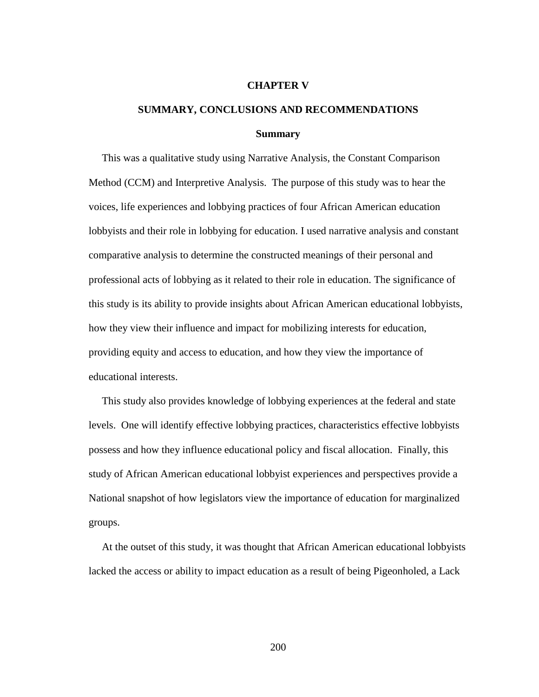#### **CHAPTER V**

## **SUMMARY, CONCLUSIONS AND RECOMMENDATIONS Summary**

 This was a qualitative study using Narrative Analysis, the Constant Comparison Method (CCM) and Interpretive Analysis. The purpose of this study was to hear the voices, life experiences and lobbying practices of four African American education lobbyists and their role in lobbying for education. I used narrative analysis and constant comparative analysis to determine the constructed meanings of their personal and professional acts of lobbying as it related to their role in education. The significance of this study is its ability to provide insights about African American educational lobbyists, how they view their influence and impact for mobilizing interests for education, providing equity and access to education, and how they view the importance of educational interests.

 This study also provides knowledge of lobbying experiences at the federal and state levels. One will identify effective lobbying practices, characteristics effective lobbyists possess and how they influence educational policy and fiscal allocation. Finally, this study of African American educational lobbyist experiences and perspectives provide a National snapshot of how legislators view the importance of education for marginalized groups.

 At the outset of this study, it was thought that African American educational lobbyists lacked the access or ability to impact education as a result of being Pigeonholed, a Lack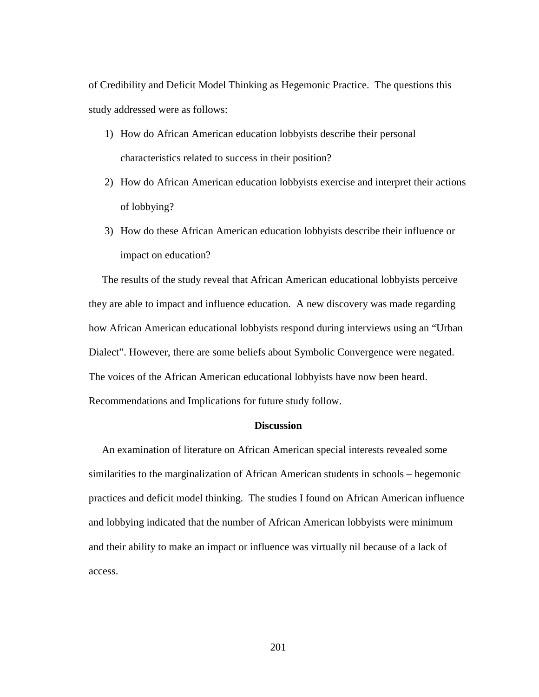of Credibility and Deficit Model Thinking as Hegemonic Practice. The questions this study addressed were as follows:

- 1) How do African American education lobbyists describe their personal characteristics related to success in their position?
- 2) How do African American education lobbyists exercise and interpret their actions of lobbying?
- 3) How do these African American education lobbyists describe their influence or impact on education?

 The results of the study reveal that African American educational lobbyists perceive they are able to impact and influence education. A new discovery was made regarding how African American educational lobbyists respond during interviews using an "Urban Dialect". However, there are some beliefs about Symbolic Convergence were negated. The voices of the African American educational lobbyists have now been heard. Recommendations and Implications for future study follow.

### **Discussion**

 An examination of literature on African American special interests revealed some similarities to the marginalization of African American students in schools – hegemonic practices and deficit model thinking. The studies I found on African American influence and lobbying indicated that the number of African American lobbyists were minimum and their ability to make an impact or influence was virtually nil because of a lack of access.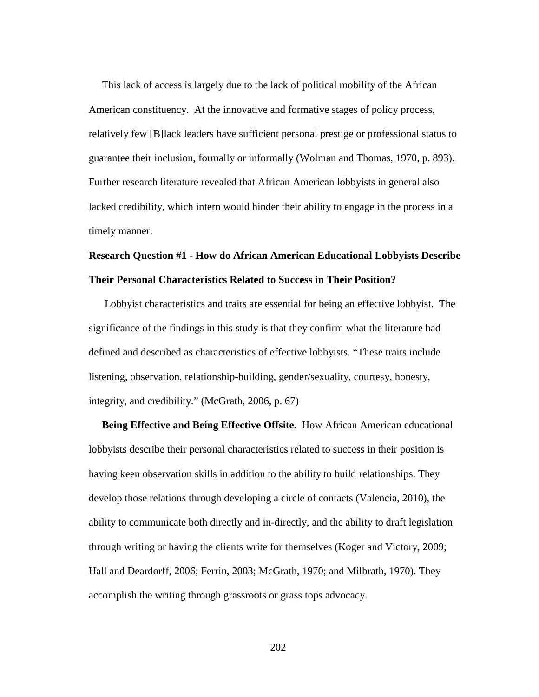This lack of access is largely due to the lack of political mobility of the African American constituency. At the innovative and formative stages of policy process, relatively few [B]lack leaders have sufficient personal prestige or professional status to guarantee their inclusion, formally or informally (Wolman and Thomas, 1970, p. 893). Further research literature revealed that African American lobbyists in general also lacked credibility, which intern would hinder their ability to engage in the process in a timely manner.

### **Research Question #1 - How do African American Educational Lobbyists Describe Their Personal Characteristics Related to Success in Their Position?**

 Lobbyist characteristics and traits are essential for being an effective lobbyist. The significance of the findings in this study is that they confirm what the literature had defined and described as characteristics of effective lobbyists. "These traits include listening, observation, relationship-building, gender/sexuality, courtesy, honesty, integrity, and credibility." (McGrath, 2006, p. 67)

 **Being Effective and Being Effective Offsite.** How African American educational lobbyists describe their personal characteristics related to success in their position is having keen observation skills in addition to the ability to build relationships. They develop those relations through developing a circle of contacts (Valencia, 2010), the ability to communicate both directly and in-directly, and the ability to draft legislation through writing or having the clients write for themselves (Koger and Victory, 2009; Hall and Deardorff, 2006; Ferrin, 2003; McGrath, 1970; and Milbrath, 1970). They accomplish the writing through grassroots or grass tops advocacy.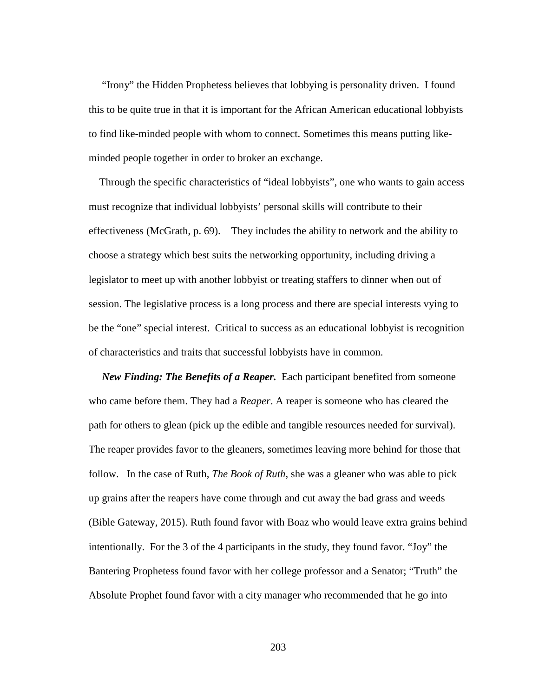"Irony" the Hidden Prophetess believes that lobbying is personality driven. I found this to be quite true in that it is important for the African American educational lobbyists to find like-minded people with whom to connect. Sometimes this means putting likeminded people together in order to broker an exchange.

 Through the specific characteristics of "ideal lobbyists", one who wants to gain access must recognize that individual lobbyists' personal skills will contribute to their effectiveness (McGrath, p. 69). They includes the ability to network and the ability to choose a strategy which best suits the networking opportunity, including driving a legislator to meet up with another lobbyist or treating staffers to dinner when out of session. The legislative process is a long process and there are special interests vying to be the "one" special interest. Critical to success as an educational lobbyist is recognition of characteristics and traits that successful lobbyists have in common.

*New Finding: The Benefits of a Reaper.*Each participant benefited from someone who came before them. They had a *Reaper*. A reaper is someone who has cleared the path for others to glean (pick up the edible and tangible resources needed for survival). The reaper provides favor to the gleaners, sometimes leaving more behind for those that follow. In the case of Ruth, *The Book of Ruth*, she was a gleaner who was able to pick up grains after the reapers have come through and cut away the bad grass and weeds (Bible Gateway, 2015). Ruth found favor with Boaz who would leave extra grains behind intentionally. For the 3 of the 4 participants in the study, they found favor. "Joy" the Bantering Prophetess found favor with her college professor and a Senator; "Truth" the Absolute Prophet found favor with a city manager who recommended that he go into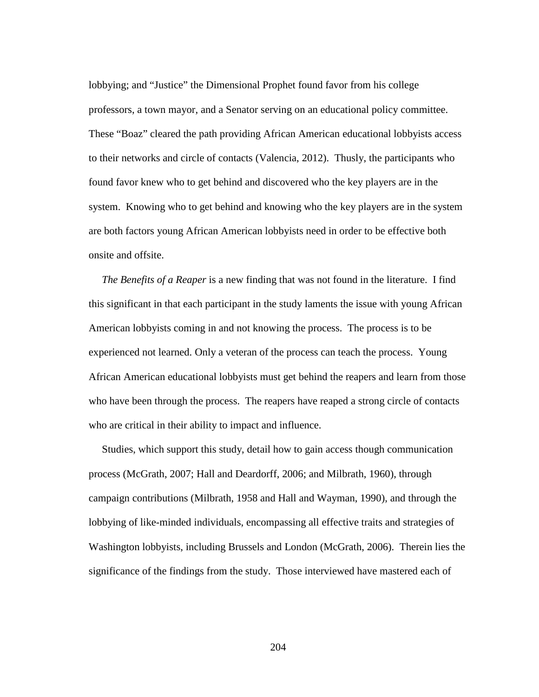lobbying; and "Justice" the Dimensional Prophet found favor from his college professors, a town mayor, and a Senator serving on an educational policy committee. These "Boaz" cleared the path providing African American educational lobbyists access to their networks and circle of contacts (Valencia, 2012). Thusly, the participants who found favor knew who to get behind and discovered who the key players are in the system. Knowing who to get behind and knowing who the key players are in the system are both factors young African American lobbyists need in order to be effective both onsite and offsite.

 *The Benefits of a Reaper* is a new finding that was not found in the literature. I find this significant in that each participant in the study laments the issue with young African American lobbyists coming in and not knowing the process. The process is to be experienced not learned. Only a veteran of the process can teach the process. Young African American educational lobbyists must get behind the reapers and learn from those who have been through the process. The reapers have reaped a strong circle of contacts who are critical in their ability to impact and influence.

 Studies, which support this study, detail how to gain access though communication process (McGrath, 2007; Hall and Deardorff, 2006; and Milbrath, 1960), through campaign contributions (Milbrath, 1958 and Hall and Wayman, 1990), and through the lobbying of like-minded individuals, encompassing all effective traits and strategies of Washington lobbyists, including Brussels and London (McGrath, 2006). Therein lies the significance of the findings from the study. Those interviewed have mastered each of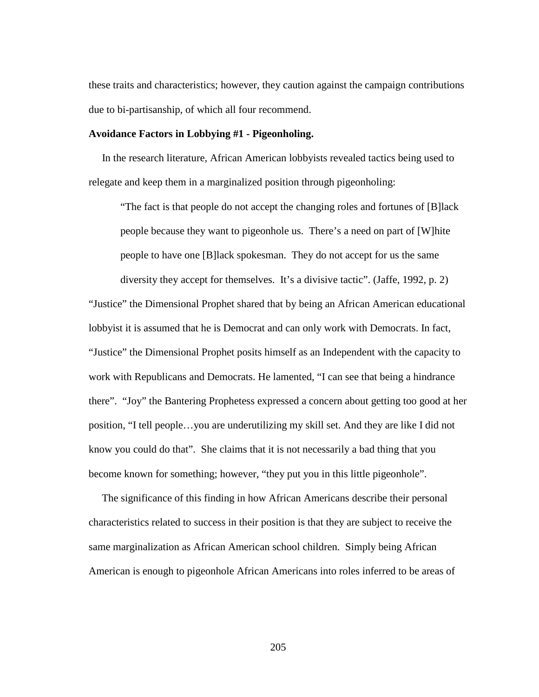these traits and characteristics; however, they caution against the campaign contributions due to bi-partisanship, of which all four recommend.

#### **Avoidance Factors in Lobbying #1 - Pigeonholing.**

 In the research literature, African American lobbyists revealed tactics being used to relegate and keep them in a marginalized position through pigeonholing:

"The fact is that people do not accept the changing roles and fortunes of [B]lack people because they want to pigeonhole us. There's a need on part of [W]hite people to have one [B]lack spokesman. They do not accept for us the same diversity they accept for themselves. It's a divisive tactic". (Jaffe, 1992, p. 2) "Justice" the Dimensional Prophet shared that by being an African American educational

lobbyist it is assumed that he is Democrat and can only work with Democrats. In fact, "Justice" the Dimensional Prophet posits himself as an Independent with the capacity to work with Republicans and Democrats. He lamented, "I can see that being a hindrance there". "Joy" the Bantering Prophetess expressed a concern about getting too good at her position, "I tell people…you are underutilizing my skill set. And they are like I did not know you could do that". She claims that it is not necessarily a bad thing that you become known for something; however, "they put you in this little pigeonhole".

 The significance of this finding in how African Americans describe their personal characteristics related to success in their position is that they are subject to receive the same marginalization as African American school children. Simply being African American is enough to pigeonhole African Americans into roles inferred to be areas of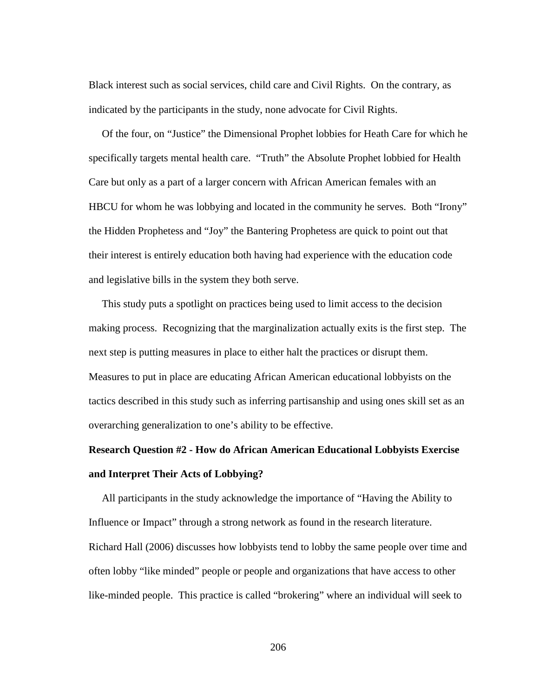Black interest such as social services, child care and Civil Rights. On the contrary, as indicated by the participants in the study, none advocate for Civil Rights.

 Of the four, on "Justice" the Dimensional Prophet lobbies for Heath Care for which he specifically targets mental health care. "Truth" the Absolute Prophet lobbied for Health Care but only as a part of a larger concern with African American females with an HBCU for whom he was lobbying and located in the community he serves. Both "Irony" the Hidden Prophetess and "Joy" the Bantering Prophetess are quick to point out that their interest is entirely education both having had experience with the education code and legislative bills in the system they both serve.

 This study puts a spotlight on practices being used to limit access to the decision making process. Recognizing that the marginalization actually exits is the first step. The next step is putting measures in place to either halt the practices or disrupt them. Measures to put in place are educating African American educational lobbyists on the tactics described in this study such as inferring partisanship and using ones skill set as an overarching generalization to one's ability to be effective.

# **Research Question #2 - How do African American Educational Lobbyists Exercise and Interpret Their Acts of Lobbying?**

All participants in the study acknowledge the importance of "Having the Ability to Influence or Impact" through a strong network as found in the research literature. Richard Hall (2006) discusses how lobbyists tend to lobby the same people over time and often lobby "like minded" people or people and organizations that have access to other like-minded people. This practice is called "brokering" where an individual will seek to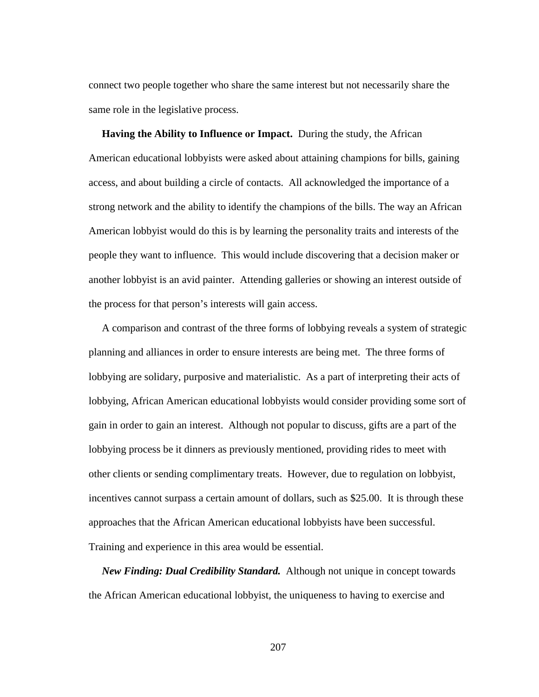connect two people together who share the same interest but not necessarily share the same role in the legislative process.

 **Having the Ability to Influence or Impact.** During the study, the African American educational lobbyists were asked about attaining champions for bills, gaining access, and about building a circle of contacts. All acknowledged the importance of a strong network and the ability to identify the champions of the bills. The way an African American lobbyist would do this is by learning the personality traits and interests of the people they want to influence. This would include discovering that a decision maker or another lobbyist is an avid painter. Attending galleries or showing an interest outside of the process for that person's interests will gain access.

 A comparison and contrast of the three forms of lobbying reveals a system of strategic planning and alliances in order to ensure interests are being met. The three forms of lobbying are solidary, purposive and materialistic. As a part of interpreting their acts of lobbying, African American educational lobbyists would consider providing some sort of gain in order to gain an interest. Although not popular to discuss, gifts are a part of the lobbying process be it dinners as previously mentioned, providing rides to meet with other clients or sending complimentary treats. However, due to regulation on lobbyist, incentives cannot surpass a certain amount of dollars, such as \$25.00. It is through these approaches that the African American educational lobbyists have been successful. Training and experience in this area would be essential.

*New Finding: Dual Credibility Standard.*Although not unique in concept towards the African American educational lobbyist, the uniqueness to having to exercise and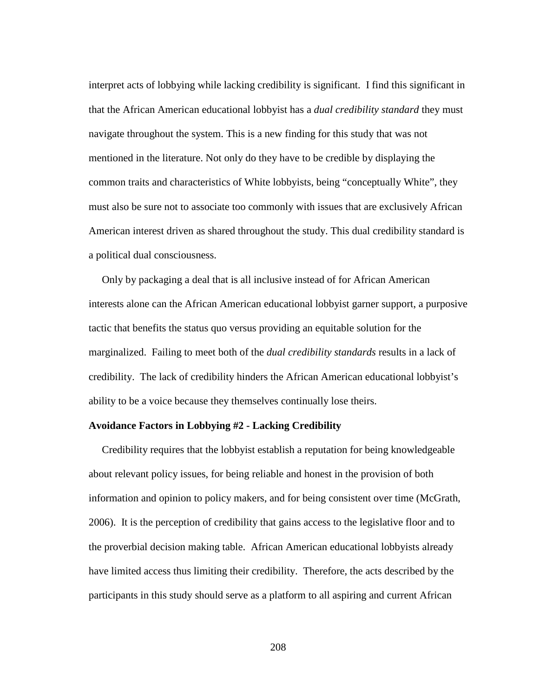interpret acts of lobbying while lacking credibility is significant. I find this significant in that the African American educational lobbyist has a *dual credibility standard* they must navigate throughout the system. This is a new finding for this study that was not mentioned in the literature. Not only do they have to be credible by displaying the common traits and characteristics of White lobbyists, being "conceptually White", they must also be sure not to associate too commonly with issues that are exclusively African American interest driven as shared throughout the study. This dual credibility standard is a political dual consciousness.

 Only by packaging a deal that is all inclusive instead of for African American interests alone can the African American educational lobbyist garner support, a purposive tactic that benefits the status quo versus providing an equitable solution for the marginalized. Failing to meet both of the *dual credibility standards* results in a lack of credibility. The lack of credibility hinders the African American educational lobbyist's ability to be a voice because they themselves continually lose theirs.

## **Avoidance Factors in Lobbying #2 - Lacking Credibility**

 Credibility requires that the lobbyist establish a reputation for being knowledgeable about relevant policy issues, for being reliable and honest in the provision of both information and opinion to policy makers, and for being consistent over time (McGrath, 2006). It is the perception of credibility that gains access to the legislative floor and to the proverbial decision making table. African American educational lobbyists already have limited access thus limiting their credibility. Therefore, the acts described by the participants in this study should serve as a platform to all aspiring and current African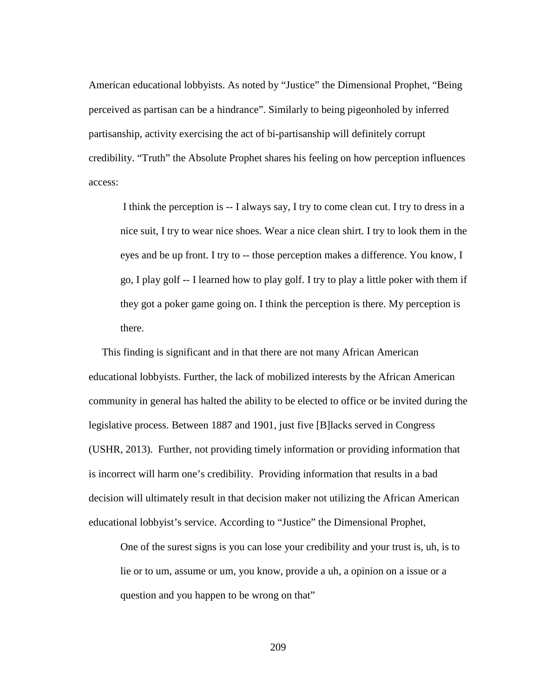American educational lobbyists. As noted by "Justice" the Dimensional Prophet, "Being perceived as partisan can be a hindrance". Similarly to being pigeonholed by inferred partisanship, activity exercising the act of bi-partisanship will definitely corrupt credibility. "Truth" the Absolute Prophet shares his feeling on how perception influences access:

I think the perception is -- I always say, I try to come clean cut. I try to dress in a nice suit, I try to wear nice shoes. Wear a nice clean shirt. I try to look them in the eyes and be up front. I try to -- those perception makes a difference. You know, I go, I play golf -- I learned how to play golf. I try to play a little poker with them if they got a poker game going on. I think the perception is there. My perception is there.

 This finding is significant and in that there are not many African American educational lobbyists. Further, the lack of mobilized interests by the African American community in general has halted the ability to be elected to office or be invited during the legislative process. Between 1887 and 1901, just five [B]lacks served in Congress (USHR, 2013). Further, not providing timely information or providing information that is incorrect will harm one's credibility. Providing information that results in a bad decision will ultimately result in that decision maker not utilizing the African American educational lobbyist's service. According to "Justice" the Dimensional Prophet,

One of the surest signs is you can lose your credibility and your trust is, uh, is to lie or to um, assume or um, you know, provide a uh, a opinion on a issue or a question and you happen to be wrong on that"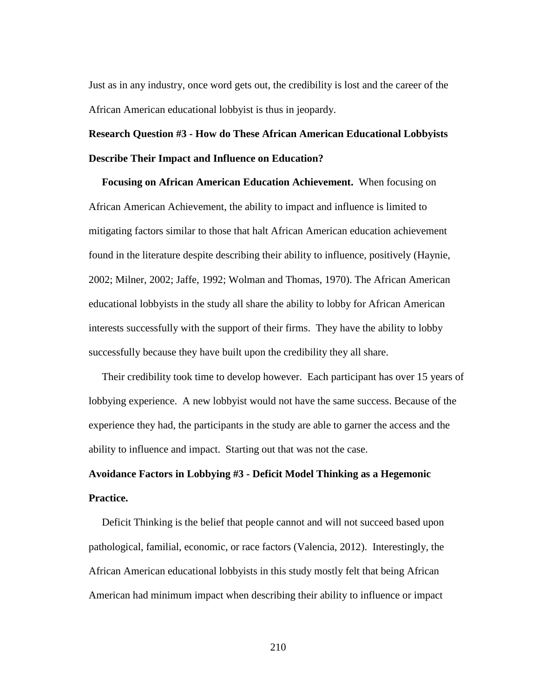Just as in any industry, once word gets out, the credibility is lost and the career of the African American educational lobbyist is thus in jeopardy.

## **Research Question #3 - How do These African American Educational Lobbyists Describe Their Impact and Influence on Education?**

 **Focusing on African American Education Achievement.** When focusing on African American Achievement, the ability to impact and influence is limited to mitigating factors similar to those that halt African American education achievement found in the literature despite describing their ability to influence, positively (Haynie, 2002; Milner, 2002; Jaffe, 1992; Wolman and Thomas, 1970). The African American educational lobbyists in the study all share the ability to lobby for African American interests successfully with the support of their firms. They have the ability to lobby successfully because they have built upon the credibility they all share.

 Their credibility took time to develop however. Each participant has over 15 years of lobbying experience. A new lobbyist would not have the same success. Because of the experience they had, the participants in the study are able to garner the access and the ability to influence and impact. Starting out that was not the case.

## **Avoidance Factors in Lobbying #3 - Deficit Model Thinking as a Hegemonic Practice.**

Deficit Thinking is the belief that people cannot and will not succeed based upon pathological, familial, economic, or race factors (Valencia, 2012). Interestingly, the African American educational lobbyists in this study mostly felt that being African American had minimum impact when describing their ability to influence or impact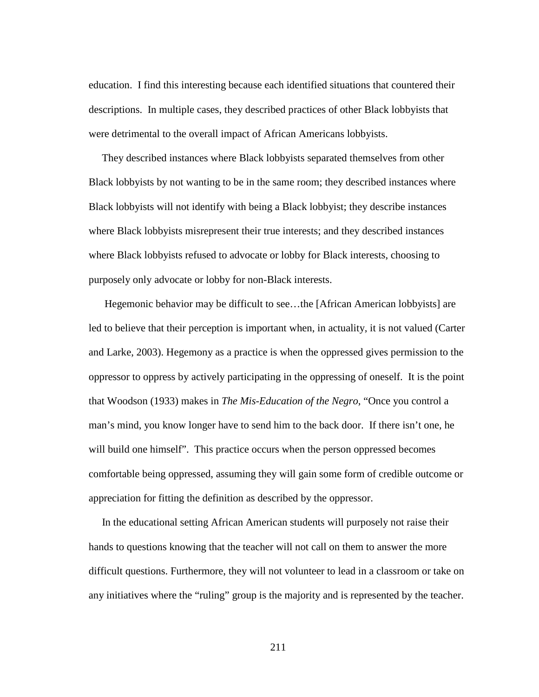education. I find this interesting because each identified situations that countered their descriptions. In multiple cases, they described practices of other Black lobbyists that were detrimental to the overall impact of African Americans lobbyists.

 They described instances where Black lobbyists separated themselves from other Black lobbyists by not wanting to be in the same room; they described instances where Black lobbyists will not identify with being a Black lobbyist; they describe instances where Black lobbyists misrepresent their true interests; and they described instances where Black lobbyists refused to advocate or lobby for Black interests, choosing to purposely only advocate or lobby for non-Black interests.

 Hegemonic behavior may be difficult to see…the [African American lobbyists] are led to believe that their perception is important when, in actuality, it is not valued (Carter and Larke, 2003). Hegemony as a practice is when the oppressed gives permission to the oppressor to oppress by actively participating in the oppressing of oneself. It is the point that Woodson (1933) makes in *The Mis-Education of the Negro*, "Once you control a man's mind, you know longer have to send him to the back door. If there isn't one, he will build one himself". This practice occurs when the person oppressed becomes comfortable being oppressed, assuming they will gain some form of credible outcome or appreciation for fitting the definition as described by the oppressor.

 In the educational setting African American students will purposely not raise their hands to questions knowing that the teacher will not call on them to answer the more difficult questions. Furthermore, they will not volunteer to lead in a classroom or take on any initiatives where the "ruling" group is the majority and is represented by the teacher.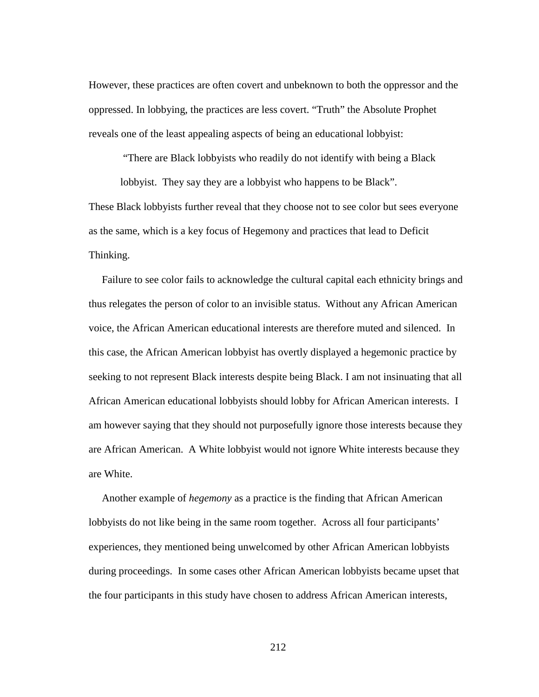However, these practices are often covert and unbeknown to both the oppressor and the oppressed. In lobbying, the practices are less covert. "Truth" the Absolute Prophet reveals one of the least appealing aspects of being an educational lobbyist:

"There are Black lobbyists who readily do not identify with being a Black

lobbyist. They say they are a lobbyist who happens to be Black". These Black lobbyists further reveal that they choose not to see color but sees everyone as the same, which is a key focus of Hegemony and practices that lead to Deficit Thinking.

 Failure to see color fails to acknowledge the cultural capital each ethnicity brings and thus relegates the person of color to an invisible status. Without any African American voice, the African American educational interests are therefore muted and silenced. In this case, the African American lobbyist has overtly displayed a hegemonic practice by seeking to not represent Black interests despite being Black. I am not insinuating that all African American educational lobbyists should lobby for African American interests. I am however saying that they should not purposefully ignore those interests because they are African American. A White lobbyist would not ignore White interests because they are White.

 Another example of *hegemony* as a practice is the finding that African American lobbyists do not like being in the same room together. Across all four participants' experiences, they mentioned being unwelcomed by other African American lobbyists during proceedings. In some cases other African American lobbyists became upset that the four participants in this study have chosen to address African American interests,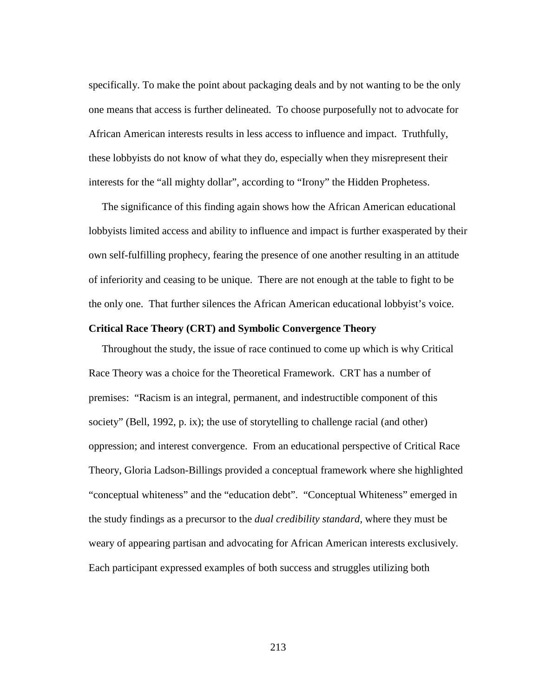specifically. To make the point about packaging deals and by not wanting to be the only one means that access is further delineated. To choose purposefully not to advocate for African American interests results in less access to influence and impact. Truthfully, these lobbyists do not know of what they do, especially when they misrepresent their interests for the "all mighty dollar", according to "Irony" the Hidden Prophetess.

 The significance of this finding again shows how the African American educational lobbyists limited access and ability to influence and impact is further exasperated by their own self-fulfilling prophecy, fearing the presence of one another resulting in an attitude of inferiority and ceasing to be unique. There are not enough at the table to fight to be the only one. That further silences the African American educational lobbyist's voice.

## **Critical Race Theory (CRT) and Symbolic Convergence Theory**

 Throughout the study, the issue of race continued to come up which is why Critical Race Theory was a choice for the Theoretical Framework. CRT has a number of premises: "Racism is an integral, permanent, and indestructible component of this society" (Bell, 1992, p. ix); the use of storytelling to challenge racial (and other) oppression; and interest convergence. From an educational perspective of Critical Race Theory, Gloria Ladson-Billings provided a conceptual framework where she highlighted "conceptual whiteness" and the "education debt". "Conceptual Whiteness" emerged in the study findings as a precursor to the *dual credibility standard,* where they must be weary of appearing partisan and advocating for African American interests exclusively. Each participant expressed examples of both success and struggles utilizing both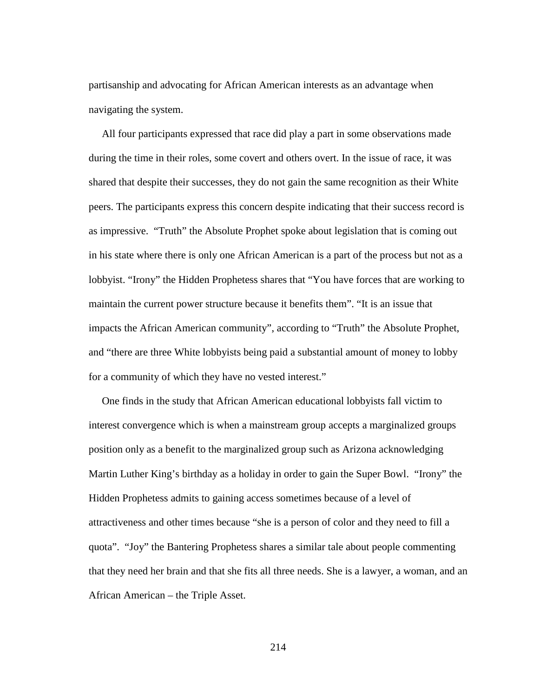partisanship and advocating for African American interests as an advantage when navigating the system.

 All four participants expressed that race did play a part in some observations made during the time in their roles, some covert and others overt. In the issue of race, it was shared that despite their successes, they do not gain the same recognition as their White peers. The participants express this concern despite indicating that their success record is as impressive. "Truth" the Absolute Prophet spoke about legislation that is coming out in his state where there is only one African American is a part of the process but not as a lobbyist. "Irony" the Hidden Prophetess shares that "You have forces that are working to maintain the current power structure because it benefits them". "It is an issue that impacts the African American community", according to "Truth" the Absolute Prophet, and "there are three White lobbyists being paid a substantial amount of money to lobby for a community of which they have no vested interest."

 One finds in the study that African American educational lobbyists fall victim to interest convergence which is when a mainstream group accepts a marginalized groups position only as a benefit to the marginalized group such as Arizona acknowledging Martin Luther King's birthday as a holiday in order to gain the Super Bowl. "Irony" the Hidden Prophetess admits to gaining access sometimes because of a level of attractiveness and other times because "she is a person of color and they need to fill a quota". "Joy" the Bantering Prophetess shares a similar tale about people commenting that they need her brain and that she fits all three needs. She is a lawyer, a woman, and an African American – the Triple Asset.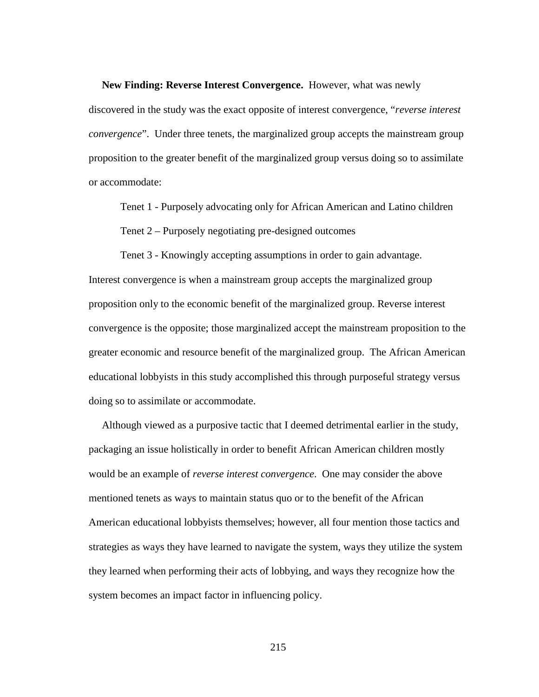**New Finding: Reverse Interest Convergence.** However, what was newly

discovered in the study was the exact opposite of interest convergence, "*reverse interest convergence*". Under three tenets, the marginalized group accepts the mainstream group proposition to the greater benefit of the marginalized group versus doing so to assimilate or accommodate:

Tenet 1 - Purposely advocating only for African American and Latino children

Tenet 2 – Purposely negotiating pre-designed outcomes

Tenet 3 - Knowingly accepting assumptions in order to gain advantage.

Interest convergence is when a mainstream group accepts the marginalized group proposition only to the economic benefit of the marginalized group. Reverse interest convergence is the opposite; those marginalized accept the mainstream proposition to the greater economic and resource benefit of the marginalized group. The African American educational lobbyists in this study accomplished this through purposeful strategy versus doing so to assimilate or accommodate.

 Although viewed as a purposive tactic that I deemed detrimental earlier in the study, packaging an issue holistically in order to benefit African American children mostly would be an example of *reverse interest convergence*. One may consider the above mentioned tenets as ways to maintain status quo or to the benefit of the African American educational lobbyists themselves; however, all four mention those tactics and strategies as ways they have learned to navigate the system, ways they utilize the system they learned when performing their acts of lobbying, and ways they recognize how the system becomes an impact factor in influencing policy.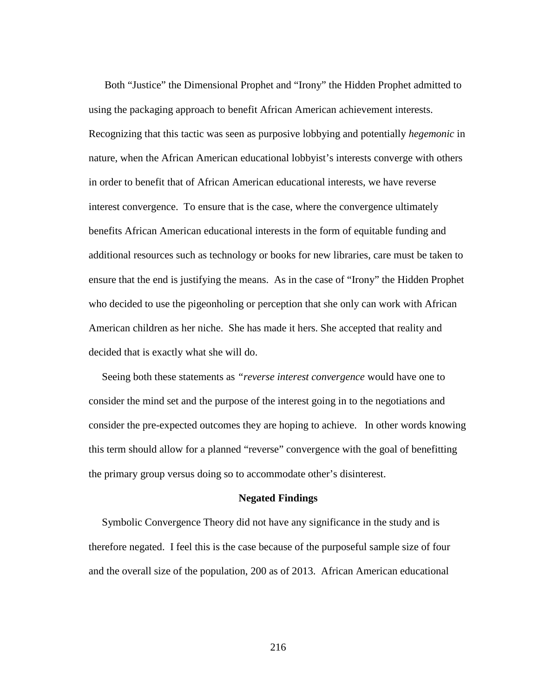Both "Justice" the Dimensional Prophet and "Irony" the Hidden Prophet admitted to using the packaging approach to benefit African American achievement interests. Recognizing that this tactic was seen as purposive lobbying and potentially *hegemonic* in nature, when the African American educational lobbyist's interests converge with others in order to benefit that of African American educational interests, we have reverse interest convergence. To ensure that is the case, where the convergence ultimately benefits African American educational interests in the form of equitable funding and additional resources such as technology or books for new libraries, care must be taken to ensure that the end is justifying the means. As in the case of "Irony" the Hidden Prophet who decided to use the pigeonholing or perception that she only can work with African American children as her niche. She has made it hers. She accepted that reality and decided that is exactly what she will do.

 Seeing both these statements as *"reverse interest convergence* would have one to consider the mind set and the purpose of the interest going in to the negotiations and consider the pre-expected outcomes they are hoping to achieve. In other words knowing this term should allow for a planned "reverse" convergence with the goal of benefitting the primary group versus doing so to accommodate other's disinterest.

## **Negated Findings**

 Symbolic Convergence Theory did not have any significance in the study and is therefore negated. I feel this is the case because of the purposeful sample size of four and the overall size of the population, 200 as of 2013. African American educational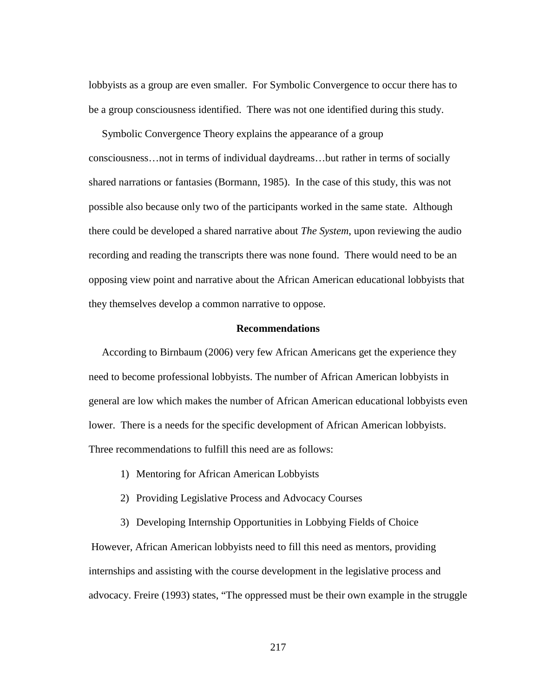lobbyists as a group are even smaller. For Symbolic Convergence to occur there has to be a group consciousness identified. There was not one identified during this study.

 Symbolic Convergence Theory explains the appearance of a group consciousness…not in terms of individual daydreams…but rather in terms of socially shared narrations or fantasies (Bormann, 1985). In the case of this study, this was not possible also because only two of the participants worked in the same state. Although there could be developed a shared narrative about *The System*, upon reviewing the audio recording and reading the transcripts there was none found. There would need to be an opposing view point and narrative about the African American educational lobbyists that they themselves develop a common narrative to oppose.

## **Recommendations**

 According to Birnbaum (2006) very few African Americans get the experience they need to become professional lobbyists. The number of African American lobbyists in general are low which makes the number of African American educational lobbyists even lower. There is a needs for the specific development of African American lobbyists. Three recommendations to fulfill this need are as follows:

- 1) Mentoring for African American Lobbyists
- 2) Providing Legislative Process and Advocacy Courses

However, African American lobbyists need to fill this need as mentors, providing internships and assisting with the course development in the legislative process and advocacy. Freire (1993) states, "The oppressed must be their own example in the struggle

3) Developing Internship Opportunities in Lobbying Fields of Choice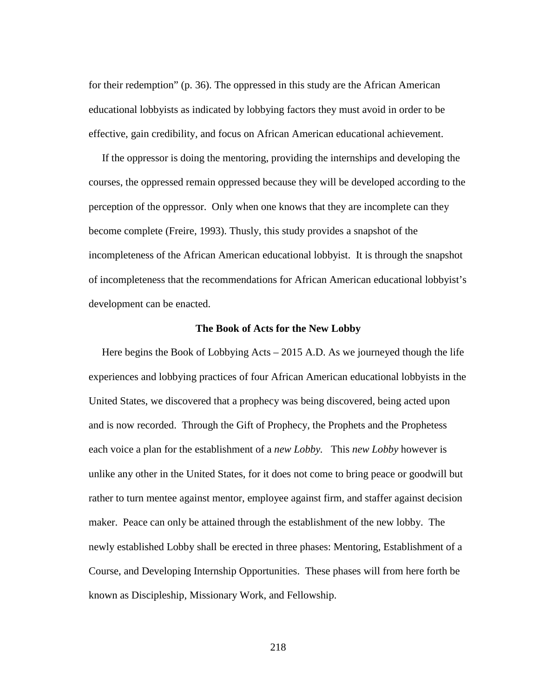for their redemption" (p. 36). The oppressed in this study are the African American educational lobbyists as indicated by lobbying factors they must avoid in order to be effective, gain credibility, and focus on African American educational achievement.

 If the oppressor is doing the mentoring, providing the internships and developing the courses, the oppressed remain oppressed because they will be developed according to the perception of the oppressor. Only when one knows that they are incomplete can they become complete (Freire, 1993). Thusly, this study provides a snapshot of the incompleteness of the African American educational lobbyist. It is through the snapshot of incompleteness that the recommendations for African American educational lobbyist's development can be enacted.

#### **The Book of Acts for the New Lobby**

Here begins the Book of Lobbying Acts – 2015 A.D. As we journeyed though the life experiences and lobbying practices of four African American educational lobbyists in the United States, we discovered that a prophecy was being discovered, being acted upon and is now recorded. Through the Gift of Prophecy, the Prophets and the Prophetess each voice a plan for the establishment of a *new Lobby.* This *new Lobby* however is unlike any other in the United States, for it does not come to bring peace or goodwill but rather to turn mentee against mentor, employee against firm, and staffer against decision maker. Peace can only be attained through the establishment of the new lobby. The newly established Lobby shall be erected in three phases: Mentoring, Establishment of a Course, and Developing Internship Opportunities. These phases will from here forth be known as Discipleship, Missionary Work, and Fellowship.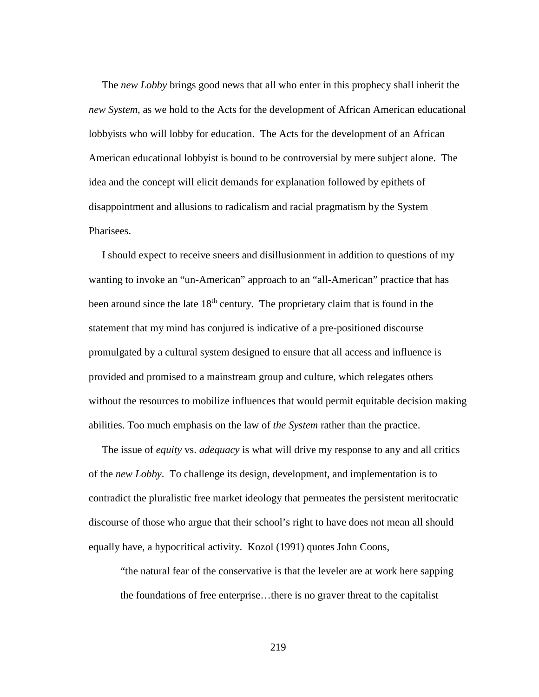The *new Lobby* brings good news that all who enter in this prophecy shall inherit the *new System*, as we hold to the Acts for the development of African American educational lobbyists who will lobby for education. The Acts for the development of an African American educational lobbyist is bound to be controversial by mere subject alone. The idea and the concept will elicit demands for explanation followed by epithets of disappointment and allusions to radicalism and racial pragmatism by the System Pharisees.

 I should expect to receive sneers and disillusionment in addition to questions of my wanting to invoke an "un-American" approach to an "all-American" practice that has been around since the late 18<sup>th</sup> century. The proprietary claim that is found in the statement that my mind has conjured is indicative of a pre-positioned discourse promulgated by a cultural system designed to ensure that all access and influence is provided and promised to a mainstream group and culture, which relegates others without the resources to mobilize influences that would permit equitable decision making abilities. Too much emphasis on the law of *the System* rather than the practice.

 The issue of *equity* vs. *adequacy* is what will drive my response to any and all critics of the *new Lobby*. To challenge its design, development, and implementation is to contradict the pluralistic free market ideology that permeates the persistent meritocratic discourse of those who argue that their school's right to have does not mean all should equally have, a hypocritical activity. Kozol (1991) quotes John Coons,

"the natural fear of the conservative is that the leveler are at work here sapping the foundations of free enterprise…there is no graver threat to the capitalist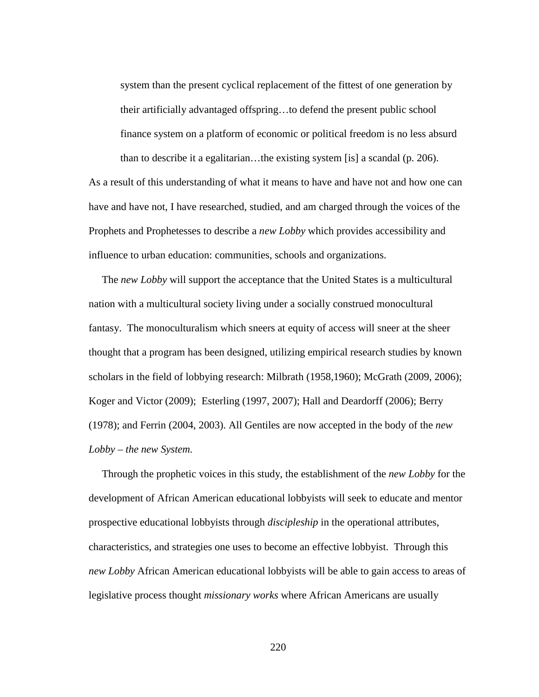system than the present cyclical replacement of the fittest of one generation by their artificially advantaged offspring…to defend the present public school finance system on a platform of economic or political freedom is no less absurd than to describe it a egalitarian…the existing system [is] a scandal (p. 206).

As a result of this understanding of what it means to have and have not and how one can have and have not, I have researched, studied, and am charged through the voices of the Prophets and Prophetesses to describe a *new Lobby* which provides accessibility and influence to urban education: communities, schools and organizations.

 The *new Lobby* will support the acceptance that the United States is a multicultural nation with a multicultural society living under a socially construed monocultural fantasy. The monoculturalism which sneers at equity of access will sneer at the sheer thought that a program has been designed, utilizing empirical research studies by known scholars in the field of lobbying research: Milbrath (1958,1960); McGrath (2009, 2006); Koger and Victor (2009); Esterling (1997, 2007); Hall and Deardorff (2006); Berry (1978); and Ferrin (2004, 2003). All Gentiles are now accepted in the body of the *new Lobby – the new System.*

 Through the prophetic voices in this study, the establishment of the *new Lobby* for the development of African American educational lobbyists will seek to educate and mentor prospective educational lobbyists through *discipleship* in the operational attributes, characteristics, and strategies one uses to become an effective lobbyist. Through this *new Lobby* African American educational lobbyists will be able to gain access to areas of legislative process thought *missionary works* where African Americans are usually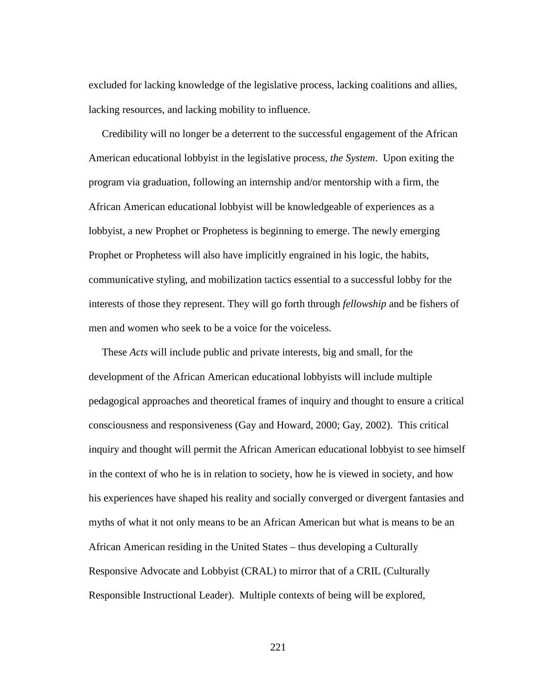excluded for lacking knowledge of the legislative process, lacking coalitions and allies, lacking resources, and lacking mobility to influence.

 Credibility will no longer be a deterrent to the successful engagement of the African American educational lobbyist in the legislative process, *the System*. Upon exiting the program via graduation, following an internship and/or mentorship with a firm, the African American educational lobbyist will be knowledgeable of experiences as a lobbyist, a new Prophet or Prophetess is beginning to emerge. The newly emerging Prophet or Prophetess will also have implicitly engrained in his logic, the habits, communicative styling, and mobilization tactics essential to a successful lobby for the interests of those they represent. They will go forth through *fellowship* and be fishers of men and women who seek to be a voice for the voiceless.

 These *Acts* will include public and private interests, big and small, for the development of the African American educational lobbyists will include multiple pedagogical approaches and theoretical frames of inquiry and thought to ensure a critical consciousness and responsiveness (Gay and Howard, 2000; Gay, 2002). This critical inquiry and thought will permit the African American educational lobbyist to see himself in the context of who he is in relation to society, how he is viewed in society, and how his experiences have shaped his reality and socially converged or divergent fantasies and myths of what it not only means to be an African American but what is means to be an African American residing in the United States – thus developing a Culturally Responsive Advocate and Lobbyist (CRAL) to mirror that of a CRIL (Culturally Responsible Instructional Leader). Multiple contexts of being will be explored,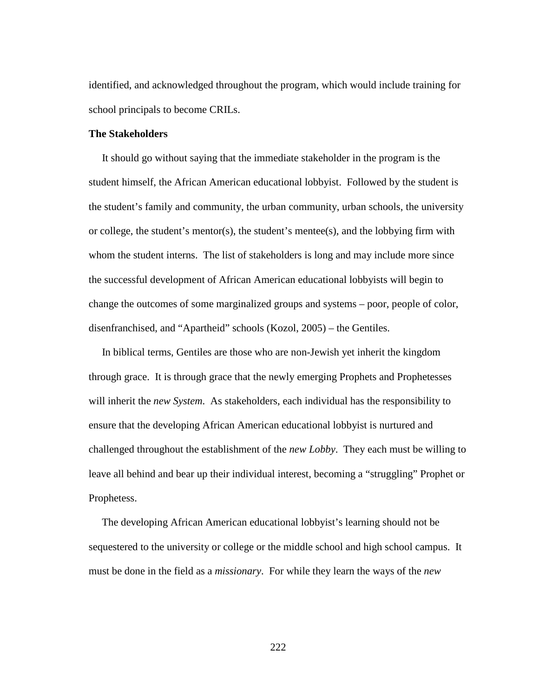identified, and acknowledged throughout the program, which would include training for school principals to become CRILs.

## **The Stakeholders**

 It should go without saying that the immediate stakeholder in the program is the student himself, the African American educational lobbyist. Followed by the student is the student's family and community, the urban community, urban schools, the university or college, the student's mentor(s), the student's mentee(s), and the lobbying firm with whom the student interns. The list of stakeholders is long and may include more since the successful development of African American educational lobbyists will begin to change the outcomes of some marginalized groups and systems – poor, people of color, disenfranchised, and "Apartheid" schools (Kozol, 2005) – the Gentiles.

 In biblical terms, Gentiles are those who are non-Jewish yet inherit the kingdom through grace. It is through grace that the newly emerging Prophets and Prophetesses will inherit the *new System*. As stakeholders, each individual has the responsibility to ensure that the developing African American educational lobbyist is nurtured and challenged throughout the establishment of the *new Lobby*. They each must be willing to leave all behind and bear up their individual interest, becoming a "struggling" Prophet or Prophetess.

 The developing African American educational lobbyist's learning should not be sequestered to the university or college or the middle school and high school campus. It must be done in the field as a *missionary*. For while they learn the ways of the *new*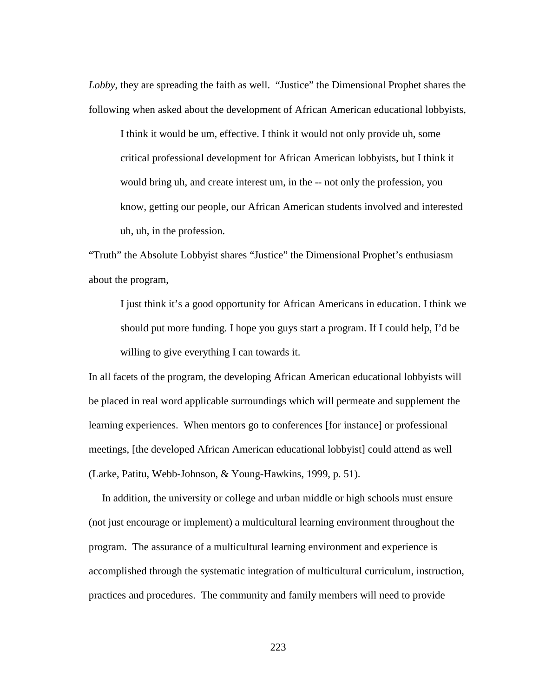*Lobby*, they are spreading the faith as well. "Justice" the Dimensional Prophet shares the following when asked about the development of African American educational lobbyists,

I think it would be um, effective. I think it would not only provide uh, some critical professional development for African American lobbyists, but I think it would bring uh, and create interest um, in the -- not only the profession, you know, getting our people, our African American students involved and interested uh, uh, in the profession.

"Truth" the Absolute Lobbyist shares "Justice" the Dimensional Prophet's enthusiasm about the program,

I just think it's a good opportunity for African Americans in education. I think we should put more funding. I hope you guys start a program. If I could help, I'd be willing to give everything I can towards it.

In all facets of the program, the developing African American educational lobbyists will be placed in real word applicable surroundings which will permeate and supplement the learning experiences. When mentors go to conferences [for instance] or professional meetings, [the developed African American educational lobbyist] could attend as well (Larke, Patitu, Webb-Johnson, & Young-Hawkins, 1999, p. 51).

 In addition, the university or college and urban middle or high schools must ensure (not just encourage or implement) a multicultural learning environment throughout the program. The assurance of a multicultural learning environment and experience is accomplished through the systematic integration of multicultural curriculum, instruction, practices and procedures. The community and family members will need to provide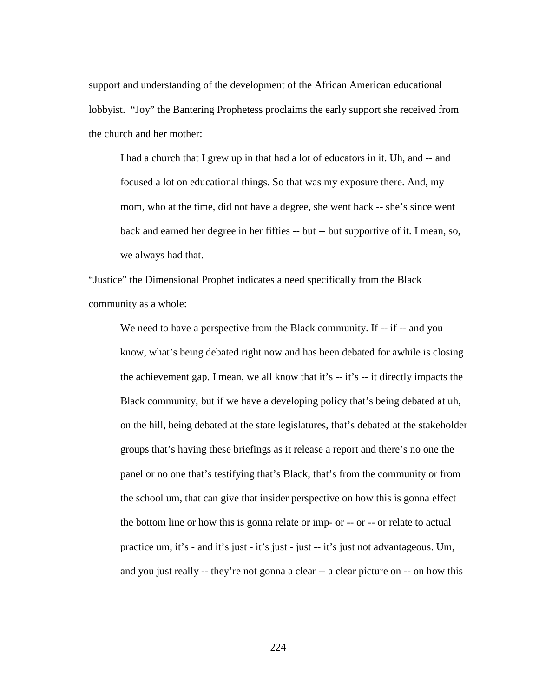support and understanding of the development of the African American educational lobbyist. "Joy" the Bantering Prophetess proclaims the early support she received from the church and her mother:

I had a church that I grew up in that had a lot of educators in it. Uh, and -- and focused a lot on educational things. So that was my exposure there. And, my mom, who at the time, did not have a degree, she went back -- she's since went back and earned her degree in her fifties -- but -- but supportive of it. I mean, so, we always had that.

"Justice" the Dimensional Prophet indicates a need specifically from the Black community as a whole:

We need to have a perspective from the Black community. If -- if -- and you know, what's being debated right now and has been debated for awhile is closing the achievement gap. I mean, we all know that it's -- it's -- it directly impacts the Black community, but if we have a developing policy that's being debated at uh, on the hill, being debated at the state legislatures, that's debated at the stakeholder groups that's having these briefings as it release a report and there's no one the panel or no one that's testifying that's Black, that's from the community or from the school um, that can give that insider perspective on how this is gonna effect the bottom line or how this is gonna relate or imp- or -- or -- or relate to actual practice um, it's - and it's just - it's just - just -- it's just not advantageous. Um, and you just really -- they're not gonna a clear -- a clear picture on -- on how this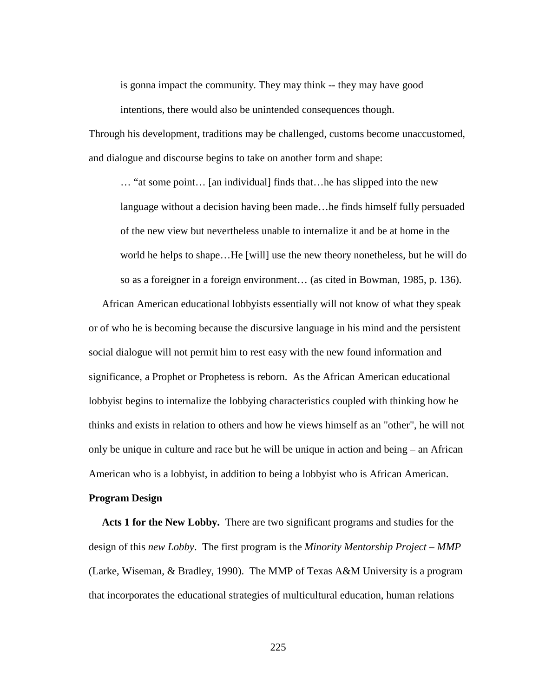is gonna impact the community. They may think -- they may have good intentions, there would also be unintended consequences though.

Through his development, traditions may be challenged, customs become unaccustomed, and dialogue and discourse begins to take on another form and shape:

… "at some point… [an individual] finds that…he has slipped into the new language without a decision having been made…he finds himself fully persuaded of the new view but nevertheless unable to internalize it and be at home in the world he helps to shape…He [will] use the new theory nonetheless, but he will do so as a foreigner in a foreign environment… (as cited in Bowman, 1985, p. 136).

 African American educational lobbyists essentially will not know of what they speak or of who he is becoming because the discursive language in his mind and the persistent social dialogue will not permit him to rest easy with the new found information and significance, a Prophet or Prophetess is reborn. As the African American educational lobbyist begins to internalize the lobbying characteristics coupled with thinking how he thinks and exists in relation to others and how he views himself as an "other", he will not only be unique in culture and race but he will be unique in action and being – an African American who is a lobbyist, in addition to being a lobbyist who is African American.

## **Program Design**

 **Acts 1 for the New Lobby.** There are two significant programs and studies for the design of this *new Lobby*. The first program is the *Minority Mentorship Project* – *MMP* (Larke, Wiseman, & Bradley, 1990). The MMP of Texas A&M University is a program that incorporates the educational strategies of multicultural education, human relations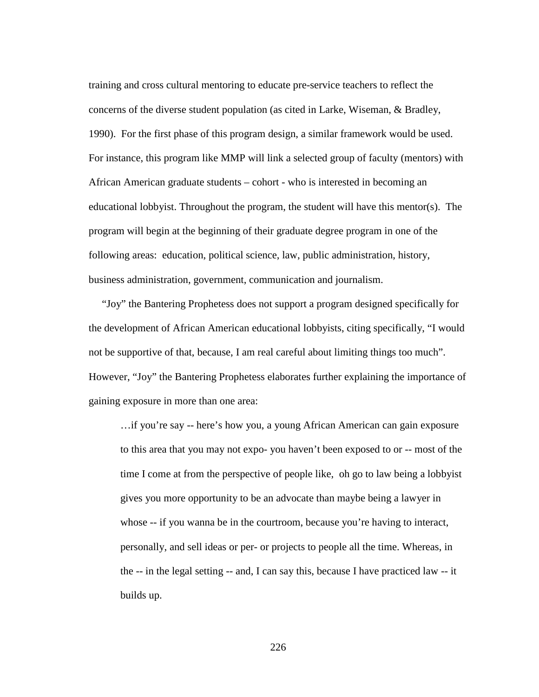training and cross cultural mentoring to educate pre-service teachers to reflect the concerns of the diverse student population (as cited in Larke, Wiseman, & Bradley, 1990). For the first phase of this program design, a similar framework would be used. For instance, this program like MMP will link a selected group of faculty (mentors) with African American graduate students – cohort - who is interested in becoming an educational lobbyist. Throughout the program, the student will have this mentor(s). The program will begin at the beginning of their graduate degree program in one of the following areas: education, political science, law, public administration, history, business administration, government, communication and journalism.

 "Joy" the Bantering Prophetess does not support a program designed specifically for the development of African American educational lobbyists, citing specifically, "I would not be supportive of that, because, I am real careful about limiting things too much". However, "Joy" the Bantering Prophetess elaborates further explaining the importance of gaining exposure in more than one area:

…if you're say -- here's how you, a young African American can gain exposure to this area that you may not expo- you haven't been exposed to or -- most of the time I come at from the perspective of people like, oh go to law being a lobbyist gives you more opportunity to be an advocate than maybe being a lawyer in whose -- if you wanna be in the courtroom, because you're having to interact, personally, and sell ideas or per- or projects to people all the time. Whereas, in the -- in the legal setting -- and, I can say this, because I have practiced law -- it builds up.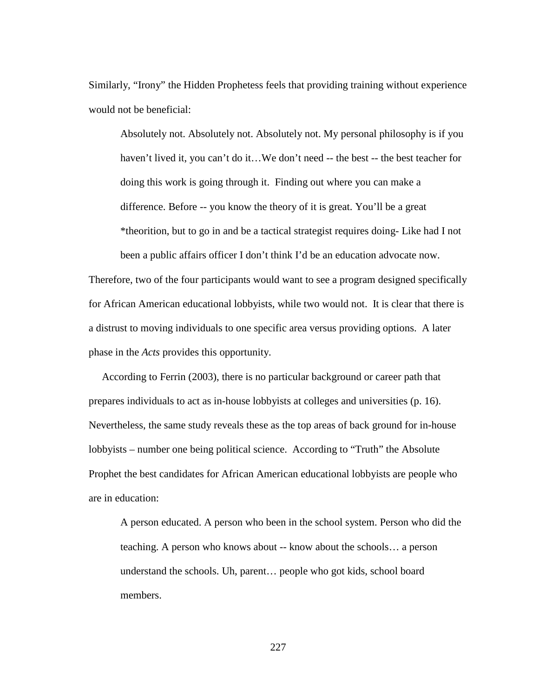Similarly, "Irony" the Hidden Prophetess feels that providing training without experience would not be beneficial:

Absolutely not. Absolutely not. Absolutely not. My personal philosophy is if you haven't lived it, you can't do it...We don't need -- the best -- the best teacher for doing this work is going through it. Finding out where you can make a difference. Before -- you know the theory of it is great. You'll be a great \*theorition, but to go in and be a tactical strategist requires doing- Like had I not been a public affairs officer I don't think I'd be an education advocate now.

Therefore, two of the four participants would want to see a program designed specifically for African American educational lobbyists, while two would not. It is clear that there is a distrust to moving individuals to one specific area versus providing options. A later phase in the *Acts* provides this opportunity.

 According to Ferrin (2003), there is no particular background or career path that prepares individuals to act as in-house lobbyists at colleges and universities (p. 16). Nevertheless, the same study reveals these as the top areas of back ground for in-house lobbyists – number one being political science. According to "Truth" the Absolute Prophet the best candidates for African American educational lobbyists are people who are in education:

A person educated. A person who been in the school system. Person who did the teaching. A person who knows about -- know about the schools… a person understand the schools. Uh, parent… people who got kids, school board members.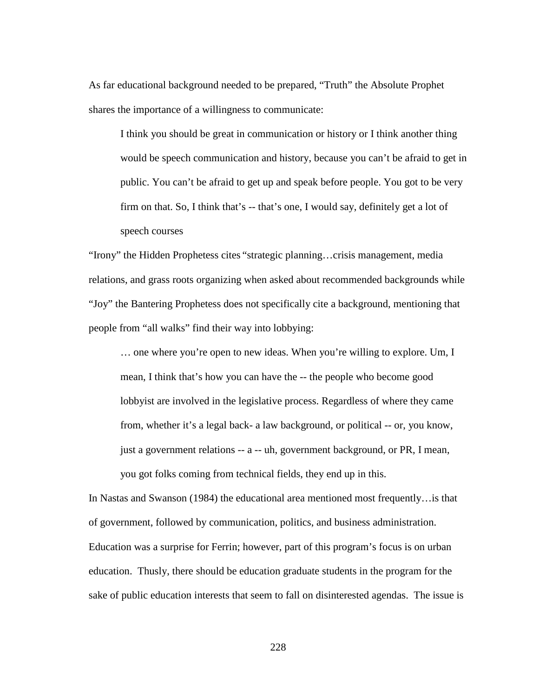As far educational background needed to be prepared, "Truth" the Absolute Prophet shares the importance of a willingness to communicate:

I think you should be great in communication or history or I think another thing would be speech communication and history, because you can't be afraid to get in public. You can't be afraid to get up and speak before people. You got to be very firm on that. So, I think that's -- that's one, I would say, definitely get a lot of speech courses

"Irony" the Hidden Prophetess cites "strategic planning…crisis management, media relations, and grass roots organizing when asked about recommended backgrounds while "Joy" the Bantering Prophetess does not specifically cite a background, mentioning that people from "all walks" find their way into lobbying:

… one where you're open to new ideas. When you're willing to explore. Um, I mean, I think that's how you can have the -- the people who become good lobbyist are involved in the legislative process. Regardless of where they came from, whether it's a legal back- a law background, or political -- or, you know, just a government relations -- a -- uh, government background, or PR, I mean, you got folks coming from technical fields, they end up in this.

In Nastas and Swanson (1984) the educational area mentioned most frequently…is that of government, followed by communication, politics, and business administration. Education was a surprise for Ferrin; however, part of this program's focus is on urban education. Thusly, there should be education graduate students in the program for the sake of public education interests that seem to fall on disinterested agendas. The issue is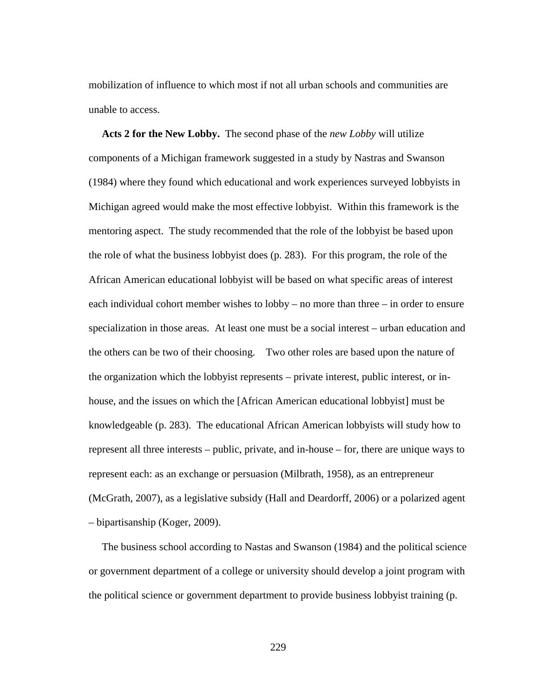mobilization of influence to which most if not all urban schools and communities are unable to access.

 **Acts 2 for the New Lobby.** The second phase of the *new Lobby* will utilize components of a Michigan framework suggested in a study by Nastras and Swanson (1984) where they found which educational and work experiences surveyed lobbyists in Michigan agreed would make the most effective lobbyist. Within this framework is the mentoring aspect. The study recommended that the role of the lobbyist be based upon the role of what the business lobbyist does (p. 283). For this program, the role of the African American educational lobbyist will be based on what specific areas of interest each individual cohort member wishes to lobby – no more than three – in order to ensure specialization in those areas. At least one must be a social interest – urban education and the others can be two of their choosing. Two other roles are based upon the nature of the organization which the lobbyist represents – private interest, public interest, or inhouse, and the issues on which the [African American educational lobbyist] must be knowledgeable (p. 283). The educational African American lobbyists will study how to represent all three interests – public, private, and in-house – for, there are unique ways to represent each: as an exchange or persuasion (Milbrath, 1958), as an entrepreneur (McGrath, 2007), as a legislative subsidy (Hall and Deardorff, 2006) or a polarized agent – bipartisanship (Koger, 2009).

 The business school according to Nastas and Swanson (1984) and the political science or government department of a college or university should develop a joint program with the political science or government department to provide business lobbyist training (p.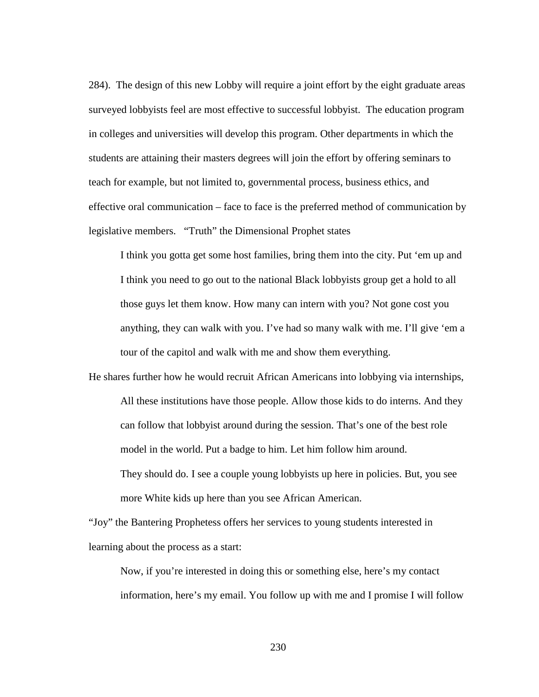284). The design of this new Lobby will require a joint effort by the eight graduate areas surveyed lobbyists feel are most effective to successful lobbyist. The education program in colleges and universities will develop this program. Other departments in which the students are attaining their masters degrees will join the effort by offering seminars to teach for example, but not limited to, governmental process, business ethics, and effective oral communication – face to face is the preferred method of communication by legislative members. "Truth" the Dimensional Prophet states

I think you gotta get some host families, bring them into the city. Put 'em up and I think you need to go out to the national Black lobbyists group get a hold to all those guys let them know. How many can intern with you? Not gone cost you anything, they can walk with you. I've had so many walk with me. I'll give 'em a tour of the capitol and walk with me and show them everything.

He shares further how he would recruit African Americans into lobbying via internships, All these institutions have those people. Allow those kids to do interns. And they can follow that lobbyist around during the session. That's one of the best role model in the world. Put a badge to him. Let him follow him around. They should do. I see a couple young lobbyists up here in policies. But, you see

"Joy" the Bantering Prophetess offers her services to young students interested in learning about the process as a start:

more White kids up here than you see African American.

Now, if you're interested in doing this or something else, here's my contact information, here's my email. You follow up with me and I promise I will follow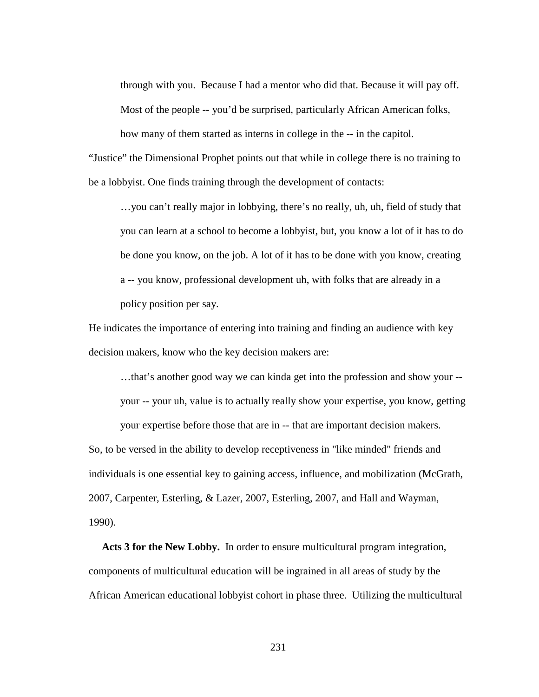through with you. Because I had a mentor who did that. Because it will pay off. Most of the people -- you'd be surprised, particularly African American folks, how many of them started as interns in college in the -- in the capitol.

"Justice" the Dimensional Prophet points out that while in college there is no training to be a lobbyist. One finds training through the development of contacts:

…you can't really major in lobbying, there's no really, uh, uh, field of study that you can learn at a school to become a lobbyist, but, you know a lot of it has to do be done you know, on the job. A lot of it has to be done with you know, creating a -- you know, professional development uh, with folks that are already in a policy position per say.

He indicates the importance of entering into training and finding an audience with key decision makers, know who the key decision makers are:

…that's another good way we can kinda get into the profession and show your - your -- your uh, value is to actually really show your expertise, you know, getting

your expertise before those that are in -- that are important decision makers. So, to be versed in the ability to develop receptiveness in "like minded" friends and individuals is one essential key to gaining access, influence, and mobilization (McGrath, 2007, Carpenter, Esterling, & Lazer, 2007, Esterling, 2007, and Hall and Wayman,

1990).

 **Acts 3 for the New Lobby.** In order to ensure multicultural program integration, components of multicultural education will be ingrained in all areas of study by the African American educational lobbyist cohort in phase three. Utilizing the multicultural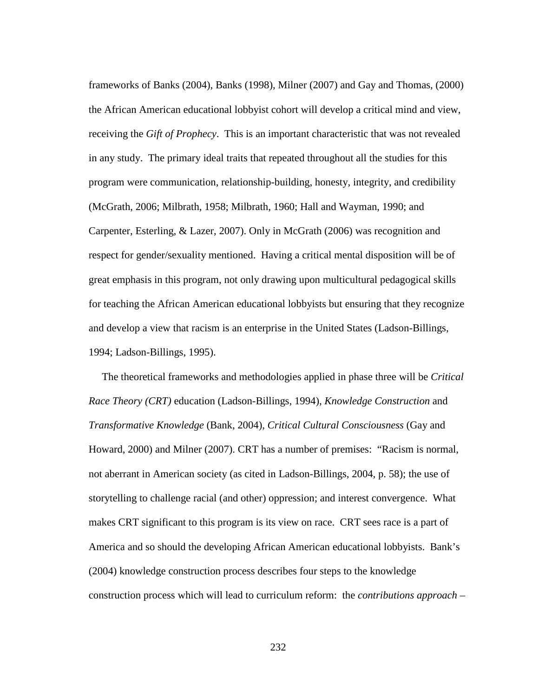frameworks of Banks (2004), Banks (1998), Milner (2007) and Gay and Thomas, (2000) the African American educational lobbyist cohort will develop a critical mind and view, receiving the *Gift of Prophecy*. This is an important characteristic that was not revealed in any study. The primary ideal traits that repeated throughout all the studies for this program were communication, relationship-building, honesty, integrity, and credibility (McGrath, 2006; Milbrath, 1958; Milbrath, 1960; Hall and Wayman, 1990; and Carpenter, Esterling, & Lazer, 2007). Only in McGrath (2006) was recognition and respect for gender/sexuality mentioned. Having a critical mental disposition will be of great emphasis in this program, not only drawing upon multicultural pedagogical skills for teaching the African American educational lobbyists but ensuring that they recognize and develop a view that racism is an enterprise in the United States (Ladson-Billings, 1994; Ladson-Billings, 1995).

 The theoretical frameworks and methodologies applied in phase three will be *Critical Race Theory (CRT)* education (Ladson-Billings, 1994), *Knowledge Construction* and *Transformative Knowledge* (Bank, 2004), *Critical Cultural Consciousness* (Gay and Howard, 2000) and Milner (2007). CRT has a number of premises: "Racism is normal, not aberrant in American society (as cited in Ladson-Billings, 2004, p. 58); the use of storytelling to challenge racial (and other) oppression; and interest convergence. What makes CRT significant to this program is its view on race. CRT sees race is a part of America and so should the developing African American educational lobbyists. Bank's (2004) knowledge construction process describes four steps to the knowledge construction process which will lead to curriculum reform: the *contributions approach* –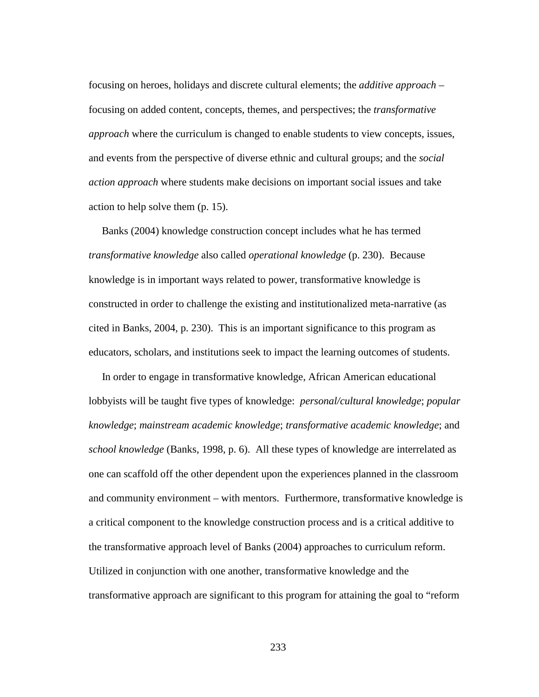focusing on heroes, holidays and discrete cultural elements; the *additive approach* – focusing on added content, concepts, themes, and perspectives; the *transformative approach* where the curriculum is changed to enable students to view concepts, issues, and events from the perspective of diverse ethnic and cultural groups; and the *social action approach* where students make decisions on important social issues and take action to help solve them (p. 15).

 Banks (2004) knowledge construction concept includes what he has termed *transformative knowledge* also called *operational knowledge* (p. 230). Because knowledge is in important ways related to power, transformative knowledge is constructed in order to challenge the existing and institutionalized meta-narrative (as cited in Banks, 2004, p. 230). This is an important significance to this program as educators, scholars, and institutions seek to impact the learning outcomes of students.

In order to engage in transformative knowledge, African American educational lobbyists will be taught five types of knowledge: *personal/cultural knowledge*; *popular knowledge*; *mainstream academic knowledge*; *transformative academic knowledge*; and *school knowledge* (Banks, 1998, p. 6). All these types of knowledge are interrelated as one can scaffold off the other dependent upon the experiences planned in the classroom and community environment – with mentors. Furthermore, transformative knowledge is a critical component to the knowledge construction process and is a critical additive to the transformative approach level of Banks (2004) approaches to curriculum reform. Utilized in conjunction with one another, transformative knowledge and the transformative approach are significant to this program for attaining the goal to "reform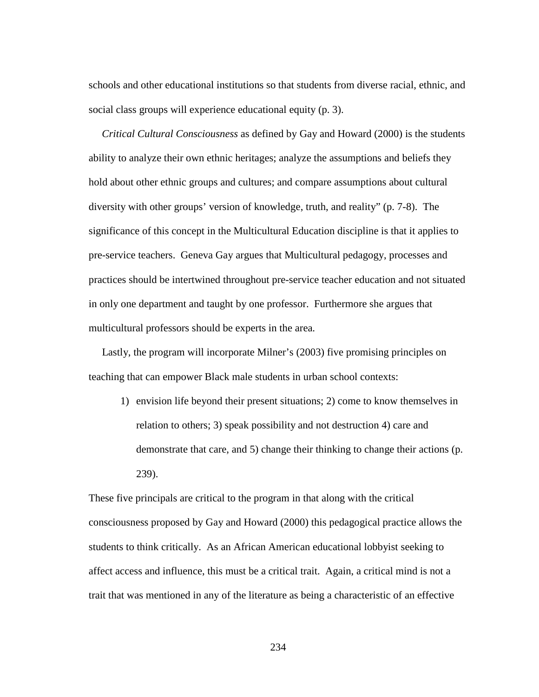schools and other educational institutions so that students from diverse racial, ethnic, and social class groups will experience educational equity (p. 3).

 *Critical Cultural Consciousness* as defined by Gay and Howard (2000) is the students ability to analyze their own ethnic heritages; analyze the assumptions and beliefs they hold about other ethnic groups and cultures; and compare assumptions about cultural diversity with other groups' version of knowledge, truth, and reality" (p. 7-8). The significance of this concept in the Multicultural Education discipline is that it applies to pre-service teachers. Geneva Gay argues that Multicultural pedagogy, processes and practices should be intertwined throughout pre-service teacher education and not situated in only one department and taught by one professor. Furthermore she argues that multicultural professors should be experts in the area.

 Lastly, the program will incorporate Milner's (2003) five promising principles on teaching that can empower Black male students in urban school contexts:

1) envision life beyond their present situations; 2) come to know themselves in relation to others; 3) speak possibility and not destruction 4) care and demonstrate that care, and 5) change their thinking to change their actions (p. 239).

These five principals are critical to the program in that along with the critical consciousness proposed by Gay and Howard (2000) this pedagogical practice allows the students to think critically. As an African American educational lobbyist seeking to affect access and influence, this must be a critical trait. Again, a critical mind is not a trait that was mentioned in any of the literature as being a characteristic of an effective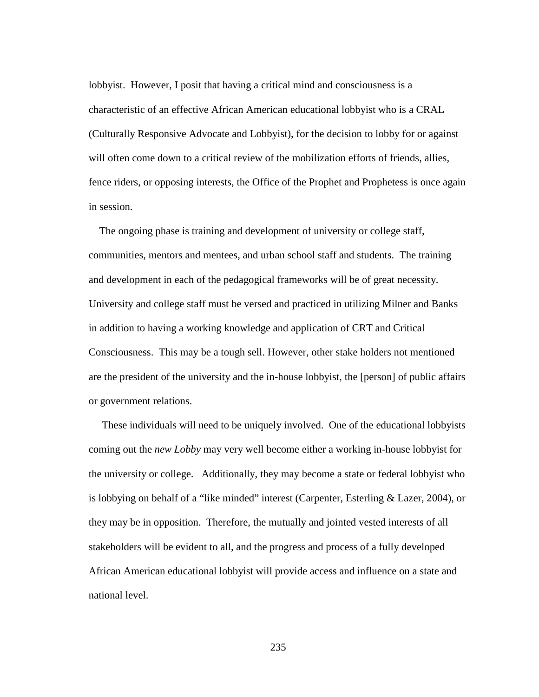lobbyist. However, I posit that having a critical mind and consciousness is a characteristic of an effective African American educational lobbyist who is a CRAL (Culturally Responsive Advocate and Lobbyist), for the decision to lobby for or against will often come down to a critical review of the mobilization efforts of friends, allies, fence riders, or opposing interests, the Office of the Prophet and Prophetess is once again in session.

 The ongoing phase is training and development of university or college staff, communities, mentors and mentees, and urban school staff and students. The training and development in each of the pedagogical frameworks will be of great necessity. University and college staff must be versed and practiced in utilizing Milner and Banks in addition to having a working knowledge and application of CRT and Critical Consciousness. This may be a tough sell. However, other stake holders not mentioned are the president of the university and the in-house lobbyist, the [person] of public affairs or government relations.

 These individuals will need to be uniquely involved. One of the educational lobbyists coming out the *new Lobby* may very well become either a working in-house lobbyist for the university or college. Additionally, they may become a state or federal lobbyist who is lobbying on behalf of a "like minded" interest (Carpenter, Esterling & Lazer, 2004), or they may be in opposition. Therefore, the mutually and jointed vested interests of all stakeholders will be evident to all, and the progress and process of a fully developed African American educational lobbyist will provide access and influence on a state and national level.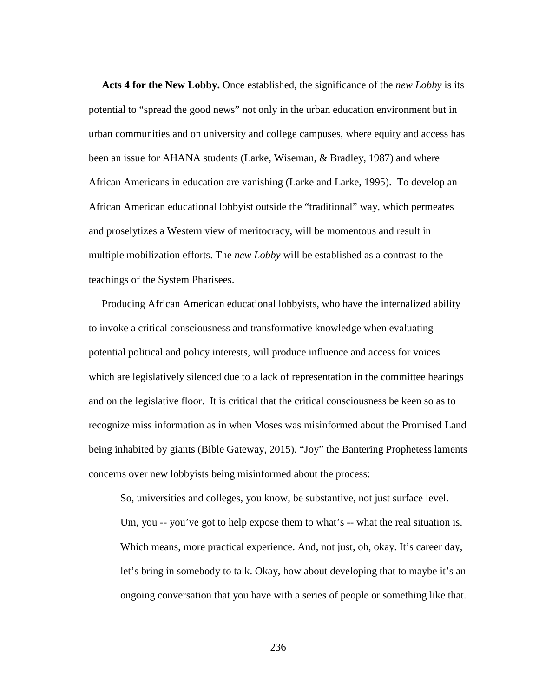**Acts 4 for the New Lobby.** Once established, the significance of the *new Lobby* is its potential to "spread the good news" not only in the urban education environment but in urban communities and on university and college campuses, where equity and access has been an issue for AHANA students (Larke, Wiseman, & Bradley, 1987) and where African Americans in education are vanishing (Larke and Larke, 1995). To develop an African American educational lobbyist outside the "traditional" way, which permeates and proselytizes a Western view of meritocracy, will be momentous and result in multiple mobilization efforts. The *new Lobby* will be established as a contrast to the teachings of the System Pharisees.

 Producing African American educational lobbyists, who have the internalized ability to invoke a critical consciousness and transformative knowledge when evaluating potential political and policy interests, will produce influence and access for voices which are legislatively silenced due to a lack of representation in the committee hearings and on the legislative floor. It is critical that the critical consciousness be keen so as to recognize miss information as in when Moses was misinformed about the Promised Land being inhabited by giants (Bible Gateway, 2015). "Joy" the Bantering Prophetess laments concerns over new lobbyists being misinformed about the process:

So, universities and colleges, you know, be substantive, not just surface level. Um, you -- you've got to help expose them to what's -- what the real situation is. Which means, more practical experience. And, not just, oh, okay. It's career day, let's bring in somebody to talk. Okay, how about developing that to maybe it's an ongoing conversation that you have with a series of people or something like that.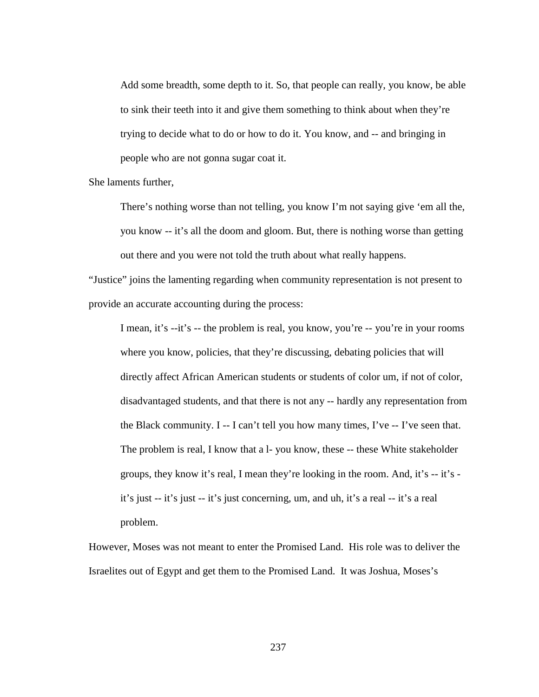Add some breadth, some depth to it. So, that people can really, you know, be able to sink their teeth into it and give them something to think about when they're trying to decide what to do or how to do it. You know, and -- and bringing in people who are not gonna sugar coat it.

She laments further,

There's nothing worse than not telling, you know I'm not saying give 'em all the, you know -- it's all the doom and gloom. But, there is nothing worse than getting out there and you were not told the truth about what really happens.

"Justice" joins the lamenting regarding when community representation is not present to provide an accurate accounting during the process:

I mean, it's --it's -- the problem is real, you know, you're -- you're in your rooms where you know, policies, that they're discussing, debating policies that will directly affect African American students or students of color um, if not of color, disadvantaged students, and that there is not any -- hardly any representation from the Black community. I -- I can't tell you how many times, I've -- I've seen that. The problem is real, I know that a l-you know, these -- these White stakeholder groups, they know it's real, I mean they're looking in the room. And, it's -- it's it's just -- it's just -- it's just concerning, um, and uh, it's a real -- it's a real problem.

However, Moses was not meant to enter the Promised Land. His role was to deliver the Israelites out of Egypt and get them to the Promised Land. It was Joshua, Moses's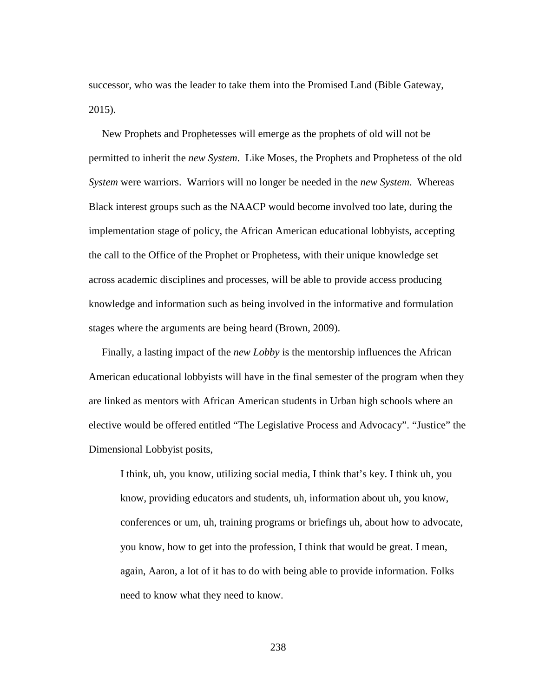successor, who was the leader to take them into the Promised Land (Bible Gateway, 2015).

 New Prophets and Prophetesses will emerge as the prophets of old will not be permitted to inherit the *new System*. Like Moses, the Prophets and Prophetess of the old *System* were warriors. Warriors will no longer be needed in the *new System*. Whereas Black interest groups such as the NAACP would become involved too late, during the implementation stage of policy, the African American educational lobbyists, accepting the call to the Office of the Prophet or Prophetess, with their unique knowledge set across academic disciplines and processes, will be able to provide access producing knowledge and information such as being involved in the informative and formulation stages where the arguments are being heard (Brown, 2009).

 Finally, a lasting impact of the *new Lobby* is the mentorship influences the African American educational lobbyists will have in the final semester of the program when they are linked as mentors with African American students in Urban high schools where an elective would be offered entitled "The Legislative Process and Advocacy". "Justice" the Dimensional Lobbyist posits,

I think, uh, you know, utilizing social media, I think that's key. I think uh, you know, providing educators and students, uh, information about uh, you know, conferences or um, uh, training programs or briefings uh, about how to advocate, you know, how to get into the profession, I think that would be great. I mean, again, Aaron, a lot of it has to do with being able to provide information. Folks need to know what they need to know.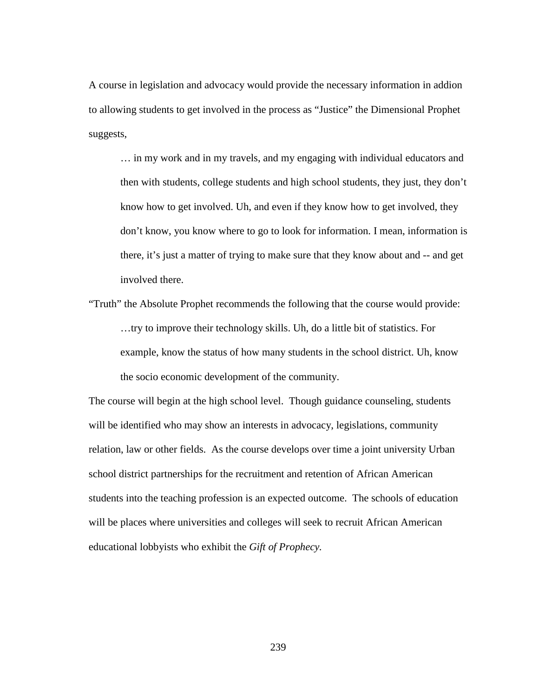A course in legislation and advocacy would provide the necessary information in addion to allowing students to get involved in the process as "Justice" the Dimensional Prophet suggests,

… in my work and in my travels, and my engaging with individual educators and then with students, college students and high school students, they just, they don't know how to get involved. Uh, and even if they know how to get involved, they don't know, you know where to go to look for information. I mean, information is there, it's just a matter of trying to make sure that they know about and -- and get involved there.

"Truth" the Absolute Prophet recommends the following that the course would provide: …try to improve their technology skills. Uh, do a little bit of statistics. For example, know the status of how many students in the school district. Uh, know the socio economic development of the community.

The course will begin at the high school level. Though guidance counseling, students will be identified who may show an interests in advocacy, legislations, community relation, law or other fields. As the course develops over time a joint university Urban school district partnerships for the recruitment and retention of African American students into the teaching profession is an expected outcome. The schools of education will be places where universities and colleges will seek to recruit African American educational lobbyists who exhibit the *Gift of Prophecy.*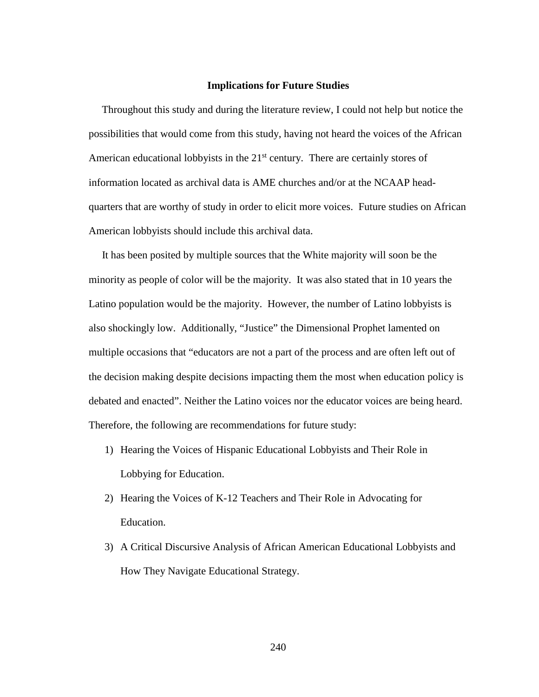#### **Implications for Future Studies**

 Throughout this study and during the literature review, I could not help but notice the possibilities that would come from this study, having not heard the voices of the African American educational lobbyists in the  $21<sup>st</sup>$  century. There are certainly stores of information located as archival data is AME churches and/or at the NCAAP headquarters that are worthy of study in order to elicit more voices. Future studies on African American lobbyists should include this archival data.

 It has been posited by multiple sources that the White majority will soon be the minority as people of color will be the majority. It was also stated that in 10 years the Latino population would be the majority. However, the number of Latino lobbyists is also shockingly low. Additionally, "Justice" the Dimensional Prophet lamented on multiple occasions that "educators are not a part of the process and are often left out of the decision making despite decisions impacting them the most when education policy is debated and enacted". Neither the Latino voices nor the educator voices are being heard. Therefore, the following are recommendations for future study:

- 1) Hearing the Voices of Hispanic Educational Lobbyists and Their Role in Lobbying for Education.
- 2) Hearing the Voices of K-12 Teachers and Their Role in Advocating for Education.
- 3) A Critical Discursive Analysis of African American Educational Lobbyists and How They Navigate Educational Strategy.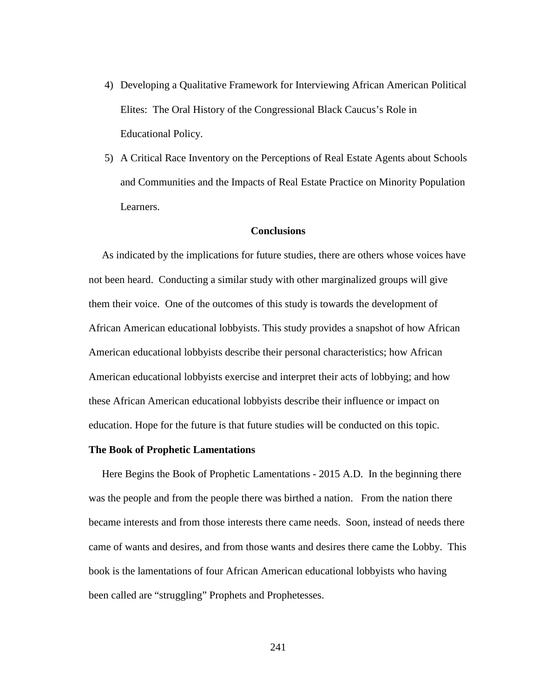- 4) Developing a Qualitative Framework for Interviewing African American Political Elites: The Oral History of the Congressional Black Caucus's Role in Educational Policy.
- 5) A Critical Race Inventory on the Perceptions of Real Estate Agents about Schools and Communities and the Impacts of Real Estate Practice on Minority Population Learners.

## **Conclusions**

 As indicated by the implications for future studies, there are others whose voices have not been heard. Conducting a similar study with other marginalized groups will give them their voice. One of the outcomes of this study is towards the development of African American educational lobbyists. This study provides a snapshot of how African American educational lobbyists describe their personal characteristics; how African American educational lobbyists exercise and interpret their acts of lobbying; and how these African American educational lobbyists describe their influence or impact on education. Hope for the future is that future studies will be conducted on this topic.

### **The Book of Prophetic Lamentations**

 Here Begins the Book of Prophetic Lamentations - 2015 A.D.In the beginning there was the people and from the people there was birthed a nation. From the nation there became interests and from those interests there came needs. Soon, instead of needs there came of wants and desires, and from those wants and desires there came the Lobby. This book is the lamentations of four African American educational lobbyists who having been called are "struggling" Prophets and Prophetesses.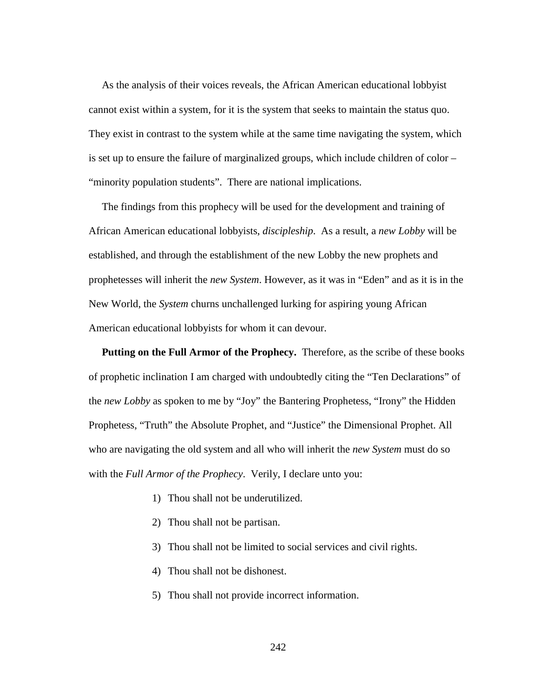As the analysis of their voices reveals, the African American educational lobbyist cannot exist within a system, for it is the system that seeks to maintain the status quo. They exist in contrast to the system while at the same time navigating the system, which is set up to ensure the failure of marginalized groups, which include children of color – "minority population students". There are national implications.

 The findings from this prophecy will be used for the development and training of African American educational lobbyists, *discipleship*. As a result, a *new Lobby* will be established, and through the establishment of the new Lobby the new prophets and prophetesses will inherit the *new System*. However, as it was in "Eden" and as it is in the New World, the *System* churns unchallenged lurking for aspiring young African American educational lobbyists for whom it can devour.

 **Putting on the Full Armor of the Prophecy.** Therefore, as the scribe of these books of prophetic inclination I am charged with undoubtedly citing the "Ten Declarations" of the *new Lobby* as spoken to me by "Joy" the Bantering Prophetess, "Irony" the Hidden Prophetess, "Truth" the Absolute Prophet, and "Justice" the Dimensional Prophet. All who are navigating the old system and all who will inherit the *new System* must do so with the *Full Armor of the Prophecy*. Verily, I declare unto you:

- 1) Thou shall not be underutilized.
- 2) Thou shall not be partisan.
- 3) Thou shall not be limited to social services and civil rights.
- 4) Thou shall not be dishonest.
- 5) Thou shall not provide incorrect information.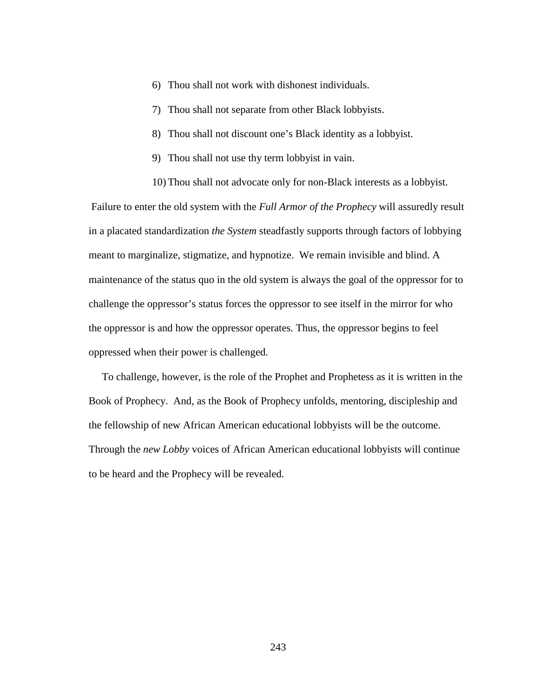- 6) Thou shall not work with dishonest individuals.
- 7) Thou shall not separate from other Black lobbyists.
- 8) Thou shall not discount one's Black identity as a lobbyist.
- 9) Thou shall not use thy term lobbyist in vain.
- 10) Thou shall not advocate only for non-Black interests as a lobbyist.

Failure to enter the old system with the *Full Armor of the Prophecy* will assuredly result in a placated standardization *the System* steadfastly supports through factors of lobbying meant to marginalize, stigmatize, and hypnotize. We remain invisible and blind. A maintenance of the status quo in the old system is always the goal of the oppressor for to challenge the oppressor's status forces the oppressor to see itself in the mirror for who the oppressor is and how the oppressor operates. Thus, the oppressor begins to feel oppressed when their power is challenged.

 To challenge, however, is the role of the Prophet and Prophetess as it is written in the Book of Prophecy. And, as the Book of Prophecy unfolds, mentoring, discipleship and the fellowship of new African American educational lobbyists will be the outcome. Through the *new Lobby* voices of African American educational lobbyists will continue to be heard and the Prophecy will be revealed.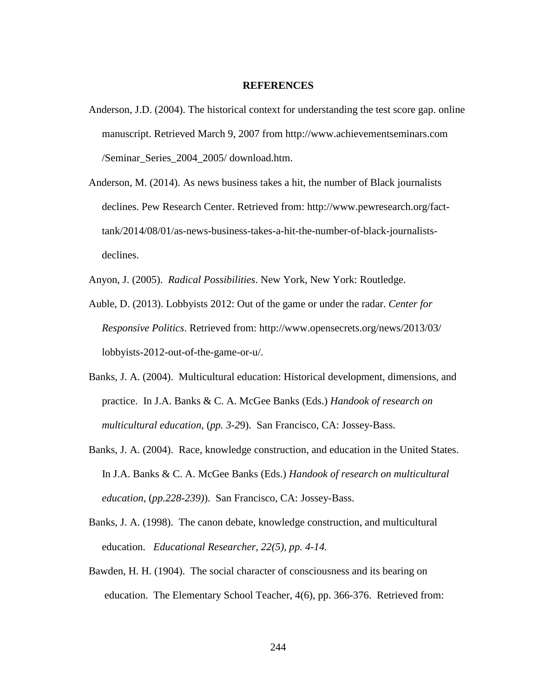#### **REFERENCES**

- Anderson, J.D. (2004). The historical context for understanding the test score gap. online manuscript. Retrieved March 9, 2007 from http://www.achievementseminars.com /Seminar\_Series\_2004\_2005/ download.htm.
- Anderson, M. (2014). As news business takes a hit, the number of Black journalists declines. Pew Research Center. Retrieved from: http://www.pewresearch.org/fact tank/2014/08/01/as-news-business-takes-a-hit-the-number-of-black-journalists declines.

Anyon, J. (2005). *Radical Possibilities*. New York, New York: Routledge.

- Auble, D. (2013). Lobbyists 2012: Out of the game or under the radar. *Center for Responsive Politics*. Retrieved from: http://www.opensecrets.org/news/2013/03/ lobbyists-2012-out-of-the-game-or-u/.
- Banks, J. A. (2004). Multicultural education: Historical development, dimensions, and practice. In J.A. Banks & C. A. McGee Banks (Eds.) *Handook of research on multicultural education,* (*pp. 3-2*9). San Francisco, CA: Jossey-Bass.
- Banks, J. A. (2004). Race, knowledge construction, and education in the United States. In J.A. Banks & C. A. McGee Banks (Eds.) *Handook of research on multicultural education*, (*pp.228-239)*). San Francisco, CA: Jossey-Bass.
- Banks, J. A. (1998). The canon debate, knowledge construction, and multicultural education. *Educational Researcher, 22(5), pp. 4-14.*
- Bawden, H. H. (1904). The social character of consciousness and its bearing on education. The Elementary School Teacher, 4(6), pp. 366-376. Retrieved from: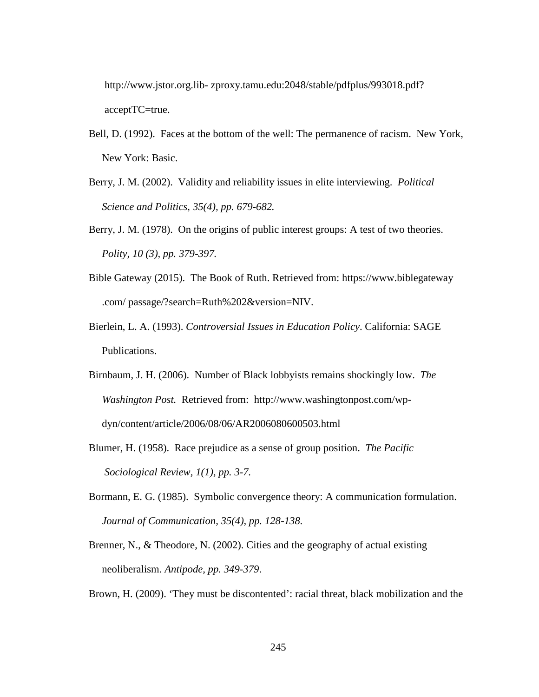http://www.jstor.org.lib- zproxy.tamu.edu:2048/stable/pdfplus/993018.pdf? acceptTC=true.

- Bell, D. (1992). Faces at the bottom of the well: The permanence of racism. New York, New York: Basic.
- Berry, J. M. (2002). Validity and reliability issues in elite interviewing. *Political Science and Politics, 35(4), pp. 679-682.*
- Berry, J. M. (1978). On the origins of public interest groups: A test of two theories. *Polity, 10 (3), pp. 379-397.*
- Bible Gateway (2015). The Book of Ruth. Retrieved from: https://www.biblegateway .com/ passage/?search=Ruth%202&version=NIV.
- Bierlein, L. A. (1993). *Controversial Issues in Education Policy*. California: SAGE Publications.
- Birnbaum, J. H. (2006). Number of Black lobbyists remains shockingly low. *The Washington Post.* Retrieved from: http://www.washingtonpost.com/wp dyn/content/article/2006/08/06/AR2006080600503.html
- Blumer, H. (1958). Race prejudice as a sense of group position. *The Pacific Sociological Review, 1(1), pp. 3-7.*
- Bormann, E. G. (1985). Symbolic convergence theory: A communication formulation. *Journal of Communication, 35(4), pp. 128-138.*
- Brenner, N., & Theodore, N. (2002). Cities and the geography of actual existing neoliberalism. *Antipode, pp. 349-379*.

Brown, H. (2009). 'They must be discontented': racial threat, black mobilization and the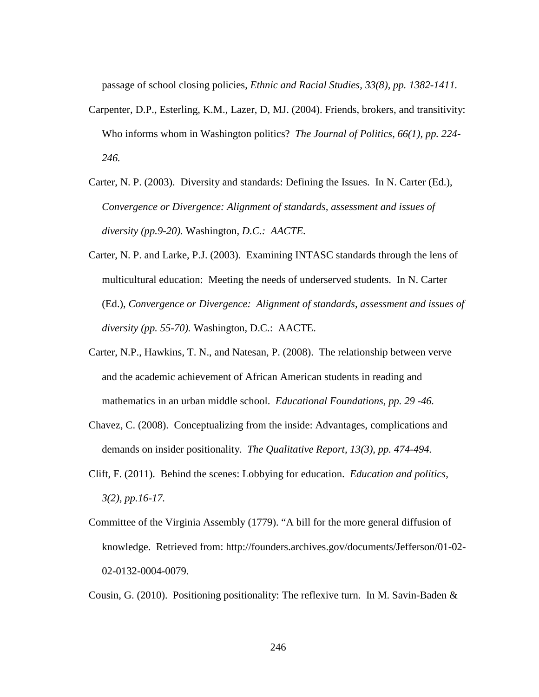passage of school closing policies, *Ethnic and Racial Studies, 33(8), pp. 1382-1411.*

- Carpenter, D.P., Esterling, K.M., Lazer, D, MJ. (2004). Friends, brokers, and transitivity: Who informs whom in Washington politics? *The Journal of Politics, 66(1), pp. 224- 246.*
- Carter, N. P. (2003). Diversity and standards: Defining the Issues. In N. Carter (Ed.), *Convergence or Divergence: Alignment of standards, assessment and issues of diversity (pp.9-20).* Washington*, D.C.: AACTE.*
- Carter, N. P. and Larke, P.J. (2003). Examining INTASC standards through the lens of multicultural education: Meeting the needs of underserved students. In N. Carter (Ed.), *Convergence or Divergence: Alignment of standards, assessment and issues of diversity (pp. 55-70).* Washington, D.C.: AACTE.
- Carter, N.P., Hawkins, T. N., and Natesan, P. (2008). The relationship between verve and the academic achievement of African American students in reading and mathematics in an urban middle school. *Educational Foundations, pp. 29 -46.*
- Chavez, C. (2008). Conceptualizing from the inside: Advantages, complications and demands on insider positionality. *The Qualitative Report, 13(3), pp. 474-494.*
- Clift, F. (2011). Behind the scenes: Lobbying for education. *Education and politics, 3(2), pp.16-17.*
- Committee of the Virginia Assembly (1779). "A bill for the more general diffusion of knowledge. Retrieved from: http://founders.archives.gov/documents/Jefferson/01-02- 02-0132-0004-0079.

Cousin, G. (2010). Positioning positionality: The reflexive turn. In M. Savin-Baden &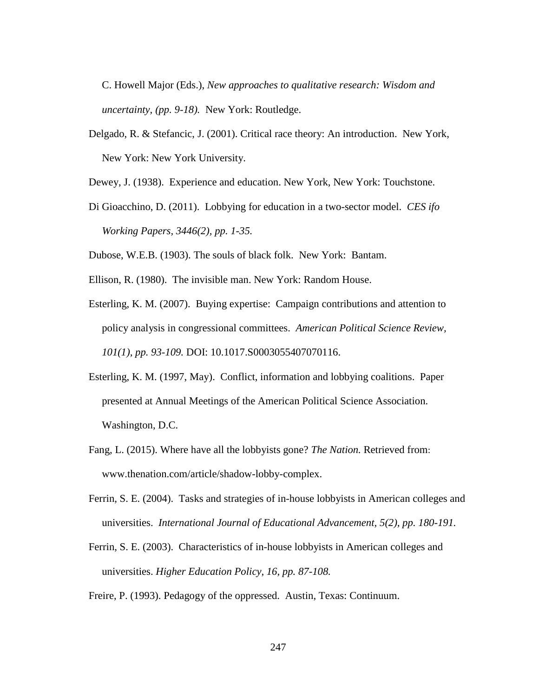C. Howell Major (Eds.), *New approaches to qualitative research: Wisdom and uncertainty, (pp. 9-18).* New York: Routledge.

- Delgado, R. & Stefancic, J. (2001). Critical race theory: An introduction. New York, New York: New York University.
- Dewey, J. (1938). Experience and education. New York, New York: Touchstone.
- Di Gioacchino, D. (2011). Lobbying for education in a two-sector model. *CES ifo Working Papers, 3446(2), pp. 1-35.*

Dubose, W.E.B. (1903). The souls of black folk. New York: Bantam.

- Ellison, R. (1980). The invisible man. New York: Random House.
- Esterling, K. M. (2007). Buying expertise: Campaign contributions and attention to policy analysis in congressional committees. *American Political Science Review, 101(1), pp. 93-109.* DOI: 10.1017.S0003055407070116.
- Esterling, K. M. (1997, May). Conflict, information and lobbying coalitions. Paper presented at Annual Meetings of the American Political Science Association. Washington, D.C.
- Fang, L. (2015). Where have all the lobbyists gone? *The Nation.* Retrieved from: www.thenation.com/article/shadow-lobby-complex.
- Ferrin, S. E. (2004). Tasks and strategies of in-house lobbyists in American colleges and universities. *International Journal of Educational Advancement, 5(2), pp. 180-191.*
- Ferrin, S. E. (2003). Characteristics of in-house lobbyists in American colleges and universities. *Higher Education Policy, 16, pp. 87-108.*
- Freire, P. (1993). Pedagogy of the oppressed. Austin, Texas: Continuum.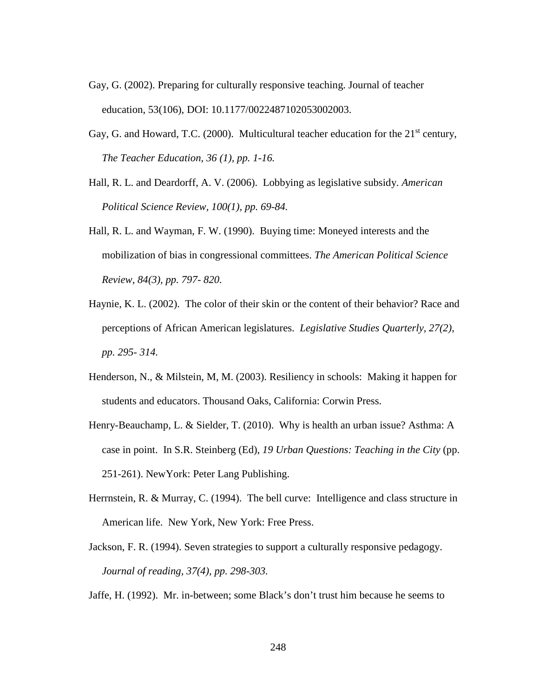- Gay, G. (2002). Preparing for culturally responsive teaching. Journal of teacher education, 53(106), DOI: 10.1177/0022487102053002003.
- Gay, G. and Howard, T.C. (2000). Multicultural teacher education for the 21<sup>st</sup> century, *The Teacher Education, 36 (1), pp. 1-16.*
- Hall, R. L. and Deardorff, A. V. (2006). Lobbying as legislative subsidy. *American Political Science Review, 100(1), pp. 69-84.*
- Hall, R. L. and Wayman, F. W. (1990). Buying time: Moneyed interests and the mobilization of bias in congressional committees. *The American Political Science Review, 84(3), pp. 797- 820.*
- Haynie, K. L. (2002). The color of their skin or the content of their behavior? Race and perceptions of African American legislatures. *Legislative Studies Quarterly, 27(2), pp. 295- 314.*
- Henderson, N., & Milstein, M, M. (2003). Resiliency in schools: Making it happen for students and educators. Thousand Oaks, California: Corwin Press.
- Henry-Beauchamp, L. & Sielder, T. (2010). Why is health an urban issue? Asthma: A case in point. In S.R. Steinberg (Ed), *19 Urban Questions: Teaching in the City* (pp. 251-261). NewYork: Peter Lang Publishing.
- Herrnstein, R. & Murray, C. (1994). The bell curve: Intelligence and class structure in American life. New York, New York: Free Press.
- Jackson, F. R. (1994). Seven strategies to support a culturally responsive pedagogy. *Journal of reading, 37(4), pp. 298-303.*

Jaffe, H. (1992). Mr. in-between; some Black's don't trust him because he seems to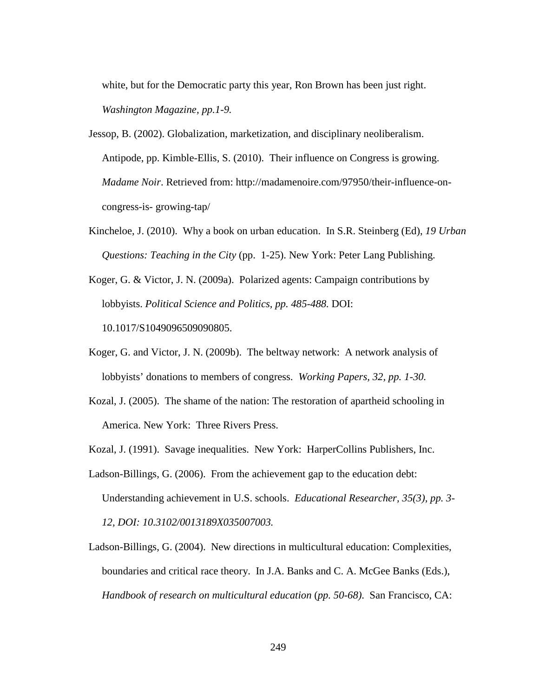white, but for the Democratic party this year, Ron Brown has been just right. *Washington Magazine, pp.1-9.*

Jessop, B. (2002). Globalization, marketization, and disciplinary neoliberalism. Antipode, pp. Kimble-Ellis, S. (2010). Their influence on Congress is growing. *Madame Noir*. Retrieved from: http://madamenoire.com/97950/their-influence-on congress-is- growing-tap/

Kincheloe, J. (2010). Why a book on urban education. In S.R. Steinberg (Ed), *19 Urban Questions: Teaching in the City* (pp. 1-25). New York: Peter Lang Publishing.

Koger, G. & Victor, J. N. (2009a). Polarized agents: Campaign contributions by lobbyists. *Political Science and Politics, pp. 485-488.* DOI: 10.1017/S1049096509090805.

- Koger, G. and Victor, J. N. (2009b). The beltway network: A network analysis of lobbyists' donations to members of congress. *Working Papers, 32, pp. 1-30.*
- Kozal, J. (2005). The shame of the nation: The restoration of apartheid schooling in America. New York: Three Rivers Press.
- Kozal, J. (1991). Savage inequalities. New York: HarperCollins Publishers, Inc.
- Ladson-Billings, G. (2006). From the achievement gap to the education debt: Understanding achievement in U.S. schools. *Educational Researcher, 35(3), pp. 3- 12, DOI: 10.3102/0013189X035007003.*
- Ladson-Billings, G. (2004). New directions in multicultural education: Complexities, boundaries and critical race theory. In J.A. Banks and C. A. McGee Banks (Eds.), *Handbook of research on multicultural education* (*pp. 50-68)*. San Francisco, CA: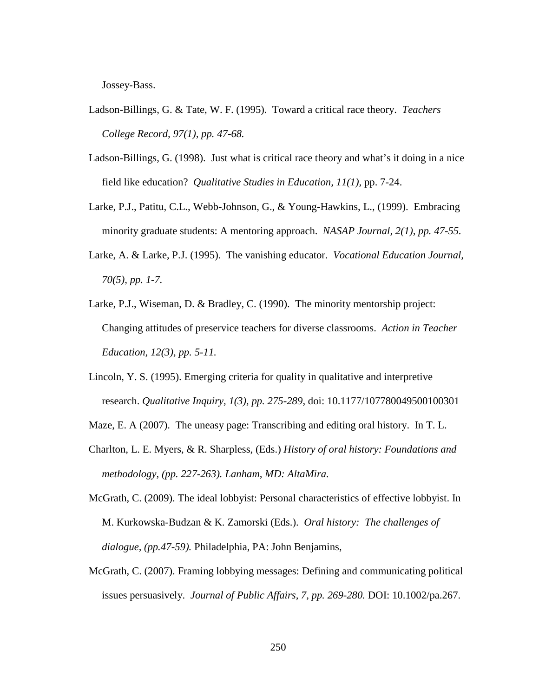Jossey-Bass.

- Ladson-Billings, G. & Tate, W. F. (1995). Toward a critical race theory. *Teachers College Record, 97(1), pp. 47-68.*
- Ladson-Billings, G. (1998). Just what is critical race theory and what's it doing in a nice field like education? *Qualitative Studies in Education, 11(1),* pp. 7-24.
- Larke, P.J., Patitu, C.L., Webb-Johnson, G., & Young-Hawkins, L., (1999). Embracing minority graduate students: A mentoring approach. *NASAP Journal, 2(1), pp. 47-55.*
- Larke, A. & Larke, P.J. (1995). The vanishing educator. *Vocational Education Journal, 70(5), pp. 1-7.*
- Larke, P.J., Wiseman, D. & Bradley, C. (1990). The minority mentorship project: Changing attitudes of preservice teachers for diverse classrooms. *Action in Teacher Education, 12(3), pp. 5-11.*
- Lincoln, Y. S. (1995). Emerging criteria for quality in qualitative and interpretive research. *Qualitative Inquiry, 1(3), pp. 275-289*, doi: 10.1177/107780049500100301
- Maze, E. A (2007). The uneasy page: Transcribing and editing oral history. In T. L.
- Charlton, L. E. Myers, & R. Sharpless, (Eds.) *History of oral history: Foundations and methodology, (pp. 227-263). Lanham, MD: AltaMira.*
- McGrath, C. (2009). The ideal lobbyist: Personal characteristics of effective lobbyist. In M. Kurkowska-Budzan & K. Zamorski (Eds.). *Oral history: The challenges of dialogue, (pp.47-59).* Philadelphia, PA: John Benjamins,
- McGrath, C. (2007). Framing lobbying messages: Defining and communicating political issues persuasively. *Journal of Public Affairs, 7, pp. 269-280.* DOI: 10.1002/pa.267.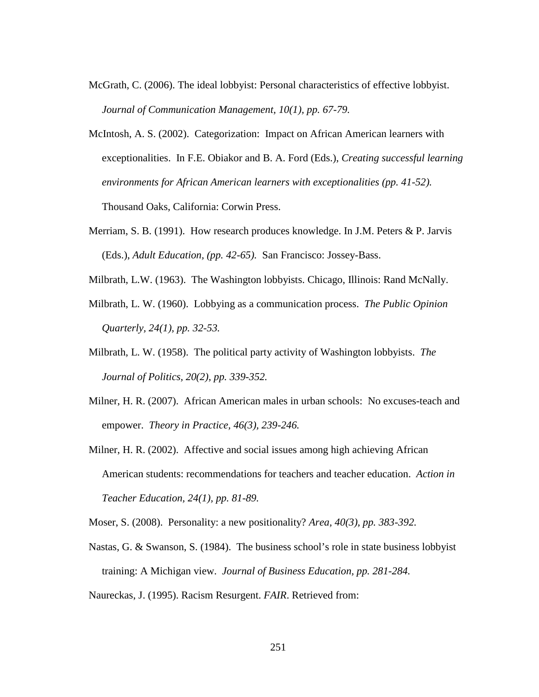- McGrath, C. (2006). The ideal lobbyist: Personal characteristics of effective lobbyist. *Journal of Communication Management, 10(1), pp. 67-79.*
- McIntosh, A. S. (2002). Categorization: Impact on African American learners with exceptionalities. In F.E. Obiakor and B. A. Ford (Eds.), *Creating successful learning environments for African American learners with exceptionalities (pp. 41-52).* Thousand Oaks, California: Corwin Press.
- Merriam, S. B. (1991). How research produces knowledge. In J.M. Peters & P. Jarvis (Eds.), *Adult Education, (pp. 42-65).* San Francisco: Jossey-Bass.
- Milbrath, L.W. (1963). The Washington lobbyists. Chicago, Illinois: Rand McNally.
- Milbrath, L. W. (1960). Lobbying as a communication process. *The Public Opinion Quarterly, 24(1), pp. 32-53.*
- Milbrath, L. W. (1958). The political party activity of Washington lobbyists. *The Journal of Politics, 20(2), pp. 339-352.*
- Milner, H. R. (2007). African American males in urban schools: No excuses-teach and empower. *Theory in Practice, 46(3), 239-246.*
- Milner, H. R. (2002). Affective and social issues among high achieving African American students: recommendations for teachers and teacher education. *Action in Teacher Education, 24(1), pp. 81-89.*
- Moser, S. (2008). Personality: a new positionality? *Area, 40(3), pp. 383-392.*
- Nastas, G. & Swanson, S. (1984). The business school's role in state business lobbyist training: A Michigan view. *Journal of Business Education, pp. 281-284.*
- Naureckas, J. (1995). Racism Resurgent. *FAIR*. Retrieved from: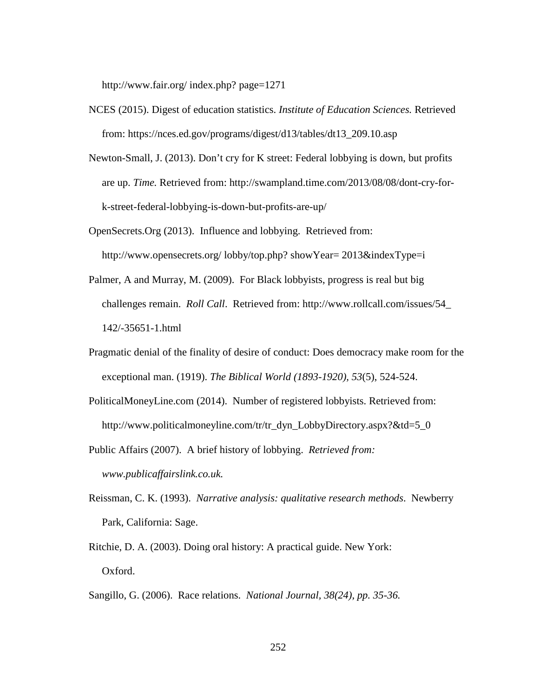http://www.fair.org/ index.php? page=1271

- NCES (2015). Digest of education statistics. *Institute of Education Sciences.* Retrieved from: https://nces.ed.gov/programs/digest/d13/tables/dt13\_209.10.asp
- Newton-Small, J. (2013). Don't cry for K street: Federal lobbying is down, but profits are up. *Time.* Retrieved from: http://swampland.time.com/2013/08/08/dont-cry-for k-street-federal-lobbying-is-down-but-profits-are-up/
- OpenSecrets.Org (2013). Influence and lobbying. Retrieved from: http://www.opensecrets.org/ lobby/top.php? showYear= 2013&indexType=i
- Palmer, A and Murray, M. (2009). For Black lobbyists, progress is real but big challenges remain. *Roll Call*. Retrieved from: http://www.rollcall.com/issues/54\_ 142/-35651-1.html
- Pragmatic denial of the finality of desire of conduct: Does democracy make room for the exceptional man. (1919). *The Biblical World (1893-1920), 53*(5), 524-524.
- PoliticalMoneyLine.com (2014). Number of registered lobbyists. Retrieved from: http://www.politicalmoneyline.com/tr/tr\_dyn\_LobbyDirectory.aspx?&td=5\_0
- Public Affairs (2007). A brief history of lobbying. *Retrieved from: www.publicaffairslink.co.uk.*
- Reissman, C. K. (1993). *Narrative analysis: qualitative research methods*. Newberry Park, California: Sage.
- Ritchie, D. A. (2003). Doing oral history: A practical guide. New York: Oxford.
- Sangillo, G. (2006). Race relations. *National Journal, 38(24), pp. 35-36.*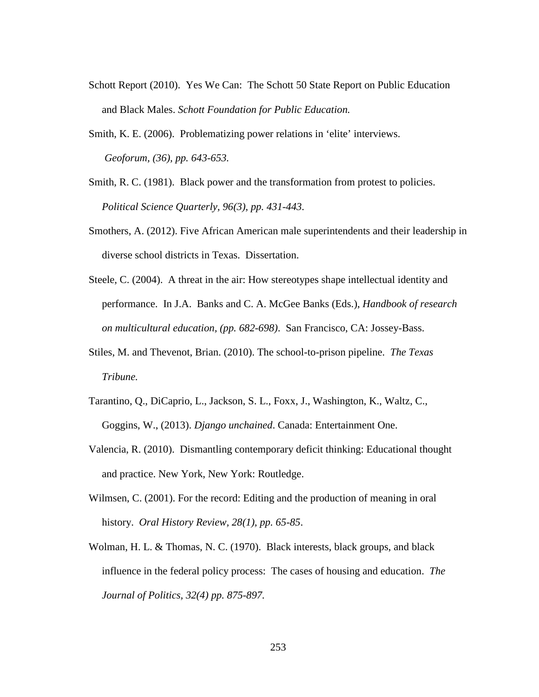- Schott Report (2010). Yes We Can: The Schott 50 State Report on Public Education and Black Males. *Schott Foundation for Public Education.*
- Smith, K. E. (2006). Problematizing power relations in 'elite' interviews. *Geoforum, (36), pp. 643-653.*
- Smith, R. C. (1981). Black power and the transformation from protest to policies. *Political Science Quarterly, 96(3), pp. 431-443.*
- Smothers, A. (2012). Five African American male superintendents and their leadership in diverse school districts in Texas. Dissertation.
- Steele, C. (2004). A threat in the air: How stereotypes shape intellectual identity and performance. In J.A. Banks and C. A. McGee Banks (Eds.), *Handbook of research on multicultural education, (pp. 682-698)*. San Francisco, CA: Jossey-Bass.
- Stiles, M. and Thevenot, Brian. (2010). The school-to-prison pipeline. *The Texas Tribune.*
- Tarantino, Q., DiCaprio, L., Jackson, S. L., Foxx, J., Washington, K., Waltz, C., Goggins, W., (2013). *Django unchained*. Canada: Entertainment One.
- Valencia, R. (2010). Dismantling contemporary deficit thinking: Educational thought and practice. New York, New York: Routledge.
- Wilmsen, C. (2001). For the record: Editing and the production of meaning in oral history. *Oral History Review, 28(1), pp. 65-85*.
- Wolman, H. L. & Thomas, N. C. (1970). Black interests, black groups, and black influence in the federal policy process: The cases of housing and education. *The Journal of Politics, 32(4) pp. 875-897.*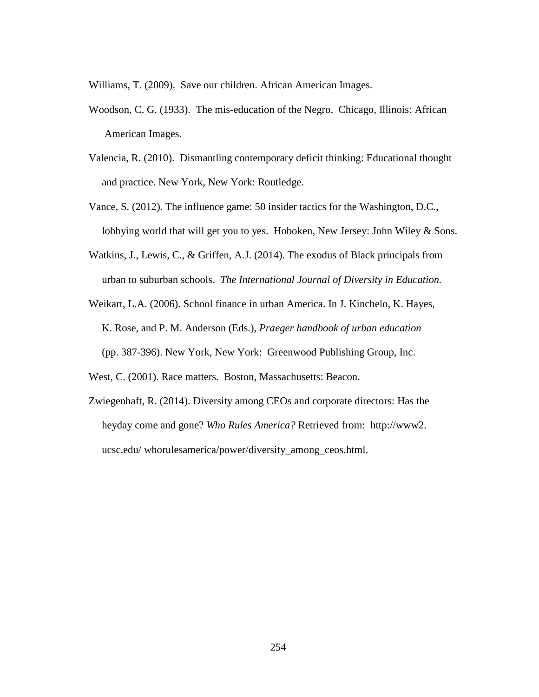Williams, T. (2009). Save our children. African American Images.

- Woodson, C. G. (1933). The mis-education of the Negro. Chicago, Illinois: African American Images.
- Valencia, R. (2010). Dismantling contemporary deficit thinking: Educational thought and practice. New York, New York: Routledge.
- Vance, S. (2012). The influence game: 50 insider tactics for the Washington, D.C., lobbying world that will get you to yes. Hoboken, New Jersey: John Wiley & Sons.
- Watkins, J., Lewis, C., & Griffen, A.J. (2014). The exodus of Black principals from urban to suburban schools. *The International Journal of Diversity in Education.*

Weikart, L.A. (2006). School finance in urban America. In J. Kinchelo, K. Hayes, K. Rose, and P. M. Anderson (Eds.), *Praeger handbook of urban education* (pp. 387-396). New York, New York: Greenwood Publishing Group, Inc.

West, C. (2001). Race matters. Boston, Massachusetts: Beacon.

Zwiegenhaft, R. (2014). Diversity among CEOs and corporate directors: Has the heyday come and gone? *Who Rules America?* Retrieved from: http://www2. ucsc.edu/ whorulesamerica/power/diversity\_among\_ceos.html.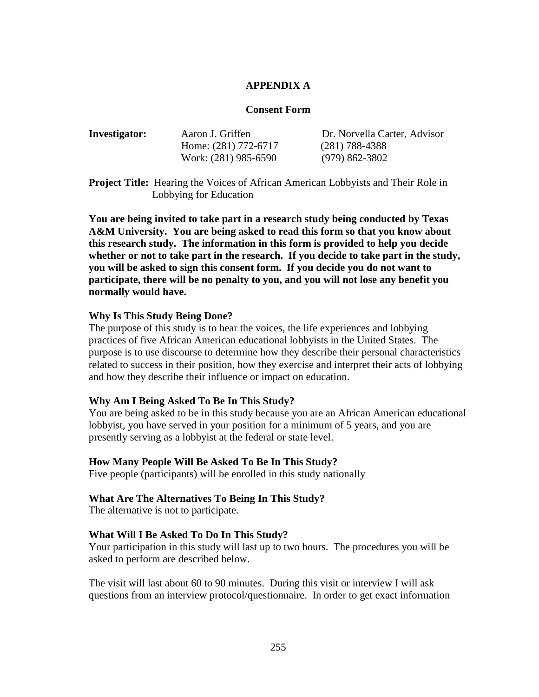### **APPENDIX A**

### **Consent Form**

| Aaron J. Griffen     | Dr. Norvella Carter, Advisor |
|----------------------|------------------------------|
| Home: (281) 772-6717 | $(281)$ 788-4388             |
| Work: (281) 985-6590 | $(979)$ 862-3802             |
|                      |                              |

**Project Title:** Hearing the Voices of African American Lobbyists and Their Role in Lobbying for Education

**You are being invited to take part in a research study being conducted by Texas A&M University. You are being asked to read this form so that you know about this research study. The information in this form is provided to help you decide whether or not to take part in the research. If you decide to take part in the study, you will be asked to sign this consent form. If you decide you do not want to participate, there will be no penalty to you, and you will not lose any benefit you normally would have.**

### **Why Is This Study Being Done?**

The purpose of this study is to hear the voices, the life experiences and lobbying practices of five African American educational lobbyists in the United States. The purpose is to use discourse to determine how they describe their personal characteristics related to success in their position, how they exercise and interpret their acts of lobbying and how they describe their influence or impact on education.

#### **Why Am I Being Asked To Be In This Study?**

You are being asked to be in this study because you are an African American educational lobbyist, you have served in your position for a minimum of 5 years, and you are presently serving as a lobbyist at the federal or state level.

### **How Many People Will Be Asked To Be In This Study?**

Five people (participants) will be enrolled in this study nationally

### **What Are The Alternatives To Being In This Study?**

The alternative is not to participate.

#### **What Will I Be Asked To Do In This Study?**

Your participation in this study will last up to two hours. The procedures you will be asked to perform are described below.

The visit will last about 60 to 90 minutes. During this visit or interview I will ask questions from an interview protocol/questionnaire. In order to get exact information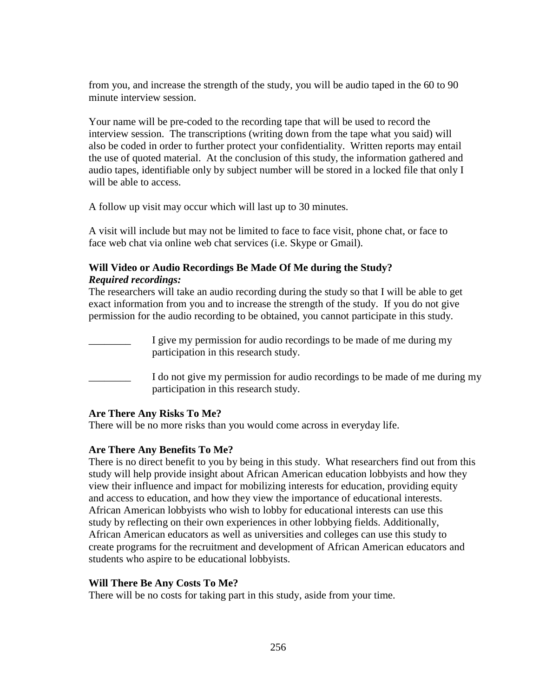from you, and increase the strength of the study, you will be audio taped in the 60 to 90 minute interview session.

Your name will be pre-coded to the recording tape that will be used to record the interview session. The transcriptions (writing down from the tape what you said) will also be coded in order to further protect your confidentiality. Written reports may entail the use of quoted material. At the conclusion of this study, the information gathered and audio tapes, identifiable only by subject number will be stored in a locked file that only I will be able to access.

A follow up visit may occur which will last up to 30 minutes.

A visit will include but may not be limited to face to face visit, phone chat, or face to face web chat via online web chat services (i.e. Skype or Gmail).

# **Will Video or Audio Recordings Be Made Of Me during the Study?** *Required recordings:*

The researchers will take an audio recording during the study so that I will be able to get exact information from you and to increase the strength of the study. If you do not give permission for the audio recording to be obtained, you cannot participate in this study.

| I give my permission for audio recordings to be made of me during my<br>participation in this research study.        |
|----------------------------------------------------------------------------------------------------------------------|
| I do not give my permission for audio recordings to be made of me during my<br>participation in this research study. |

# **Are There Any Risks To Me?**

There will be no more risks than you would come across in everyday life.

# **Are There Any Benefits To Me?**

There is no direct benefit to you by being in this study. What researchers find out from this study will help provide insight about African American education lobbyists and how they view their influence and impact for mobilizing interests for education, providing equity and access to education, and how they view the importance of educational interests. African American lobbyists who wish to lobby for educational interests can use this study by reflecting on their own experiences in other lobbying fields. Additionally, African American educators as well as universities and colleges can use this study to create programs for the recruitment and development of African American educators and students who aspire to be educational lobbyists.

# **Will There Be Any Costs To Me?**

There will be no costs for taking part in this study, aside from your time.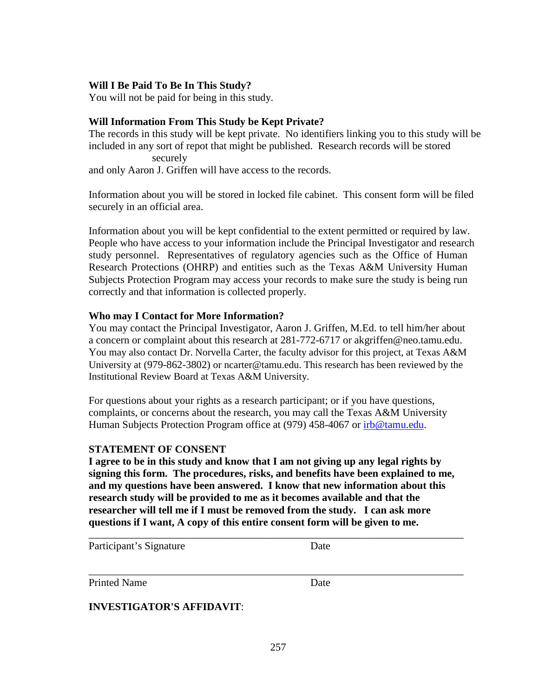### **Will I Be Paid To Be In This Study?**

You will not be paid for being in this study.

# **Will Information From This Study be Kept Private?**

The records in this study will be kept private. No identifiers linking you to this study will be included in any sort of repot that might be published. Research records will be stored securely and only Aaron J. Griffen will have access to the records.

Information about you will be stored in locked file cabinet. This consent form will be filed securely in an official area.

Information about you will be kept confidential to the extent permitted or required by law. People who have access to your information include the Principal Investigator and research study personnel. Representatives of regulatory agencies such as the Office of Human Research Protections (OHRP) and entities such as the Texas A&M University Human Subjects Protection Program may access your records to make sure the study is being run correctly and that information is collected properly.

### **Who may I Contact for More Information?**

You may contact the Principal Investigator, Aaron J. Griffen, M.Ed. to tell him/her about a concern or complaint about this research at 281-772-6717 or akgriffen@neo.tamu.edu. You may also contact Dr. Norvella Carter, the faculty advisor for this project, at Texas A&M University at (979-862-3802) or ncarter@tamu.edu. This research has been reviewed by the Institutional Review Board at Texas A&M University.

For questions about your rights as a research participant; or if you have questions, complaints, or concerns about the research, you may call the Texas A&M University Human Subjects Protection Program office at (979) 458-4067 or [irb@tamu.edu.](mailto:irb@tamu.edu)

# **STATEMENT OF CONSENT**

**I agree to be in this study and know that I am not giving up any legal rights by signing this form. The procedures, risks, and benefits have been explained to me, and my questions have been answered. I know that new information about this research study will be provided to me as it becomes available and that the researcher will tell me if I must be removed from the study. I can ask more questions if I want, A copy of this entire consent form will be given to me.**

\_\_\_\_\_\_\_\_\_\_\_\_\_\_\_\_\_\_\_\_\_\_\_\_\_\_\_\_\_\_\_\_\_\_\_\_\_\_\_\_\_\_\_\_\_\_\_\_\_\_\_\_\_\_\_\_\_\_\_\_\_\_\_\_\_\_\_\_\_\_\_

\_\_\_\_\_\_\_\_\_\_\_\_\_\_\_\_\_\_\_\_\_\_\_\_\_\_\_\_\_\_\_\_\_\_\_\_\_\_\_\_\_\_\_\_\_\_\_\_\_\_\_\_\_\_\_\_\_\_\_\_\_\_\_\_\_\_\_\_\_\_\_

Participant's Signature Date

Printed Name Date

**INVESTIGATOR'S AFFIDAVIT**: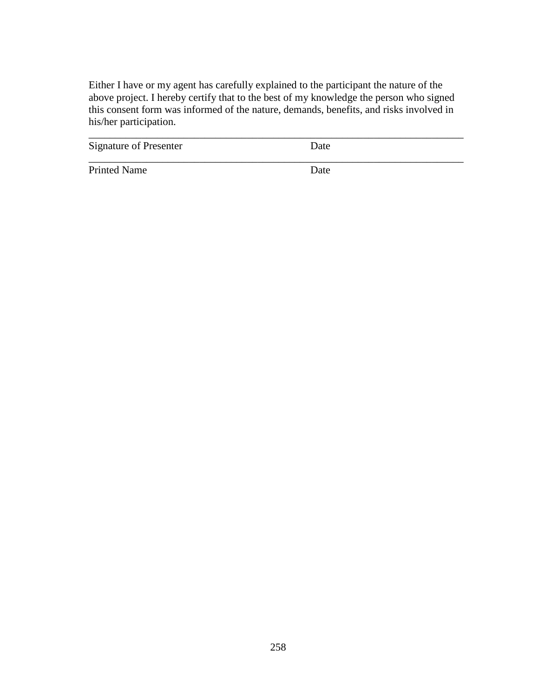Either I have or my agent has carefully explained to the participant the nature of the above project. I hereby certify that to the best of my knowledge the person who signed this consent form was informed of the nature, demands, benefits, and risks involved in his/her participation.

\_\_\_\_\_\_\_\_\_\_\_\_\_\_\_\_\_\_\_\_\_\_\_\_\_\_\_\_\_\_\_\_\_\_\_\_\_\_\_\_\_\_\_\_\_\_\_\_\_\_\_\_\_\_\_\_\_\_\_\_\_\_\_\_\_\_\_\_\_\_\_

\_\_\_\_\_\_\_\_\_\_\_\_\_\_\_\_\_\_\_\_\_\_\_\_\_\_\_\_\_\_\_\_\_\_\_\_\_\_\_\_\_\_\_\_\_\_\_\_\_\_\_\_\_\_\_\_\_\_\_\_\_\_\_\_\_\_\_\_\_\_\_

Signature of Presenter Date

Printed Name Date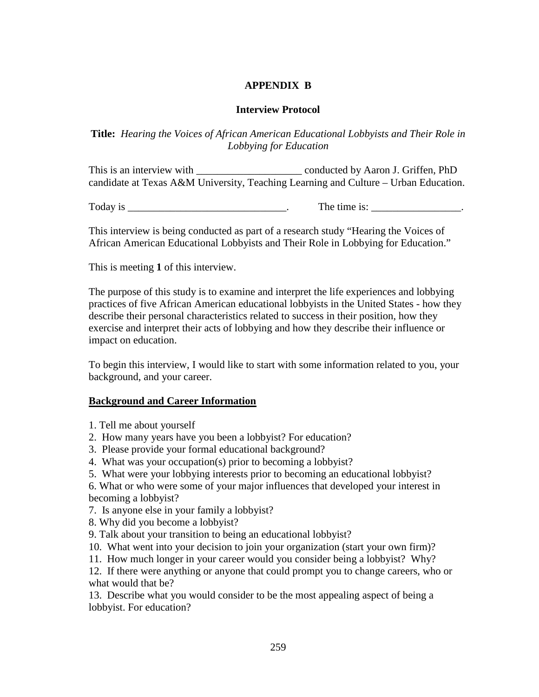# **APPENDIX B**

# **Interview Protocol**

**Title:** *Hearing the Voices of African American Educational Lobbyists and Their Role in Lobbying for Education*

This is an interview with \_\_\_\_\_\_\_\_\_\_\_\_\_\_\_\_\_\_\_\_ conducted by Aaron J. Griffen, PhD candidate at Texas A&M University, Teaching Learning and Culture – Urban Education.

Today is  $\frac{1}{\sqrt{1-\frac{1}{2}}\sqrt{1-\frac{1}{2}}\sqrt{1-\frac{1}{2}}\sqrt{1-\frac{1}{2}}\sqrt{1-\frac{1}{2}}\sqrt{1-\frac{1}{2}}\sqrt{1-\frac{1}{2}}\sqrt{1-\frac{1}{2}}\sqrt{1-\frac{1}{2}}\sqrt{1-\frac{1}{2}}\sqrt{1-\frac{1}{2}}\sqrt{1-\frac{1}{2}}\sqrt{1-\frac{1}{2}}\sqrt{1-\frac{1}{2}}\sqrt{1-\frac{1}{2}}\sqrt{1-\frac{1}{2}}\sqrt{1-\frac{1}{2}}\sqrt{1-\frac{1}{2}}\sqrt{1-\frac{1$ 

This interview is being conducted as part of a research study "Hearing the Voices of African American Educational Lobbyists and Their Role in Lobbying for Education."

This is meeting **1** of this interview.

The purpose of this study is to examine and interpret the life experiences and lobbying practices of five African American educational lobbyists in the United States - how they describe their personal characteristics related to success in their position, how they exercise and interpret their acts of lobbying and how they describe their influence or impact on education.

To begin this interview, I would like to start with some information related to you, your background, and your career.

# **Background and Career Information**

- 1. Tell me about yourself
- 2. How many years have you been a lobbyist? For education?
- 3. Please provide your formal educational background?
- 4. What was your occupation(s) prior to becoming a lobbyist?
- 5. What were your lobbying interests prior to becoming an educational lobbyist?

6. What or who were some of your major influences that developed your interest in becoming a lobbyist?

- 7. Is anyone else in your family a lobbyist?
- 8. Why did you become a lobbyist?
- 9. Talk about your transition to being an educational lobbyist?
- 10. What went into your decision to join your organization (start your own firm)?
- 11. How much longer in your career would you consider being a lobbyist? Why?

12. If there were anything or anyone that could prompt you to change careers, who or what would that be?

13. Describe what you would consider to be the most appealing aspect of being a lobbyist. For education?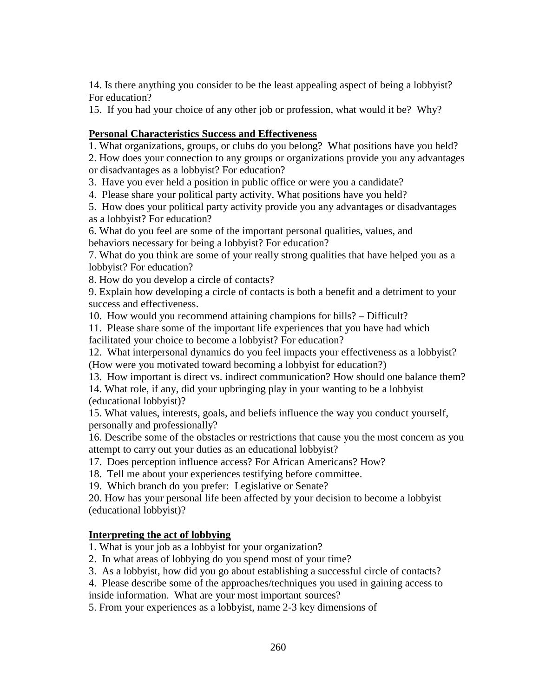14. Is there anything you consider to be the least appealing aspect of being a lobbyist? For education?

15. If you had your choice of any other job or profession, what would it be? Why?

# **Personal Characteristics Success and Effectiveness**

1. What organizations, groups, or clubs do you belong? What positions have you held?

2. How does your connection to any groups or organizations provide you any advantages or disadvantages as a lobbyist? For education?

3. Have you ever held a position in public office or were you a candidate?

4. Please share your political party activity. What positions have you held?

5. How does your political party activity provide you any advantages or disadvantages as a lobbyist? For education?

6. What do you feel are some of the important personal qualities, values, and behaviors necessary for being a lobbyist? For education?

7. What do you think are some of your really strong qualities that have helped you as a lobbyist? For education?

8. How do you develop a circle of contacts?

9. Explain how developing a circle of contacts is both a benefit and a detriment to your success and effectiveness.

10. How would you recommend attaining champions for bills? – Difficult?

11. Please share some of the important life experiences that you have had which facilitated your choice to become a lobbyist? For education?

12. What interpersonal dynamics do you feel impacts your effectiveness as a lobbyist? (How were you motivated toward becoming a lobbyist for education?)

13. How important is direct vs. indirect communication? How should one balance them?

14. What role, if any, did your upbringing play in your wanting to be a lobbyist (educational lobbyist)?

15. What values, interests, goals, and beliefs influence the way you conduct yourself, personally and professionally?

16. Describe some of the obstacles or restrictions that cause you the most concern as you attempt to carry out your duties as an educational lobbyist?

17. Does perception influence access? For African Americans? How?

18. Tell me about your experiences testifying before committee.

19. Which branch do you prefer: Legislative or Senate?

20. How has your personal life been affected by your decision to become a lobbyist (educational lobbyist)?

# **Interpreting the act of lobbying**

1. What is your job as a lobbyist for your organization?

2. In what areas of lobbying do you spend most of your time?

3. As a lobbyist, how did you go about establishing a successful circle of contacts?

4. Please describe some of the approaches/techniques you used in gaining access to

inside information. What are your most important sources?

5. From your experiences as a lobbyist, name 2-3 key dimensions of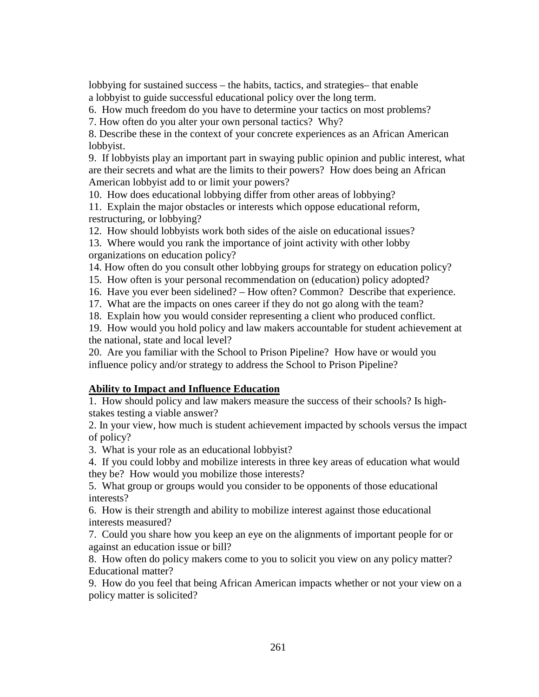lobbying for sustained success – the habits, tactics, and strategies– that enable a lobbyist to guide successful educational policy over the long term.

6. How much freedom do you have to determine your tactics on most problems?

7. How often do you alter your own personal tactics? Why?

8. Describe these in the context of your concrete experiences as an African American lobbyist.

9. If lobbyists play an important part in swaying public opinion and public interest, what are their secrets and what are the limits to their powers? How does being an African American lobbyist add to or limit your powers?

10. How does educational lobbying differ from other areas of lobbying?

11. Explain the major obstacles or interests which oppose educational reform, restructuring, or lobbying?

12. How should lobbyists work both sides of the aisle on educational issues?

13. Where would you rank the importance of joint activity with other lobby organizations on education policy?

14. How often do you consult other lobbying groups for strategy on education policy?

15. How often is your personal recommendation on (education) policy adopted?

16. Have you ever been sidelined? – How often? Common? Describe that experience.

17. What are the impacts on ones career if they do not go along with the team?

18. Explain how you would consider representing a client who produced conflict.

19. How would you hold policy and law makers accountable for student achievement at the national, state and local level?

20. Are you familiar with the School to Prison Pipeline? How have or would you influence policy and/or strategy to address the School to Prison Pipeline?

# **Ability to Impact and Influence Education**

1. How should policy and law makers measure the success of their schools? Is highstakes testing a viable answer?

2. In your view, how much is student achievement impacted by schools versus the impact of policy?

3. What is your role as an educational lobbyist?

4. If you could lobby and mobilize interests in three key areas of education what would they be? How would you mobilize those interests?

5. What group or groups would you consider to be opponents of those educational interests?

6. How is their strength and ability to mobilize interest against those educational interests measured?

7. Could you share how you keep an eye on the alignments of important people for or against an education issue or bill?

8. How often do policy makers come to you to solicit you view on any policy matter? Educational matter?

9. How do you feel that being African American impacts whether or not your view on a policy matter is solicited?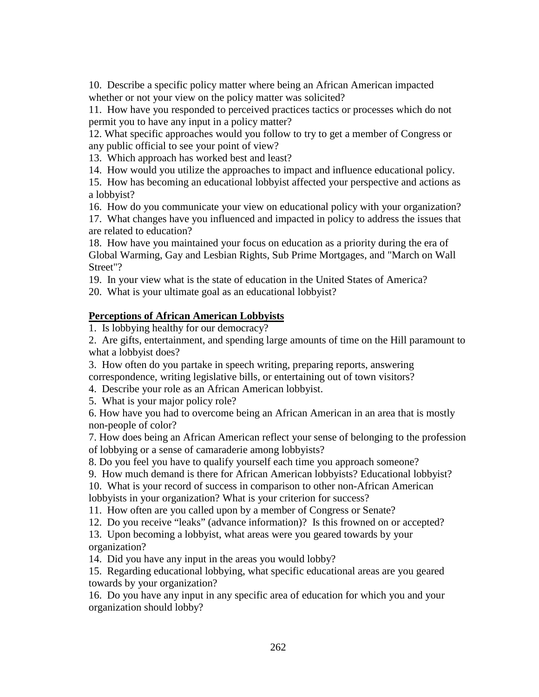10. Describe a specific policy matter where being an African American impacted whether or not your view on the policy matter was solicited?

11. How have you responded to perceived practices tactics or processes which do not permit you to have any input in a policy matter?

12. What specific approaches would you follow to try to get a member of Congress or any public official to see your point of view?

13. Which approach has worked best and least?

14. How would you utilize the approaches to impact and influence educational policy.

15. How has becoming an educational lobbyist affected your perspective and actions as a lobbyist?

16. How do you communicate your view on educational policy with your organization?

17. What changes have you influenced and impacted in policy to address the issues that are related to education?

18. How have you maintained your focus on education as a priority during the era of Global Warming, Gay and Lesbian Rights, Sub Prime Mortgages, and "March on Wall Street"?

19. In your view what is the state of education in the United States of America?

20. What is your ultimate goal as an educational lobbyist?

# **Perceptions of African American Lobbyists**

1. Is lobbying healthy for our democracy?

2. Are gifts, entertainment, and spending large amounts of time on the Hill paramount to what a lobbyist does?

- 3. How often do you partake in speech writing, preparing reports, answering correspondence, writing legislative bills, or entertaining out of town visitors?
- 4. Describe your role as an African American lobbyist.
- 5. What is your major policy role?

6. How have you had to overcome being an African American in an area that is mostly non-people of color?

7. How does being an African American reflect your sense of belonging to the profession of lobbying or a sense of camaraderie among lobbyists?

8. Do you feel you have to qualify yourself each time you approach someone?

9. How much demand is there for African American lobbyists? Educational lobbyist?

10. What is your record of success in comparison to other non-African American lobbyists in your organization? What is your criterion for success?

11. How often are you called upon by a member of Congress or Senate?

12. Do you receive "leaks" (advance information)? Is this frowned on or accepted?

13. Upon becoming a lobbyist, what areas were you geared towards by your organization?

14. Did you have any input in the areas you would lobby?

15. Regarding educational lobbying, what specific educational areas are you geared towards by your organization?

16. Do you have any input in any specific area of education for which you and your organization should lobby?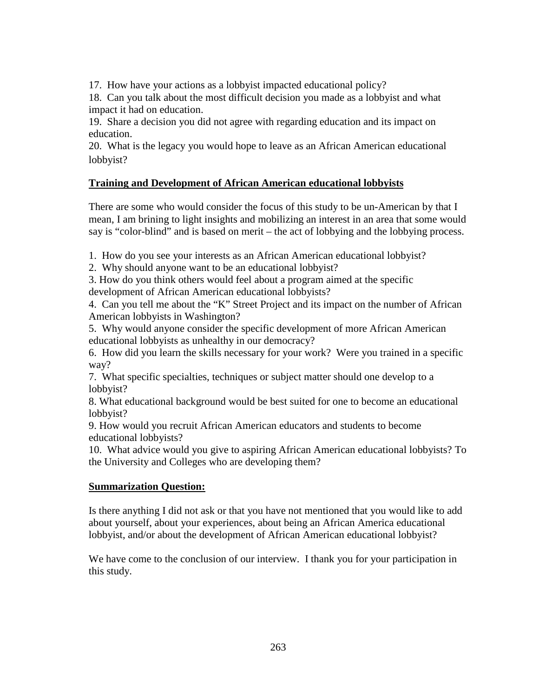17. How have your actions as a lobbyist impacted educational policy?

18. Can you talk about the most difficult decision you made as a lobbyist and what impact it had on education.

19. Share a decision you did not agree with regarding education and its impact on education.

20. What is the legacy you would hope to leave as an African American educational lobbyist?

# **Training and Development of African American educational lobbyists**

There are some who would consider the focus of this study to be un-American by that I mean, I am brining to light insights and mobilizing an interest in an area that some would say is "color-blind" and is based on merit – the act of lobbying and the lobbying process.

1. How do you see your interests as an African American educational lobbyist?

2. Why should anyone want to be an educational lobbyist?

3. How do you think others would feel about a program aimed at the specific development of African American educational lobbyists?

4. Can you tell me about the "K" Street Project and its impact on the number of African American lobbyists in Washington?

5. Why would anyone consider the specific development of more African American educational lobbyists as unhealthy in our democracy?

6. How did you learn the skills necessary for your work? Were you trained in a specific way?

7. What specific specialties, techniques or subject matter should one develop to a lobbyist?

8. What educational background would be best suited for one to become an educational lobbyist?

9. How would you recruit African American educators and students to become educational lobbyists?

10. What advice would you give to aspiring African American educational lobbyists? To the University and Colleges who are developing them?

# **Summarization Question:**

Is there anything I did not ask or that you have not mentioned that you would like to add about yourself, about your experiences, about being an African America educational lobbyist, and/or about the development of African American educational lobbyist?

We have come to the conclusion of our interview. I thank you for your participation in this study.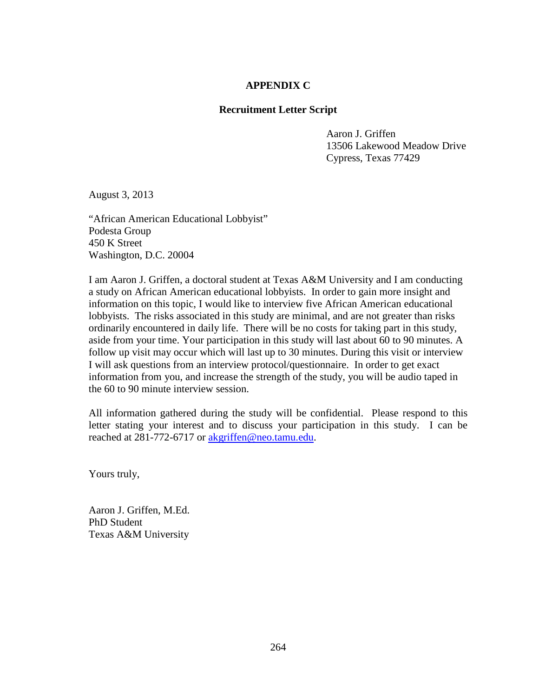### **APPENDIX C**

### **Recruitment Letter Script**

 Aaron J. Griffen 13506 Lakewood Meadow Drive Cypress, Texas 77429

August 3, 2013

"African American Educational Lobbyist" Podesta Group 450 K Street Washington, D.C. 20004

I am Aaron J. Griffen, a doctoral student at Texas A&M University and I am conducting a study on African American educational lobbyists. In order to gain more insight and information on this topic, I would like to interview five African American educational lobbyists. The risks associated in this study are minimal, and are not greater than risks ordinarily encountered in daily life. There will be no costs for taking part in this study, aside from your time. Your participation in this study will last about 60 to 90 minutes. A follow up visit may occur which will last up to 30 minutes. During this visit or interview I will ask questions from an interview protocol/questionnaire. In order to get exact information from you, and increase the strength of the study, you will be audio taped in the 60 to 90 minute interview session.

All information gathered during the study will be confidential. Please respond to this letter stating your interest and to discuss your participation in this study. I can be reached at 281-772-6717 or [akgriffen@neo.tamu.edu.](mailto:akgriffen@neo.tamu.edu)

Yours truly,

Aaron J. Griffen, M.Ed. PhD Student Texas A&M University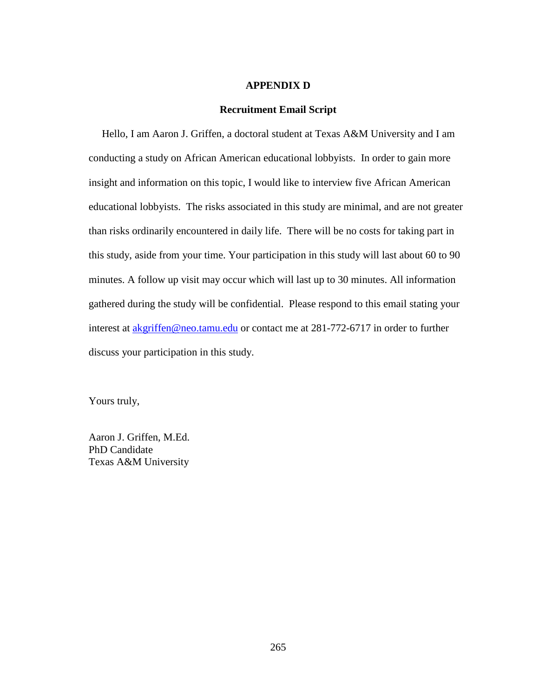#### **APPENDIX D**

#### **Recruitment Email Script**

 Hello, I am Aaron J. Griffen, a doctoral student at Texas A&M University and I am conducting a study on African American educational lobbyists. In order to gain more insight and information on this topic, I would like to interview five African American educational lobbyists. The risks associated in this study are minimal, and are not greater than risks ordinarily encountered in daily life. There will be no costs for taking part in this study, aside from your time. Your participation in this study will last about 60 to 90 minutes. A follow up visit may occur which will last up to 30 minutes. All information gathered during the study will be confidential. Please respond to this email stating your interest at **akgriffen@neo.tamu.edu** or contact me at 281-772-6717 in order to further discuss your participation in this study.

Yours truly,

Aaron J. Griffen, M.Ed. PhD Candidate Texas A&M University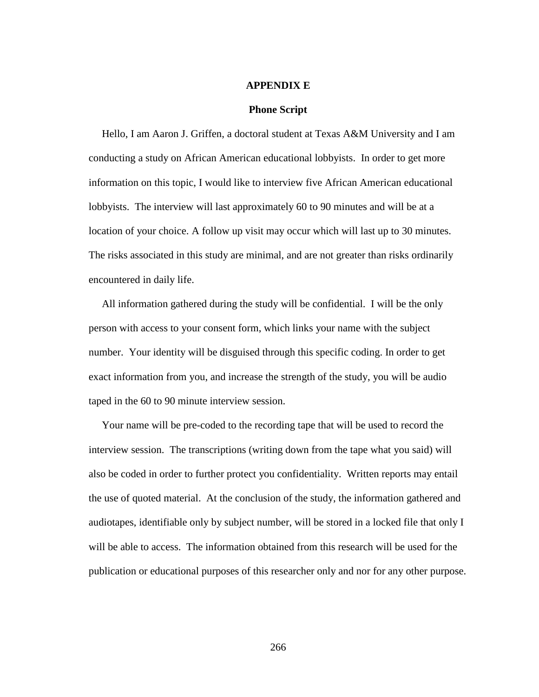#### **APPENDIX E**

#### **Phone Script**

 Hello, I am Aaron J. Griffen, a doctoral student at Texas A&M University and I am conducting a study on African American educational lobbyists. In order to get more information on this topic, I would like to interview five African American educational lobbyists. The interview will last approximately 60 to 90 minutes and will be at a location of your choice. A follow up visit may occur which will last up to 30 minutes. The risks associated in this study are minimal, and are not greater than risks ordinarily encountered in daily life.

 All information gathered during the study will be confidential. I will be the only person with access to your consent form, which links your name with the subject number. Your identity will be disguised through this specific coding. In order to get exact information from you, and increase the strength of the study, you will be audio taped in the 60 to 90 minute interview session.

 Your name will be pre-coded to the recording tape that will be used to record the interview session. The transcriptions (writing down from the tape what you said) will also be coded in order to further protect you confidentiality. Written reports may entail the use of quoted material. At the conclusion of the study, the information gathered and audiotapes, identifiable only by subject number, will be stored in a locked file that only I will be able to access. The information obtained from this research will be used for the publication or educational purposes of this researcher only and nor for any other purpose.

266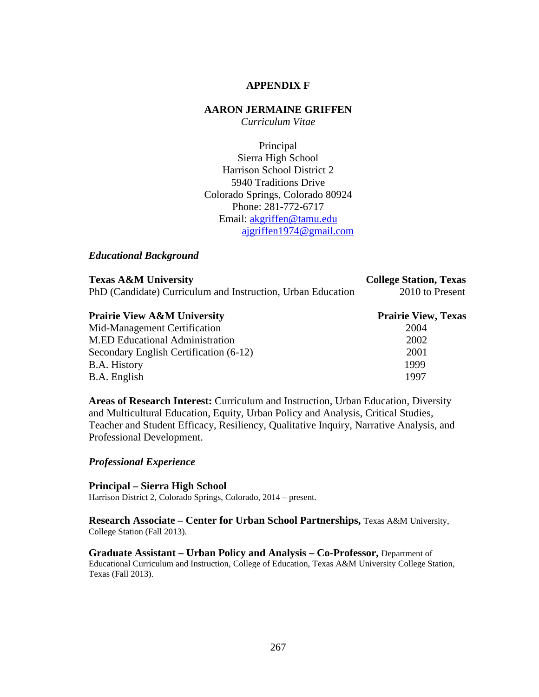### **APPENDIX F**

#### **AARON JERMAINE GRIFFEN**

*Curriculum Vitae*

Principal Sierra High School Harrison School District 2 5940 Traditions Drive Colorado Springs, Colorado 80924 Phone: 281-772-6717 Email: [akgriffen@tamu.edu](mailto:akgriffen@tamu.edu) [ajgriffen1974@gmail.com](mailto:ajgriffen1974@gmail.com)

#### *Educational Background*

| <b>Texas A&amp;M University</b>                             | <b>College Station, Texas</b> |
|-------------------------------------------------------------|-------------------------------|
| PhD (Candidate) Curriculum and Instruction, Urban Education | 2010 to Present               |

| <b>Prairie View A&amp;M University</b> | <b>Prairie View, Texas</b> |
|----------------------------------------|----------------------------|
| Mid-Management Certification           | 2004                       |
| <b>M.ED Educational Administration</b> | 2002                       |
| Secondary English Certification (6-12) | 2001                       |
| B.A. History                           | 1999                       |
| B.A. English                           | 1997                       |

**Areas of Research Interest:** Curriculum and Instruction, Urban Education, Diversity and Multicultural Education, Equity, Urban Policy and Analysis, Critical Studies, Teacher and Student Efficacy, Resiliency, Qualitative Inquiry, Narrative Analysis, and Professional Development.

### *Professional Experience*

**Principal – Sierra High School** Harrison District 2, Colorado Springs, Colorado, 2014 – present.

**Research Associate – Center for Urban School Partnerships,** Texas A&M University, College Station (Fall 2013).

**Graduate Assistant – Urban Policy and Analysis – Co-Professor,** Department of Educational Curriculum and Instruction, College of Education, Texas A&M University College Station, Texas (Fall 2013).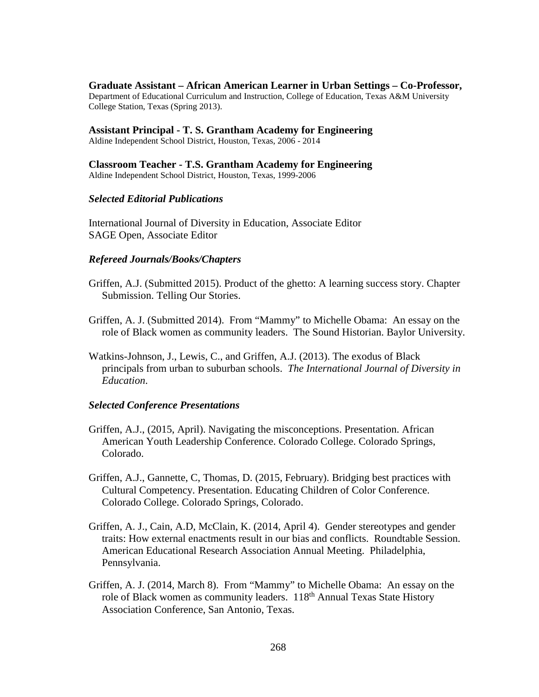**Graduate Assistant – African American Learner in Urban Settings – Co-Professor,**  Department of Educational Curriculum and Instruction, College of Education, Texas A&M University College Station, Texas (Spring 2013).

**Assistant Principal - T. S. Grantham Academy for Engineering** Aldine Independent School District, Houston, Texas, 2006 - 2014

**Classroom Teacher - T.S. Grantham Academy for Engineering** Aldine Independent School District, Houston, Texas, 1999-2006

### *Selected Editorial Publications*

International Journal of Diversity in Education, Associate Editor SAGE Open, Associate Editor

### *Refereed Journals/Books/Chapters*

- Griffen, A.J. (Submitted 2015). Product of the ghetto: A learning success story. Chapter Submission. Telling Our Stories.
- Griffen, A. J. (Submitted 2014). From "Mammy" to Michelle Obama: An essay on the role of Black women as community leaders. The Sound Historian. Baylor University.
- Watkins-Johnson, J., Lewis, C., and Griffen, A.J. (2013). The exodus of Black principals from urban to suburban schools. *The International Journal of Diversity in Education*.

#### *Selected Conference Presentations*

- Griffen, A.J., (2015, April). Navigating the misconceptions. Presentation. African American Youth Leadership Conference. Colorado College. Colorado Springs, Colorado.
- Griffen, A.J., Gannette, C, Thomas, D. (2015, February). Bridging best practices with Cultural Competency. Presentation. Educating Children of Color Conference. Colorado College. Colorado Springs, Colorado.
- Griffen, A. J., Cain, A.D, McClain, K. (2014, April 4). Gender stereotypes and gender traits: How external enactments result in our bias and conflicts. Roundtable Session. American Educational Research Association Annual Meeting. Philadelphia, Pennsylvania.
- Griffen, A. J. (2014, March 8). From "Mammy" to Michelle Obama: An essay on the role of Black women as community leaders. 118<sup>th</sup> Annual Texas State History Association Conference, San Antonio, Texas.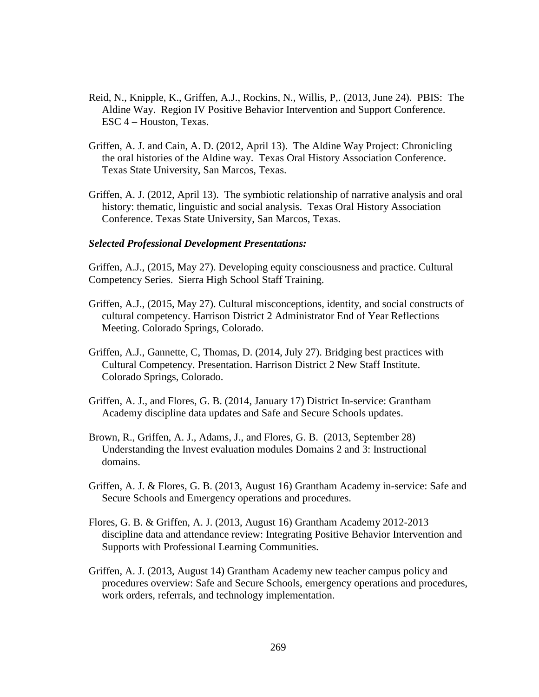- Reid, N., Knipple, K., Griffen, A.J., Rockins, N., Willis, P,. (2013, June 24). PBIS: The Aldine Way. Region IV Positive Behavior Intervention and Support Conference. ESC 4 – Houston, Texas.
- Griffen, A. J. and Cain, A. D. (2012, April 13). The Aldine Way Project: Chronicling the oral histories of the Aldine way. Texas Oral History Association Conference. Texas State University, San Marcos, Texas.
- Griffen, A. J. (2012, April 13). The symbiotic relationship of narrative analysis and oral history: thematic, linguistic and social analysis. Texas Oral History Association Conference. Texas State University, San Marcos, Texas.

#### *Selected Professional Development Presentations:*

Griffen, A.J., (2015, May 27). Developing equity consciousness and practice. Cultural Competency Series. Sierra High School Staff Training.

- Griffen, A.J., (2015, May 27). Cultural misconceptions, identity, and social constructs of cultural competency. Harrison District 2 Administrator End of Year Reflections Meeting. Colorado Springs, Colorado.
- Griffen, A.J., Gannette, C, Thomas, D. (2014, July 27). Bridging best practices with Cultural Competency. Presentation. Harrison District 2 New Staff Institute. Colorado Springs, Colorado.
- Griffen, A. J., and Flores, G. B. (2014, January 17) District In-service: Grantham Academy discipline data updates and Safe and Secure Schools updates.
- Brown, R., Griffen, A. J., Adams, J., and Flores, G. B. (2013, September 28) Understanding the Invest evaluation modules Domains 2 and 3: Instructional domains.
- Griffen, A. J. & Flores, G. B. (2013, August 16) Grantham Academy in-service: Safe and Secure Schools and Emergency operations and procedures.
- Flores, G. B. & Griffen, A. J. (2013, August 16) Grantham Academy 2012-2013 discipline data and attendance review: Integrating Positive Behavior Intervention and Supports with Professional Learning Communities.
- Griffen, A. J. (2013, August 14) Grantham Academy new teacher campus policy and procedures overview: Safe and Secure Schools, emergency operations and procedures, work orders, referrals, and technology implementation.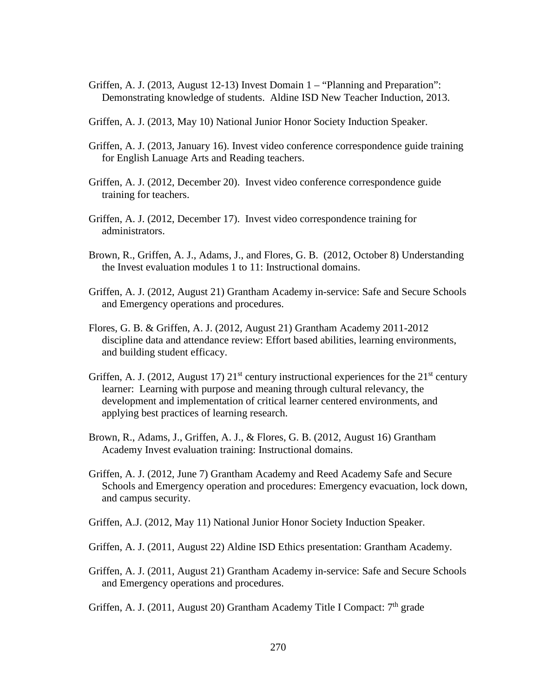- Griffen, A. J. (2013, August 12-13) Invest Domain 1 "Planning and Preparation": Demonstrating knowledge of students. Aldine ISD New Teacher Induction, 2013.
- Griffen, A. J. (2013, May 10) National Junior Honor Society Induction Speaker.
- Griffen, A. J. (2013, January 16). Invest video conference correspondence guide training for English Lanuage Arts and Reading teachers.
- Griffen, A. J. (2012, December 20). Invest video conference correspondence guide training for teachers.
- Griffen, A. J. (2012, December 17). Invest video correspondence training for administrators.
- Brown, R., Griffen, A. J., Adams, J., and Flores, G. B. (2012, October 8) Understanding the Invest evaluation modules 1 to 11: Instructional domains.
- Griffen, A. J. (2012, August 21) Grantham Academy in-service: Safe and Secure Schools and Emergency operations and procedures.
- Flores, G. B. & Griffen, A. J. (2012, August 21) Grantham Academy 2011-2012 discipline data and attendance review: Effort based abilities, learning environments, and building student efficacy.
- Griffen, A. J. (2012, August 17)  $21^{st}$  century instructional experiences for the  $21^{st}$  century learner: Learning with purpose and meaning through cultural relevancy, the development and implementation of critical learner centered environments, and applying best practices of learning research.
- Brown, R., Adams, J., Griffen, A. J., & Flores, G. B. (2012, August 16) Grantham Academy Invest evaluation training: Instructional domains.
- Griffen, A. J. (2012, June 7) Grantham Academy and Reed Academy Safe and Secure Schools and Emergency operation and procedures: Emergency evacuation, lock down, and campus security.
- Griffen, A.J. (2012, May 11) National Junior Honor Society Induction Speaker.
- Griffen, A. J. (2011, August 22) Aldine ISD Ethics presentation: Grantham Academy.
- Griffen, A. J. (2011, August 21) Grantham Academy in-service: Safe and Secure Schools and Emergency operations and procedures.
- Griffen, A. J. (2011, August 20) Grantham Academy Title I Compact: 7<sup>th</sup> grade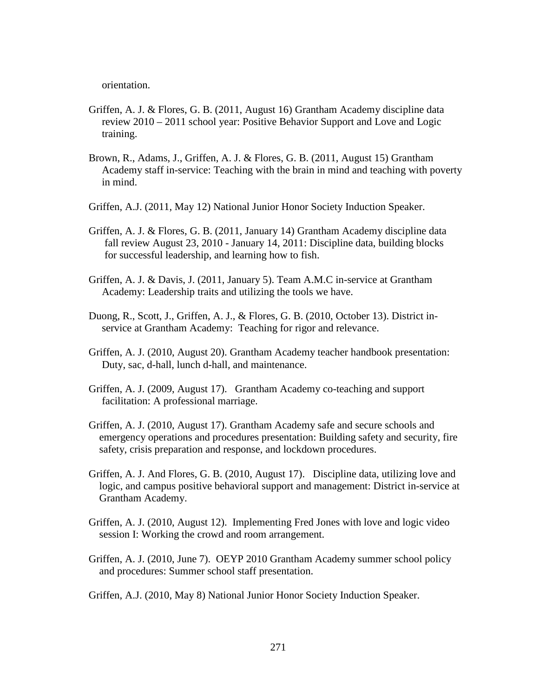orientation.

- Griffen, A. J. & Flores, G. B. (2011, August 16) Grantham Academy discipline data review 2010 – 2011 school year: Positive Behavior Support and Love and Logic training.
- Brown, R., Adams, J., Griffen, A. J. & Flores, G. B. (2011, August 15) Grantham Academy staff in-service: Teaching with the brain in mind and teaching with poverty in mind.
- Griffen, A.J. (2011, May 12) National Junior Honor Society Induction Speaker.
- Griffen, A. J. & Flores, G. B. (2011, January 14) Grantham Academy discipline data fall review August 23, 2010 - January 14, 2011: Discipline data, building blocks for successful leadership, and learning how to fish.
- Griffen, A. J. & Davis, J. (2011, January 5). Team A.M.C in-service at Grantham Academy: Leadership traits and utilizing the tools we have.
- Duong, R., Scott, J., Griffen, A. J., & Flores, G. B. (2010, October 13). District in service at Grantham Academy: Teaching for rigor and relevance.
- Griffen, A. J. (2010, August 20). Grantham Academy teacher handbook presentation: Duty, sac, d-hall, lunch d-hall, and maintenance.
- Griffen, A. J. (2009, August 17). Grantham Academy co-teaching and support facilitation: A professional marriage.
- Griffen, A. J. (2010, August 17). Grantham Academy safe and secure schools and emergency operations and procedures presentation: Building safety and security, fire safety, crisis preparation and response, and lockdown procedures.
- Griffen, A. J. And Flores, G. B. (2010, August 17). Discipline data, utilizing love and logic, and campus positive behavioral support and management: District in-service at Grantham Academy.
- Griffen, A. J. (2010, August 12). Implementing Fred Jones with love and logic video session I: Working the crowd and room arrangement.
- Griffen, A. J. (2010, June 7). OEYP 2010 Grantham Academy summer school policy and procedures: Summer school staff presentation.
- Griffen, A.J. (2010, May 8) National Junior Honor Society Induction Speaker.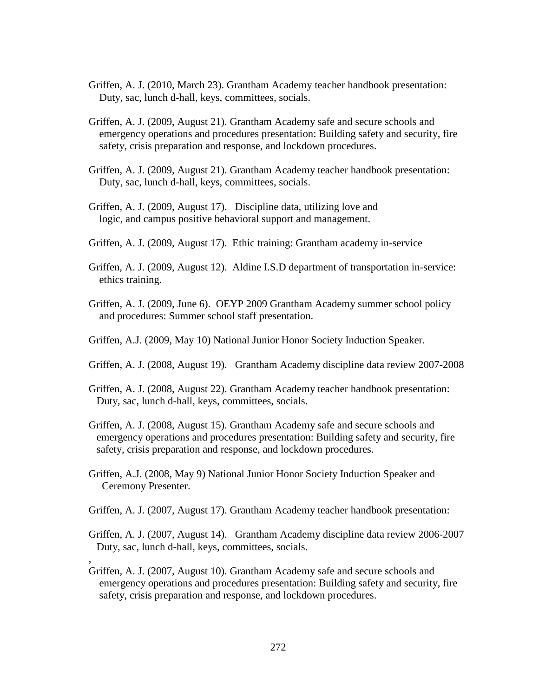- Griffen, A. J. (2010, March 23). Grantham Academy teacher handbook presentation: Duty, sac, lunch d-hall, keys, committees, socials.
- Griffen, A. J. (2009, August 21). Grantham Academy safe and secure schools and emergency operations and procedures presentation: Building safety and security, fire safety, crisis preparation and response, and lockdown procedures.
- Griffen, A. J. (2009, August 21). Grantham Academy teacher handbook presentation: Duty, sac, lunch d-hall, keys, committees, socials.
- Griffen, A. J. (2009, August 17). Discipline data, utilizing love and logic, and campus positive behavioral support and management.
- Griffen, A. J. (2009, August 17). Ethic training: Grantham academy in-service
- Griffen, A. J. (2009, August 12). Aldine I.S.D department of transportation in-service: ethics training.
- Griffen, A. J. (2009, June 6). OEYP 2009 Grantham Academy summer school policy and procedures: Summer school staff presentation.
- Griffen, A.J. (2009, May 10) National Junior Honor Society Induction Speaker.
- Griffen, A. J. (2008, August 19). Grantham Academy discipline data review 2007-2008
- Griffen, A. J. (2008, August 22). Grantham Academy teacher handbook presentation: Duty, sac, lunch d-hall, keys, committees, socials.
- Griffen, A. J. (2008, August 15). Grantham Academy safe and secure schools and emergency operations and procedures presentation: Building safety and security, fire safety, crisis preparation and response, and lockdown procedures.
- Griffen, A.J. (2008, May 9) National Junior Honor Society Induction Speaker and Ceremony Presenter.

,

- Griffen, A. J. (2007, August 17). Grantham Academy teacher handbook presentation:
- Griffen, A. J. (2007, August 14). Grantham Academy discipline data review 2006-2007 Duty, sac, lunch d-hall, keys, committees, socials.
- Griffen, A. J. (2007, August 10). Grantham Academy safe and secure schools and emergency operations and procedures presentation: Building safety and security, fire safety, crisis preparation and response, and lockdown procedures.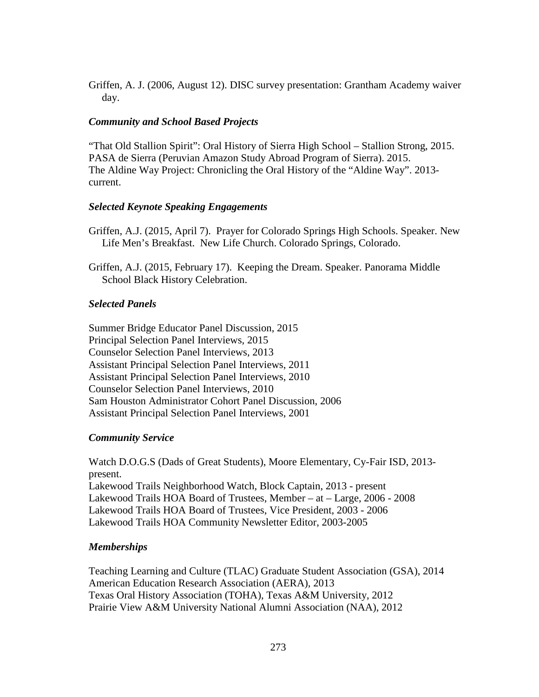Griffen, A. J. (2006, August 12). DISC survey presentation: Grantham Academy waiver day.

# *Community and School Based Projects*

"That Old Stallion Spirit": Oral History of Sierra High School – Stallion Strong, 2015. PASA de Sierra (Peruvian Amazon Study Abroad Program of Sierra). 2015. The Aldine Way Project: Chronicling the Oral History of the "Aldine Way". 2013 current.

# *Selected Keynote Speaking Engagements*

- Griffen, A.J. (2015, April 7). Prayer for Colorado Springs High Schools. Speaker. New Life Men's Breakfast. New Life Church. Colorado Springs, Colorado.
- Griffen, A.J. (2015, February 17). Keeping the Dream. Speaker. Panorama Middle School Black History Celebration.

# *Selected Panels*

Summer Bridge Educator Panel Discussion, 2015 Principal Selection Panel Interviews, 2015 Counselor Selection Panel Interviews, 2013 Assistant Principal Selection Panel Interviews, 2011 Assistant Principal Selection Panel Interviews, 2010 Counselor Selection Panel Interviews, 2010 Sam Houston Administrator Cohort Panel Discussion, 2006 Assistant Principal Selection Panel Interviews, 2001

# *Community Service*

Watch D.O.G.S (Dads of Great Students), Moore Elementary, Cy-Fair ISD, 2013 present. Lakewood Trails Neighborhood Watch, Block Captain, 2013 - present Lakewood Trails HOA Board of Trustees, Member – at – Large, 2006 - 2008 Lakewood Trails HOA Board of Trustees, Vice President, 2003 - 2006 Lakewood Trails HOA Community Newsletter Editor, 2003-2005

# *Memberships*

Teaching Learning and Culture (TLAC) Graduate Student Association (GSA), 2014 American Education Research Association (AERA), 2013 Texas Oral History Association (TOHA), Texas A&M University, 2012 Prairie View A&M University National Alumni Association (NAA), 2012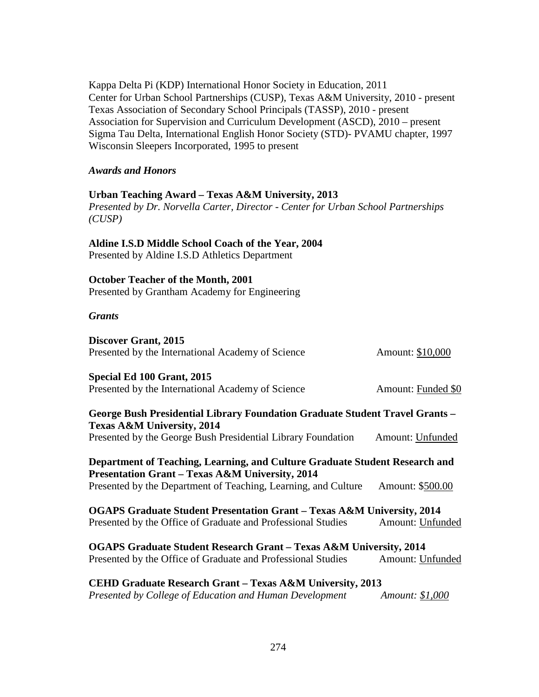Kappa Delta Pi (KDP) International Honor Society in Education, 2011 Center for Urban School Partnerships (CUSP), Texas A&M University, 2010 - present Texas Association of Secondary School Principals (TASSP), 2010 - present Association for Supervision and Curriculum Development (ASCD), 2010 – present Sigma Tau Delta, International English Honor Society (STD)- PVAMU chapter, 1997 Wisconsin Sleepers Incorporated, 1995 to present

### *Awards and Honors*

### **Urban Teaching Award – Texas A&M University, 2013**

*Presented by Dr. Norvella Carter, Director - Center for Urban School Partnerships (CUSP)*

### **Aldine I.S.D Middle School Coach of the Year, 2004**

Presented by Aldine I.S.D Athletics Department

#### **October Teacher of the Month, 2001**

Presented by Grantham Academy for Engineering

### *Grants*

**Discover Grant, 2015** Presented by the International Academy of Science Amount: \$10,000

### **Special Ed 100 Grant, 2015**

Presented by the International Academy of Science Amount: Funded \$0

**George Bush Presidential Library Foundation Graduate Student Travel Grants – Texas A&M University, 2014** Presented by the George Bush Presidential Library Foundation Amount: Unfunded

**Department of Teaching, Learning, and Culture Graduate Student Research and Presentation Grant – Texas A&M University, 2014** Presented by the Department of Teaching, Learning, and Culture Amount: \$500.00

**OGAPS Graduate Student Presentation Grant – Texas A&M University, 2014** Presented by the Office of Graduate and Professional Studies Amount: Unfunded

**OGAPS Graduate Student Research Grant – Texas A&M University, 2014** Presented by the Office of Graduate and Professional Studies Amount: Unfunded

**CEHD Graduate Research Grant – Texas A&M University, 2013** *Presented by College of Education and Human Development Amount: \$1,000*